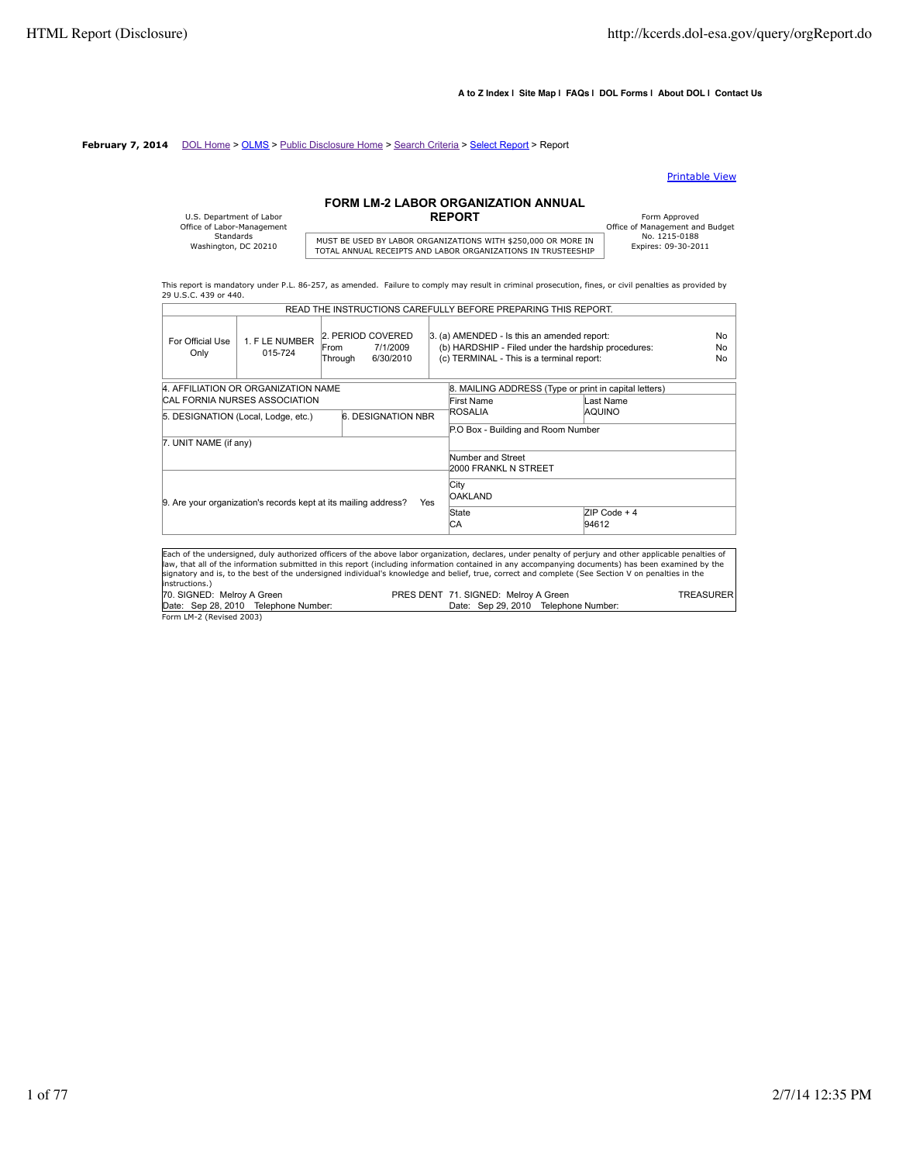#### **A to Z Index | Site Map | FAQs | DOL Forms | About DOL | Contact Us**

#### **February 7, 2014** DOL Home > OLMS > Public Disclosure Home > Search Criteria > Select Report > Report

#### Printable View

# **FORM LM-2 LABOR ORGANIZATION ANNUAL**

| U.S. Department of Labor<br>Office of Labor-Management |                            |
|--------------------------------------------------------|----------------------------|
| Standards                                              |                            |
| Washington, DC 20210                                   | MUST BE USED BY LABOR OR   |
|                                                        | TOTAL ANNUIAL DECEIDTC AND |

# MUST BE USED BY LABOR ORGANIZATIONS WITH \$250,000 OR MORE IN THISTORIC TO THE TOTAL ANNUAL RECEIPTS AND LABOR ORGANIZATIONS IN TRUSTEESHIP

Form Approved<br>
Office of Management and Budget<br>
No. 1215-0188

This report is mandatory under P.L. 86-257, as amended. Failure to comply may result in criminal prosecution, fines, or civil penalties as provided by 29 U.S.C. 439 or 440. READ THE INSTRUCTIONS CAREFULLY BEFORE PREPARING THIS REPORT.

|                            |                                      | READ THE INSTRUCTIONS CAREFULLY BEFORE PREPARING THIS REPORT.                                                                                                                                                                                                                                                                                                                                                                                                      |                                                                                                                                                 |                |                            |
|----------------------------|--------------------------------------|--------------------------------------------------------------------------------------------------------------------------------------------------------------------------------------------------------------------------------------------------------------------------------------------------------------------------------------------------------------------------------------------------------------------------------------------------------------------|-------------------------------------------------------------------------------------------------------------------------------------------------|----------------|----------------------------|
| For Official Use<br>Only   | 1. FLE NUMBER<br>015-724             | 2. PERIOD COVERED<br>7/1/2009<br>From<br>6/30/2010<br>Through                                                                                                                                                                                                                                                                                                                                                                                                      | 3. (a) AMENDED - Is this an amended report:<br>(b) HARDSHIP - Filed under the hardship procedures:<br>(c) TERMINAL - This is a terminal report: |                | N <sub>0</sub><br>No<br>No |
|                            | 4. AFFILIATION OR ORGANIZATION NAME  |                                                                                                                                                                                                                                                                                                                                                                                                                                                                    | 8. MAILING ADDRESS (Type or print in capital letters)                                                                                           |                |                            |
|                            | <b>CAL FORNIA NURSES ASSOCIATION</b> |                                                                                                                                                                                                                                                                                                                                                                                                                                                                    | First Name                                                                                                                                      | Last Name      |                            |
|                            | 5. DESIGNATION (Local, Lodge, etc.)  | <b>6. DESIGNATION NBR</b>                                                                                                                                                                                                                                                                                                                                                                                                                                          | ROSALIA                                                                                                                                         | <b>AQUINO</b>  |                            |
|                            |                                      |                                                                                                                                                                                                                                                                                                                                                                                                                                                                    | P.O Box - Building and Room Number                                                                                                              |                |                            |
| 7. UNIT NAME (if any)      |                                      |                                                                                                                                                                                                                                                                                                                                                                                                                                                                    |                                                                                                                                                 |                |                            |
|                            |                                      |                                                                                                                                                                                                                                                                                                                                                                                                                                                                    | Number and Street<br>2000 FRANKL N STREET                                                                                                       |                |                            |
|                            |                                      | 9. Are your organization's records kept at its mailing address?<br><b>Yes</b>                                                                                                                                                                                                                                                                                                                                                                                      | City<br><b>OAKLAND</b>                                                                                                                          |                |                            |
|                            |                                      |                                                                                                                                                                                                                                                                                                                                                                                                                                                                    | State                                                                                                                                           | $ZIP Code + 4$ |                            |
|                            |                                      |                                                                                                                                                                                                                                                                                                                                                                                                                                                                    | IСA                                                                                                                                             | 94612          |                            |
|                            |                                      |                                                                                                                                                                                                                                                                                                                                                                                                                                                                    |                                                                                                                                                 |                |                            |
| instructions.)             |                                      | Each of the undersigned, duly authorized officers of the above labor organization, declares, under penalty of perjury and other applicable penalties of<br>law, that all of the information submitted in this report (including information contained in any accompanying documents) has been examined by the<br>signatory and is, to the best of the undersigned individual's knowledge and belief, true, correct and complete (See Section V on penalties in the |                                                                                                                                                 |                |                            |
| 70. SIGNED: Melroy A Green |                                      |                                                                                                                                                                                                                                                                                                                                                                                                                                                                    | PRES DENT 71. SIGNED: Melroy A Green                                                                                                            |                | <b>TREASURER</b>           |
|                            | Date: Sep 28, 2010 Telephone Number: |                                                                                                                                                                                                                                                                                                                                                                                                                                                                    | Date: Sep 29, 2010 Telephone Number:                                                                                                            |                |                            |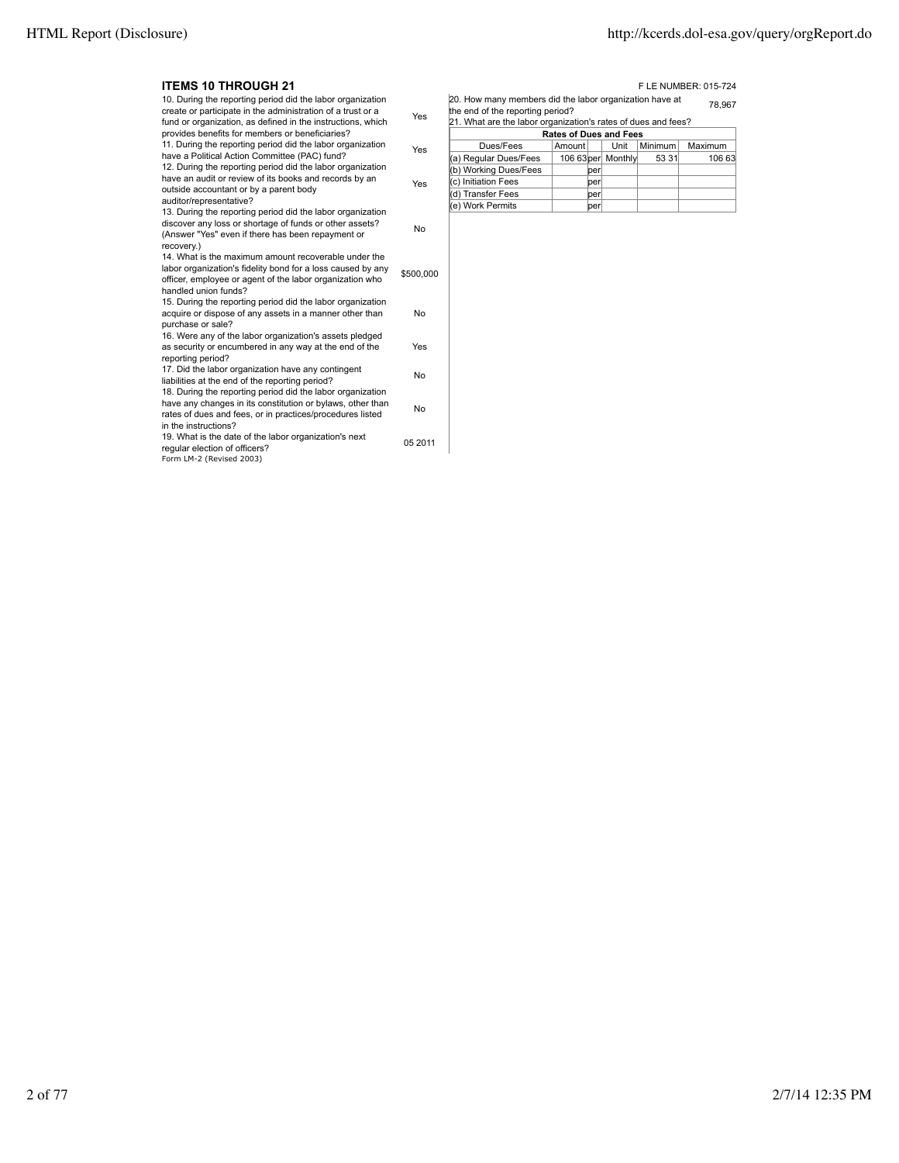| <b>ITEMS 10 THROUGH 21</b>                                                                                                                                                                                    |           |                                                                                                                                                              |                               |      |         | F LE NUMBER: 015-724 |
|---------------------------------------------------------------------------------------------------------------------------------------------------------------------------------------------------------------|-----------|--------------------------------------------------------------------------------------------------------------------------------------------------------------|-------------------------------|------|---------|----------------------|
| 10. During the reporting period did the labor organization<br>create or participate in the administration of a trust or a<br>fund or organization, as defined in the instructions, which                      | Yes       | 20. How many members did the labor organization have at<br>the end of the reporting period?<br>21. What are the labor organization's rates of dues and fees? |                               |      |         | 78.967               |
| provides benefits for members or beneficiaries?                                                                                                                                                               |           |                                                                                                                                                              | <b>Rates of Dues and Fees</b> |      |         |                      |
| 11. During the reporting period did the labor organization                                                                                                                                                    | Yes       | Dues/Fees                                                                                                                                                    | Amount                        | Unit | Minimum | Maximum              |
| have a Political Action Committee (PAC) fund?                                                                                                                                                                 |           | (a) Regular Dues/Fees                                                                                                                                        | 106 63 per Monthly            |      | 53 31   | 106 63               |
| 12. During the reporting period did the labor organization                                                                                                                                                    |           | (b) Working Dues/Fees                                                                                                                                        | per                           |      |         |                      |
| have an audit or review of its books and records by an                                                                                                                                                        | Yes       | c) Initiation Fees                                                                                                                                           | per                           |      |         |                      |
| outside accountant or by a parent body                                                                                                                                                                        |           | (d) Transfer Fees                                                                                                                                            | per                           |      |         |                      |
| auditor/representative?<br>13. During the reporting period did the labor organization                                                                                                                         |           | (e) Work Permits                                                                                                                                             | lperl                         |      |         |                      |
| discover any loss or shortage of funds or other assets?<br>(Answer "Yes" even if there has been repayment or<br>recovery.)                                                                                    | No        |                                                                                                                                                              |                               |      |         |                      |
| 14. What is the maximum amount recoverable under the<br>labor organization's fidelity bond for a loss caused by any<br>officer, employee or agent of the labor organization who<br>handled union funds?       | \$500,000 |                                                                                                                                                              |                               |      |         |                      |
| 15. During the reporting period did the labor organization<br>acquire or dispose of any assets in a manner other than<br>purchase or sale?                                                                    | No        |                                                                                                                                                              |                               |      |         |                      |
| 16. Were any of the labor organization's assets pledged<br>as security or encumbered in any way at the end of the<br>reporting period?                                                                        | Yes       |                                                                                                                                                              |                               |      |         |                      |
| 17. Did the labor organization have any contingent<br>liabilities at the end of the reporting period?                                                                                                         | No        |                                                                                                                                                              |                               |      |         |                      |
| 18. During the reporting period did the labor organization<br>have any changes in its constitution or bylaws, other than<br>rates of dues and fees, or in practices/procedures listed<br>in the instructions? | No        |                                                                                                                                                              |                               |      |         |                      |
| 19. What is the date of the labor organization's next<br>regular election of officers?<br>Form LM-2 (Revised 2003)                                                                                            | 05 2011   |                                                                                                                                                              |                               |      |         |                      |
|                                                                                                                                                                                                               |           |                                                                                                                                                              |                               |      |         |                      |

|                       | <b>Rates of Dues and Fees</b> |     |                    |         |         |  |  |
|-----------------------|-------------------------------|-----|--------------------|---------|---------|--|--|
| Dues/Fees             | Amount                        |     | Unit               | Minimum | Maximum |  |  |
| (a) Regular Dues/Fees |                               |     | 106 63 per Monthly | 53 31   | 106 63  |  |  |
| (b) Working Dues/Fees |                               | per |                    |         |         |  |  |
| (c) Initiation Fees   |                               | per |                    |         |         |  |  |
| (d) Transfer Fees     |                               | per |                    |         |         |  |  |
| (e) Work Permits      |                               | per |                    |         |         |  |  |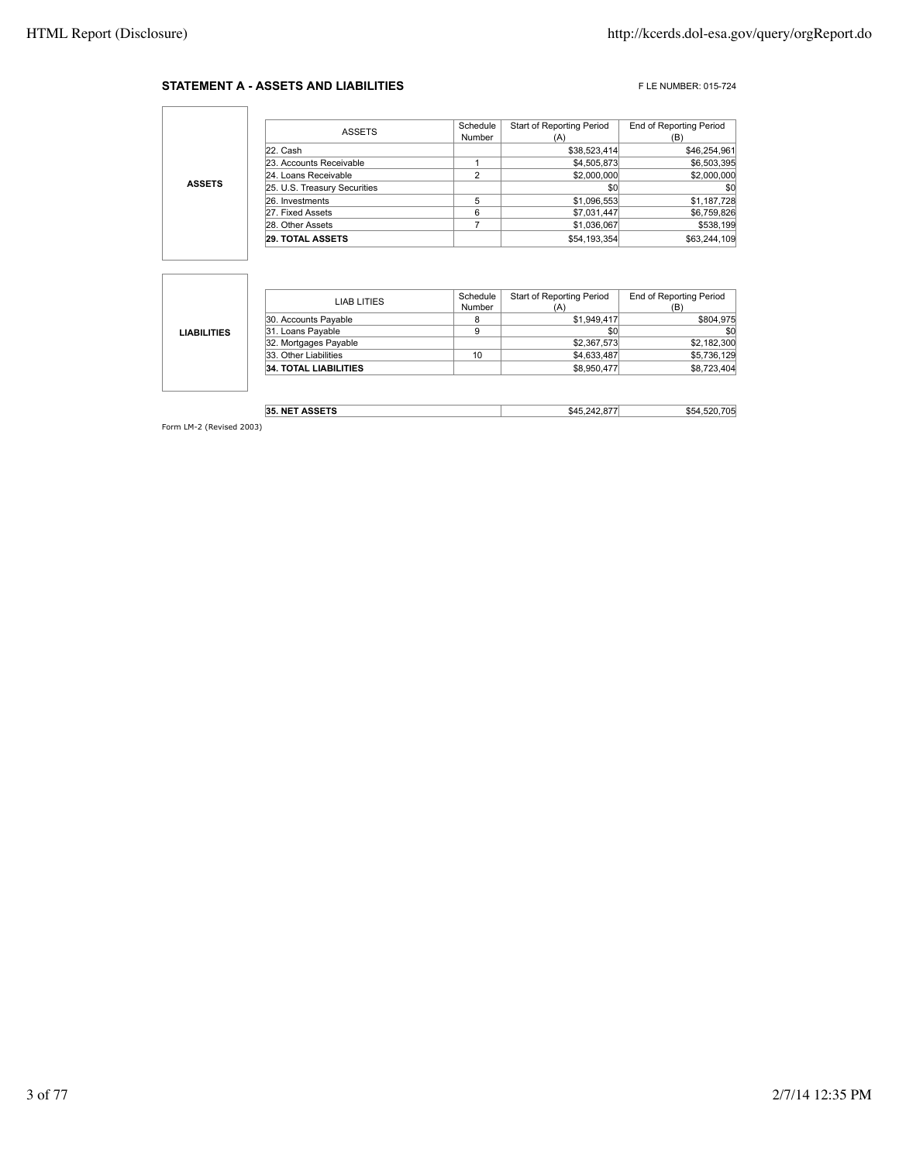#### **STATEMENT A - ASSETS AND LIABILITIES** FLE NUMBER: 015-724

٦

|               |                              | Schedule | Start of Reporting Period | <b>End of Reporting Period</b> |
|---------------|------------------------------|----------|---------------------------|--------------------------------|
|               | <b>ASSETS</b>                | Number   | (A)                       | ſΒ                             |
|               | 22. Cash                     |          | \$38,523,414              | \$46,254,961                   |
|               | 23. Accounts Receivable      |          | \$4,505,873               | \$6,503,395                    |
| <b>ASSETS</b> | 24. Loans Receivable         | ົ        | \$2,000,000               | \$2,000,000                    |
|               | 25. U.S. Treasury Securities |          | \$0                       | \$0                            |
|               | 26. Investments              |          | \$1,096,553               | \$1,187,728                    |
|               | 27. Fixed Assets             | 6        | \$7,031,447               | \$6,759,826                    |
|               | 28. Other Assets             |          | \$1,036,067               | \$538,199                      |
|               | <b>29. TOTAL ASSETS</b>      |          | \$54,193,354              | \$63,244,109                   |

|                    | LIAB LITIES                  | Schedule | <b>Start of Reporting Period</b> | <b>End of Reporting Period</b> |
|--------------------|------------------------------|----------|----------------------------------|--------------------------------|
|                    |                              | Number   | (A)                              | (B)                            |
|                    | 30. Accounts Payable         | 8        | \$1,949,417                      | \$804,975                      |
| <b>LIABILITIES</b> | 31. Loans Payable            | 9        | \$0                              | \$0                            |
|                    | 32. Mortgages Payable        |          | \$2,367,573                      | \$2,182,300                    |
|                    | 33. Other Liabilities        | 10       | \$4,633,487                      | \$5,736,129                    |
|                    | <b>34. TOTAL LIABILITIES</b> |          | \$8,950,477                      | \$8,723,404                    |
|                    |                              |          |                                  |                                |

| NET ASSETS<br>35.<br>ออย เอ | .64 <sup>L</sup> | ግባ<br>m r<br>554<br>ູ |
|-----------------------------|------------------|-----------------------|
|-----------------------------|------------------|-----------------------|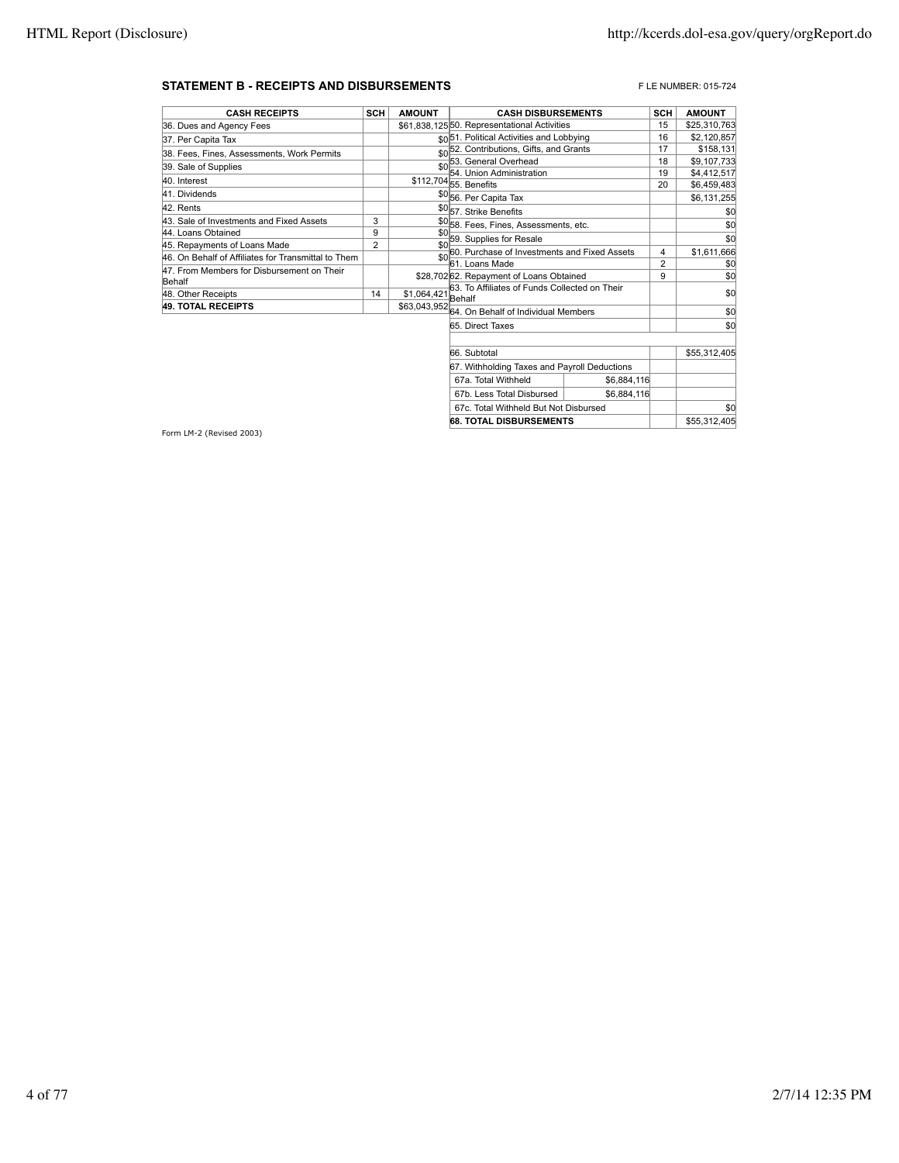### **STATEMENT B - RECEIPTS AND DISBURSEMENTS EXECUTES FLE NUMBER: 015-724**

| <b>CASH RECEIPTS</b>                                | <b>SCH</b>     | <b>AMOUNT</b> | <b>CASH DISBURSEMENTS</b>                               | <b>SCH</b>     | <b>AMOUNT</b> |
|-----------------------------------------------------|----------------|---------------|---------------------------------------------------------|----------------|---------------|
| 36. Dues and Agency Fees                            |                |               | \$61.838.12550. Representational Activities             | 15             | \$25,310,763  |
| 37. Per Capita Tax                                  |                |               | sol51. Political Activities and Lobbying                | 16             | \$2,120,857   |
| 38. Fees, Fines, Assessments, Work Permits          |                |               | \$0 <sup>52</sup> . Contributions, Gifts, and Grants    | 17             | \$158,131     |
| 39. Sale of Supplies                                |                | \$0           | 53. General Overhead                                    | 18             | \$9,107,733   |
| 40. Interest                                        |                |               | 54. Union Administration                                | 19             | \$4,412,517   |
|                                                     |                |               | \$112,704 55. Benefits                                  | 20             | \$6,459,483   |
| 41. Dividends                                       |                |               | \$056. Per Capita Tax                                   |                | \$6,131,255   |
| 42. Rents                                           |                |               | \$057. Strike Benefits                                  |                | \$0           |
| 43. Sale of Investments and Fixed Assets            | 3              |               | \$058. Fees, Fines, Assessments, etc.                   |                | \$0           |
| 44. Loans Obtained                                  | 9              | \$0           | 59. Supplies for Resale                                 |                | \$0           |
| 45. Repayments of Loans Made                        | $\overline{2}$ | \$0           | 60. Purchase of Investments and Fixed Assets            | 4              | \$1,611,666   |
| 46. On Behalf of Affiliates for Transmittal to Them |                | \$0           | 61. Loans Made                                          | $\overline{2}$ |               |
| 47. From Members for Disbursement on Their          |                |               |                                                         |                | \$0           |
| Behalf                                              |                |               | \$28,702 62. Repayment of Loans Obtained                | 9              | \$0           |
| 48. Other Receipts                                  | 14             | \$1,064,421   | 63. To Affiliates of Funds Collected on Their<br>Behalf |                | \$0           |
| <b>49. TOTAL RECEIPTS</b>                           |                |               | \$63,043,952 64. On Behalf of Individual Members        |                | \$0           |
|                                                     |                |               |                                                         |                |               |
|                                                     |                |               | 65. Direct Taxes                                        |                | \$0           |
|                                                     |                |               | 66. Subtotal                                            |                | \$55,312,405  |
|                                                     |                |               | 67. Withholding Taxes and Payroll Deductions            |                |               |

| <b>68. TOTAL DISBURSEMENTS</b>               |             |  | \$55,312,405 |
|----------------------------------------------|-------------|--|--------------|
| 67c. Total Withheld But Not Disbursed        |             |  |              |
| 67b. Less Total Disbursed                    | \$6,884,116 |  |              |
| 67a. Total Withheld                          | \$6.884.116 |  |              |
| pr. with nording Taxes and Fayron Deductions |             |  |              |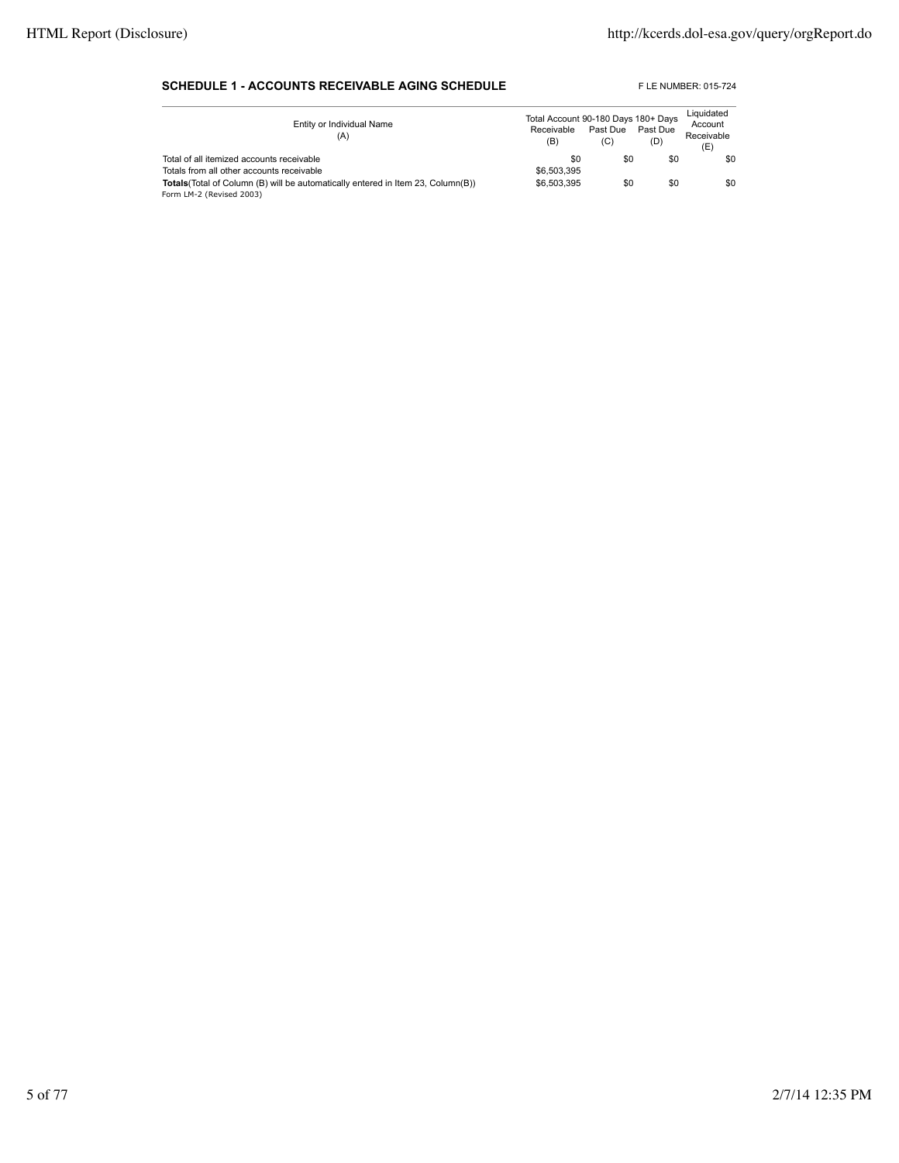#### **SCHEDULE 1 - ACCOUNTS RECEIVABLE AGING SCHEDULE** FLE NUMBER: 015-724

| Entity or Individual Name<br>(A)                                                        | Total Account 90-180 Days 180+ Days<br>Receivable<br>(B) | Past Due<br>(C) | Past Due<br>(D) | Liquidated<br>Account<br>Receivable<br>(E) |
|-----------------------------------------------------------------------------------------|----------------------------------------------------------|-----------------|-----------------|--------------------------------------------|
| Total of all itemized accounts receivable                                               | \$0                                                      | \$0             | \$0             | \$0                                        |
| Totals from all other accounts receivable                                               | \$6,503,395                                              |                 |                 |                                            |
| <b>Totals</b> (Total of Column (B) will be automatically entered in Item 23, Column(B)) | \$6,503,395                                              | \$0             | \$0             | \$0                                        |
| Form LM-2 (Revised 2003)                                                                |                                                          |                 |                 |                                            |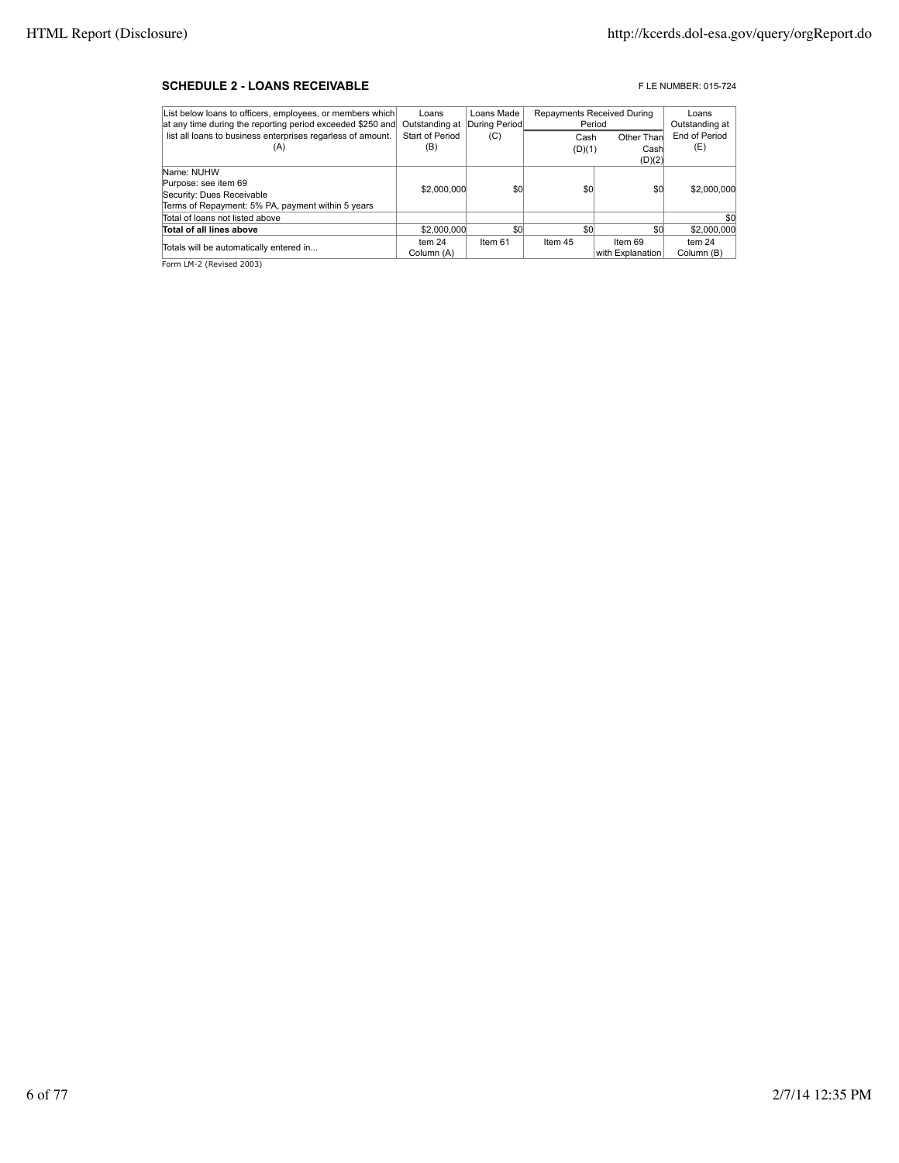#### **SCHEDULE 2 - LOANS RECEIVABLE EXECUTE: DESCRIPTION OF A SCHEDULE 2 - LOANS RECEIVABLE**

| List below loans to officers, employees, or members which   | Loans             | Loans Made    |         | Repayments Received During | Loans         |
|-------------------------------------------------------------|-------------------|---------------|---------|----------------------------|---------------|
| at any time during the reporting period exceeded \$250 and  | Outstanding at    | During Period |         | Period                     |               |
| list all loans to business enterprises regarless of amount. | Start of Period   | (C)           | Cash    | Other Than                 | End of Period |
| (A)                                                         | (B)               |               | (D)(1)  | Cash                       | (E)           |
|                                                             |                   |               |         | (D)(2)                     |               |
| Name: NUHW                                                  |                   |               |         |                            |               |
| Purpose: see item 69                                        | \$2,000,000       | \$0           | \$0     | \$0                        | \$2,000,000   |
| Security: Dues Receivable                                   |                   |               |         |                            |               |
| Terms of Repayment: 5% PA, payment within 5 years           |                   |               |         |                            |               |
| Total of loans not listed above                             |                   |               |         |                            | \$0           |
| Total of all lines above                                    | \$2,000,000       | \$0           | \$0     | \$0                        | \$2,000,000   |
| Totals will be automatically entered in                     | tem <sub>24</sub> | Item 61       | Item 45 | Item 69                    | tem $24$      |
|                                                             | Column (A)        |               |         | with Explanation           | Column (B)    |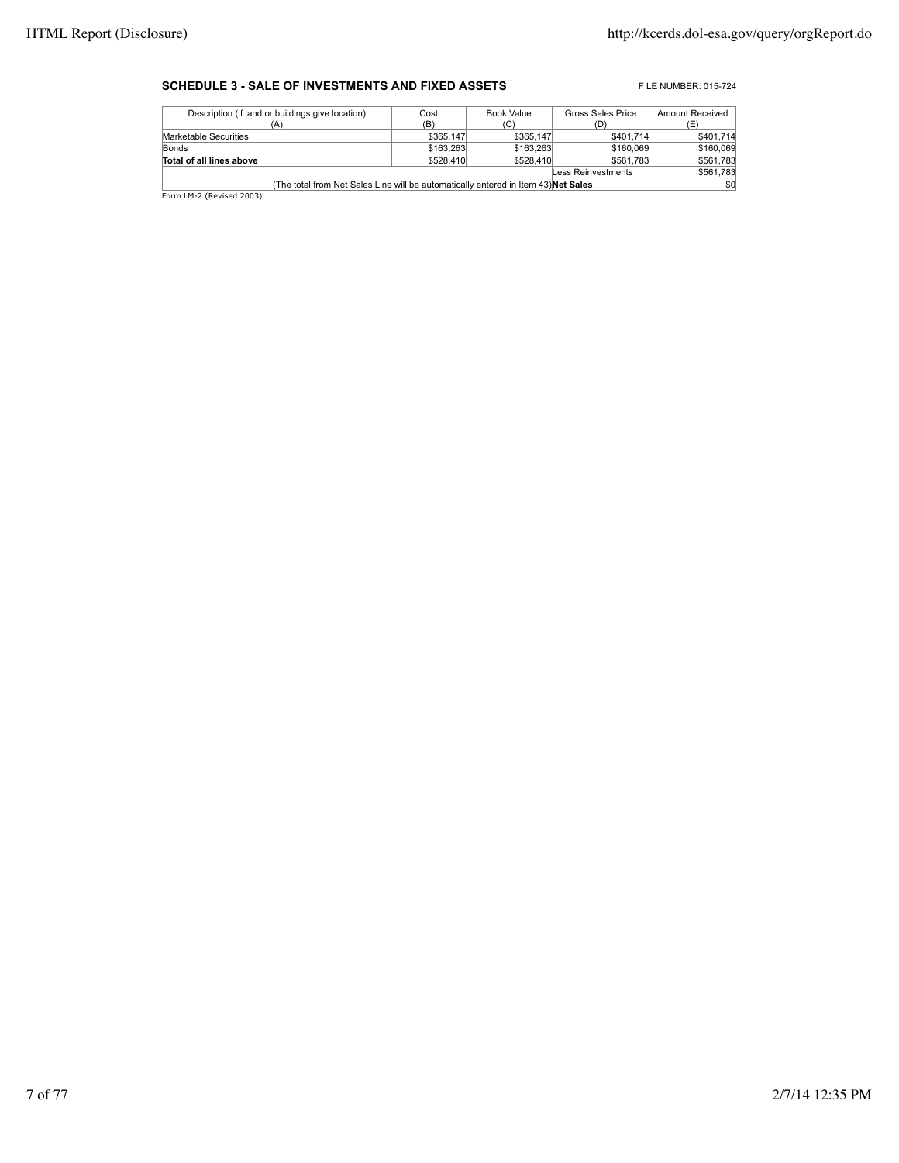#### **SCHEDULE 3 - SALE OF INVESTMENTS AND FIXED ASSETS** FLE NUMBER: 015-724

| Description (if land or buildings give location)                                          | Cost      | Book Value | Gross Sales Price | <b>Amount Received</b> |  |  |
|-------------------------------------------------------------------------------------------|-----------|------------|-------------------|------------------------|--|--|
| (A)                                                                                       | (B)       | (C)        | (D)               | (E)                    |  |  |
| Marketable Securities                                                                     | \$365,147 | \$365,147  | \$401.714         | \$401,714              |  |  |
| Bonds                                                                                     | \$163,263 | \$163,263  | \$160,069         | \$160,069              |  |  |
| Total of all lines above                                                                  | \$528,410 | \$528,410  | \$561.783         | \$561,783              |  |  |
| Less Reinvestments                                                                        |           |            |                   |                        |  |  |
| \$0<br>(The total from Net Sales Line will be automatically entered in Item 43) Net Sales |           |            |                   |                        |  |  |
| Form LM-2 (Revised 2003)                                                                  |           |            |                   |                        |  |  |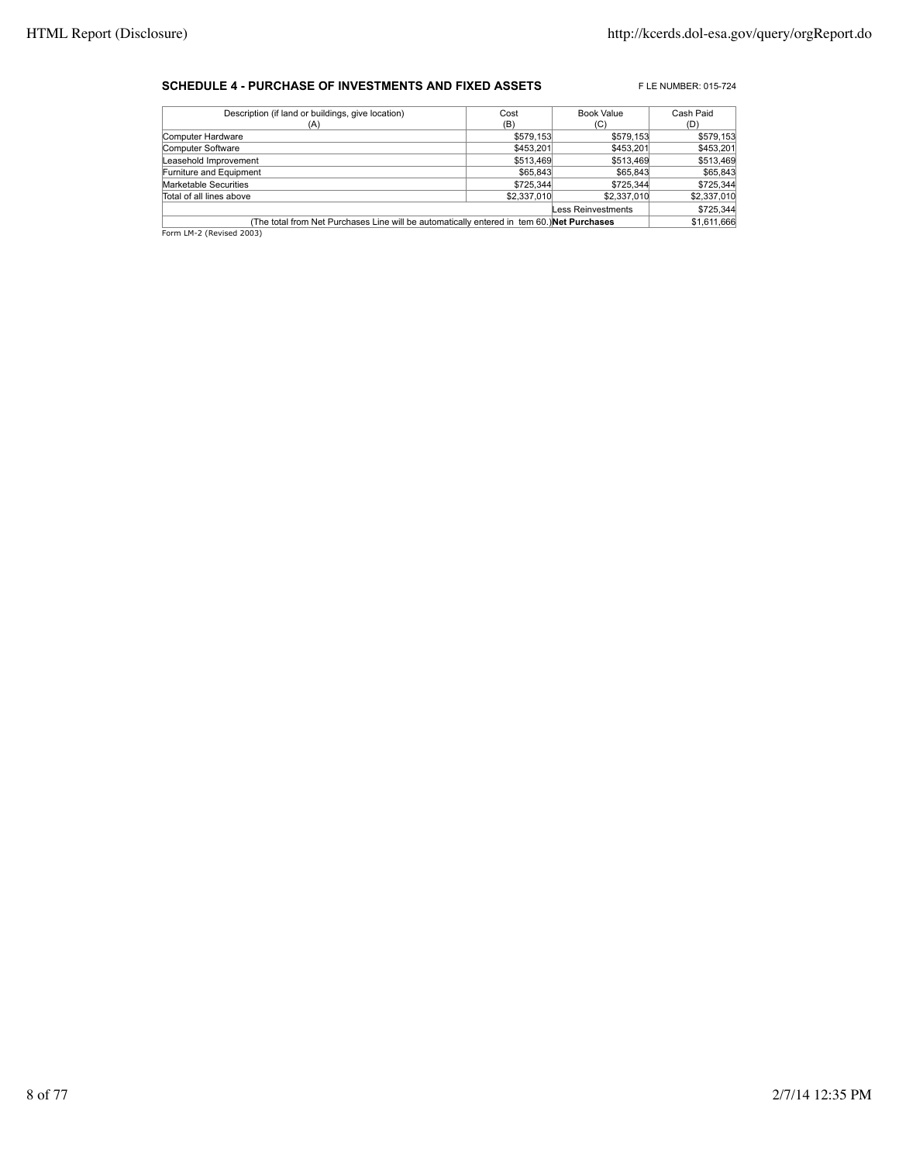#### **SCHEDULE 4 - PURCHASE OF INVESTMENTS AND FIXED ASSETS** FLE NUMBER: 015-724

| Description (if land or buildings, give location)                                          | Cost        | <b>Book Value</b>         | Cash Paid   |
|--------------------------------------------------------------------------------------------|-------------|---------------------------|-------------|
| (A)                                                                                        | (B)         | (C)                       | (D)         |
| Computer Hardware                                                                          | \$579,153   | \$579.153                 | \$579,153   |
| Computer Software                                                                          | \$453,201   | \$453,201                 | \$453,201   |
| Leasehold Improvement                                                                      | \$513,469   | \$513,469                 | \$513,469   |
| Furniture and Equipment                                                                    | \$65,843    | \$65,843                  | \$65,843    |
| Marketable Securities                                                                      | \$725,344   | \$725.344                 | \$725,344   |
| Total of all lines above                                                                   | \$2,337,010 | \$2,337,010               | \$2,337,010 |
|                                                                                            |             | <b>Less Reinvestments</b> | \$725,344   |
| (The total from Net Purchases Line will be automatically entered in tem 60.) Net Purchases |             |                           | \$1,611,666 |
| Form LM-2 (Revised 2003)                                                                   |             |                           |             |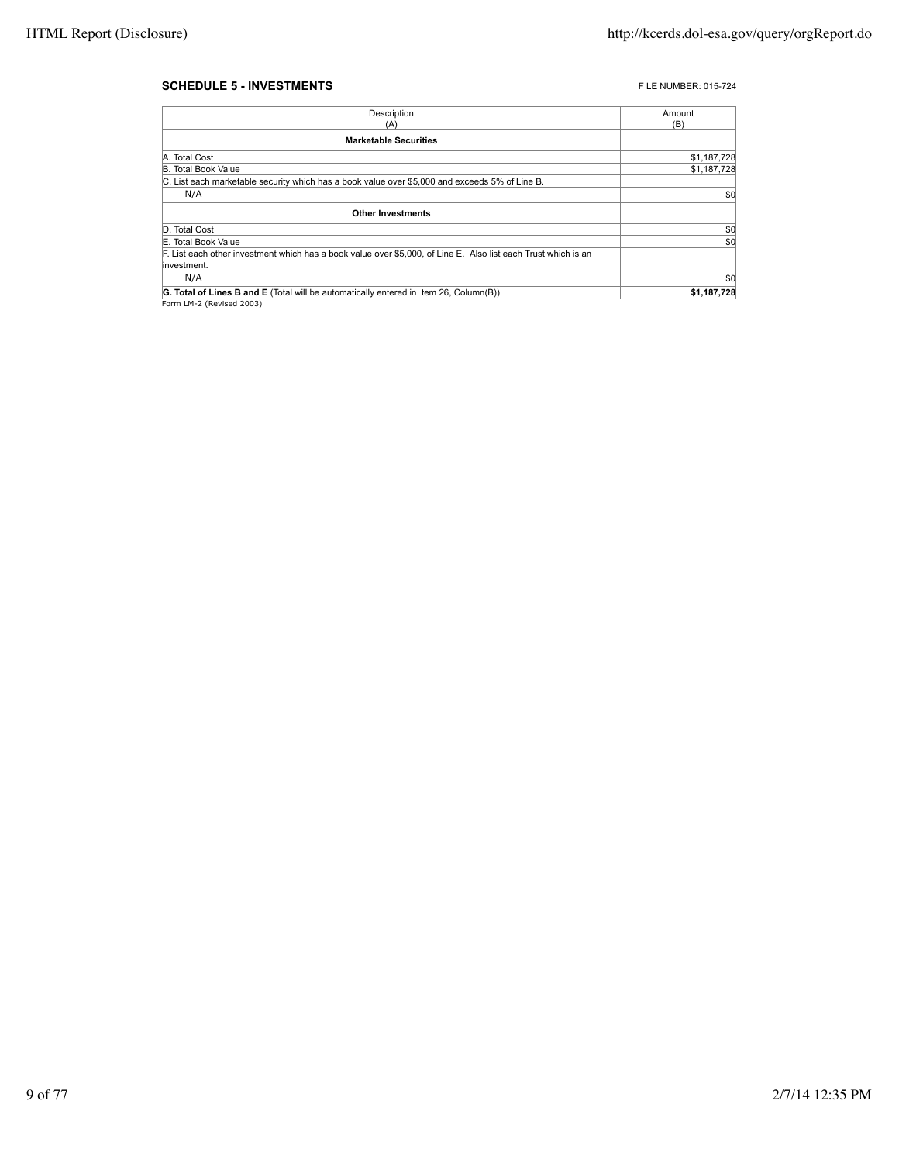#### **SCHEDULE 5 - INVESTMENTS FLE NUMBER: 015-724**

| Description                                                                                                    | Amount      |
|----------------------------------------------------------------------------------------------------------------|-------------|
| (A)                                                                                                            | (B)         |
| <b>Marketable Securities</b>                                                                                   |             |
| A. Total Cost                                                                                                  | \$1,187,728 |
| <b>B. Total Book Value</b>                                                                                     | \$1,187,728 |
| C. List each marketable security which has a book value over \$5,000 and exceeds 5% of Line B.                 |             |
| N/A                                                                                                            | \$0         |
| <b>Other Investments</b>                                                                                       |             |
| D. Total Cost                                                                                                  | \$0         |
| E. Total Book Value                                                                                            | \$0         |
| F. List each other investment which has a book value over \$5,000, of Line E. Also list each Trust which is an |             |
| linvestment.                                                                                                   |             |
| N/A                                                                                                            | \$0         |
| <b>G. Total of Lines B and E</b> (Total will be automatically entered in tem 26, Column(B))                    | \$1,187,728 |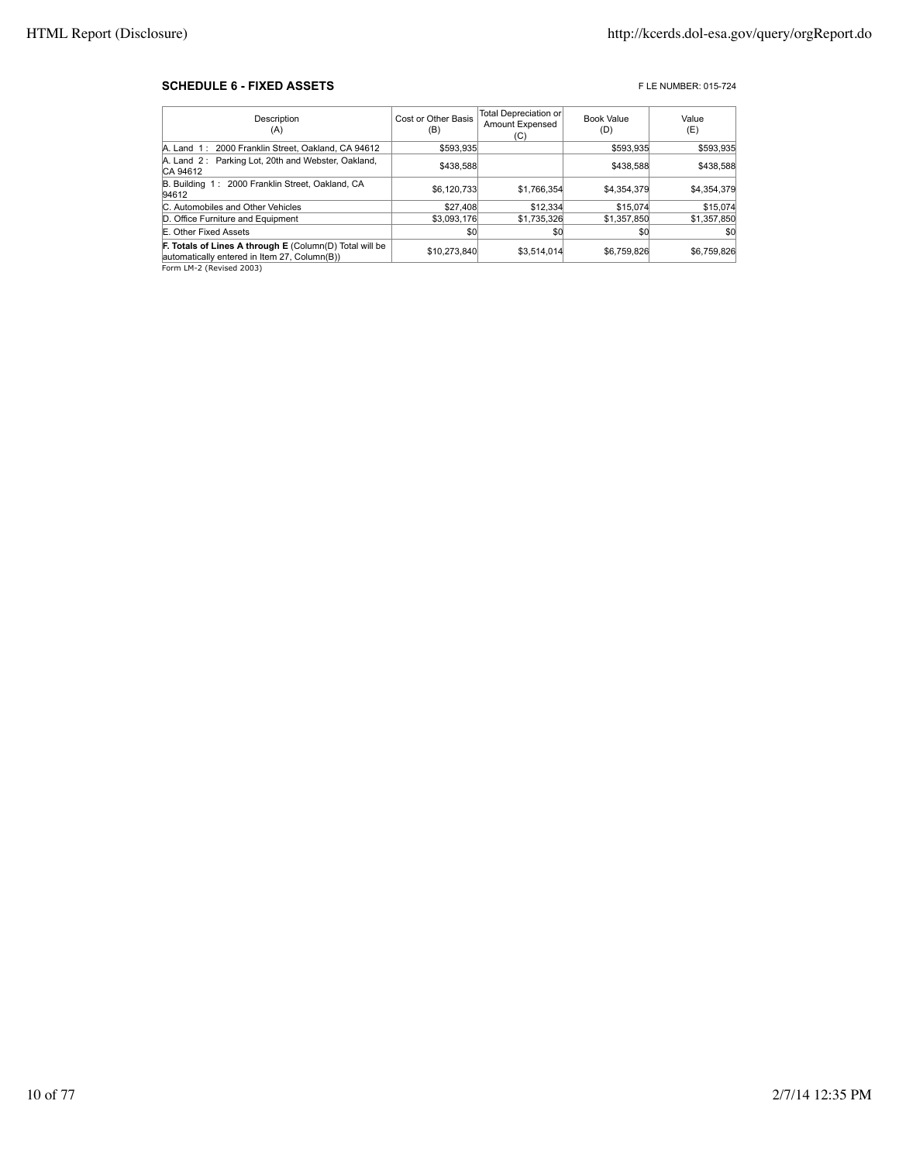#### **SCHEDULE 6 - FIXED ASSETS FIXED ASSETS FIXED ASSETS**

| Description<br>(A)                                                                                      | Cost or Other Basis<br>(B) | Total Depreciation or<br>Amount Expensed<br>(C) | <b>Book Value</b><br>(D) | Value<br>(E) |
|---------------------------------------------------------------------------------------------------------|----------------------------|-------------------------------------------------|--------------------------|--------------|
| A. Land 1: 2000 Franklin Street, Oakland, CA 94612                                                      | \$593.935                  |                                                 | \$593.935                | \$593,935    |
| A. Land 2: Parking Lot, 20th and Webster, Oakland,<br>CA 94612                                          | \$438,588                  |                                                 | \$438,588                | \$438,588    |
| B. Building 1: 2000 Franklin Street, Oakland, CA<br>94612                                               | \$6,120,733                | \$1,766,354                                     | \$4.354.379              | \$4,354,379  |
| C. Automobiles and Other Vehicles                                                                       | \$27,408                   | \$12,334                                        | \$15,074                 | \$15,074     |
| D. Office Furniture and Equipment                                                                       | \$3,093,176                | \$1,735,326                                     | \$1,357,850              | \$1,357,850  |
| E. Other Fixed Assets                                                                                   | \$0                        | \$0                                             | \$0                      | \$0          |
| F. Totals of Lines A through E (Column(D) Total will be<br>automatically entered in Item 27, Column(B)) | \$10.273.840               | \$3.514.014                                     | \$6.759.826              | \$6,759,826  |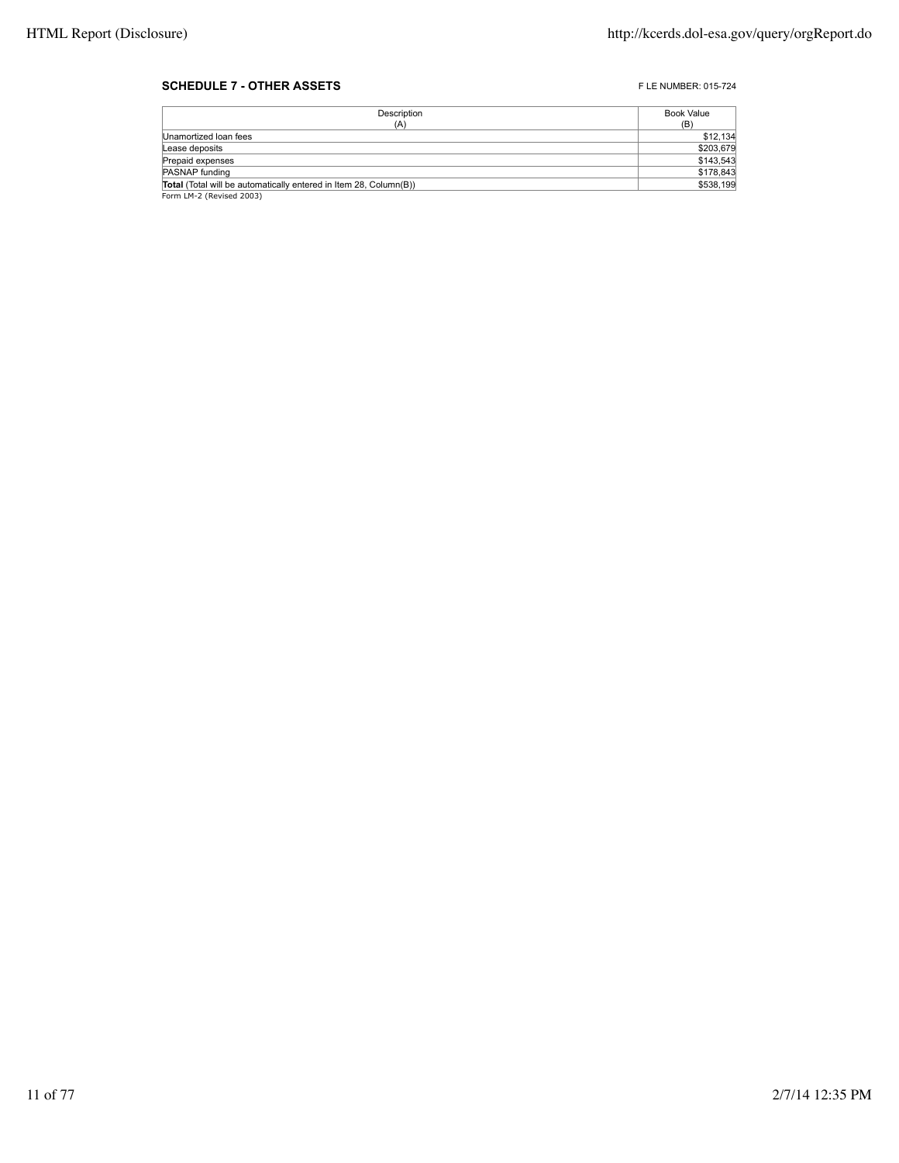#### **SCHEDULE 7 - OTHER ASSETS FLE NUMBER: 015-724**

| Description                                                       | Book Value |
|-------------------------------------------------------------------|------------|
| (A)                                                               | (B)        |
| Unamortized Ioan fees                                             | \$12,134   |
| Lease deposits                                                    | \$203,679  |
| Prepaid expenses                                                  | \$143,543  |
| PASNAP funding                                                    | \$178,843  |
| Total (Total will be automatically entered in Item 28, Column(B)) | \$538,199  |
| Form LM-2 (Revised 2003)                                          |            |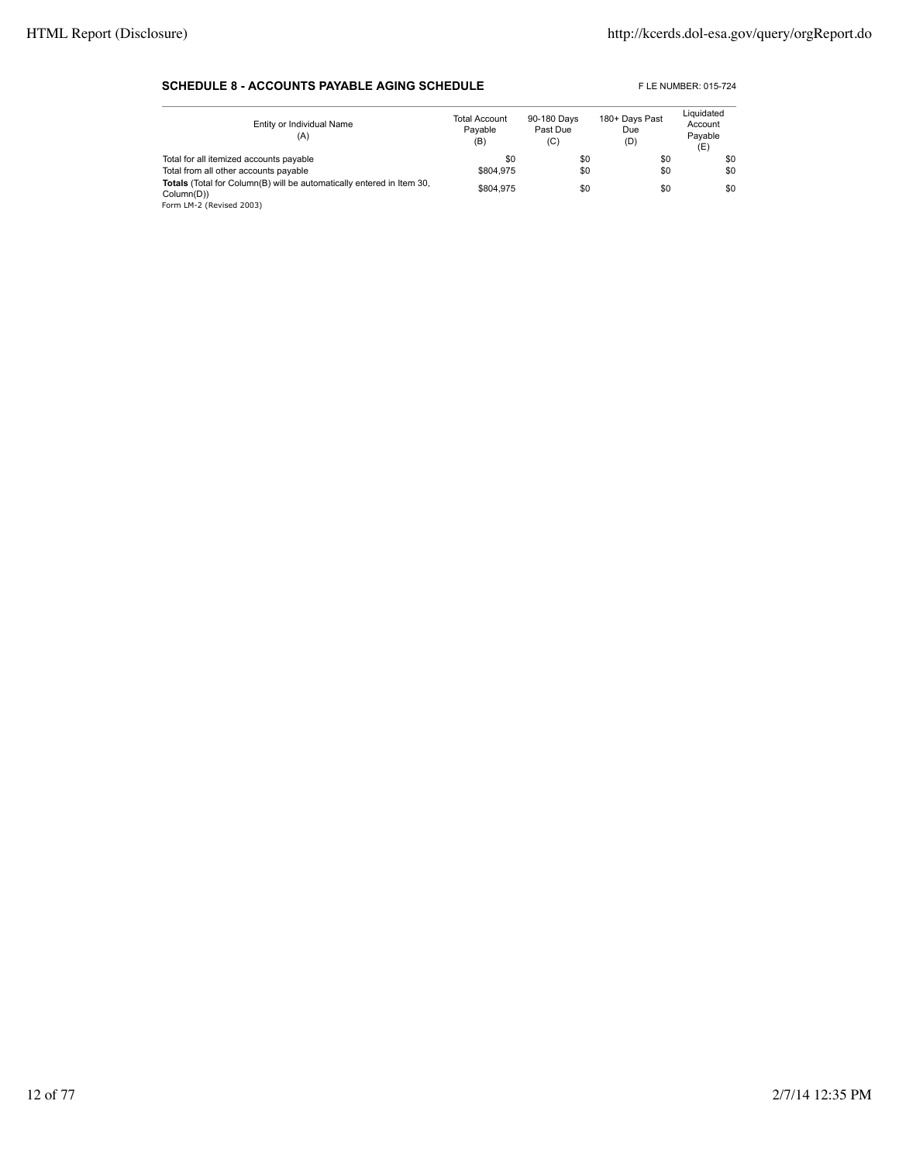#### **SCHEDULE 8 - ACCOUNTS PAYABLE AGING SCHEDULE** FLE NUMBER: 015-724

| Entity or Individual Name<br>(A)                                                                                       | <b>Total Account</b><br>Pavable<br>(B) | 90-180 Days<br>Past Due<br>(C) | 180+ Days Past<br>Due<br>(D) | Liquidated<br>Account<br>Pavable<br>(E) |
|------------------------------------------------------------------------------------------------------------------------|----------------------------------------|--------------------------------|------------------------------|-----------------------------------------|
| Total for all itemized accounts payable                                                                                | \$0                                    | \$0                            | \$0                          | \$0                                     |
| Total from all other accounts payable                                                                                  | \$804.975                              | \$0                            | \$0                          | \$0                                     |
| <b>Totals</b> (Total for Column(B) will be automatically entered in Item 30,<br>Column(D))<br>Form LM-2 (Revised 2003) | \$804.975                              | \$0                            | \$0                          | \$0                                     |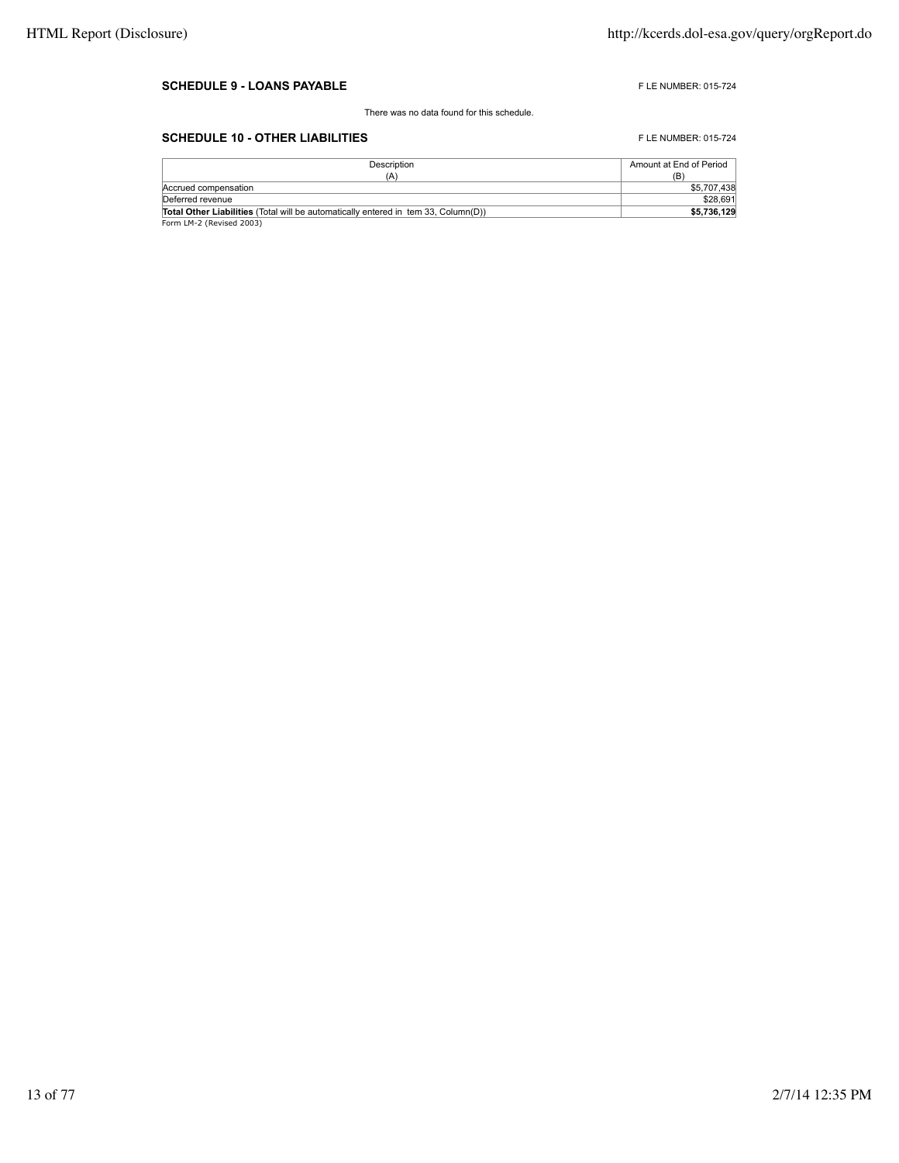#### **SCHEDULE 9 - LOANS PAYABLE FLE NUMBER: 015-724**

There was no data found for this schedule.

## **SCHEDULE 10 - OTHER LIABILITIES** FLE NUMBER: 015-724

| Description                                                                               | Amount at End of Period |
|-------------------------------------------------------------------------------------------|-------------------------|
| (A)                                                                                       | (B)                     |
| Accrued compensation                                                                      | \$5,707,438             |
| Deferred revenue                                                                          | \$28,691                |
| <b>Total Other Liabilities</b> (Total will be automatically entered in tem 33. Column(D)) | \$5,736,129             |
| Form LM-2 (Revised 2003)                                                                  |                         |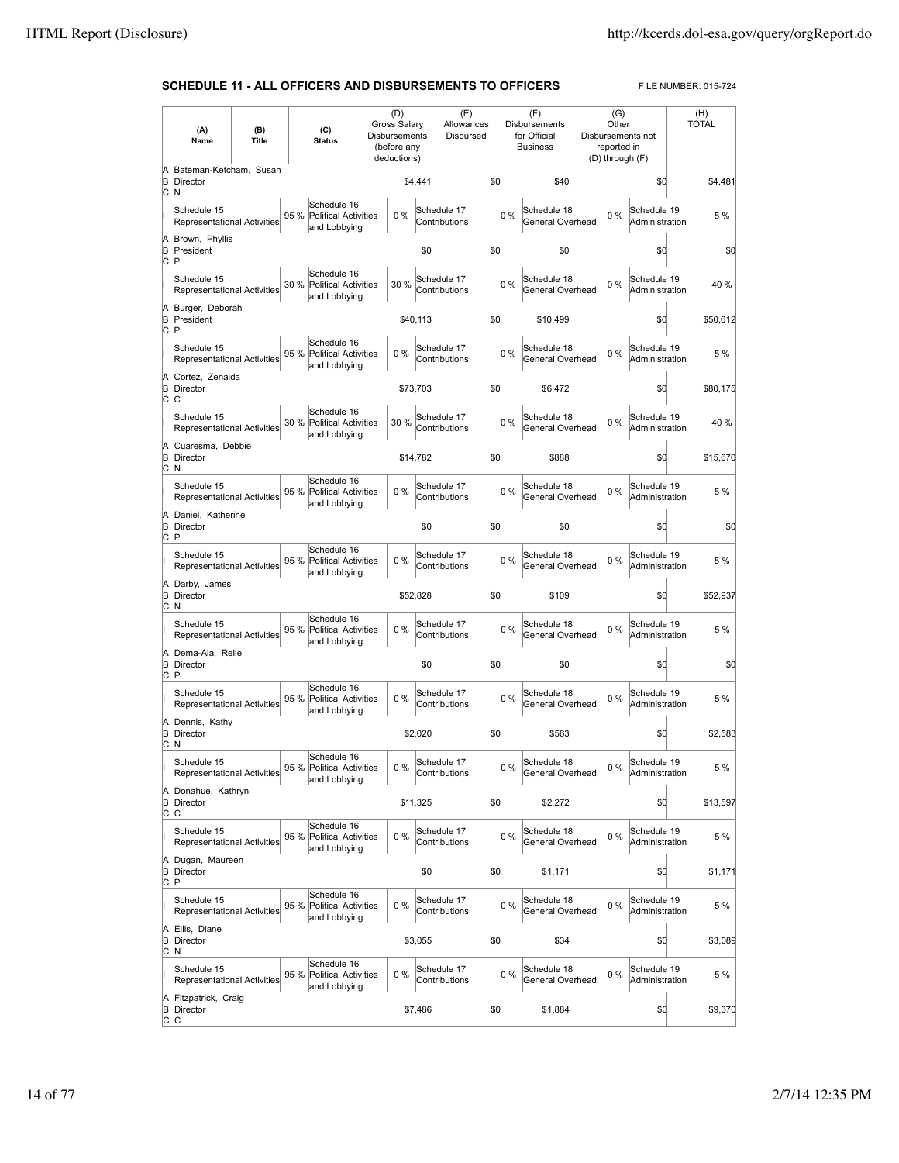### **SCHEDULE 11 - ALL OFFICERS AND DISBURSEMENTS TO OFFICERS** FLE NUMBER: 015-724

|                          | (A)<br>Name                                       | (B)<br>Title |      | (C)<br><b>Status</b>                                       | <b>Gross Salary</b><br>Disbursements<br>(before any<br>deductions) | (D)      |         | (E)<br>Allowances<br>Disbursed |     |       | (F)<br><b>Disbursements</b><br>for Official<br><b>Business</b> | (G)<br>Other<br>reported in<br>(D) through (F) | Disbursements not             | (H)<br><b>TOTAL</b> |          |
|--------------------------|---------------------------------------------------|--------------|------|------------------------------------------------------------|--------------------------------------------------------------------|----------|---------|--------------------------------|-----|-------|----------------------------------------------------------------|------------------------------------------------|-------------------------------|---------------------|----------|
| Ā<br>B                   | Bateman-Ketcham, Susan<br>Director                |              |      |                                                            |                                                                    |          | \$4,441 |                                | \$0 |       | \$40                                                           |                                                | \$0                           |                     | \$4,481  |
| c                        | N<br>Schedule 15<br>Representational Activities   |              | 95 % | Schedule 16<br><b>Political Activities</b><br>and Lobbying |                                                                    | $0\%$    |         | Schedule 17<br>Contributions   |     | $0\%$ | Schedule 18<br>General Overhead                                | 0%                                             | Schedule 19<br>Administration |                     | 5 %      |
| A<br>B<br>C              | Brown, Phyllis<br>President<br>P                  |              |      |                                                            |                                                                    |          | \$0     |                                | \$0 |       | \$0                                                            |                                                | \$0                           |                     | \$0      |
|                          | Schedule 15<br>Representational Activities        |              | 30 % | Schedule 16<br><b>Political Activities</b><br>and Lobbying |                                                                    | 30 %     |         | Schedule 17<br>Contributions   |     | 0%    | Schedule 18<br>General Overhead                                | 0%                                             | Schedule 19<br>Administration |                     | 40 %     |
| A<br>B<br>c              | Burger, Deborah<br>President<br>Þ                 |              |      |                                                            |                                                                    | \$40,113 |         |                                | \$0 |       | \$10,499                                                       |                                                | \$0                           |                     | \$50,612 |
|                          | Schedule 15<br>Representational Activities        |              | 95 % | Schedule 16<br><b>Political Activities</b><br>and Lobbying |                                                                    | 0%       |         | Schedule 17<br>Contributions   |     | 0%    | Schedule 18<br>General Overhead                                | $0\%$                                          | Schedule 19<br>Administration |                     | 5 %      |
| A<br>B<br>$\overline{c}$ | Cortez, Zenaida<br>Director<br>C                  |              |      |                                                            |                                                                    | \$73,703 |         |                                | \$0 |       | \$6,472                                                        |                                                | \$0                           |                     | \$80,175 |
|                          | Schedule 15<br>Representational Activities        |              | 30 % | Schedule 16<br><b>Political Activities</b><br>and Lobbying |                                                                    | 30 %     |         | Schedule 17<br>Contributions   |     | 0%    | Schedule 18<br>General Overhead                                | 0%                                             | Schedule 19<br>Administration |                     | 40 %     |
| A<br>B<br>c              | Cuaresma, Debbie<br>Director<br>N                 |              |      |                                                            |                                                                    | \$14,782 |         |                                | \$0 |       | \$888                                                          |                                                | \$0                           |                     | \$15,670 |
|                          | Schedule 15<br><b>Representational Activities</b> |              | 95 % | Schedule 16<br><b>Political Activities</b><br>and Lobbying |                                                                    | 0%       |         | Schedule 17<br>Contributions   |     | $0\%$ | Schedule 18<br>General Overhead                                | $0\%$                                          | Schedule 19<br>Administration |                     | 5 %      |
| A<br>B<br>c              | Daniel, Katherine<br>Director<br>Þ                |              |      |                                                            |                                                                    |          | \$0     |                                | \$0 |       | \$0                                                            |                                                | \$0                           |                     | \$0      |
|                          | Schedule 15<br>Representational Activities        |              | 95 % | Schedule 16<br><b>Political Activities</b><br>and Lobbying |                                                                    | 0%       |         | Schedule 17<br>Contributions   |     | $0\%$ | Schedule 18<br>General Overhead                                | $0\%$                                          | Schedule 19<br>Administration |                     | 5 %      |
| A<br>B<br>$\circ$        | Darby, James<br>Director<br>N                     |              |      |                                                            |                                                                    | \$52,828 |         |                                | \$0 |       | \$109                                                          |                                                | \$0                           |                     | \$52,937 |
|                          | Schedule 15<br>Representational Activities        |              | 95 % | Schedule 16<br><b>Political Activities</b><br>and Lobbying |                                                                    | 0%       |         | Schedule 17<br>Contributions   |     | $0\%$ | Schedule 18<br>General Overhead                                | 0%                                             | Schedule 19<br>Administration |                     | 5 %      |
| A<br>B<br>c              | Dema-Ala, Relie<br>Director<br>Þ                  |              |      |                                                            |                                                                    |          | \$0     |                                | \$0 |       | \$0                                                            |                                                | \$0                           |                     | \$0      |
|                          | Schedule 15<br>Representational Activities        |              | 95 % | Schedule 16<br>Political Activities<br>and Lobbying        |                                                                    | 0%       |         | Schedule 17<br>Contributions   |     | $0\%$ | Schedule 18<br>General Overhead                                | 0%                                             | Schedule 19<br>Administration |                     | 5 %      |
| A<br>B<br>c              | Dennis, Kathy<br>Director<br>N                    |              |      |                                                            |                                                                    |          | \$2,020 |                                | \$0 |       | \$563                                                          |                                                | \$0                           |                     | \$2,583  |
|                          | Schedule 15<br>Representational Activities        |              |      | Schedule 16<br>95 % Political Activities<br>and Lobbying   |                                                                    | $0\%$    |         | Schedule 17<br>Contributions   |     | $0\%$ | Schedule 18<br>General Overhead                                | $0\%$                                          | Schedule 19<br>Administration |                     | 5 %      |
| A<br>B<br>$\circ$        | Donahue, Kathryn<br>Director<br>C                 |              |      |                                                            |                                                                    | \$11,325 |         |                                | \$0 |       | \$2,272                                                        |                                                | \$0                           |                     | \$13,597 |
|                          | Schedule 15<br>Representational Activities        |              | 95 % | Schedule 16<br>Political Activities<br>and Lobbying        |                                                                    | $0\%$    |         | Schedule 17<br>Contributions   |     | $0\%$ | Schedule 18<br>General Overhead                                | $0\%$                                          | Schedule 19<br>Administration |                     | 5 %      |
| A<br>B<br>$\overline{c}$ | Dugan, Maureen<br>Director<br>P                   |              |      |                                                            |                                                                    |          | \$0     |                                | \$0 |       | \$1,171                                                        |                                                | \$O                           |                     | \$1,171  |
| lı                       | Schedule 15<br>Representational Activities        |              | 95 % | Schedule 16<br>Political Activities<br>and Lobbying        |                                                                    | $0\%$    |         | Schedule 17<br>Contributions   |     | $0\%$ | Schedule 18<br>General Overhead                                | $0\%$                                          | Schedule 19<br>Administration |                     | 5 %      |
| A<br>B<br>c              | Ellis. Diane<br>Director<br>N                     |              |      |                                                            |                                                                    |          | \$3,055 |                                | \$0 |       | \$34                                                           |                                                | \$0                           |                     | \$3,089  |
| lı                       | Schedule 15<br>Representational Activities        |              | 95 % | Schedule 16<br>Political Activities<br>and Lobbying        |                                                                    | 0%       |         | Schedule 17<br>Contributions   |     | 0%    | Schedule 18<br>General Overhead                                | 0%                                             | Schedule 19<br>Administration |                     | 5 %      |
| A<br>B<br> c c           | Fitzpatrick, Craig<br>Director                    |              |      |                                                            |                                                                    |          | \$7,486 |                                | \$0 |       | \$1,884                                                        |                                                | \$0                           |                     | \$9,370  |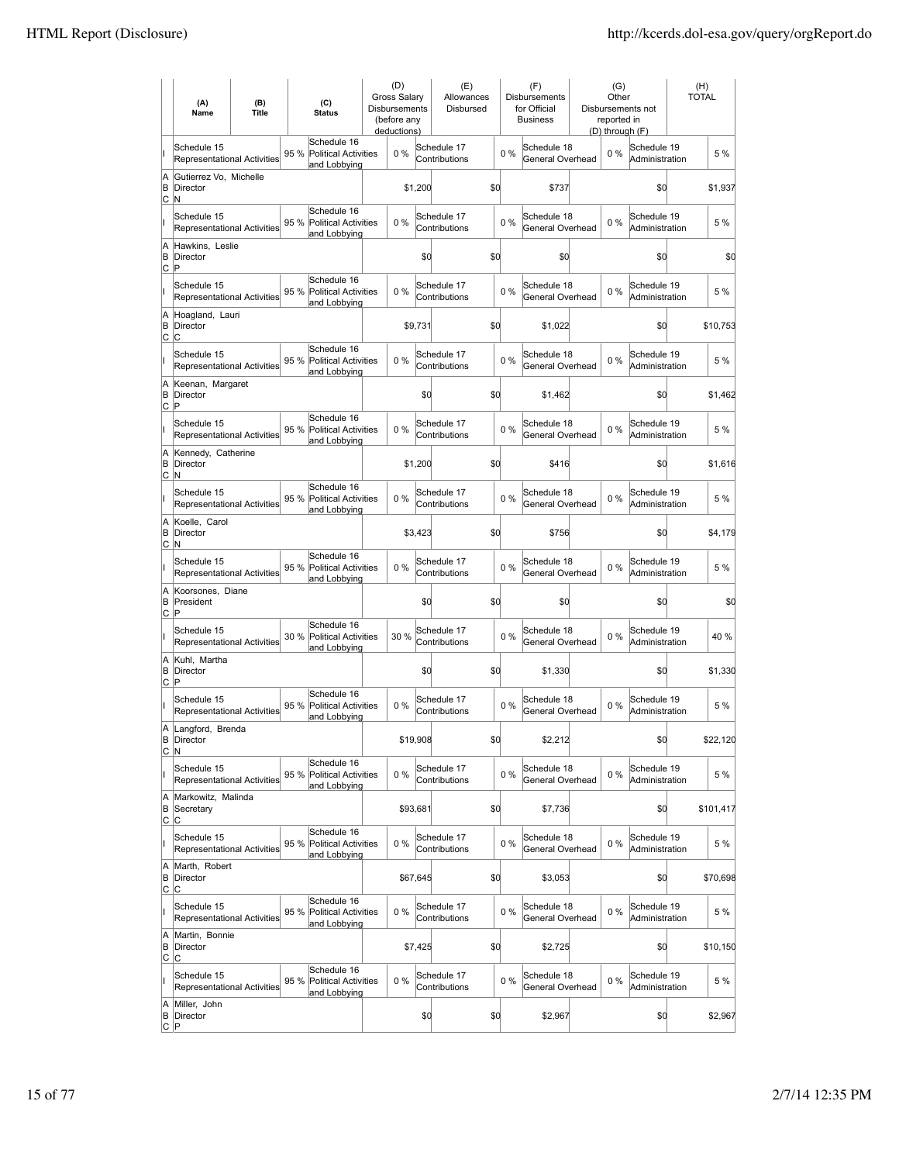|                     | (A)<br>Name                                       | (B)<br><b>Title</b> |      | (C)<br><b>Status</b>                                       | (D)<br><b>Gross Salary</b><br><b>Disbursements</b><br>(before any<br>deductions) |          | (E)<br>Allowances<br>Disbursed |     |       | (F)<br><b>Disbursements</b><br>for Official<br><b>Business</b> | (G)<br>Other<br>reported in<br>(D) through (F) | Disbursements not             | (H)<br><b>TOTAL</b> |
|---------------------|---------------------------------------------------|---------------------|------|------------------------------------------------------------|----------------------------------------------------------------------------------|----------|--------------------------------|-----|-------|----------------------------------------------------------------|------------------------------------------------|-------------------------------|---------------------|
| II                  | Schedule 15<br>Representational Activities        |                     | 95 % | Schedule 16<br><b>Political Activities</b><br>and Lobbying | 0%                                                                               |          | Schedule 17<br>Contributions   |     | 0%    | Schedule 18<br>General Overhead                                | $0\%$                                          | Schedule 19<br>Administration | 5 %                 |
| A<br>B<br>C         | Gutierrez Vo, Michelle<br>Director<br>N           |                     |      |                                                            |                                                                                  | \$1,200  |                                | \$0 |       | \$737                                                          |                                                | \$0                           | \$1,937             |
| II                  | Schedule 15<br>Representational Activities        |                     | 95 % | Schedule 16<br><b>Political Activities</b><br>and Lobbying | 0%                                                                               |          | Schedule 17<br>Contributions   |     | 0%    | Schedule 18<br>General Overhead                                | $0\%$                                          | Schedule 19<br>Administration | 5 %                 |
| A<br>B<br><u>lc</u> | Hawkins. Leslie<br>Director<br>ΙP                 |                     |      |                                                            |                                                                                  | \$0      |                                | \$0 |       | \$0                                                            |                                                | \$0                           | \$0                 |
| II                  | Schedule 15<br><b>Representational Activities</b> |                     | 95 % | Schedule 16<br><b>Political Activities</b><br>and Lobbying | 0%                                                                               |          | Schedule 17<br>Contributions   |     | 0%    | Schedule 18<br>General Overhead                                | 0%                                             | Schedule 19<br>Administration | 5 %                 |
| A<br>İΒ<br>lc.      | Hoagland, Lauri<br><b>Director</b><br>lc.         |                     |      |                                                            |                                                                                  | \$9,731  |                                | \$0 |       | \$1,022                                                        |                                                | \$0                           | \$10,753            |
| ı                   | Schedule 15<br>Representational Activities        |                     | 95 % | Schedule 16<br><b>Political Activities</b><br>and Lobbying | 0%                                                                               |          | Schedule 17<br>Contributions   |     | $0\%$ | Schedule 18<br>General Overhead                                | $0\%$                                          | Schedule 19<br>Administration | 5 %                 |
| A<br>B<br>lc.       | Keenan, Margaret<br>Director<br>P                 |                     |      |                                                            |                                                                                  | \$0      |                                | \$0 |       | \$1,462                                                        |                                                | \$0                           | \$1,462             |
| Iı                  | Schedule 15<br>Representational Activities        |                     | 95 % | Schedule 16<br><b>Political Activities</b><br>and Lobbying | 0%                                                                               |          | Schedule 17<br>Contributions   |     | $0\%$ | Schedule 18<br>General Overhead                                | $0\%$                                          | Schedule 19<br>Administration | 5 %                 |
| A<br>B<br>C         | Kennedy, Catherine<br>Director<br>İΝ              |                     |      |                                                            |                                                                                  | \$1,200  |                                | \$d |       | \$416                                                          |                                                | \$d                           | \$1,616             |
| lı.                 | Schedule 15<br>Representational Activities        |                     | 95 % | Schedule 16<br><b>Political Activities</b><br>and Lobbying | 0%                                                                               |          | Schedule 17<br>Contributions   |     | $0\%$ | Schedule 18<br>General Overhead                                | 0%                                             | Schedule 19<br>Administration | 5 %                 |
| A<br>B<br>C         | Koelle, Carol<br>Director<br>N                    |                     |      |                                                            |                                                                                  | \$3,423  |                                | \$d |       | \$756                                                          |                                                | \$d                           | \$4,179             |
| lı.                 | Schedule 15<br>Representational Activities        |                     | 95 % | Schedule 16<br><b>Political Activities</b><br>and Lobbying | 0%                                                                               |          | Schedule 17<br>Contributions   |     | $0\%$ | Schedule 18<br>General Overhead                                | $0\%$                                          | Schedule 19<br>Administration | 5 %                 |
| A<br>B<br>C         | Koorsones, Diane<br>President<br>ΙP               |                     |      |                                                            |                                                                                  | \$0      |                                | \$d |       | \$0                                                            |                                                | \$d                           | \$0                 |
| lı.                 | Schedule 15<br>Representational Activities        |                     | 30 % | Schedule 16<br><b>Political Activities</b><br>and Lobbying | 30 %                                                                             |          | Schedule 17<br>Contributions   |     | $0\%$ | Schedule 18<br>General Overhead                                | 0%                                             | Schedule 19<br>Administration | 40 %                |
| A<br>B<br>C         | Kuhl, Martha<br>Director<br>ΙP                    |                     |      |                                                            |                                                                                  | \$0      |                                | \$d |       | \$1,330                                                        |                                                | \$d                           | \$1,330             |
| T                   | Schedule 15<br>Representational Activities        |                     | 95 % | Schedule 16<br>Political Activities<br>and Lobbying        | 0%                                                                               |          | Schedule 17<br>Contributions   |     | $0\%$ | Schedule 18<br>General Overhead                                | $0\%$                                          | Schedule 19<br>Administration | 5 %                 |
|                     | A Langford, Brenda<br><b>B</b> Director<br> C N   |                     |      |                                                            |                                                                                  | \$19,908 |                                | \$d |       | \$2,212                                                        |                                                | \$d                           | \$22,120            |
| lı.                 | Schedule 15<br><b>Representational Activities</b> |                     | 95 % | Schedule 16<br>Political Activities<br>and Lobbying        | $0\%$                                                                            |          | Schedule 17<br>Contributions   |     | $0\%$ | Schedule 18<br>General Overhead                                | $0\%$                                          | Schedule 19<br>Administration | 5 %                 |
| A<br>B<br><u>lc</u> | Markowitz, Malinda<br>Secretary<br>C              |                     |      |                                                            |                                                                                  | \$93,681 |                                | \$d |       | \$7,736                                                        |                                                | \$d                           | \$101,417           |
| lı.                 | Schedule 15<br>Representational Activities        |                     | 95 % | Schedule 16<br><b>Political Activities</b><br>and Lobbying | 0%                                                                               |          | Schedule 17<br>Contributions   |     | 0%    | Schedule 18<br>General Overhead                                | 0%                                             | Schedule 19<br>Administration | 5 %                 |
| A<br>B<br>C         | Marth, Robert<br>Director<br>lc.                  |                     |      |                                                            |                                                                                  | \$67,645 |                                | \$d |       | \$3,053                                                        |                                                | \$d                           | \$70,698            |
| lı.                 | Schedule 15<br><b>Representational Activities</b> |                     | 95 % | Schedule 16<br><b>Political Activities</b><br>and Lobbying | 0%                                                                               |          | Schedule 17<br>Contributions   |     | 0%    | Schedule 18<br>General Overhead                                | 0%                                             | Schedule 19<br>Administration | 5 %                 |
| A<br>B<br>lc.       | Martin, Bonnie<br>Director<br>lc.                 |                     |      |                                                            |                                                                                  | \$7,425  |                                | \$d |       | \$2,725                                                        |                                                | \$d                           | \$10,150            |
| lı.                 | Schedule 15<br><b>Representational Activities</b> |                     | 95 % | Schedule 16<br>Political Activities<br>and Lobbying        | $0\%$                                                                            |          | Schedule 17<br>Contributions   |     | 0%    | Schedule 18<br>General Overhead                                | 0%                                             | Schedule 19<br>Administration | 5 %                 |
| A<br>В<br>∣C ∣P     | Miller, John<br>Director                          |                     |      |                                                            |                                                                                  | \$0      |                                | \$d |       | \$2,967                                                        |                                                | \$d                           | \$2,967             |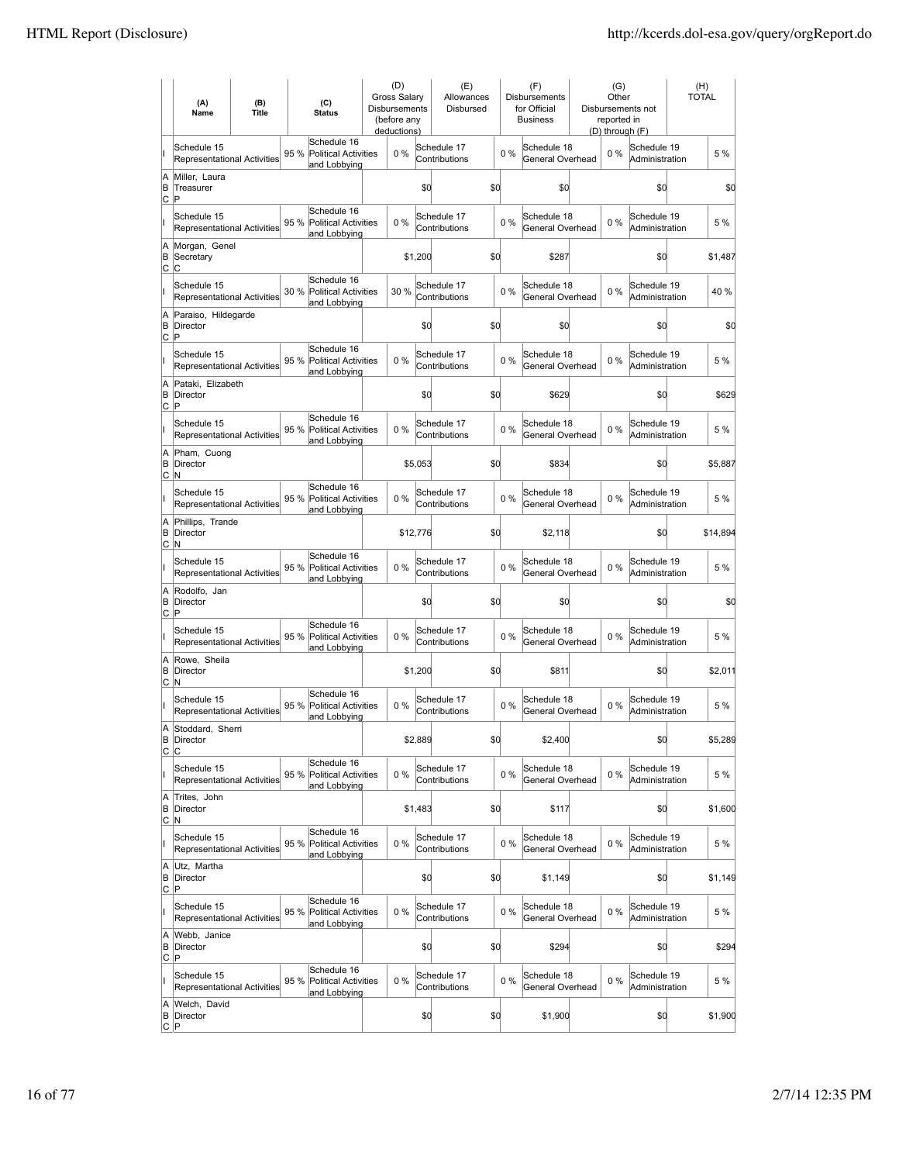|                     | (A)<br>Name                                       | (B)<br><b>Title</b> |      | (C)<br><b>Status</b>                                       | (D)<br><b>Gross Salary</b><br><b>Disbursements</b><br>(before any<br>deductions) |          |         | (E)<br>Allowances<br><b>Disbursed</b> |     |       | (F)<br>Disbursements<br>for Official<br><b>Business</b> | (G)<br>Other<br>reported in<br>(D) through (F) | Disbursements not             | <b>TOTAL</b> | (H)      |
|---------------------|---------------------------------------------------|---------------------|------|------------------------------------------------------------|----------------------------------------------------------------------------------|----------|---------|---------------------------------------|-----|-------|---------------------------------------------------------|------------------------------------------------|-------------------------------|--------------|----------|
| lı.                 | Schedule 15<br>Representational Activities        |                     | 95 % | Schedule 16<br><b>Political Activities</b><br>and Lobbying |                                                                                  | 0%       |         | Schedule 17<br>Contributions          |     | 0%    | Schedule 18<br>General Overhead                         | $0\%$                                          | Schedule 19<br>Administration |              | 5 %      |
| A<br>B<br>C         | Miller. Laura<br>Treasurer<br>P                   |                     |      |                                                            |                                                                                  |          | \$O     |                                       | \$d |       | \$0                                                     |                                                | \$0                           |              | \$0      |
| II                  | Schedule 15<br>Representational Activities        |                     | 95 % | Schedule 16<br><b>Political Activities</b><br>and Lobbying |                                                                                  | 0%       |         | Schedule 17<br>Contributions          |     | 0%    | Schedule 18<br>General Overhead                         | $0\%$                                          | Schedule 19<br>Administration |              | 5 %      |
| A<br>B<br>Iс        | Morgan, Genel<br>Secretary<br>C                   |                     |      |                                                            |                                                                                  |          | \$1,200 |                                       | \$0 |       | \$287                                                   |                                                | \$0                           |              | \$1,487  |
| II                  | Schedule 15<br>Representational Activities        |                     | 30 % | Schedule 16<br><b>Political Activities</b><br>and Lobbying |                                                                                  | 30 %     |         | Schedule 17<br>Contributions          |     | $0\%$ | Schedule 18<br>General Overhead                         | $0\%$                                          | Schedule 19<br>Administration |              | 40 %     |
| A<br>B<br>lc.       | Paraiso, Hildegarde<br>Director<br>P              |                     |      |                                                            |                                                                                  |          | \$0     |                                       | \$d |       | \$0                                                     |                                                | \$d                           |              | \$0      |
| lı.                 | Schedule 15<br><b>Representational Activities</b> |                     | 95 % | Schedule 16<br><b>Political Activities</b><br>and Lobbying |                                                                                  | 0%       |         | Schedule 17<br>Contributions          |     | 0%    | Schedule 18<br>General Overhead                         | $0\%$                                          | Schedule 19<br>Administration |              | 5 %      |
| A<br>B<br>Iс        | Pataki, Elizabeth<br>Director<br>İΡ               |                     |      |                                                            |                                                                                  |          | \$0     |                                       | \$d |       | \$629                                                   |                                                | \$d                           |              | \$629    |
| lı.                 | Schedule 15<br>Representational Activities        |                     | 95 % | Schedule 16<br><b>Political Activities</b><br>and Lobbying |                                                                                  | 0%       |         | Schedule 17<br>Contributions          |     | $0\%$ | Schedule 18<br>General Overhead                         | 0%                                             | Schedule 19<br>Administration |              | 5 %      |
| A<br>B<br>lc.       | Pham, Cuong<br>Director<br>M                      |                     |      |                                                            |                                                                                  |          | \$5,053 |                                       | \$d |       | \$834                                                   |                                                | \$d                           |              | \$5,887  |
| lı.                 | Schedule 15<br>Representational Activities        |                     | 95 % | Schedule 16<br><b>Political Activities</b><br>and Lobbying |                                                                                  | 0%       |         | Schedule 17<br>Contributions          |     | $0\%$ | Schedule 18<br>General Overhead                         | $0\%$                                          | Schedule 19<br>Administration |              | 5 %      |
| A<br>B<br>C         | Phillips, Trande<br>Director<br>N                 |                     |      |                                                            |                                                                                  | \$12,776 |         |                                       | \$d |       | \$2,118                                                 |                                                | \$d                           |              | \$14,894 |
| lı.                 | Schedule 15<br><b>Representational Activities</b> |                     | 95 % | Schedule 16<br><b>Political Activities</b><br>and Lobbying |                                                                                  | $0\%$    |         | Schedule 17<br>Contributions          |     | $0\%$ | Schedule 18<br>General Overhead                         | $0\%$                                          | Schedule 19<br>Administration |              | 5 %      |
| A<br>B<br>C         | Rodolfo, Jan<br><b>Director</b><br>İΡ             |                     |      |                                                            |                                                                                  |          | \$0     |                                       | \$d |       | \$0                                                     |                                                | \$d                           |              | \$0      |
| lı.                 | Schedule 15<br><b>Representational Activities</b> |                     | 95 % | Schedule 16<br><b>Political Activities</b><br>and Lobbying |                                                                                  | 0%       |         | Schedule 17<br>Contributions          |     | $0\%$ | Schedule 18<br>General Overhead                         | $0\%$                                          | Schedule 19<br>Administration |              | 5 %      |
| A<br>B<br>lc.       | Rowe, Sheila<br>Director<br>lN.                   |                     |      |                                                            |                                                                                  |          | \$1,200 |                                       | \$d |       | \$811                                                   |                                                | \$d                           |              | \$2,011  |
| lı.                 | Schedule 15<br><b>Representational Activities</b> |                     | 95 % | Schedule 16<br>Political Activities<br>and Lobbying        |                                                                                  | 0%       |         | Schedule 17<br>Contributions          |     | $0\%$ | Schedule 18<br>General Overhead                         | $0\%$                                          | Schedule 19<br>Administration |              | 5 %      |
| A<br>C              | Stoddard, Sherri<br><b>B</b> Director<br>C        |                     |      |                                                            |                                                                                  |          | \$2,889 |                                       | \$d |       | \$2,400                                                 |                                                | \$d                           |              | \$5,289  |
| lı.                 | Schedule 15<br>Representational Activities        |                     | 95 % | Schedule 16<br><b>Political Activities</b><br>and Lobbying |                                                                                  | $0\%$    |         | Schedule 17<br>Contributions          |     | $0\%$ | Schedule 18<br>General Overhead                         | $0\%$                                          | Schedule 19<br>Administration |              | 5 %      |
| A<br>B<br><u>lc</u> | Trites, John<br>Director<br>N.                    |                     |      |                                                            |                                                                                  |          | \$1,483 |                                       | \$d |       | \$117                                                   |                                                | \$d                           |              | \$1,600  |
| lı.                 | Schedule 15<br><b>Representational Activities</b> |                     | 95 % | Schedule 16<br><b>Political Activities</b><br>and Lobbying |                                                                                  | 0%       |         | Schedule 17<br>Contributions          |     | 0%    | Schedule 18<br>General Overhead                         | $0\%$                                          | Schedule 19<br>Administration |              | 5 %      |
| A<br>B<br>lc.       | Utz. Martha<br>Director<br> P                     |                     |      |                                                            |                                                                                  |          | \$0     |                                       | \$d |       | \$1,149                                                 |                                                | \$d                           |              | \$1,149  |
| lı.                 | Schedule 15<br><b>Representational Activities</b> |                     | 95 % | Schedule 16<br><b>Political Activities</b><br>and Lobbying |                                                                                  | 0%       |         | Schedule 17<br>Contributions          |     | 0%    | Schedule 18<br>General Overhead                         | 0%                                             | Schedule 19<br>Administration |              | 5 %      |
| A<br>B<br>C         | Webb, Janice<br>Director<br>P                     |                     |      |                                                            |                                                                                  |          | \$0     |                                       | \$d |       | \$294                                                   |                                                | \$d                           |              | \$294    |
| ll.                 | Schedule 15<br><b>Representational Activities</b> |                     | 95 % | Schedule 16<br>Political Activities<br>and Lobbying        |                                                                                  | 0%       |         | Schedule 17<br>Contributions          |     | 0%    | Schedule 18<br>General Overhead                         | $0\%$                                          | Schedule 19<br>Administration |              | 5 %      |
| A<br>B<br> C  P     | Welch, David<br>Director                          |                     |      |                                                            |                                                                                  |          | \$0     |                                       | \$q |       | \$1,900                                                 |                                                | \$0                           |              | \$1,900  |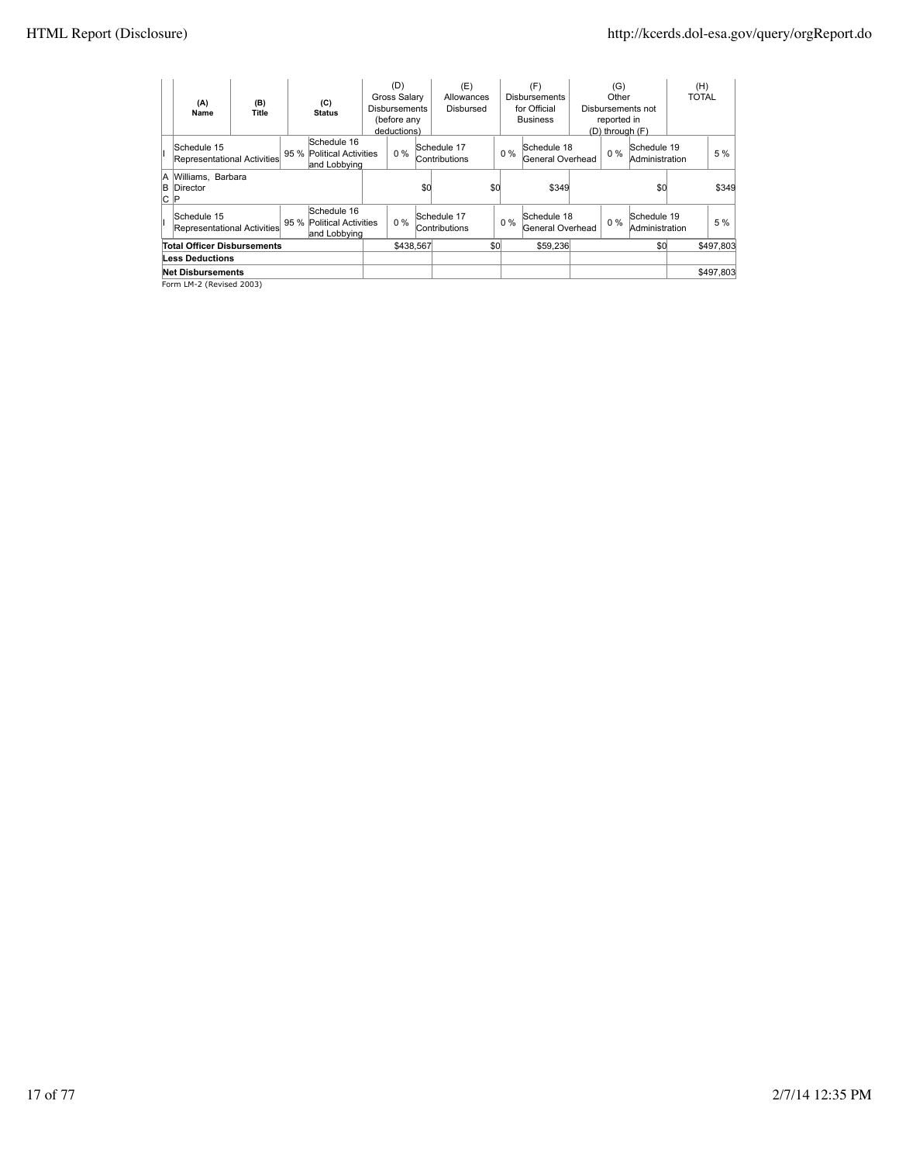| (A)<br>Name                                                                                            | (B)<br>Title | (C)<br><b>Status</b>                                     |  | (D)<br>Gross Salary<br><b>Disbursements</b><br>(before any<br>deductions) |     | (E)<br>Allowances<br><b>Disbursed</b> |     |       | (F)<br><b>Disbursements</b><br>for Official<br><b>Business</b> |       | (G)<br>Other<br>reported in<br>$(D)$ through $(F)$ | Disbursements not             | (H)<br><b>TOTAL</b> |           |
|--------------------------------------------------------------------------------------------------------|--------------|----------------------------------------------------------|--|---------------------------------------------------------------------------|-----|---------------------------------------|-----|-------|----------------------------------------------------------------|-------|----------------------------------------------------|-------------------------------|---------------------|-----------|
| Schedule 15<br>Representational Activities                                                             |              | Schedule 16<br>95 % Political Activities<br>and Lobbving |  | $0\%$                                                                     |     | Schedule 17<br>Contributions          |     | $0\%$ | Schedule 18<br>General Overhead                                | $0\%$ |                                                    | Schedule 19<br>Administration |                     | 5 %       |
| A Williams, Barbara<br><b>B</b> Director<br>∣C ∣P                                                      |              |                                                          |  |                                                                           | \$0 |                                       | \$0 |       | \$349                                                          |       |                                                    | \$0                           |                     | \$349     |
| Schedule 16<br>Schedule 15<br>95 % Political Activities<br>Representational Activities<br>and Lobbying |              |                                                          |  | $0\%$                                                                     |     | Schedule 17<br>Contributions          |     | $0\%$ | Schedule 18<br>General Overhead                                |       | $0\%$                                              | Schedule 19<br>Administration |                     | 5 %       |
| <b>Total Officer Disbursements</b>                                                                     |              |                                                          |  | \$438.567                                                                 |     |                                       | \$0 |       | \$59,236                                                       |       |                                                    | \$0                           |                     | \$497,803 |
| <b>Less Deductions</b>                                                                                 |              |                                                          |  |                                                                           |     |                                       |     |       |                                                                |       |                                                    |                               |                     |           |
| <b>Net Disbursements</b>                                                                               |              |                                                          |  |                                                                           |     |                                       |     |       |                                                                |       |                                                    |                               |                     | \$497,803 |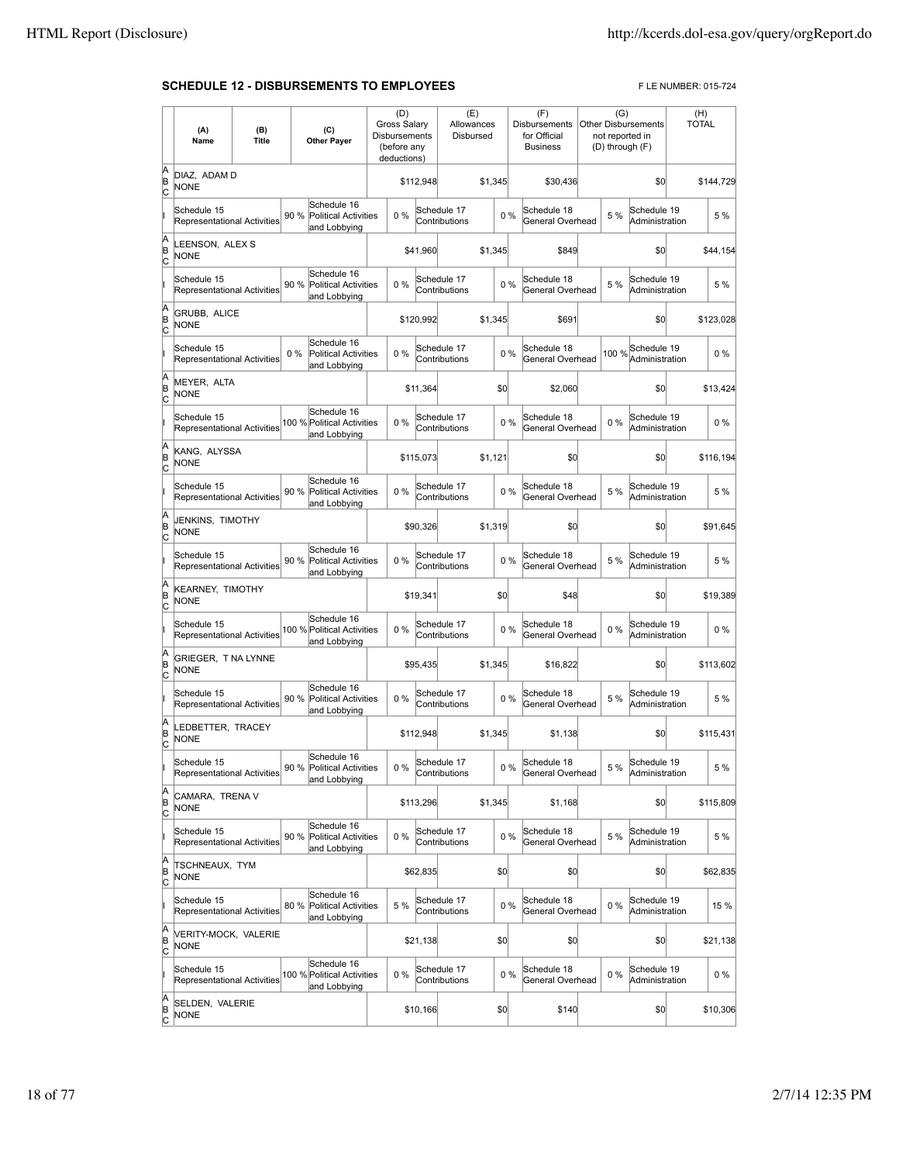### **SCHEDULE 12 - DISBURSEMENTS TO EMPLOYEES** FLE NUMBER: 015-724

|                          | (A)<br>Name                                       | (B)<br>Title |       | (C)<br><b>Other Payer</b>                                  | Disbursements | (D)<br>Gross Salary<br>(before any<br>deductions) |           | (E)<br>Allowances<br>Disbursed |         |       | (F)<br><b>Disbursements</b><br>for Official<br><b>Business</b> | (G)   | <b>Other Disbursements</b><br>not reported in<br>(D) through (F) | (H)<br><b>TOTAL</b> |           |
|--------------------------|---------------------------------------------------|--------------|-------|------------------------------------------------------------|---------------|---------------------------------------------------|-----------|--------------------------------|---------|-------|----------------------------------------------------------------|-------|------------------------------------------------------------------|---------------------|-----------|
| A<br>B<br>c              | DIAZ, ADAM D<br><b>NONE</b>                       |              |       |                                                            |               |                                                   | \$112,948 |                                | \$1,345 |       | \$30,436                                                       |       | \$0                                                              |                     | \$144,729 |
|                          | Schedule 15<br>Representational Activities        |              | 90 %  | Schedule 16<br><b>Political Activities</b><br>and Lobbying |               | 0%                                                |           | Schedule 17<br>Contributions   |         | 0%    | Schedule 18<br>General Overhead                                | 5 %   | Schedule 19<br>Administration                                    |                     | 5 %       |
| A<br>B<br>c              | LEENSON, ALEX S<br><b>NONE</b>                    |              |       |                                                            |               |                                                   | \$41,960  |                                | \$1.345 |       | \$849                                                          |       | \$0                                                              |                     | \$44,154  |
|                          | Schedule 15<br><b>Representational Activities</b> |              | 90 %  | Schedule 16<br><b>Political Activities</b><br>and Lobbying |               | 0%                                                |           | Schedule 17<br>Contributions   |         | 0%    | Schedule 18<br>General Overhead                                | 5 %   | Schedule 19<br>Administration                                    |                     | 5 %       |
| A<br>B<br>C              | GRUBB, ALICE<br><b>NONE</b>                       |              |       |                                                            |               |                                                   | \$120,992 |                                | \$1,345 |       | \$691                                                          |       | \$0                                                              |                     | \$123,028 |
|                          | Schedule 15<br>Representational Activities        |              | $0\%$ | Schedule 16<br><b>Political Activities</b><br>and Lobbying |               | 0%                                                |           | Schedule 17<br>Contributions   |         | 0%    | Schedule 18<br>General Overhead                                | 100 % | Schedule 19<br>Administration                                    |                     | $0\%$     |
| A<br>B<br>c              | <b>MEYER, ALTA</b><br><b>NONE</b>                 |              |       |                                                            |               |                                                   | \$11,364  |                                |         | \$0   | \$2,060                                                        |       | \$0                                                              |                     | \$13,424  |
|                          | Schedule 15<br>Representational Activities        |              |       | Schedule 16<br>100 % Political Activities<br>and Lobbying  |               | 0%                                                |           | Schedule 17<br>Contributions   |         | 0%    | Schedule 18<br>General Overhead                                | 0%    | Schedule 19<br>Administration                                    |                     | 0%        |
| A<br>B<br>C              | KANG, ALYSSA<br><b>NONE</b>                       |              |       |                                                            |               |                                                   | \$115,073 |                                | \$1,121 |       | \$0                                                            |       | \$0                                                              |                     | \$116.194 |
|                          | Schedule 15<br><b>Representational Activities</b> |              | 90 %  | Schedule 16<br><b>Political Activities</b><br>and Lobbying |               | 0%                                                |           | Schedule 17<br>Contributions   |         | 0%    | Schedule 18<br>General Overhead                                | 5 %   | Schedule 19<br>Administration                                    |                     | 5 %       |
| A<br>B<br>C              | JENKINS, TIMOTHY<br><b>NONE</b>                   |              |       |                                                            |               |                                                   | \$90,326  |                                | \$1,319 |       | \$0                                                            |       | \$0                                                              |                     | \$91,645  |
|                          | Schedule 15<br>Representational Activities        |              | 90%   | Schedule 16<br><b>Political Activities</b><br>and Lobbying |               | 0%                                                |           | Schedule 17<br>Contributions   |         | 0%    | Schedule 18<br>General Overhead                                | 5 %   | Schedule 19<br>Administration                                    |                     | 5 %       |
| A<br>B<br>c              | KEARNEY, TIMOTHY<br><b>NONE</b>                   |              |       |                                                            |               |                                                   | \$19,341  |                                |         | \$0   | \$48                                                           |       | \$0                                                              |                     | \$19,389  |
|                          | Schedule 15<br>Representational Activities        |              |       | Schedule 16<br>100 % Political Activities<br>and Lobbying  |               | $0\%$                                             |           | Schedule 17<br>Contributions   |         | 0%    | Schedule 18<br>General Overhead                                | 0%    | Schedule 19<br>Administration                                    |                     | 0%        |
| A<br>B<br>C              | GRIEGER, T NA LYNNE<br><b>NONE</b>                |              |       |                                                            |               |                                                   | \$95,435  |                                | \$1,345 |       | \$16,822                                                       |       | \$0                                                              |                     | \$113,602 |
|                          | Schedule 15<br>Representational Activities        |              | 90%   | Schedule 16<br><b>Political Activities</b><br>and Lobbying |               | 0%                                                |           | Schedule 17<br>Contributions   |         | 0%    | Schedule 18<br>General Overhead                                | 5 %   | Schedule 19<br>Administration                                    |                     | 5 %       |
| A<br>B<br>C              | LEDBETTER, TRACEY<br><b>NONE</b>                  |              |       |                                                            |               |                                                   | \$112,948 |                                | \$1,345 |       | \$1,138                                                        |       | \$0                                                              |                     | \$115,431 |
|                          | Schedule 15<br>Representational Activities        |              |       | Schedule 16<br>90 % Political Activities<br>and Lobbying   |               | $0\%$                                             |           | Schedule 17<br>Contributions   |         | $0\%$ | Schedule 18<br>General Overhead                                | 5 %   | Schedule 19<br>Administration                                    |                     | 5 %       |
| A<br>B<br>$\overline{c}$ | CAMARA, TRENA V<br><b>NONE</b>                    |              |       |                                                            |               |                                                   | \$113,296 |                                | \$1,345 |       | \$1,168                                                        |       | \$0                                                              |                     | \$115,809 |
|                          | Schedule 15<br>Representational Activities        |              | 90 %  | Schedule 16<br>Political Activities<br>and Lobbying        |               | 0%                                                |           | Schedule 17<br>Contributions   |         | 0%    | Schedule 18<br>General Overhead                                | 5 %   | Schedule 19<br>Administration                                    |                     | 5 %       |
| A<br>B<br>$\overline{c}$ | TSCHNEAUX, TYM<br><b>NONE</b>                     |              |       |                                                            |               |                                                   | \$62,835  |                                |         | \$0   | \$0                                                            |       | \$0                                                              |                     | \$62,835  |
|                          | Schedule 15<br>Representational Activities        |              | 80%   | Schedule 16<br><b>Political Activities</b><br>and Lobbying |               | 5 %                                               |           | Schedule 17<br>Contributions   |         | $0\%$ | Schedule 18<br>General Overhead                                | $0\%$ | Schedule 19<br>Administration                                    |                     | 15 %      |
| A<br>B<br>C              | VERITY-MOCK, VALERIE<br><b>NONE</b>               |              |       |                                                            |               |                                                   | \$21,138  |                                |         | \$0   | \$0                                                            |       | \$0                                                              |                     | \$21,138  |
|                          | Schedule 15<br>Representational Activities        |              |       | Schedule 16<br>100 % Political Activities<br>and Lobbying  |               | 0%                                                |           | Schedule 17<br>Contributions   |         | 0%    | Schedule 18<br>General Overhead                                | $0\%$ | Schedule 19<br>Administration                                    |                     | $0\%$     |
| A<br>B<br>C              | SELDEN, VALERIE<br><b>NONE</b>                    |              |       |                                                            |               |                                                   | \$10,166  |                                |         | \$0   | \$140                                                          |       | \$0                                                              |                     | \$10,306  |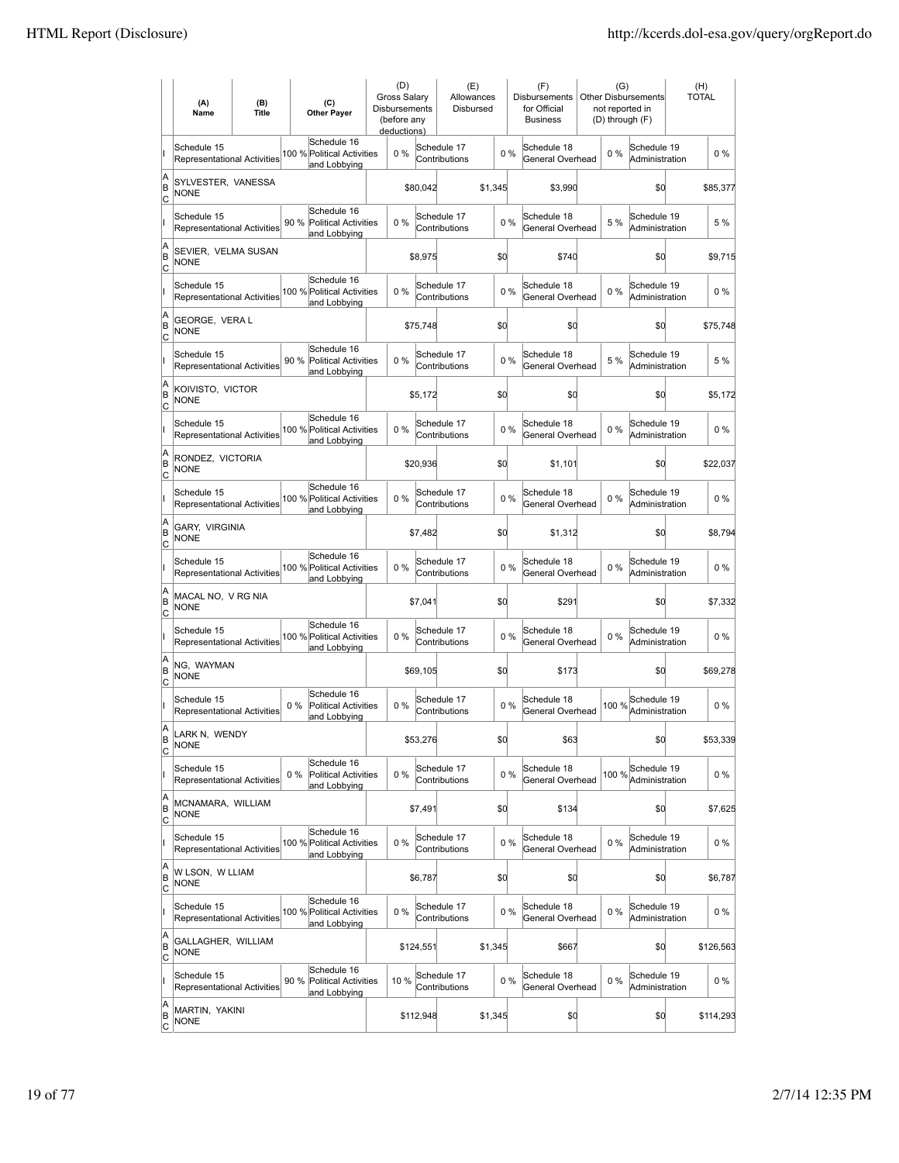|                     | (A)<br>Name                                       | (B)<br><b>Title</b> | (C)<br><b>Other Payer</b>                                          | (D)<br>Gross Salary<br>Disbursements<br>(before any<br>deductions) |           | (E)<br>Allowances<br>Disbursed |         |       | (F)<br><b>Disbursements</b><br>for Official<br><b>Business</b> | (G)<br>not reported in<br>(D) through (F) | Other Disbursements           | (H)<br><b>TOTAL</b> |
|---------------------|---------------------------------------------------|---------------------|--------------------------------------------------------------------|--------------------------------------------------------------------|-----------|--------------------------------|---------|-------|----------------------------------------------------------------|-------------------------------------------|-------------------------------|---------------------|
|                     | Schedule 15<br><b>Representational Activities</b> |                     | Schedule 16<br>100 % Political Activities<br>and Lobbying          | $0\%$                                                              |           | Schedule 17<br>Contributions   |         | $0\%$ | Schedule 18<br>General Overhead                                | 0%                                        | Schedule 19<br>Administration | $0\%$               |
| A<br>ΙB<br> c       | SYLVESTER, VANESSA<br><b>NONE</b>                 |                     |                                                                    |                                                                    | \$80,042  |                                | \$1,345 |       | \$3,990                                                        |                                           | \$0                           | \$85,377            |
|                     | Schedule 15<br><b>Representational Activities</b> |                     | Schedule 16<br>90 %<br><b>Political Activities</b><br>and Lobbying | 0%                                                                 |           | Schedule 17<br>Contributions   |         | 0%    | Schedule 18<br>General Overhead                                | 5 %                                       | Schedule 19<br>Administration | 5 %                 |
| A<br>B<br>c         | SEVIER, VELMA SUSAN<br>NONE                       |                     |                                                                    |                                                                    | \$8,975   |                                | \$d     |       | \$740                                                          |                                           | \$0                           | \$9,715             |
|                     | Schedule 15<br>Representational Activities        |                     | Schedule 16<br>100 % Political Activities<br>and Lobbying          | 0%                                                                 |           | Schedule 17<br>Contributions   |         | 0%    | Schedule 18<br>General Overhead                                | 0%                                        | Schedule 19<br>Administration | $0\%$               |
| A<br>B<br> c        | GEORGE, VERA L<br>NONE                            |                     |                                                                    |                                                                    | \$75,748  |                                | \$0     |       | \$0                                                            |                                           | \$0                           | \$75,748            |
|                     | Schedule 15<br><b>Representational Activities</b> |                     | Schedule 16<br>90%<br><b>Political Activities</b><br>and Lobbying  | 0%                                                                 |           | Schedule 17<br>Contributions   |         | 0%    | Schedule 18<br>General Overhead                                | 5 %                                       | Schedule 19<br>Administration | 5 %                 |
| A<br>ΙB<br> c       | KOIVISTO, VICTOR<br><b>NONE</b>                   |                     |                                                                    |                                                                    | \$5,172   |                                | \$0     |       | \$0                                                            |                                           | \$0                           | \$5,172             |
|                     | Schedule 15<br><b>Representational Activities</b> |                     | Schedule 16<br>100 % Political Activities<br>and Lobbying          | $0\%$                                                              |           | Schedule 17<br>Contributions   |         | 0%    | Schedule 18<br>General Overhead                                | $0\%$                                     | Schedule 19<br>Administration | $0\%$               |
| A<br>B<br>C         | RONDEZ, VICTORIA<br><b>NONE</b>                   |                     |                                                                    |                                                                    | \$20,936  |                                | \$d     |       | \$1,101                                                        |                                           | \$0                           | \$22,037            |
|                     | Schedule 15<br>Representational Activities        |                     | Schedule 16<br>100 % Political Activities<br>and Lobbying          | 0%                                                                 |           | Schedule 17<br>Contributions   |         | 0%    | Schedule 18<br>General Overhead                                | 0%                                        | Schedule 19<br>Administration | $0\%$               |
| A<br>B<br>c         | GARY, VIRGINIA<br><b>NONE</b>                     |                     |                                                                    |                                                                    | \$7,482   |                                | \$0     |       | \$1,312                                                        |                                           | \$0                           | \$8,794             |
|                     | Schedule 15<br><b>Representational Activities</b> |                     | Schedule 16<br>100 % Political Activities<br>and Lobbying          | 0%                                                                 |           | Schedule 17<br>Contributions   |         | 0%    | Schedule 18<br>General Overhead                                | 0%                                        | Schedule 19<br>Administration | $0\%$               |
| A<br>B<br>Iс        | MACAL NO, V RG NIA<br><b>NONE</b>                 |                     |                                                                    |                                                                    | \$7,041   |                                | \$d     |       | \$291                                                          |                                           | \$d                           | \$7,332             |
|                     | Schedule 15<br><b>Representational Activities</b> |                     | Schedule 16<br>100 % Political Activities<br>and Lobbying          | 0%                                                                 |           | Schedule 17<br>Contributions   |         | 0%    | Schedule 18<br>General Overhead                                | 0%                                        | Schedule 19<br>Administration | $0\%$               |
| A<br>B<br> c        | NG, WAYMAN<br><b>NONE</b>                         |                     |                                                                    |                                                                    | \$69,105  |                                | \$d     |       | \$173                                                          |                                           | \$d                           | \$69,278            |
|                     | Schedule 15<br>Representational Activities        |                     | Schedule 16<br>$0\%$<br>Political Activities<br>and Lobbying       | 0%                                                                 |           | Schedule 17<br>Contributions   |         | 0%    | Schedule 18<br>General Overhead                                | 100 %                                     | Schedule 19<br>Administration | $0\%$               |
| A<br>ΙB<br> c       | LARK N, WENDY<br><b>NONE</b>                      |                     |                                                                    |                                                                    | \$53,276  |                                | \$d     |       | \$63                                                           |                                           | \$0                           | \$53,339            |
|                     | Schedule 15<br>Representational Activities        |                     | Schedule 16<br>Political Activities<br>$0\%$<br>and Lobbying       | $0\%$                                                              |           | Schedule 17<br>Contributions   |         | $0\%$ | Schedule 18<br>General Overhead                                | 100 %                                     | Schedule 19<br>Administration | 0%                  |
| A<br>B<br>C         | MCNAMARA, WILLIAM<br><b>NONE</b>                  |                     |                                                                    |                                                                    | \$7,491   |                                | \$d     |       | \$134                                                          |                                           | \$d                           | \$7,625             |
|                     | Schedule 15<br>Representational Activities        |                     | Schedule 16<br>100 % Political Activities<br>and Lobbying          | $0\%$                                                              |           | Schedule 17<br>Contributions   |         | $0\%$ | Schedule 18<br>General Overhead                                | $0\%$                                     | Schedule 19<br>Administration | 0%                  |
| A<br>B<br>C         | W LSON, W LLIAM<br><b>NONE</b>                    |                     |                                                                    |                                                                    | \$6,787   |                                | \$d     |       | \$0                                                            |                                           | \$q                           | \$6,787             |
|                     | Schedule 15<br>Representational Activities        |                     | Schedule 16<br>100 % Political Activities<br>and Lobbying          | 0%                                                                 |           | Schedule 17<br>Contributions   |         | 0%    | Schedule 18<br>General Overhead                                | $0\%$                                     | Schedule 19<br>Administration | $0\%$               |
| A<br>B<br>C         | GALLAGHER, WILLIAM<br><b>NONE</b>                 |                     |                                                                    |                                                                    | \$124,551 |                                | \$1,345 |       | \$667                                                          |                                           | \$d                           | \$126,563           |
|                     | Schedule 15<br>Representational Activities        |                     | Schedule 16<br>90 %<br><b>Political Activities</b><br>and Lobbying | 10 %                                                               |           | Schedule 17<br>Contributions   |         | 0%    | Schedule 18<br>General Overhead                                | $0\%$                                     | Schedule 19<br>Administration | $0\%$               |
| A<br>B<br><u>lc</u> | MARTIN, YAKINI<br><b>NONE</b>                     |                     |                                                                    |                                                                    | \$112,948 |                                | \$1,345 |       | \$0                                                            |                                           | \$q                           | \$114,293           |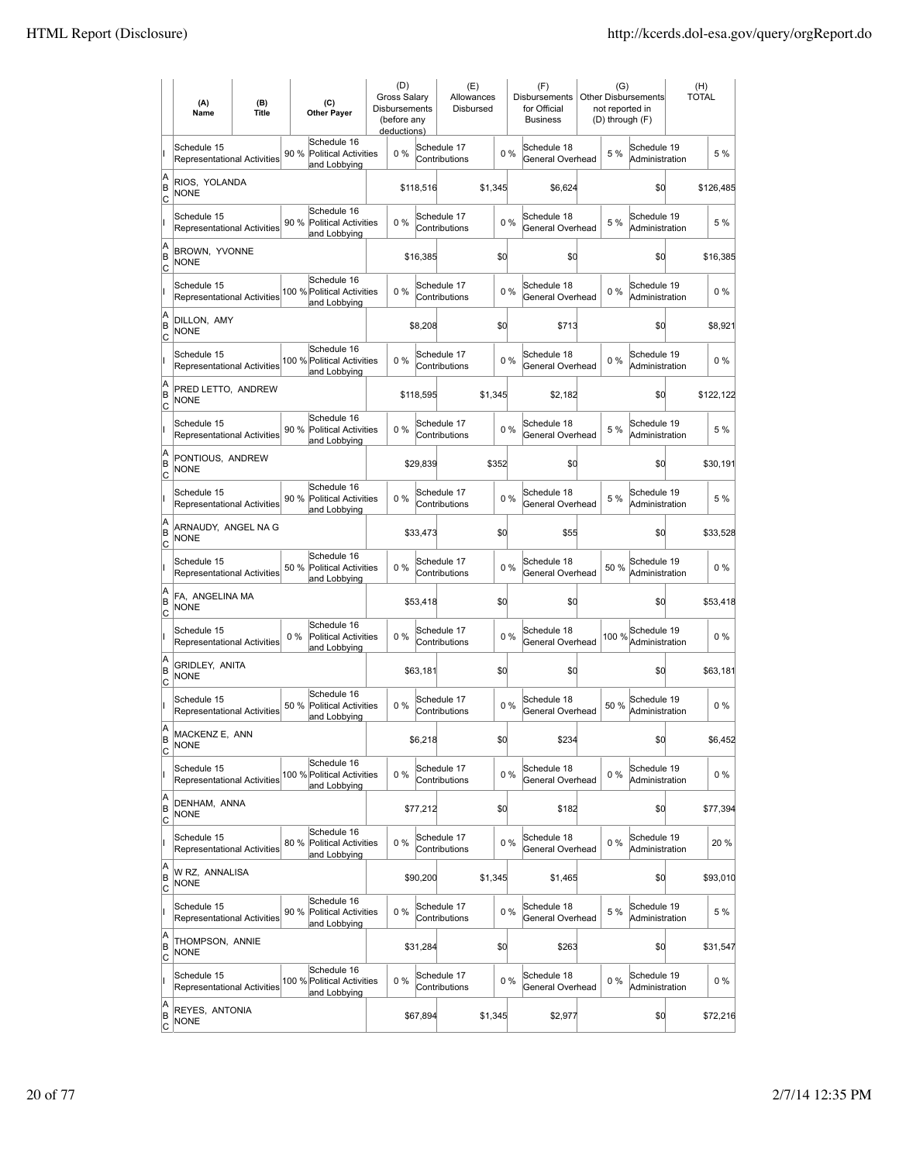|                        | (A)<br>Name                                       | (B)<br><b>Title</b> | (C)<br><b>Other Payer</b>                                           | (D)<br><b>Gross Salarv</b><br><b>Disbursements</b><br>(before any<br>deductions) |           | (E)<br>Allowances<br>Disbursed |         |       | (F)<br><b>Disbursements</b><br>for Official<br><b>Business</b> | (G)<br>not reported in<br>(D) through (F) | <b>Other Disbursements</b>    | <b>TOTAL</b> | (H)       |
|------------------------|---------------------------------------------------|---------------------|---------------------------------------------------------------------|----------------------------------------------------------------------------------|-----------|--------------------------------|---------|-------|----------------------------------------------------------------|-------------------------------------------|-------------------------------|--------------|-----------|
|                        | Schedule 15<br>Representational Activities        |                     | Schedule 16<br>90 %<br><b>Political Activities</b><br>and Lobbying  | 0%                                                                               |           | Schedule 17<br>Contributions   |         | 0%    | Schedule 18<br>General Overhead                                | 5 %                                       | Schedule 19<br>Administration |              | 5 %       |
| A<br>B<br>Iс           | RIOS, YOLANDA<br><b>NONE</b>                      |                     |                                                                     |                                                                                  | \$118,516 |                                | \$1,345 |       | \$6,624                                                        |                                           | \$0                           |              | \$126,485 |
|                        | Schedule 15<br>Representational Activities        |                     | Schedule 16<br>90 %<br><b>Political Activities</b><br>and Lobbying  | 0%                                                                               |           | Schedule 17<br>Contributions   |         | 0%    | Schedule 18<br>General Overhead                                | 5 %                                       | Schedule 19<br>Administration |              | 5 %       |
| A<br>B<br>C            | BROWN, YVONNE<br><b>NONE</b>                      |                     |                                                                     |                                                                                  | \$16,385  |                                | \$d     |       | \$0                                                            |                                           | \$0                           |              | \$16,385  |
|                        | Schedule 15<br>Representational Activities        |                     | Schedule 16<br>100 % Political Activities<br>and Lobbying           | 0%                                                                               |           | Schedule 17<br>Contributions   |         | 0%    | Schedule 18<br>General Overhead                                | 0%                                        | Schedule 19<br>Administration |              | $0\%$     |
| A<br>B<br>Ιc           | DILLON, AMY<br><b>NONE</b>                        |                     |                                                                     |                                                                                  | \$8,208   |                                | \$0     |       | \$713                                                          |                                           | \$0                           |              | \$8,921   |
|                        | Schedule 15<br><b>Representational Activities</b> |                     | Schedule 16<br>100 % Political Activities<br>and Lobbying           | $0\%$                                                                            |           | Schedule 17<br>Contributions   |         | 0%    | Schedule 18<br>General Overhead                                | $0\%$                                     | Schedule 19<br>Administration |              | $0\%$     |
| A<br>B<br>lc           | PRED LETTO, ANDREW<br>NONE                        |                     |                                                                     |                                                                                  | \$118,595 |                                | \$1,345 |       | \$2,182                                                        |                                           | \$0                           |              | \$122,122 |
|                        | Schedule 15<br>Representational Activities        |                     | Schedule 16<br>90 %<br><b>Political Activities</b><br>and Lobbying  | 0%                                                                               |           | Schedule 17<br>Contributions   |         | 0%    | Schedule 18<br>General Overhead                                | 5 %                                       | Schedule 19<br>Administration |              | 5 %       |
| A<br>B<br>C            | PONTIOUS, ANDREW<br><b>NONE</b>                   |                     |                                                                     |                                                                                  | \$29,839  |                                | \$352   |       | \$0                                                            |                                           | \$0                           |              | \$30,191  |
|                        | Schedule 15<br>Representational Activities        |                     | Schedule 16<br>90 % Political Activities<br>and Lobbying            | 0%                                                                               |           | Schedule 17<br>Contributions   |         | 0%    | Schedule 18<br>General Overhead                                | 5 %                                       | Schedule 19<br>Administration |              | 5 %       |
| A<br>B<br>C            | ARNAUDY, ANGEL NA G<br><b>NONE</b>                |                     |                                                                     |                                                                                  | \$33,473  |                                | \$0     |       | \$55                                                           |                                           | \$0                           |              | \$33,528  |
|                        | Schedule 15<br><b>Representational Activities</b> |                     | Schedule 16<br>50 %<br><b>Political Activities</b><br>and Lobbying  | $0\%$                                                                            |           | Schedule 17<br>Contributions   |         | $0\%$ | Schedule 18<br>General Overhead                                | 50%                                       | Schedule 19<br>Administration |              | $0\%$     |
| A<br>B<br> c           | FA, ANGELINA MA<br><b>NONE</b>                    |                     |                                                                     |                                                                                  | \$53,418  |                                | \$0     |       | \$0                                                            |                                           | \$d                           |              | \$53,418  |
|                        | Schedule 15<br>Representational Activities        |                     | Schedule 16<br>$0\%$<br><b>Political Activities</b><br>and Lobbying | 0%                                                                               |           | Schedule 17<br>Contributions   |         | 0%    | Schedule 18<br>General Overhead                                | 100 %                                     | Schedule 19<br>Administration |              | $0\%$     |
| A<br>B<br> c           | GRIDLEY, ANITA<br><b>NONE</b>                     |                     |                                                                     |                                                                                  | \$63,181  |                                | \$0     |       | \$0                                                            |                                           | \$0                           |              | \$63,181  |
|                        | Schedule 15<br>Representational Activities        |                     | Schedule 16<br>50 %<br>Political Activities<br>and Lobbying         | 0%                                                                               |           | Schedule 17<br>Contributions   |         | 0%    | Schedule 18<br>General Overhead                                | 50%                                       | Schedule 19<br>Administration |              | $0\%$     |
| A<br>B<br>C            | MACKENZ E, ANN<br><b>NONE</b>                     |                     |                                                                     |                                                                                  | \$6,218   |                                | \$d     |       | \$234                                                          |                                           | \$0                           |              | \$6,452   |
|                        | Schedule 15<br>Representational Activities        |                     | Schedule 16<br>100 % Political Activities<br>and Lobbying           | 0%                                                                               |           | Schedule 17<br>Contributions   |         | 0%    | Schedule 18<br>General Overhead                                | $0\%$                                     | Schedule 19<br>Administration |              | $0\%$     |
| A<br>B<br><u>lc</u>    | DENHAM, ANNA<br><b>NONE</b>                       |                     |                                                                     |                                                                                  | \$77,212  |                                | \$d     |       | \$182                                                          |                                           | \$d                           |              | \$77,394  |
|                        | Schedule 15<br>Representational Activities        |                     | Schedule 16<br>80 % Political Activities<br>and Lobbying            | 0%                                                                               |           | Schedule 17<br>Contributions   |         | 0%    | Schedule 18<br>General Overhead                                | $0\%$                                     | Schedule 19<br>Administration |              | 20 %      |
| A<br>B<br>$\mathsf{C}$ | W RZ, ANNALISA<br><b>NONE</b>                     |                     |                                                                     |                                                                                  | \$90,200  |                                | \$1,345 |       | \$1,465                                                        |                                           | \$0                           |              | \$93,010  |
|                        | Schedule 15<br>Representational Activities        |                     | Schedule 16<br>90 % Political Activities<br>and Lobbying            | $0\%$                                                                            |           | Schedule 17<br>Contributions   |         | 0%    | Schedule 18<br>General Overhead                                | 5 %                                       | Schedule 19<br>Administration |              | 5 %       |
| A<br>B<br> c           | THOMPSON, ANNIE<br>NONE                           |                     |                                                                     |                                                                                  | \$31,284  |                                | \$0     |       | \$263                                                          |                                           | \$0                           |              | \$31,547  |
|                        | Schedule 15<br>Representational Activities        |                     | Schedule 16<br>100 % Political Activities<br>and Lobbying           | 0%                                                                               |           | Schedule 17<br>Contributions   |         | 0%    | Schedule 18<br>General Overhead                                | $0\%$                                     | Schedule 19<br>Administration |              | $0\%$     |
| A<br>B<br><u>lc</u>    | REYES, ANTONIA<br>NONE                            |                     |                                                                     |                                                                                  | \$67,894  |                                | \$1,345 |       | \$2,977                                                        |                                           | \$0                           |              | \$72,216  |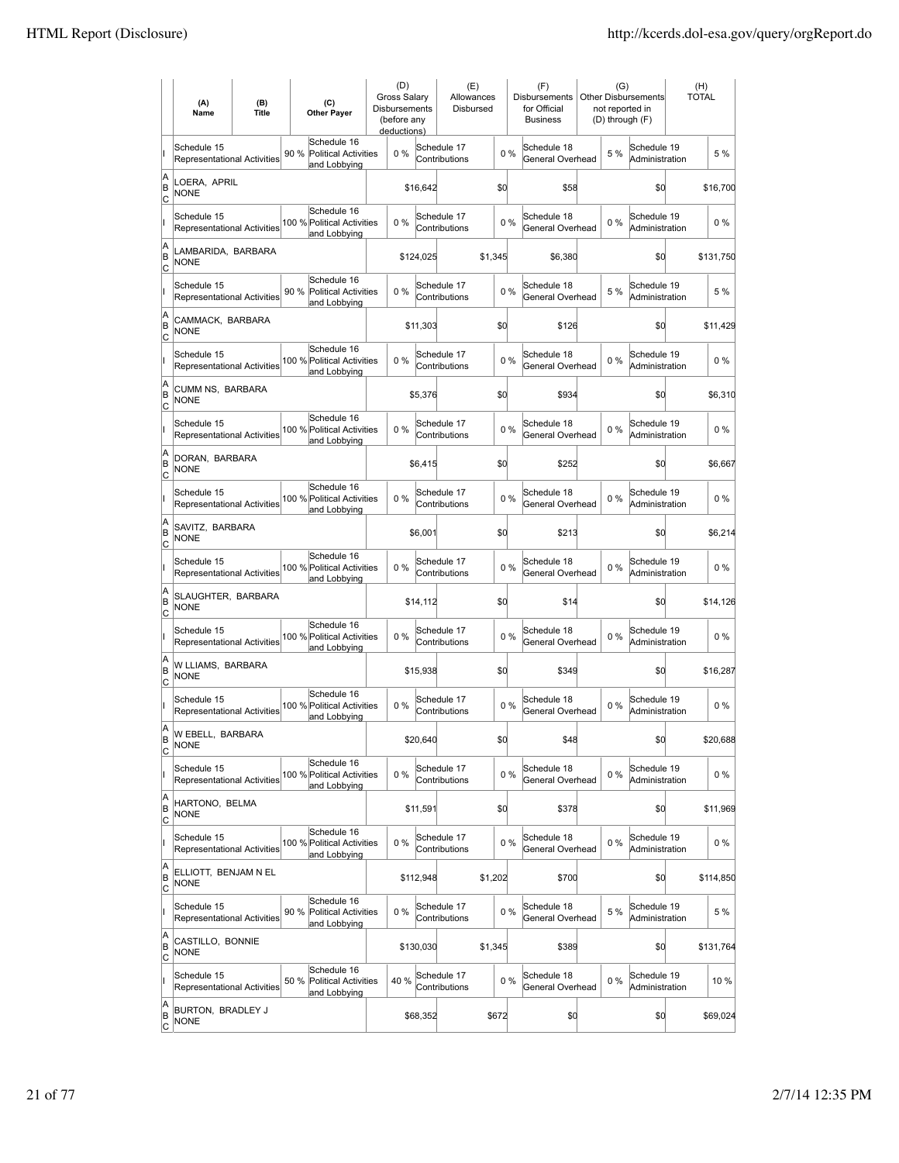|                     | (A)<br>Name                                       | (B)<br>Title | (C)<br><b>Other Payer</b>                                          | (D)<br><b>Gross Salary</b><br><b>Disbursements</b><br>(before any<br>deductions) |           | (E)<br>Allowances<br>Disbursed |         |       | (F)<br><b>Disbursements</b><br>for Official<br><b>Business</b> | <b>Other Disbursements</b> | (G)<br>not reported in<br>(D) through (F) |                               | (H)<br><b>TOTAL</b> |           |
|---------------------|---------------------------------------------------|--------------|--------------------------------------------------------------------|----------------------------------------------------------------------------------|-----------|--------------------------------|---------|-------|----------------------------------------------------------------|----------------------------|-------------------------------------------|-------------------------------|---------------------|-----------|
|                     | Schedule 15<br><b>Representational Activities</b> |              | Schedule 16<br>90%<br><b>Political Activities</b><br>and Lobbying  | $0\%$                                                                            |           | Schedule 17<br>Contributions   |         | $0\%$ | Schedule 18<br>General Overhead                                |                            | 5 %                                       | Schedule 19<br>Administration |                     | 5 %       |
| A<br>ΙB<br> c       | LOERA, APRIL<br><b>NONE</b>                       |              |                                                                    |                                                                                  | \$16,642  |                                | \$0     |       | \$58                                                           |                            |                                           | \$0                           |                     | \$16,700  |
|                     | Schedule 15<br><b>Representational Activities</b> |              | Schedule 16<br>100 % Political Activities<br>and Lobbying          | 0%                                                                               |           | Schedule 17<br>Contributions   |         | 0%    | Schedule 18<br>General Overhead                                |                            | 0%                                        | Schedule 19<br>Administration |                     | $0\%$     |
| A<br>B<br>C         | LAMBARIDA, BARBARA<br><b>NONE</b>                 |              |                                                                    |                                                                                  | \$124,025 |                                | \$1,345 |       | \$6,380                                                        |                            |                                           | \$0                           |                     | \$131,750 |
|                     | Schedule 15<br>Representational Activities        |              | Schedule 16<br>90 %<br><b>Political Activities</b><br>and Lobbying | 0%                                                                               |           | Schedule 17<br>Contributions   |         | 0%    | Schedule 18<br>General Overhead                                |                            | 5 %                                       | Schedule 19<br>Administration |                     | 5 %       |
| A<br>B<br> c        | CAMMACK, BARBARA<br><b>NONE</b>                   |              |                                                                    |                                                                                  | \$11,303  |                                | \$0     |       | \$126                                                          |                            |                                           | \$0                           |                     | \$11,429  |
|                     | Schedule 15<br><b>Representational Activities</b> |              | Schedule 16<br>100 % Political Activities<br>and Lobbying          | 0%                                                                               |           | Schedule 17<br>Contributions   |         | 0%    | Schedule 18<br>General Overhead                                |                            | $0\%$                                     | Schedule 19<br>Administration |                     | $0\%$     |
| A<br>ΙB<br> c       | CUMM NS, BARBARA<br><b>NONE</b>                   |              |                                                                    |                                                                                  | \$5,376   |                                | \$0     |       | \$934                                                          |                            |                                           | \$0                           |                     | \$6,310   |
|                     | Schedule 15<br><b>Representational Activities</b> |              | Schedule 16<br>100 % Political Activities<br>and Lobbying          | 0%                                                                               |           | Schedule 17<br>Contributions   |         | 0%    | Schedule 18<br>General Overhead                                |                            | $0\%$                                     | Schedule 19<br>Administration |                     | $0\%$     |
| A<br>B<br>c         | DORAN, BARBARA<br><b>NONE</b>                     |              |                                                                    |                                                                                  | \$6,415   |                                | \$0     |       | \$252                                                          |                            |                                           | \$0                           |                     | \$6,667   |
|                     | Schedule 15<br>Representational Activities        |              | Schedule 16<br>100 % Political Activities<br>and Lobbying          | 0%                                                                               |           | Schedule 17<br>Contributions   |         | 0%    | Schedule 18<br>General Overhead                                |                            | $0\%$                                     | Schedule 19<br>Administration |                     | $0\%$     |
| A<br>B<br>C         | SAVITZ, BARBARA<br><b>NONE</b>                    |              |                                                                    |                                                                                  | \$6,001   |                                | \$0     |       | \$213                                                          |                            |                                           | \$0                           |                     | \$6,214   |
|                     | Schedule 15<br>Representational Activities        |              | Schedule 16<br>100 % Political Activities<br>and Lobbying          | 0%                                                                               |           | Schedule 17<br>Contributions   |         | 0%    | Schedule 18<br>General Overhead                                |                            | 0%                                        | Schedule 19<br>Administration |                     | $0\%$     |
| A<br>B<br>Iс        | SLAUGHTER, BARBARA<br><b>NONE</b>                 |              |                                                                    |                                                                                  | \$14,112  |                                | \$0     |       | \$14                                                           |                            |                                           | \$0                           |                     | \$14,126  |
|                     | Schedule 15<br><b>Representational Activities</b> |              | Schedule 16<br>100 % Political Activities<br>and Lobbying          | 0%                                                                               |           | Schedule 17<br>Contributions   |         | 0%    | Schedule 18<br>General Overhead                                |                            | $0\%$                                     | Schedule 19<br>Administration |                     | $0\%$     |
| A<br>B<br> c        | W LLIAMS, BARBARA<br><b>NONE</b>                  |              |                                                                    |                                                                                  | \$15,938  |                                | \$0     |       | \$349                                                          |                            |                                           | \$0                           |                     | \$16,287  |
|                     | Schedule 15<br>Representational Activities        |              | Schedule 16<br>100 % Political Activities<br>and Lobbving          | 0%                                                                               |           | Schedule 17<br>Contributions   |         | 0%    | Schedule 18<br>General Overhead                                |                            | $0\%$                                     | Schedule 19<br>Administration |                     | $0\%$     |
| A<br>ΙB<br> c       | W EBELL, BARBARA<br><b>NONE</b>                   |              |                                                                    |                                                                                  | \$20,640  |                                | \$d     |       | \$48                                                           |                            |                                           | \$0                           |                     | \$20,688  |
|                     | Schedule 15<br>Representational Activities        |              | Schedule 16<br>100 % Political Activities<br>and Lobbying          | 0%                                                                               |           | Schedule 17<br>Contributions   |         | $0\%$ | Schedule 18<br>General Overhead                                |                            | $0\%$                                     | Schedule 19<br>Administration |                     | $0\%$     |
| A<br>B<br>C         | HARTONO, BELMA<br><b>NONE</b>                     |              |                                                                    |                                                                                  | \$11,591  |                                | \$0     |       | \$378                                                          |                            |                                           | \$d                           |                     | \$11,969  |
|                     | Schedule 15<br><b>Representational Activities</b> |              | Schedule 16<br>100 % Political Activities<br>and Lobbying          | $0\%$                                                                            |           | Schedule 17<br>Contributions   |         | $0\%$ | Schedule 18<br>General Overhead                                |                            | $0\%$                                     | Schedule 19<br>Administration |                     | $0\%$     |
| A<br>B<br>C         | ELLIOTT, BENJAM N EL<br><b>NONE</b>               |              |                                                                    |                                                                                  | \$112,948 |                                | \$1,202 |       | \$700                                                          |                            |                                           | \$0                           |                     | \$114,850 |
|                     | Schedule 15<br>Representational Activities        |              | Schedule 16<br>90 % Political Activities<br>and Lobbying           | 0%                                                                               |           | Schedule 17<br>Contributions   |         | 0%    | Schedule 18<br>General Overhead                                |                            | 5 %                                       | Schedule 19<br>Administration |                     | 5 %       |
| A<br>B<br> c        | CASTILLO, BONNIE<br><b>NONE</b>                   |              |                                                                    |                                                                                  | \$130,030 |                                | \$1,345 |       | \$389                                                          |                            |                                           | \$0                           |                     | \$131,764 |
|                     | Schedule 15<br>Representational Activities        |              | Schedule 16<br>50 %<br>Political Activities<br>and Lobbying        | 40 %                                                                             |           | Schedule 17<br>Contributions   |         | 0%    | Schedule 18<br>General Overhead                                |                            | $0\%$                                     | Schedule 19<br>Administration |                     | 10 %      |
| A<br>B<br><u>lc</u> | BURTON, BRADLEY J<br>NONE                         |              |                                                                    |                                                                                  | \$68,352  |                                | \$672   |       | \$0                                                            |                            |                                           | \$0                           |                     | \$69,024  |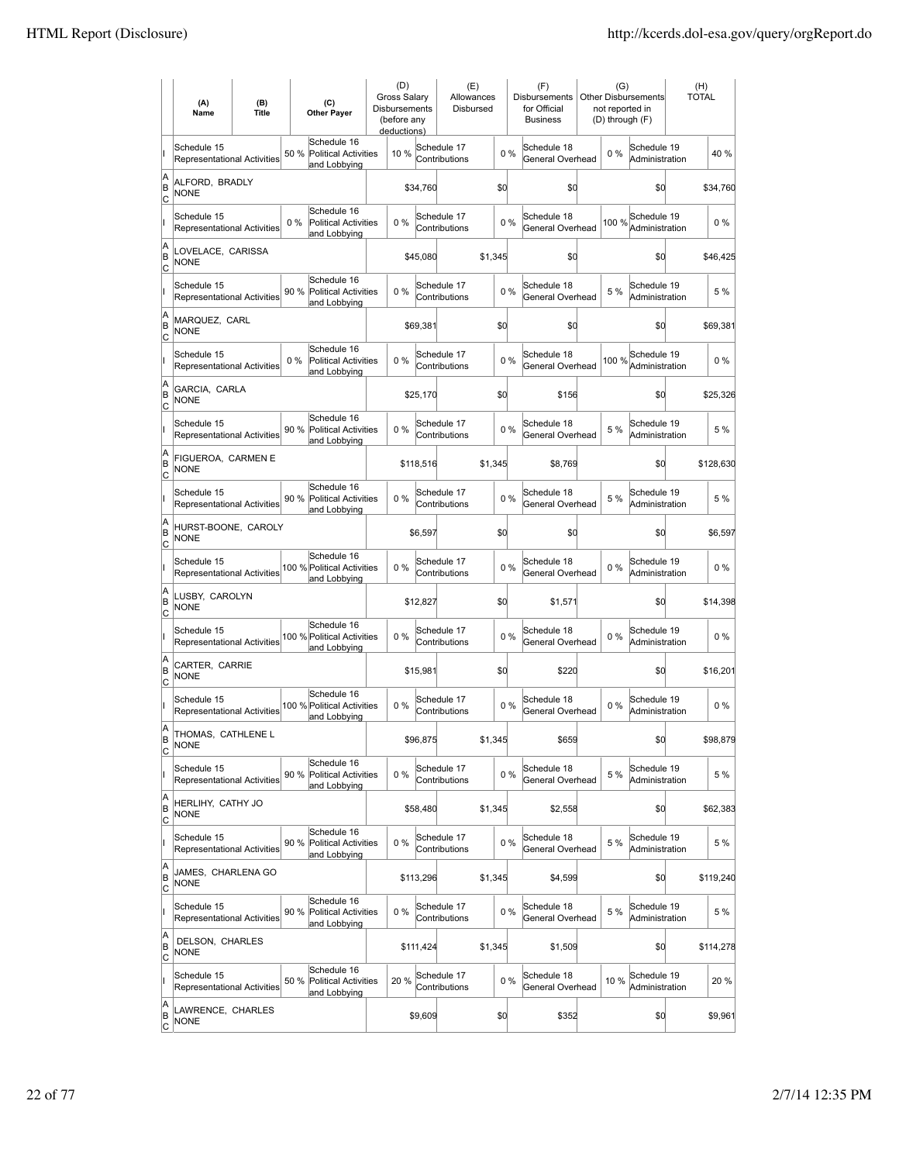|                     | (A)<br>Name                                       | (B)<br><b>Title</b> | (C)<br><b>Other Payer</b>                                           | (D)<br>Gross Salary<br>Disbursements<br>(before any<br>deductions) |           | (E)<br>Allowances<br>Disbursed |         |       | (F)<br>Disbursements<br>for Official<br><b>Business</b> | (G)<br>not reported in<br>(D) through (F) | <b>Other Disbursements</b>    | (H)<br><b>TOTAL</b> |           |
|---------------------|---------------------------------------------------|---------------------|---------------------------------------------------------------------|--------------------------------------------------------------------|-----------|--------------------------------|---------|-------|---------------------------------------------------------|-------------------------------------------|-------------------------------|---------------------|-----------|
|                     | Schedule 15<br>Representational Activities        |                     | Schedule 16<br>50 %<br><b>Political Activities</b><br>and Lobbying  | 10 %                                                               |           | Schedule 17<br>Contributions   |         | 0%    | Schedule 18<br>General Overhead                         | $0\%$                                     | Schedule 19<br>Administration |                     | 40 %      |
| A<br>ΙB<br> c       | ALFORD, BRADLY<br><b>NONE</b>                     |                     |                                                                     |                                                                    | \$34,760  |                                | \$d     |       | \$0                                                     |                                           | \$0                           |                     | \$34,760  |
|                     | Schedule 15<br><b>Representational Activities</b> |                     | Schedule 16<br>$0\%$<br><b>Political Activities</b><br>and Lobbying | 0%                                                                 |           | Schedule 17<br>Contributions   |         | 0%    | Schedule 18<br>General Overhead                         | 100 %                                     | Schedule 19<br>Administration |                     | $0\%$     |
| A<br>B<br>C         | LOVELACE, CARISSA<br><b>NONE</b>                  |                     |                                                                     |                                                                    | \$45,080  |                                | \$1,345 |       | \$0                                                     |                                           | \$0                           |                     | \$46,425  |
|                     | Schedule 15<br><b>Representational Activities</b> |                     | Schedule 16<br>90 %<br><b>Political Activities</b><br>and Lobbying  | 0%                                                                 |           | Schedule 17<br>Contributions   |         | 0%    | Schedule 18<br>General Overhead                         | 5 %                                       | Schedule 19<br>Administration |                     | 5 %       |
| A<br>B<br> c        | MARQUEZ, CARL<br><b>NONE</b>                      |                     |                                                                     |                                                                    | \$69,381  |                                | \$d     |       | \$0                                                     |                                           | \$0                           |                     | \$69,381  |
|                     | Schedule 15<br><b>Representational Activities</b> |                     | Schedule 16<br>$0\%$<br><b>Political Activities</b><br>and Lobbying | 0%                                                                 |           | Schedule 17<br>Contributions   |         | 0%    | Schedule 18<br>General Overhead                         | 100 %                                     | Schedule 19<br>Administration |                     | $0\%$     |
| A<br>ΙB<br> c       | GARCIA, CARLA<br>NONE                             |                     |                                                                     |                                                                    | \$25,170  |                                | \$d     |       | \$156                                                   |                                           | \$0                           |                     | \$25,326  |
|                     | Schedule 15<br><b>Representational Activities</b> |                     | Schedule 16<br>90 % Political Activities<br>and Lobbying            | $0\%$                                                              |           | Schedule 17<br>Contributions   |         | $0\%$ | Schedule 18<br>General Overhead                         | 5 %                                       | Schedule 19<br>Administration |                     | 5 %       |
| A<br>B<br>c         | FIGUEROA, CARMEN E<br><b>NONE</b>                 |                     |                                                                     |                                                                    | \$118,516 |                                | \$1,345 |       | \$8,769                                                 |                                           | \$0                           |                     | \$128,630 |
|                     | Schedule 15<br>Representational Activities        |                     | Schedule 16<br>90 % Political Activities<br>and Lobbying            | 0%                                                                 |           | Schedule 17<br>Contributions   |         | 0%    | Schedule 18<br>General Overhead                         | 5 %                                       | Schedule 19<br>Administration |                     | 5 %       |
| A<br>B<br>C         | HURST-BOONE, CAROLY<br><b>NONE</b>                |                     |                                                                     |                                                                    | \$6,597   |                                | \$d     |       | \$0                                                     |                                           | \$0                           |                     | \$6,597   |
|                     | Schedule 15<br>Representational Activities        |                     | Schedule 16<br>100 % Political Activities<br>and Lobbying           | 0%                                                                 |           | Schedule 17<br>Contributions   |         | 0%    | Schedule 18<br>General Overhead                         | $0\%$                                     | Schedule 19<br>Administration |                     | $0\%$     |
| A<br>B<br>Iс        | LUSBY, CAROLYN<br><b>NONE</b>                     |                     |                                                                     |                                                                    | \$12,827  |                                | \$d     |       | \$1,571                                                 |                                           | \$d                           |                     | \$14,398  |
|                     | Schedule 15<br><b>Representational Activities</b> |                     | Schedule 16<br>100 % Political Activities<br>and Lobbying           | 0%                                                                 |           | Schedule 17<br>Contributions   |         | 0%    | Schedule 18<br>General Overhead                         | $0\%$                                     | Schedule 19<br>Administration |                     | $0\%$     |
| A<br>B<br> c        | CARTER, CARRIE<br><b>NONE</b>                     |                     |                                                                     |                                                                    | \$15,981  |                                | \$0     |       | \$220                                                   |                                           | \$0                           |                     | \$16,201  |
|                     | Schedule 15<br>Representational Activities        |                     | Schedule 16<br>100 % Political Activities<br>and Lobbving           | 0%                                                                 |           | Schedule 17<br>Contributions   |         | 0%    | Schedule 18<br>General Overhead                         | $0\%$                                     | Schedule 19<br>Administration |                     | $0\%$     |
| A<br>B<br>C         | THOMAS, CATHLENE L<br><b>NONE</b>                 |                     |                                                                     |                                                                    | \$96,875  |                                | \$1,345 |       | \$659                                                   |                                           | \$0                           |                     | \$98,879  |
|                     | Schedule 15<br>Representational Activities        |                     | Schedule 16<br>90 %<br><b>Political Activities</b><br>and Lobbying  | 0%                                                                 |           | Schedule 17<br>Contributions   |         | $0\%$ | Schedule 18<br>General Overhead                         | 5 %                                       | Schedule 19<br>Administration |                     | 5 %       |
| A<br>B<br>C         | HERLIHY, CATHY JO<br><b>NONE</b>                  |                     |                                                                     |                                                                    | \$58,480  |                                | \$1,345 |       | \$2,558                                                 |                                           | \$0                           |                     | \$62,383  |
|                     | Schedule 15<br><b>Representational Activities</b> |                     | Schedule 16<br>90 % Political Activities<br>and Lobbying            | $0\%$                                                              |           | Schedule 17<br>Contributions   |         | $0\%$ | Schedule 18<br>General Overhead                         | 5 %                                       | Schedule 19<br>Administration |                     | 5 %       |
| A<br>B<br>C         | JAMES, CHARLENA GO<br><b>NONE</b>                 |                     |                                                                     |                                                                    | \$113,296 |                                | \$1,345 |       | \$4,599                                                 |                                           | \$0                           |                     | \$119,240 |
|                     | Schedule 15<br>Representational Activities        |                     | Schedule 16<br>90 % Political Activities<br>and Lobbying            | 0%                                                                 |           | Schedule 17<br>Contributions   |         | $0\%$ | Schedule 18<br>General Overhead                         | 5 %                                       | Schedule 19<br>Administration |                     | 5 %       |
| A<br>B<br>C         | DELSON, CHARLES<br><b>NONE</b>                    |                     |                                                                     |                                                                    | \$111,424 |                                | \$1,345 |       | \$1,509                                                 |                                           | \$d                           |                     | \$114,278 |
|                     | Schedule 15<br>Representational Activities        |                     | Schedule 16<br>50 %<br><b>Political Activities</b><br>and Lobbying  | 20 %                                                               |           | Schedule 17<br>Contributions   |         | 0%    | Schedule 18<br>General Overhead                         | 10%                                       | Schedule 19<br>Administration |                     | 20 %      |
| A<br>B<br><u>lc</u> | LAWRENCE, CHARLES<br>NONE                         |                     |                                                                     |                                                                    | \$9,609   |                                | \$0     |       | \$352                                                   |                                           | \$d                           |                     | \$9,961   |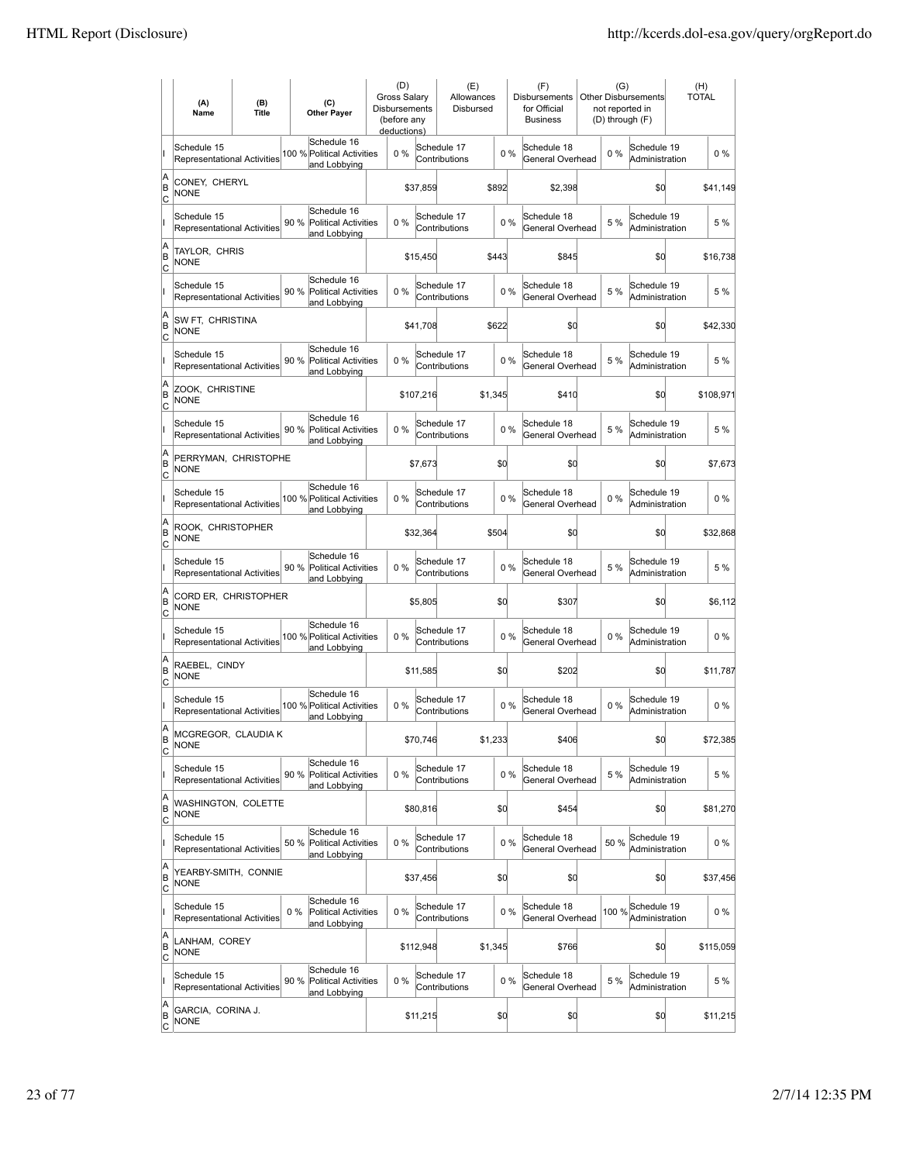|                     | (A)<br>Name                                       | (B)<br><b>Title</b> | (C)<br><b>Other Payer</b>                                           | (D)<br>Gross Salary<br>Disbursements<br>(before any<br>deductions) |           | (E)<br>Allowances<br>Disbursed |         |       | (F)<br><b>Disbursements</b><br>for Official<br><b>Business</b> | (G)<br>not reported in<br>(D) through (F) | Other Disbursements           | (H)<br><b>TOTAL</b> |
|---------------------|---------------------------------------------------|---------------------|---------------------------------------------------------------------|--------------------------------------------------------------------|-----------|--------------------------------|---------|-------|----------------------------------------------------------------|-------------------------------------------|-------------------------------|---------------------|
|                     | Schedule 15<br>Representational Activities        |                     | Schedule 16<br>100 % Political Activities<br>and Lobbying           | $0\%$                                                              |           | Schedule 17<br>Contributions   |         | $0\%$ | Schedule 18<br>General Overhead                                | 0%                                        | Schedule 19<br>Administration | $0\%$               |
| A<br>ΙB<br> c       | CONEY, CHERYL<br><b>NONE</b>                      |                     |                                                                     |                                                                    | \$37,859  |                                | \$892   |       | \$2,398                                                        |                                           | \$0                           | \$41,149            |
|                     | Schedule 15<br>Representational Activities        |                     | Schedule 16<br>90 %<br><b>Political Activities</b><br>and Lobbying  | 0%                                                                 |           | Schedule 17<br>Contributions   |         | 0%    | Schedule 18<br>General Overhead                                | 5 %                                       | Schedule 19<br>Administration | 5 %                 |
| A<br>B<br>c         | TAYLOR, CHRIS<br>NONE                             |                     |                                                                     |                                                                    | \$15,450  |                                | \$443   |       | \$845                                                          |                                           | \$0                           | \$16,738            |
|                     | Schedule 15<br>Representational Activities        |                     | Schedule 16<br>90 %<br><b>Political Activities</b><br>and Lobbying  | 0%                                                                 |           | Schedule 17<br>Contributions   |         | 0%    | Schedule 18<br>General Overhead                                | 5 %                                       | Schedule 19<br>Administration | 5 %                 |
| A<br>B<br> c        | SW FT, CHRISTINA<br><b>NONE</b>                   |                     |                                                                     |                                                                    | \$41,708  |                                | \$622   |       | \$0                                                            |                                           | \$0                           | \$42,330            |
|                     | Schedule 15<br>Representational Activities        |                     | Schedule 16<br>90%<br><b>Political Activities</b><br>and Lobbying   | 0%                                                                 |           | Schedule 17<br>Contributions   |         | 0%    | Schedule 18<br>General Overhead                                | 5 %                                       | Schedule 19<br>Administration | 5 %                 |
| A<br>ΙB<br> c       | ZOOK, CHRISTINE<br>NONE                           |                     |                                                                     |                                                                    | \$107,216 |                                | \$1,345 |       | \$410                                                          |                                           | \$0                           | \$108,971           |
|                     | Schedule 15<br><b>Representational Activities</b> |                     | Schedule 16<br>90 % Political Activities<br>and Lobbying            | $0\%$                                                              |           | Schedule 17<br>Contributions   |         | 0%    | Schedule 18<br>General Overhead                                | 5 %                                       | Schedule 19<br>Administration | 5 %                 |
| A<br>B<br>C         | PERRYMAN, CHRISTOPHE<br><b>NONE</b>               |                     |                                                                     |                                                                    | \$7,673   |                                | \$d     |       | \$0                                                            |                                           | \$0                           | \$7,673             |
|                     | Schedule 15<br>Representational Activities        |                     | Schedule 16<br>100 % Political Activities<br>and Lobbying           | 0%                                                                 |           | Schedule 17<br>Contributions   |         | 0%    | Schedule 18<br>General Overhead                                | 0%                                        | Schedule 19<br>Administration | $0\%$               |
| A<br>B<br>C         | ROOK, CHRISTOPHER<br><b>NONE</b>                  |                     |                                                                     |                                                                    | \$32,364  |                                | \$504   |       | \$0                                                            |                                           | \$0                           | \$32,868            |
|                     | Schedule 15<br>Representational Activities        |                     | Schedule 16<br>90 %<br><b>Political Activities</b><br>and Lobbying  | 0%                                                                 |           | Schedule 17<br>Contributions   |         | 0%    | Schedule 18<br>General Overhead                                | 5 %                                       | Schedule 19<br>Administration | 5 %                 |
| A<br>B<br>Iс        | CORD ER, CHRISTOPHER<br><b>NONE</b>               |                     |                                                                     |                                                                    | \$5,805   |                                | \$d     |       | \$307                                                          |                                           | \$d                           | \$6,112             |
|                     | Schedule 15<br><b>Representational Activities</b> |                     | Schedule 16<br>100 % Political Activities<br>and Lobbying           | 0%                                                                 |           | Schedule 17<br>Contributions   |         | 0%    | Schedule 18<br>General Overhead                                | 0%                                        | Schedule 19<br>Administration | $0\%$               |
| A<br>B<br> c        | RAEBEL, CINDY<br><b>NONE</b>                      |                     |                                                                     |                                                                    | \$11,585  |                                | \$d     |       | \$202                                                          |                                           | \$0                           | \$11,787            |
|                     | Schedule 15<br>Representational Activities        |                     | Schedule 16<br>100 % Political Activities<br>and Lobbving           | 0%                                                                 |           | Schedule 17<br>Contributions   |         | 0%    | Schedule 18<br>General Overhead                                | 0%                                        | Schedule 19<br>Administration | $0\%$               |
| A<br>B<br>C         | MCGREGOR, CLAUDIA K<br><b>NONE</b>                |                     |                                                                     |                                                                    | \$70,746  |                                | \$1,233 |       | \$406                                                          |                                           | \$0                           | \$72,385            |
|                     | Schedule 15<br>Representational Activities        |                     | Schedule 16<br>90%<br><b>Political Activities</b><br>and Lobbying   | $0\%$                                                              |           | Schedule 17<br>Contributions   |         | 0%    | Schedule 18<br>General Overhead                                | 5 %                                       | Schedule 19<br>Administration | 5 %                 |
| A<br>B<br>C         | WASHINGTON, COLETTE<br><b>NONE</b>                |                     |                                                                     |                                                                    | \$80,816  |                                | \$d     |       | \$454                                                          |                                           | \$d                           | \$81,270            |
|                     | Schedule 15<br><b>Representational Activities</b> |                     | Schedule 16<br>50 % Political Activities<br>and Lobbying            | 0%                                                                 |           | Schedule 17<br>Contributions   |         | 0%    | Schedule 18<br>General Overhead                                | 50 %                                      | Schedule 19<br>Administration | $0\%$               |
| A<br>B<br>C         | YEARBY-SMITH, CONNIE<br><b>NONE</b>               |                     |                                                                     |                                                                    | \$37,456  |                                | \$d     |       | \$0                                                            |                                           | \$d                           | \$37,456            |
|                     | Schedule 15<br>Representational Activities        |                     | Schedule 16<br><b>Political Activities</b><br>$0\%$<br>and Lobbying | 0%                                                                 |           | Schedule 17<br>Contributions   |         | 0%    | Schedule 18<br>General Overhead                                | 100 %                                     | Schedule 19<br>Administration | $0\%$               |
| A<br>B<br>C         | LANHAM, COREY<br><b>NONE</b>                      |                     |                                                                     |                                                                    | \$112,948 |                                | \$1,345 |       | \$766                                                          |                                           | \$d                           | \$115,059           |
|                     | Schedule 15<br>Representational Activities        |                     | Schedule 16<br>90 %<br><b>Political Activities</b><br>and Lobbying  | 0%                                                                 |           | Schedule 17<br>Contributions   |         | 0%    | Schedule 18<br>General Overhead                                | 5 %                                       | Schedule 19<br>Administration | 5 %                 |
| A<br>B<br><u>lc</u> | GARCIA, CORINA J.<br><b>NONE</b>                  |                     |                                                                     |                                                                    | \$11,215  |                                | \$0     |       | \$0                                                            |                                           | \$d                           | \$11,215            |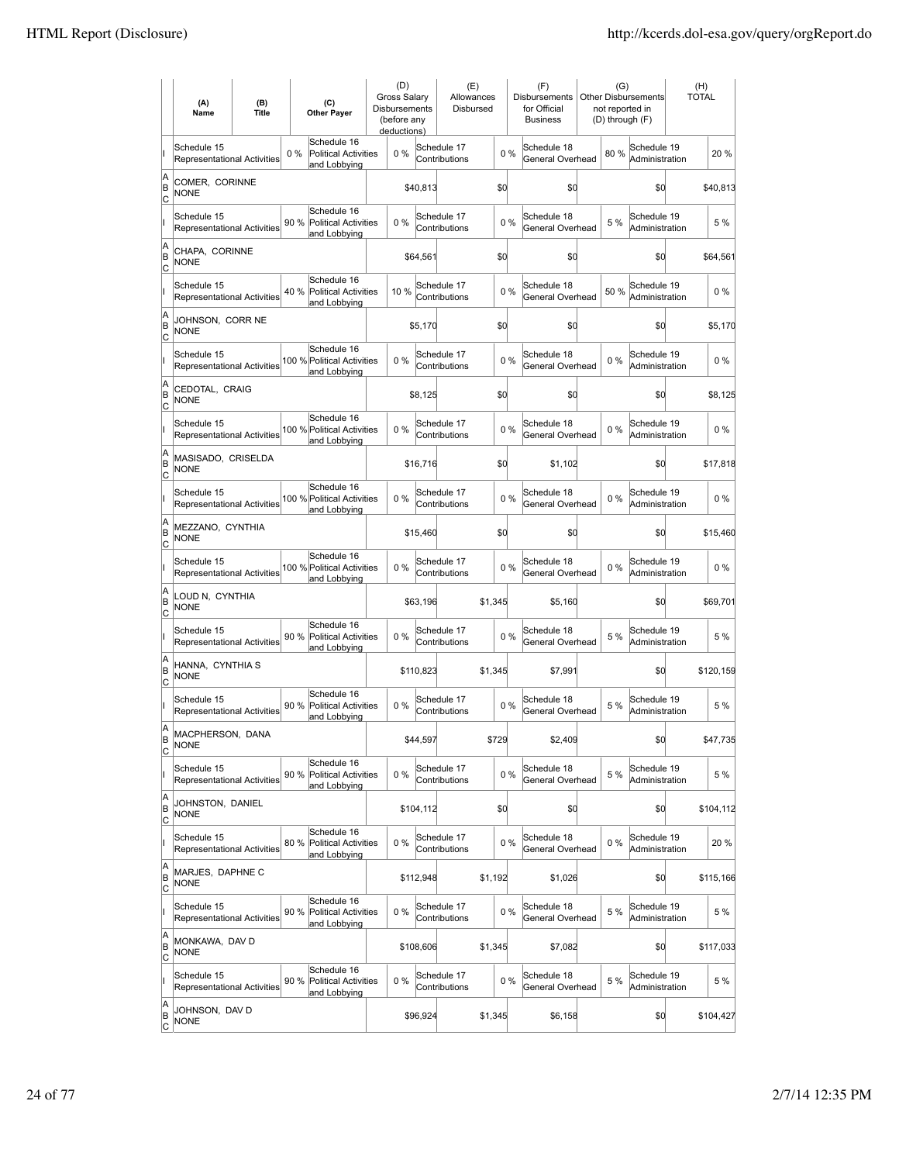|                     | (A)<br>Name                                       | (B)<br>Title | (C)<br><b>Other Payer</b>                                          | (D)<br><b>Gross Salary</b><br><b>Disbursements</b><br>(before any<br>deductions) |           | (E)<br>Allowances<br>Disbursed |         |       | (F)<br><b>Disbursements</b><br>for Official<br><b>Business</b> | (G)   | <b>Other Disbursements</b><br>not reported in<br>(D) through (F) | (H)<br><b>TOTAL</b> |
|---------------------|---------------------------------------------------|--------------|--------------------------------------------------------------------|----------------------------------------------------------------------------------|-----------|--------------------------------|---------|-------|----------------------------------------------------------------|-------|------------------------------------------------------------------|---------------------|
|                     | Schedule 15<br><b>Representational Activities</b> |              | Schedule 16<br>0%<br>Political Activities<br>and Lobbying          | $0\%$                                                                            |           | Schedule 17<br>Contributions   |         | $0\%$ | Schedule 18<br>General Overhead                                | 80%   | Schedule 19<br>Administration                                    | 20 %                |
| A<br>ΙB<br> c       | COMER, CORINNE<br><b>NONE</b>                     |              |                                                                    |                                                                                  | \$40,813  |                                | \$d     |       | \$O                                                            |       | \$0                                                              | \$40,813            |
|                     | Schedule 15<br>Representational Activities        |              | Schedule 16<br>90 % Political Activities<br>and Lobbying           | 0%                                                                               |           | Schedule 17<br>Contributions   |         | 0%    | Schedule 18<br>General Overhead                                | 5 %   | Schedule 19<br>Administration                                    | 5 %                 |
| A<br>B<br>c         | CHAPA, CORINNE<br><b>NONE</b>                     |              |                                                                    |                                                                                  | \$64,561  |                                | \$0     |       | \$0                                                            |       | \$0                                                              | \$64,561            |
|                     | Schedule 15<br>Representational Activities        |              | Schedule 16<br>40%<br><b>Political Activities</b><br>and Lobbying  | 10%                                                                              |           | Schedule 17<br>Contributions   |         | 0%    | Schedule 18<br>General Overhead                                | 50%   | Schedule 19<br>Administration                                    | $0\%$               |
| A<br>B<br> c        | JOHNSON, CORR NE<br>NONE                          |              |                                                                    |                                                                                  | \$5,170   |                                | \$0     |       | \$0                                                            |       | \$0                                                              | \$5,170             |
|                     | Schedule 15<br>Representational Activities        |              | Schedule 16<br>100 % Political Activities<br>and Lobbying          | 0%                                                                               |           | Schedule 17<br>Contributions   |         | 0%    | Schedule 18<br>General Overhead                                | $0\%$ | Schedule 19<br>Administration                                    | $0\%$               |
| A<br>ΙB<br> c       | CEDOTAL, CRAIG<br>NONE                            |              |                                                                    |                                                                                  | \$8,125   |                                | \$0     |       | \$O                                                            |       | \$0                                                              | \$8,125             |
|                     | Schedule 15<br><b>Representational Activities</b> |              | Schedule 16<br>100 % Political Activities<br>and Lobbying          | 0%                                                                               |           | Schedule 17<br>Contributions   |         | 0%    | Schedule 18<br>General Overhead                                | $0\%$ | Schedule 19<br>Administration                                    | $0\%$               |
| A<br>B<br>c         | MASISADO, CRISELDA<br><b>NONE</b>                 |              |                                                                    |                                                                                  | \$16,716  |                                | \$0     |       | \$1,102                                                        |       | \$0                                                              | \$17,818            |
|                     | Schedule 15<br>Representational Activities        |              | Schedule 16<br>100 % Political Activities<br>and Lobbying          | 0%                                                                               |           | Schedule 17<br>Contributions   |         | 0%    | Schedule 18<br>General Overhead                                | $0\%$ | Schedule 19<br>Administration                                    | $0\%$               |
| A<br>B<br>C         | MEZZANO, CYNTHIA<br><b>NONE</b>                   |              |                                                                    |                                                                                  | \$15,460  |                                | \$0     |       | \$0                                                            |       | \$0                                                              | \$15,460            |
|                     | Schedule 15<br><b>Representational Activities</b> |              | Schedule 16<br>100 % Political Activities<br>and Lobbying          | 0%                                                                               |           | Schedule 17<br>Contributions   |         | 0%    | Schedule 18<br>General Overhead                                | 0%    | Schedule 19<br>Administration                                    | $0\%$               |
| A<br>B<br>Iс        | LOUD N, CYNTHIA<br><b>NONE</b>                    |              |                                                                    |                                                                                  | \$63,196  |                                | \$1,345 |       | \$5,160                                                        |       | \$0                                                              | \$69,701            |
|                     | Schedule 15<br><b>Representational Activities</b> |              | Schedule 16<br>90 %<br><b>Political Activities</b><br>and Lobbying | 0%                                                                               |           | Schedule 17<br>Contributions   |         | 0%    | Schedule 18<br>General Overhead                                | 5 %   | Schedule 19<br>Administration                                    | 5 %                 |
| A<br>B<br> c        | HANNA, CYNTHIA S<br><b>NONE</b>                   |              |                                                                    |                                                                                  | \$110,823 |                                | \$1,345 |       | \$7,991                                                        |       | \$0                                                              | \$120,159           |
|                     | Schedule 15<br><b>Representational Activities</b> |              | Schedule 16<br>90 %<br><b>Political Activities</b><br>and Lobbving | 0%                                                                               |           | Schedule 17<br>Contributions   |         | 0%    | Schedule 18<br>General Overhead                                | 5 %   | Schedule 19<br>Administration                                    | 5 %                 |
| A<br>ΙB<br>C        | MACPHERSON, DANA<br><b>NONE</b>                   |              |                                                                    |                                                                                  | \$44,597  |                                | \$729   |       | \$2,409                                                        |       | \$0                                                              | \$47,735            |
|                     | Schedule 15<br><b>Representational Activities</b> |              | Schedule 16<br>90%<br><b>Political Activities</b><br>and Lobbying  | 0%                                                                               |           | Schedule 17<br>Contributions   |         | 0%    | Schedule 18<br>General Overhead                                | 5 %   | Schedule 19<br>Administration                                    | 5 %                 |
| A<br>B<br>C         | JOHNSTON, DANIEL<br><b>NONE</b>                   |              |                                                                    |                                                                                  | \$104,112 |                                | \$0     |       | \$O                                                            |       | \$0                                                              | \$104,112           |
|                     | Schedule 15<br><b>Representational Activities</b> |              | Schedule 16<br>80 % Political Activities<br>and Lobbying           | $0\%$                                                                            |           | Schedule 17<br>Contributions   |         | 0%    | Schedule 18<br>General Overhead                                | $0\%$ | Schedule 19<br>Administration                                    | 20 %                |
| A<br>B<br>C         | MARJES, DAPHNE C<br><b>NONE</b>                   |              |                                                                    |                                                                                  | \$112,948 |                                | \$1,192 |       | \$1,026                                                        |       | \$0                                                              | \$115,166           |
|                     | Schedule 15<br>Representational Activities        |              | Schedule 16<br>90 % Political Activities<br>and Lobbying           | 0%                                                                               |           | Schedule 17<br>Contributions   |         | 0%    | Schedule 18<br>General Overhead                                | 5 %   | Schedule 19<br>Administration                                    | 5 %                 |
| A<br>B<br> c        | MONKAWA, DAV D<br><b>NONE</b>                     |              |                                                                    |                                                                                  | \$108,606 |                                | \$1,345 |       | \$7,082                                                        |       | \$d                                                              | \$117,033           |
|                     | Schedule 15<br>Representational Activities        |              | Schedule 16<br>90 %<br><b>Political Activities</b><br>and Lobbying | 0%                                                                               |           | Schedule 17<br>Contributions   |         | 0%    | Schedule 18<br>General Overhead                                | 5 %   | Schedule 19<br>Administration                                    | 5 %                 |
| A<br>B<br><u>lc</u> | Johnson, Dav D<br><b>NONE</b>                     |              |                                                                    |                                                                                  | \$96,924  |                                | \$1,345 |       | \$6,158                                                        |       | \$0                                                              | \$104,427           |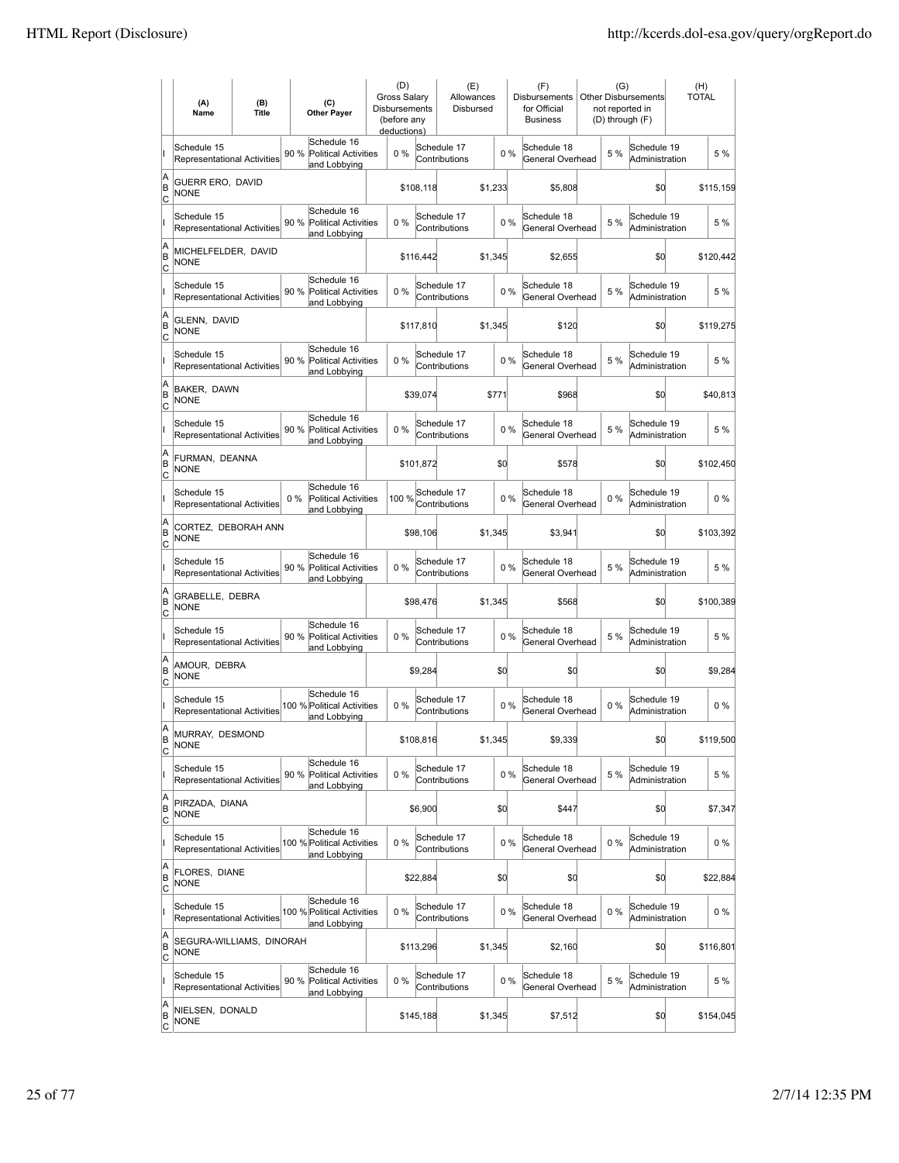|                        | (A)<br>Name                                       | (B)<br><b>Title</b> | (C)<br><b>Other Paver</b>                                           | (D)<br><b>Gross Salarv</b><br><b>Disbursements</b><br>(before any<br>deductions) |           | (E)<br>Allowances<br>Disbursed |         |       | (F)<br><b>Disbursements</b><br>for Official<br><b>Business</b> | (G)<br>not reported in | <b>Other Disbursements</b><br>(D) through (F) | (H)<br><b>TOTAL</b> |           |
|------------------------|---------------------------------------------------|---------------------|---------------------------------------------------------------------|----------------------------------------------------------------------------------|-----------|--------------------------------|---------|-------|----------------------------------------------------------------|------------------------|-----------------------------------------------|---------------------|-----------|
|                        | Schedule 15<br>Representational Activities        |                     | Schedule 16<br>90 %<br><b>Political Activities</b><br>and Lobbying  | 0%                                                                               |           | Schedule 17<br>Contributions   |         | 0%    | Schedule 18<br>General Overhead                                | 5 %                    | Schedule 19<br>Administration                 |                     | 5 %       |
| A<br>B<br>lc           | GUERR ERO, DAVID<br><b>NONE</b>                   |                     |                                                                     |                                                                                  | \$108,118 |                                | \$1,233 |       | \$5,808                                                        |                        | \$0                                           |                     | \$115,159 |
|                        | Schedule 15<br>Representational Activities        |                     | Schedule 16<br>90 %<br><b>Political Activities</b><br>and Lobbying  | 0%                                                                               |           | Schedule 17<br>Contributions   |         | 0%    | Schedule 18<br>General Overhead                                | 5 %                    | Schedule 19<br>Administration                 |                     | 5 %       |
| A<br>B<br>C            | MICHELFELDER, DAVID<br><b>NONE</b>                |                     |                                                                     |                                                                                  | \$116,442 |                                | \$1,345 |       | \$2,655                                                        |                        | \$0                                           |                     | \$120,442 |
|                        | Schedule 15<br>Representational Activities        |                     | Schedule 16<br>90%<br><b>Political Activities</b><br>and Lobbying   | 0%                                                                               |           | Schedule 17<br>Contributions   |         | 0%    | Schedule 18<br>General Overhead                                | 5 %                    | Schedule 19<br>Administration                 |                     | 5 %       |
| A<br>B<br>Ιc           | GLENN, DAVID<br><b>NONE</b>                       |                     |                                                                     |                                                                                  | \$117,810 |                                | \$1,345 |       | \$120                                                          |                        | \$0                                           |                     | \$119,275 |
|                        | Schedule 15<br><b>Representational Activities</b> |                     | Schedule 16<br>90%<br>Political Activities<br>and Lobbying          | $0\%$                                                                            |           | Schedule 17<br>Contributions   |         | $0\%$ | Schedule 18<br>General Overhead                                | 5 %                    | Schedule 19<br>Administration                 |                     | 5 %       |
| A<br>B<br>lc           | <b>BAKER, DAWN</b><br><b>NONE</b>                 |                     |                                                                     |                                                                                  | \$39.074  |                                | \$771   |       | \$968                                                          |                        | \$0                                           |                     | \$40,813  |
|                        | Schedule 15<br><b>Representational Activities</b> |                     | Schedule 16<br>90 %<br><b>Political Activities</b><br>and Lobbying  | 0%                                                                               |           | Schedule 17<br>Contributions   |         | 0%    | Schedule 18<br>General Overhead                                | 5 %                    | Schedule 19<br>Administration                 |                     | 5 %       |
| A<br>B<br>C            | FURMAN, DEANNA<br><b>NONE</b>                     |                     |                                                                     |                                                                                  | \$101,872 |                                | \$0     |       | \$578                                                          |                        | \$0                                           |                     | \$102,450 |
|                        | Schedule 15<br>Representational Activities        |                     | Schedule 16<br>$0\%$<br><b>Political Activities</b><br>and Lobbying | 100 %                                                                            |           | Schedule 17<br>Contributions   |         | 0%    | Schedule 18<br>General Overhead                                | $0\%$                  | Schedule 19<br>Administration                 |                     | $0\%$     |
| A<br>B<br>C            | CORTEZ, DEBORAH ANN<br><b>NONE</b>                |                     |                                                                     |                                                                                  | \$98,106  |                                | \$1,345 |       | \$3,941                                                        |                        | \$0                                           |                     | \$103,392 |
|                        | Schedule 15<br><b>Representational Activities</b> |                     | Schedule 16<br>90 %<br><b>Political Activities</b><br>and Lobbying  | $0\%$                                                                            |           | Schedule 17<br>Contributions   |         | $0\%$ | Schedule 18<br>General Overhead                                | 5 %                    | Schedule 19<br>Administration                 |                     | 5 %       |
| A<br>B<br> c           | GRABELLE, DEBRA<br><b>NONE</b>                    |                     |                                                                     |                                                                                  | \$98,476  |                                | \$1,345 |       | \$568                                                          |                        | \$d                                           |                     | \$100,389 |
|                        | Schedule 15<br>Representational Activities        |                     | Schedule 16<br>90 %<br><b>Political Activities</b><br>and Lobbying  | 0%                                                                               |           | Schedule 17<br>Contributions   |         | 0%    | Schedule 18<br>General Overhead                                | 5 %                    | Schedule 19<br>Administration                 |                     | 5 %       |
| A<br>B<br> c           | AMOUR, DEBRA<br><b>NONE</b>                       |                     |                                                                     |                                                                                  | \$9,284   |                                | \$0     |       | \$0                                                            |                        | \$0                                           |                     | \$9,284   |
|                        | Schedule 15<br>Representational Activities        |                     | Schedule 16<br>100 % Political Activities<br>and Lobbying           | 0%                                                                               |           | Schedule 17<br>Contributions   |         | 0%    | Schedule 18<br>General Overhead                                | 0%                     | Schedule 19<br>Administration                 |                     | $0\%$     |
| A<br>B<br>C            | MURRAY, DESMOND<br><b>NONE</b>                    |                     |                                                                     |                                                                                  | \$108,816 |                                | \$1,345 |       | \$9,339                                                        |                        | \$0                                           |                     | \$119,500 |
|                        | Schedule 15<br>Representational Activities        |                     | Schedule 16<br>90%<br>Political Activities<br>and Lobbying          | 0%                                                                               |           | Schedule 17<br>Contributions   |         | 0%    | Schedule 18<br>General Overhead                                | 5 %                    | Schedule 19<br>Administration                 |                     | 5 %       |
| A<br>B<br><u>lc</u>    | PIRZADA, DIANA<br><b>NONE</b>                     |                     |                                                                     |                                                                                  | \$6,900   |                                | \$d     |       | \$447                                                          |                        | \$0                                           |                     | \$7,347   |
|                        | Schedule 15<br><b>Representational Activities</b> |                     | Schedule 16<br>100 % Political Activities<br>and Lobbying           | 0%                                                                               |           | Schedule 17<br>Contributions   |         | 0%    | Schedule 18<br>General Overhead                                | $0\%$                  | Schedule 19<br>Administration                 |                     | $0\%$     |
| A<br>B<br>$\mathsf{C}$ | FLORES, DIANE<br><b>NONE</b>                      |                     |                                                                     |                                                                                  | \$22,884  |                                | \$d     |       | \$0                                                            |                        | \$0                                           |                     | \$22,884  |
|                        | Schedule 15<br>Representational Activities        |                     | Schedule 16<br>100 % Political Activities<br>and Lobbying           | 0%                                                                               |           | Schedule 17<br>Contributions   |         | 0%    | Schedule 18<br>General Overhead                                | $0\%$                  | Schedule 19<br>Administration                 |                     | $0\%$     |
| A<br>B<br> c           | SEGURA-WILLIAMS, DINORAH<br>NONE                  |                     |                                                                     |                                                                                  | \$113,296 |                                | \$1,345 |       | \$2,160                                                        |                        | \$0                                           |                     | \$116,801 |
|                        | Schedule 15<br>Representational Activities        |                     | Schedule 16<br>90 %<br>Political Activities<br>and Lobbying         | 0%                                                                               |           | Schedule 17<br>Contributions   |         | 0%    | Schedule 18<br>General Overhead                                | 5 %                    | Schedule 19<br>Administration                 |                     | 5 %       |
| A<br>B<br><u>lc</u>    | NIELSEN, DONALD<br>NONE                           |                     |                                                                     |                                                                                  | \$145,188 |                                | \$1,345 |       | \$7,512                                                        |                        | \$0                                           |                     | \$154,045 |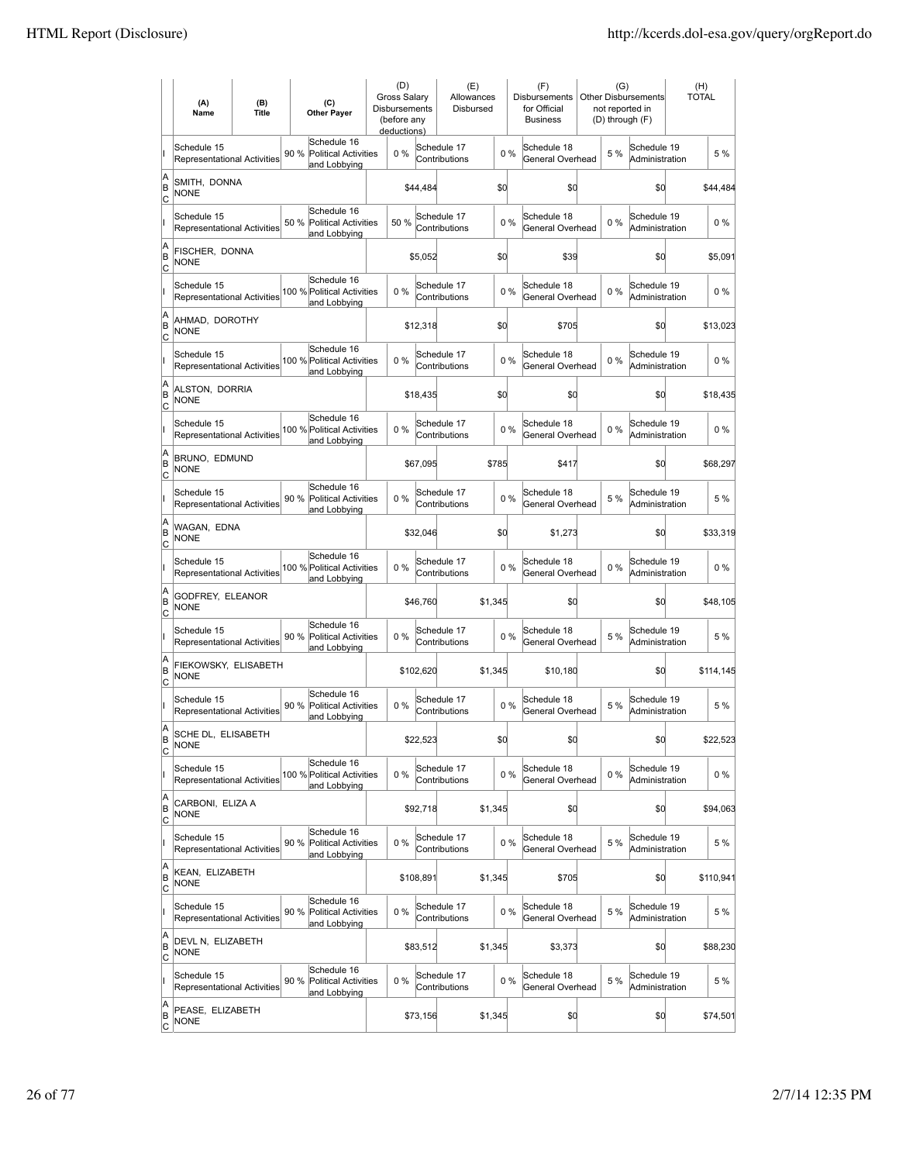|                        | (A)<br>Name                                       | (B)<br><b>Title</b> | (C)<br><b>Other Payer</b>                                          | (D)<br><b>Gross Salary</b><br>Disbursements<br>(before any<br>deductions) |           | (E)<br>Allowances<br>Disbursed |         |       | (F)<br>Disbursements<br>for Official<br><b>Business</b> | (G)<br><b>Other Disbursements</b><br>not reported in<br>(D) through (F) | (H)<br>TOTAL |           |
|------------------------|---------------------------------------------------|---------------------|--------------------------------------------------------------------|---------------------------------------------------------------------------|-----------|--------------------------------|---------|-------|---------------------------------------------------------|-------------------------------------------------------------------------|--------------|-----------|
|                        | Schedule 15<br>Representational Activities        |                     | Schedule 16<br>90 %<br><b>Political Activities</b><br>and Lobbying | $0\%$                                                                     |           | Schedule 17<br>Contributions   |         | 0%    | Schedule 18<br>General Overhead                         | Schedule 19<br>5 %<br>Administration                                    |              | 5 %       |
| A<br>B<br>lc           | SMITH, DONNA<br><b>NONE</b>                       |                     |                                                                    |                                                                           | \$44,484  |                                | \$d     |       | \$0                                                     | \$0                                                                     |              | \$44,484  |
|                        | Schedule 15<br>Representational Activities        |                     | Schedule 16<br>50 %<br><b>Political Activities</b><br>and Lobbying | 50 %                                                                      |           | Schedule 17<br>Contributions   |         | 0%    | Schedule 18<br>General Overhead                         | Schedule 19<br>$0\%$<br>Administration                                  |              | $0\%$     |
| A<br>B<br>C            | FISCHER, DONNA<br><b>NONE</b>                     |                     |                                                                    |                                                                           | \$5,052   |                                | \$d     |       | \$39                                                    | \$0                                                                     |              | \$5,091   |
|                        | Schedule 15<br>Representational Activities        |                     | Schedule 16<br>100 % Political Activities<br>and Lobbying          | $0\%$                                                                     |           | Schedule 17<br>Contributions   |         | 0%    | Schedule 18<br>General Overhead                         | Schedule 19<br>$0\%$<br>Administration                                  |              | $0\%$     |
| A<br>B<br>C            | AHMAD, DOROTHY<br><b>NONE</b>                     |                     |                                                                    |                                                                           | \$12,318  |                                | \$d     |       | \$705                                                   | \$0                                                                     |              | \$13,023  |
|                        | Schedule 15<br><b>Representational Activities</b> |                     | Schedule 16<br>100 % Political Activities<br>and Lobbying          | $0\%$                                                                     |           | Schedule 17<br>Contributions   |         | 0%    | Schedule 18<br>General Overhead                         | Schedule 19<br>$0\%$<br>Administration                                  |              | $0\%$     |
| A<br>B<br>lc           | ALSTON, DORRIA<br><b>NONE</b>                     |                     |                                                                    |                                                                           | \$18,435  |                                | \$d     |       | \$0                                                     | \$0                                                                     |              | \$18,435  |
|                        | Schedule 15<br>Representational Activities        |                     | Schedule 16<br>100 % Political Activities<br>and Lobbying          | $0\%$                                                                     |           | Schedule 17<br>Contributions   |         | $0\%$ | Schedule 18<br>General Overhead                         | Schedule 19<br>$0\%$<br>Administration                                  |              | $0\%$     |
| A<br>B<br>C            | BRUNO, EDMUND<br><b>NONE</b>                      |                     |                                                                    |                                                                           | \$67,095  |                                | \$785   |       | \$417                                                   | \$0                                                                     |              | \$68,297  |
|                        | Schedule 15<br>Representational Activities        |                     | Schedule 16<br>90 % Political Activities<br>and Lobbying           | $0\%$                                                                     |           | Schedule 17<br>Contributions   |         | $0\%$ | Schedule 18<br>General Overhead                         | Schedule 19<br>5 %<br>Administration                                    |              | 5 %       |
| A<br>B<br>C            | WAGAN, EDNA<br><b>NONE</b>                        |                     |                                                                    |                                                                           | \$32,046  |                                | \$d     |       | \$1,273                                                 | \$0                                                                     |              | \$33,319  |
|                        | Schedule 15<br><b>Representational Activities</b> |                     | Schedule 16<br>100 % Political Activities<br>and Lobbying          | $0\%$                                                                     |           | Schedule 17<br>Contributions   |         | $0\%$ | Schedule 18<br>General Overhead                         | Schedule 19<br>$0\%$<br>Administration                                  |              | $0\%$     |
| A<br>B<br> c           | GODFREY, ELEANOR<br><b>NONE</b>                   |                     |                                                                    |                                                                           | \$46,760  |                                | \$1,345 |       | \$0                                                     | \$d                                                                     |              | \$48,105  |
|                        | Schedule 15<br>Representational Activities        |                     | Schedule 16<br>90 %<br><b>Political Activities</b><br>and Lobbying | $0\%$                                                                     |           | Schedule 17<br>Contributions   |         | $0\%$ | Schedule 18<br>General Overhead                         | Schedule 19<br>5 %<br>Administration                                    |              | 5 %       |
| A<br>B<br> c           | FIEKOWSKY, ELISABETH<br><b>NONE</b>               |                     |                                                                    |                                                                           | \$102,620 |                                | \$1,345 |       | \$10,180                                                | \$0                                                                     |              | \$114,145 |
|                        | Schedule 15<br>Representational Activities        |                     | Schedule 16<br>90%<br><b>Political Activities</b><br>and Lobbying  | $0\%$                                                                     |           | Schedule 17<br>Contributions   |         | 0%    | Schedule 18<br>General Overhead                         | Schedule 19<br>5 %<br>Administration                                    |              | 5 %       |
| A<br>B<br>C            | SCHE DL, ELISABETH<br><b>NONE</b>                 |                     |                                                                    |                                                                           | \$22,523  |                                | \$d     |       | \$0                                                     | \$0                                                                     |              | \$22,523  |
|                        | Schedule 15<br>Representational Activities        |                     | Schedule 16<br>100 % Political Activities<br>and Lobbying          | 0%                                                                        |           | Schedule 17<br>Contributions   |         | $0\%$ | Schedule 18<br>General Overhead                         | Schedule 19<br>$0\%$<br>Administration                                  |              | $0\%$     |
| A<br>B<br><u>lc</u>    | CARBONI, ELIZA A<br><b>NONE</b>                   |                     |                                                                    |                                                                           | \$92,718  |                                | \$1,345 |       | \$0                                                     | \$0                                                                     |              | \$94,063  |
|                        | Schedule 15<br>Representational Activities        |                     | Schedule 16<br>90 % Political Activities<br>and Lobbying           | 0%                                                                        |           | Schedule 17<br>Contributions   |         | $0\%$ | Schedule 18<br>General Overhead                         | Schedule 19<br>5 %<br>Administration                                    |              | 5 %       |
| A<br>B<br>$\mathsf{C}$ | KEAN, ELIZABETH<br><b>NONE</b>                    |                     |                                                                    |                                                                           | \$108,891 |                                | \$1,345 |       | \$705                                                   | \$0                                                                     |              | \$110,941 |
|                        | Schedule 15<br>Representational Activities        |                     | Schedule 16<br>90 % Political Activities<br>and Lobbying           | 0%                                                                        |           | Schedule 17<br>Contributions   |         | $0\%$ | Schedule 18<br>General Overhead                         | Schedule 19<br>5 %<br>Administration                                    |              | 5 %       |
| A<br>B<br> c           | DEVL N, ELIZABETH<br><b>NONE</b>                  |                     |                                                                    |                                                                           | \$83,512  |                                | \$1,345 |       | \$3,373                                                 | \$0                                                                     |              | \$88,230  |
|                        | Schedule 15<br>Representational Activities        |                     | Schedule 16<br>90 %<br><b>Political Activities</b><br>and Lobbying | 0%                                                                        |           | Schedule 17<br>Contributions   |         | 0%    | Schedule 18<br>General Overhead                         | Schedule 19<br>5 %<br>Administration                                    |              | 5 %       |
| A<br>B<br><u>lc</u>    | PEASE, ELIZABETH<br><b>NONE</b>                   |                     |                                                                    |                                                                           | \$73,156  |                                | \$1,345 |       | \$0                                                     | \$d                                                                     |              | \$74,501  |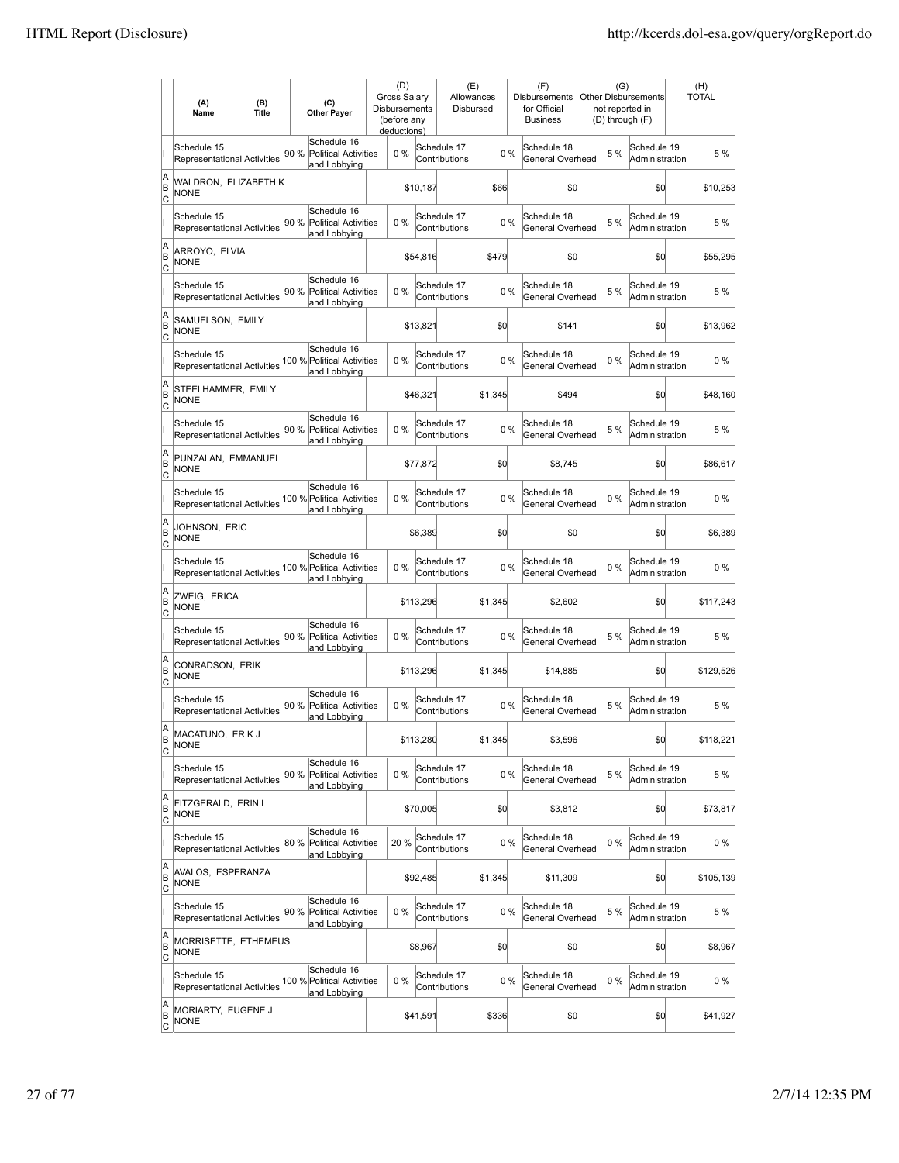|                        | (A)<br>Name                                       | (B)<br><b>Title</b> | (C)<br><b>Other Payer</b>                                          | (D)<br><b>Gross Salarv</b><br><b>Disbursements</b><br>(before any<br>deductions) |           | (E)<br>Allowances<br>Disbursed |         |    | (F)<br><b>Disbursements</b><br>for Official<br><b>Business</b> | (G)   | <b>Other Disbursements</b><br>not reported in<br>(D) through (F) | (H)<br><b>TOTAL</b> |
|------------------------|---------------------------------------------------|---------------------|--------------------------------------------------------------------|----------------------------------------------------------------------------------|-----------|--------------------------------|---------|----|----------------------------------------------------------------|-------|------------------------------------------------------------------|---------------------|
|                        | Schedule 15<br>Representational Activities        |                     | Schedule 16<br>90 %<br><b>Political Activities</b><br>and Lobbying | 0%                                                                               |           | Schedule 17<br>Contributions   |         | 0% | Schedule 18<br>General Overhead                                | 5 %   | Schedule 19<br>Administration                                    | 5 %                 |
| A<br>B<br>lc           | WALDRON, ELIZABETH K<br><b>NONE</b>               |                     |                                                                    |                                                                                  | \$10,187  |                                | \$66    |    | \$0                                                            |       | \$0                                                              | \$10,253            |
|                        | Schedule 15<br>Representational Activities        |                     | Schedule 16<br>90%<br>Political Activities<br>and Lobbying         | 0%                                                                               |           | Schedule 17<br>Contributions   |         | 0% | Schedule 18<br>General Overhead                                | 5 %   | Schedule 19<br>Administration                                    | 5 %                 |
| A<br>B<br>C            | ARROYO, ELVIA<br><b>NONE</b>                      |                     |                                                                    |                                                                                  | \$54,816  |                                | \$479   |    | \$0                                                            |       | \$0                                                              | \$55,295            |
|                        | Schedule 15<br>Representational Activities        |                     | Schedule 16<br>90%<br><b>Political Activities</b><br>and Lobbying  | 0%                                                                               |           | Schedule 17<br>Contributions   |         | 0% | Schedule 18<br>General Overhead                                | 5 %   | Schedule 19<br>Administration                                    | 5 %                 |
| A<br>B<br>Iс           | SAMUELSON, EMILY<br><b>NONE</b>                   |                     |                                                                    |                                                                                  | \$13,821  |                                | \$0     |    | \$141                                                          |       | \$0                                                              | \$13,962            |
|                        | Schedule 15<br><b>Representational Activities</b> |                     | Schedule 16<br>100 % Political Activities<br>and Lobbying          | $0\%$                                                                            |           | Schedule 17<br>Contributions   |         | 0% | Schedule 18<br>General Overhead                                | 0%    | Schedule 19<br>Administration                                    | $0\%$               |
| A<br>B<br>lc           | STEELHAMMER, EMILY<br>NONE                        |                     |                                                                    |                                                                                  | \$46,321  |                                | \$1,345 |    | \$494                                                          |       | \$0                                                              | \$48,160            |
|                        | Schedule 15<br>Representational Activities        |                     | Schedule 16<br>90 % Political Activities<br>and Lobbying           | 0%                                                                               |           | Schedule 17<br>Contributions   |         | 0% | Schedule 18<br>General Overhead                                | 5 %   | Schedule 19<br>Administration                                    | 5 %                 |
| A<br>B<br>C            | PUNZALAN, EMMANUEL<br><b>NONE</b>                 |                     |                                                                    |                                                                                  | \$77,872  |                                | \$0     |    | \$8,745                                                        |       | \$0                                                              | \$86,617            |
|                        | Schedule 15<br>Representational Activities        |                     | Schedule 16<br>100 % Political Activities<br>and Lobbying          | 0%                                                                               |           | Schedule 17<br>Contributions   |         | 0% | Schedule 18<br>General Overhead                                | 0%    | Schedule 19<br>Administration                                    | $0\%$               |
| A<br>B<br>C            | JOHNSON, ERIC<br><b>NONE</b>                      |                     |                                                                    |                                                                                  | \$6,389   |                                | \$0     |    | \$0                                                            |       | \$0                                                              | \$6,389             |
|                        | Schedule 15<br><b>Representational Activities</b> |                     | Schedule 16<br>100 % Political Activities<br>and Lobbying          | $0\%$                                                                            |           | Schedule 17<br>Contributions   |         | 0% | Schedule 18<br>General Overhead                                | 0%    | Schedule 19<br>Administration                                    | $0\%$               |
| A<br>B<br> c           | ZWEIG, ERICA<br><b>NONE</b>                       |                     |                                                                    |                                                                                  | \$113,296 |                                | \$1,345 |    | \$2,602                                                        |       | \$d                                                              | \$117,243           |
|                        | Schedule 15<br>Representational Activities        |                     | Schedule 16<br>90 %<br><b>Political Activities</b><br>and Lobbying | 0%                                                                               |           | Schedule 17<br>Contributions   |         | 0% | Schedule 18<br>General Overhead                                | 5 %   | Schedule 19<br>Administration                                    | 5 %                 |
| A<br>B<br> c           | CONRADSON, ERIK<br><b>NONE</b>                    |                     |                                                                    |                                                                                  | \$113,296 |                                | \$1,345 |    | \$14,885                                                       |       | \$0                                                              | \$129,526           |
|                        | Schedule 15<br>Representational Activities        |                     | Schedule 16<br>90%<br>Political Activities<br>and Lobbying         | 0%                                                                               |           | Schedule 17<br>Contributions   |         | 0% | Schedule 18<br>General Overhead                                | 5 %   | Schedule 19<br>Administration                                    | 5 %                 |
| A<br>B<br>C            | MACATUNO, ERKJ<br><b>NONE</b>                     |                     |                                                                    |                                                                                  | \$113,280 |                                | \$1,345 |    | \$3,596                                                        |       | \$0                                                              | \$118,221           |
|                        | Schedule 15<br>Representational Activities        |                     | Schedule 16<br>90%<br>Political Activities<br>and Lobbying         | 0%                                                                               |           | Schedule 17<br>Contributions   |         | 0% | Schedule 18<br>General Overhead                                | 5 %   | Schedule 19<br>Administration                                    | 5 %                 |
| A<br>B<br><u>lc</u>    | FITZGERALD, ERIN L<br><b>NONE</b>                 |                     |                                                                    |                                                                                  | \$70,005  |                                | \$0     |    | \$3,812                                                        |       | \$0                                                              | \$73,817            |
|                        | Schedule 15<br><b>Representational Activities</b> |                     | Schedule 16<br>80 % Political Activities<br>and Lobbying           | 20%                                                                              |           | Schedule 17<br>Contributions   |         | 0% | Schedule 18<br>General Overhead                                | $0\%$ | Schedule 19<br>Administration                                    | $0\%$               |
| A<br>B<br>$\mathsf{C}$ | AVALOS, ESPERANZA<br><b>NONE</b>                  |                     |                                                                    |                                                                                  | \$92,485  |                                | \$1,345 |    | \$11,309                                                       |       | \$0                                                              | \$105,139           |
|                        | Schedule 15<br>Representational Activities        |                     | Schedule 16<br>90 % Political Activities<br>and Lobbying           | 0%                                                                               |           | Schedule 17<br>Contributions   |         | 0% | Schedule 18<br>General Overhead                                | 5 %   | Schedule 19<br>Administration                                    | 5 %                 |
| A<br>B<br> c           | MORRISETTE, ETHEMEUS<br>NONE                      |                     |                                                                    |                                                                                  | \$8,967   |                                | \$0     |    | \$0                                                            |       | \$0                                                              | \$8,967             |
|                        | Schedule 15<br>Representational Activities        |                     | Schedule 16<br>100 % Political Activities<br>and Lobbying          | 0%                                                                               |           | Schedule 17<br>Contributions   |         | 0% | Schedule 18<br>General Overhead                                | $0\%$ | Schedule 19<br>Administration                                    | $0\%$               |
| A<br>B<br><u>lc</u>    | MORIARTY, EUGENE J<br><b>NONE</b>                 |                     |                                                                    |                                                                                  | \$41,591  |                                | \$336   |    | \$0                                                            |       | \$0                                                              | \$41,927            |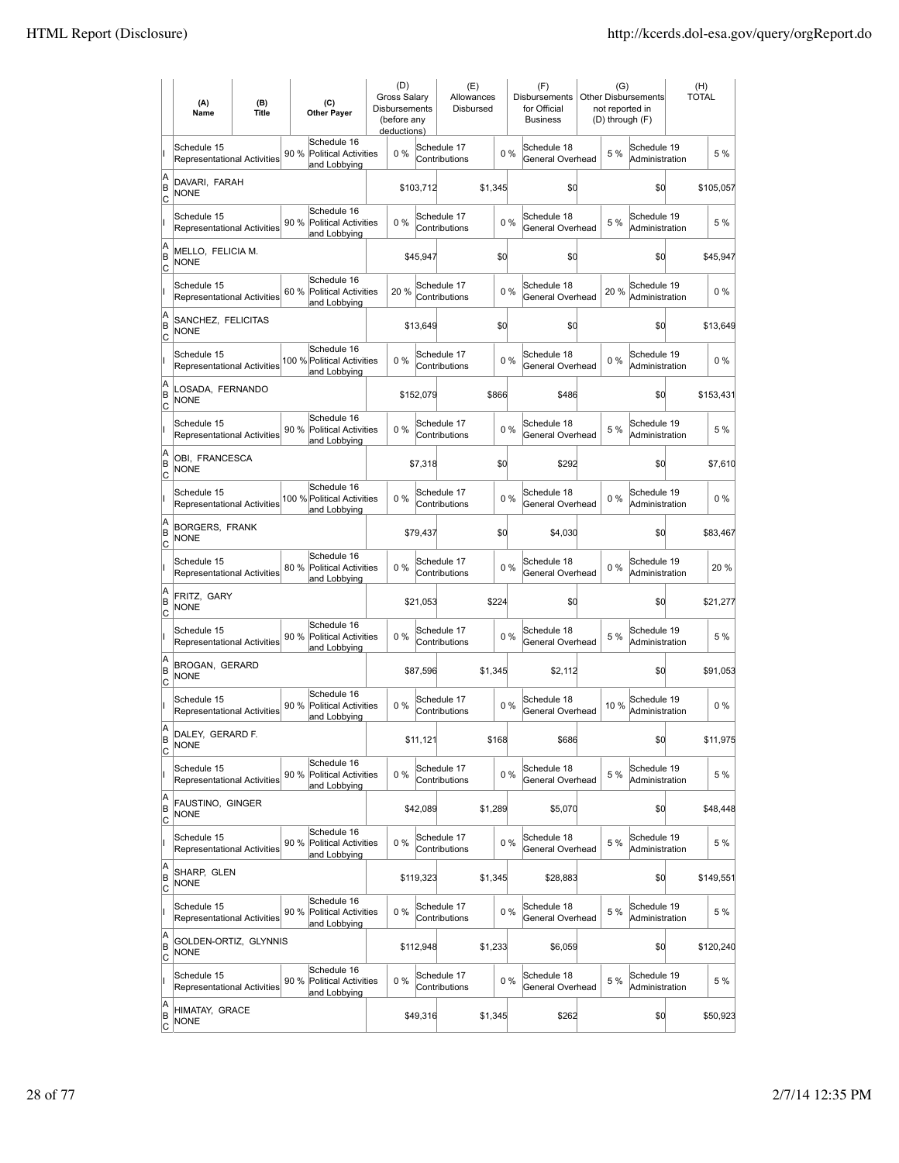|                        | (A)<br>Name                                       | (B)<br><b>Title</b> | (C)<br><b>Other Paver</b>                                          | (D)<br><b>Gross Salarv</b><br>Disbursements<br>(before any<br>deductions) |           | (E)<br>Allowances<br>Disbursed |         |       | (F)<br><b>Disbursements</b><br>for Official<br><b>Business</b> | (G)<br>not reported in<br>(D) through (F) | Other Disbursements           | (H)<br><b>TOTAL</b> |
|------------------------|---------------------------------------------------|---------------------|--------------------------------------------------------------------|---------------------------------------------------------------------------|-----------|--------------------------------|---------|-------|----------------------------------------------------------------|-------------------------------------------|-------------------------------|---------------------|
|                        | Schedule 15<br><b>Representational Activities</b> |                     | Schedule 16<br>90%<br><b>Political Activities</b><br>and Lobbying  | $0\%$                                                                     |           | Schedule 17<br>Contributions   |         | 0%    | Schedule 18<br>General Overhead                                | 5 %                                       | Schedule 19<br>Administration | 5 %                 |
| A<br>B<br>lc           | DAVARI, FARAH<br><b>NONE</b>                      |                     |                                                                    |                                                                           | \$103,712 |                                | \$1,345 |       | \$0                                                            |                                           | \$0                           | \$105,057           |
|                        | Schedule 15<br>Representational Activities        |                     | Schedule 16<br>90 %<br>Political Activities<br>and Lobbying        | 0%                                                                        |           | Schedule 17<br>Contributions   |         | 0%    | Schedule 18<br>General Overhead                                | 5 %                                       | Schedule 19<br>Administration | 5 %                 |
| A<br>B<br>C            | MELLO, FELICIA M.<br><b>NONE</b>                  |                     |                                                                    |                                                                           | \$45,947  |                                | \$d     |       | \$0                                                            |                                           | \$0                           | \$45,947            |
|                        | Schedule 15<br>Representational Activities        |                     | Schedule 16<br>60%<br><b>Political Activities</b><br>and Lobbying  | 20 %                                                                      |           | Schedule 17<br>Contributions   |         | 0%    | Schedule 18<br>General Overhead                                | 20%                                       | Schedule 19<br>Administration | $0\%$               |
| A<br>B<br>C            | SANCHEZ, FELICITAS<br>NONE                        |                     |                                                                    |                                                                           | \$13,649  |                                | \$d     |       | \$0                                                            |                                           | \$0                           | \$13,649            |
|                        | Schedule 15<br><b>Representational Activities</b> |                     | Schedule 16<br>100 % Political Activities<br>and Lobbying          | $0\%$                                                                     |           | Schedule 17<br>Contributions   |         | $0\%$ | Schedule 18<br>General Overhead                                | 0%                                        | Schedule 19<br>Administration | $0\%$               |
| A<br>B<br>lc           | LOSADA, FERNANDO<br>NONE                          |                     |                                                                    |                                                                           | \$152,079 |                                | \$866   |       | \$486                                                          |                                           | \$0                           | \$153,431           |
|                        | Schedule 15<br><b>Representational Activities</b> |                     | Schedule 16<br>90 %<br><b>Political Activities</b><br>and Lobbying | 0%                                                                        |           | Schedule 17<br>Contributions   |         | 0%    | Schedule 18<br>General Overhead                                | 5 %                                       | Schedule 19<br>Administration | 5 %                 |
| A<br>B<br>C            | OBI, FRANCESCA<br><b>NONE</b>                     |                     |                                                                    |                                                                           | \$7,318   |                                | \$d     |       | \$292                                                          |                                           | \$0                           | \$7,610             |
|                        | Schedule 15<br>Representational Activities        |                     | Schedule 16<br>100 % Political Activities<br>and Lobbying          | 0%                                                                        |           | Schedule 17<br>Contributions   |         | 0%    | Schedule 18<br>General Overhead                                | $0\%$                                     | Schedule 19<br>Administration | $0\%$               |
| A<br>B<br>C            | <b>BORGERS, FRANK</b><br><b>NONE</b>              |                     |                                                                    |                                                                           | \$79,437  |                                | \$d     |       | \$4,030                                                        |                                           | \$0                           | \$83,467            |
|                        | Schedule 15<br><b>Representational Activities</b> |                     | Schedule 16<br>80 %<br><b>Political Activities</b><br>and Lobbying | $0\%$                                                                     |           | Schedule 17<br>Contributions   |         | 0%    | Schedule 18<br>General Overhead                                | 0%                                        | Schedule 19<br>Administration | 20%                 |
| A<br>B<br> c           | FRITZ, GARY<br><b>NONE</b>                        |                     |                                                                    |                                                                           | \$21,053  |                                | \$224   |       | \$0                                                            |                                           | \$0                           | \$21,277            |
|                        | Schedule 15<br>Representational Activities        |                     | Schedule 16<br>90 %<br><b>Political Activities</b><br>and Lobbying | 0%                                                                        |           | Schedule 17<br>Contributions   |         | 0%    | Schedule 18<br>General Overhead                                | 5 %                                       | Schedule 19<br>Administration | 5 %                 |
| A<br>B<br> c           | BROGAN, GERARD<br><b>NONE</b>                     |                     |                                                                    |                                                                           | \$87,596  |                                | \$1,345 |       | \$2,112                                                        |                                           | \$0                           | \$91,053            |
|                        | Schedule 15<br>Representational Activities        |                     | Schedule 16<br>90 %<br>Political Activities<br>and Lobbying        | 0%                                                                        |           | Schedule 17<br>Contributions   |         | 0%    | Schedule 18<br>General Overhead                                | 10%                                       | Schedule 19<br>Administration | $0\%$               |
| A<br>B<br>C            | DALEY, GERARD F.<br><b>NONE</b>                   |                     |                                                                    |                                                                           | \$11,121  |                                | \$168   |       | \$686                                                          |                                           | \$0                           | \$11,975            |
|                        | Schedule 15<br>Representational Activities        |                     | Schedule 16<br>90 %<br>Political Activities<br>and Lobbying        | $0\%$                                                                     |           | Schedule 17<br>Contributions   |         | 0%    | Schedule 18<br>General Overhead                                | 5 %                                       | Schedule 19<br>Administration | 5 %                 |
| A<br>B<br><u>lc</u>    | FAUSTINO, GINGER<br><b>NONE</b>                   |                     |                                                                    |                                                                           | \$42,089  |                                | \$1,289 |       | \$5,070                                                        |                                           | \$0                           | \$48,448            |
|                        | Schedule 15<br><b>Representational Activities</b> |                     | Schedule 16<br>90 %<br><b>Political Activities</b><br>and Lobbying | $0\%$                                                                     |           | Schedule 17<br>Contributions   |         | 0%    | Schedule 18<br>General Overhead                                | 5 %                                       | Schedule 19<br>Administration | 5 %                 |
| A<br>B<br>$\mathsf{C}$ | SHARP, GLEN<br><b>NONE</b>                        |                     |                                                                    |                                                                           | \$119,323 |                                | \$1,345 |       | \$28,883                                                       |                                           | \$0                           | \$149,551           |
|                        | Schedule 15<br>Representational Activities        |                     | Schedule 16<br><b>Political Activities</b><br>90 %<br>and Lobbying | $0\%$                                                                     |           | Schedule 17<br>Contributions   |         | 0%    | Schedule 18<br>General Overhead                                | 5 %                                       | Schedule 19<br>Administration | 5 %                 |
| A<br>B<br>C            | GOLDEN-ORTIZ, GLYNNIS<br>NONE                     |                     |                                                                    |                                                                           | \$112,948 |                                | \$1,233 |       | \$6,059                                                        |                                           | \$d                           | \$120,240           |
|                        | Schedule 15<br>Representational Activities        |                     | Schedule 16<br>90 %<br>Political Activities<br>and Lobbying        | $0\%$                                                                     |           | Schedule 17<br>Contributions   |         | 0%    | Schedule 18<br>General Overhead                                | 5 %                                       | Schedule 19<br>Administration | 5 %                 |
| A<br>B<br><u>lc</u>    | HIMATAY, GRACE<br><b>NONE</b>                     |                     |                                                                    |                                                                           | \$49,316  |                                | \$1,345 |       | \$262                                                          |                                           | \$0                           | \$50,923            |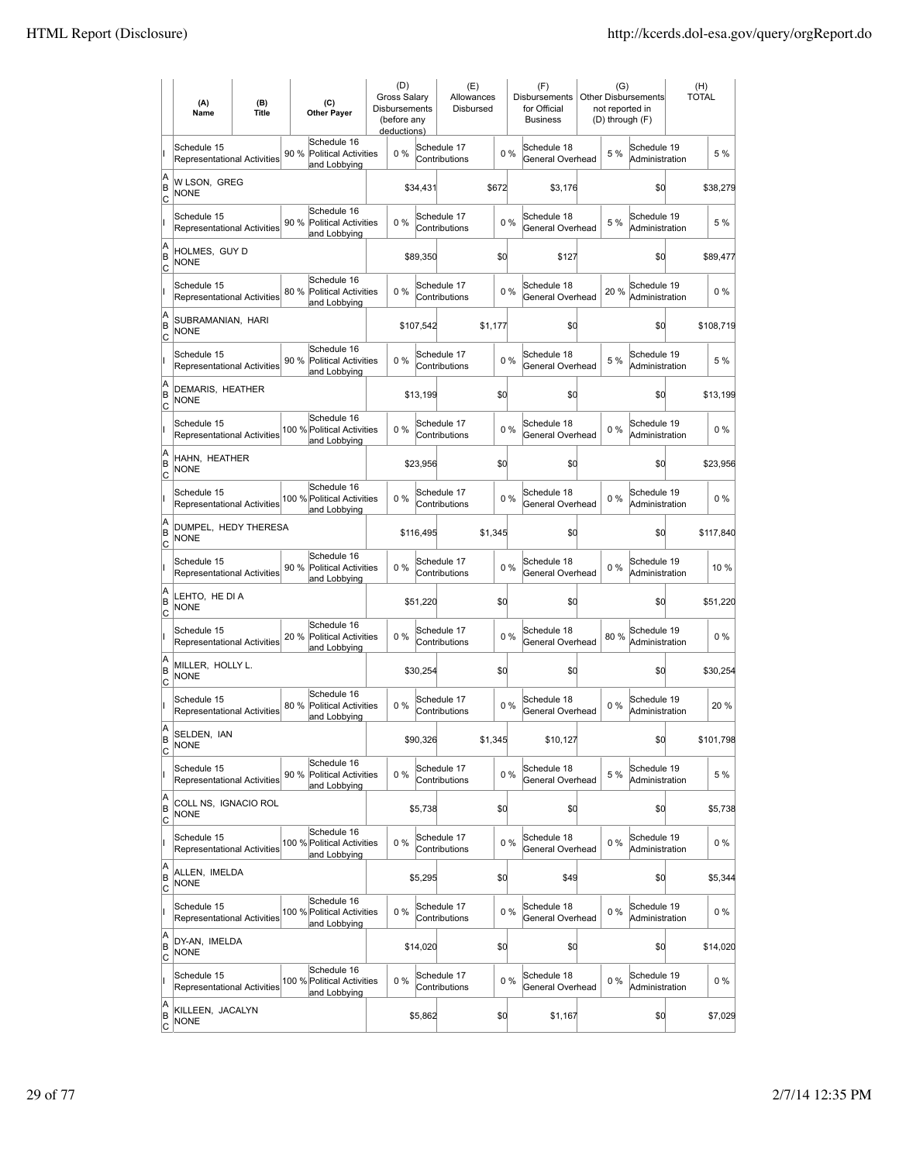|                          | (A)<br>Name                                       | (B)<br><b>Title</b> | (C)<br><b>Other Paver</b>                                          | (D)<br><b>Gross Salarv</b><br>Disbursements<br>(before any<br>deductions) |           | (E)<br>Allowances<br>Disbursed |         |       | (F)<br><b>Disbursements</b><br>for Official<br><b>Business</b> | (G)<br>not reported in<br>(D) through (F) | Other Disbursements           | (H)<br><b>TOTAL</b> |
|--------------------------|---------------------------------------------------|---------------------|--------------------------------------------------------------------|---------------------------------------------------------------------------|-----------|--------------------------------|---------|-------|----------------------------------------------------------------|-------------------------------------------|-------------------------------|---------------------|
|                          | Schedule 15<br>Representational Activities        |                     | Schedule 16<br>90 %<br><b>Political Activities</b><br>and Lobbying | $0\%$                                                                     |           | Schedule 17<br>Contributions   |         | 0%    | Schedule 18<br>General Overhead                                | 5 %                                       | Schedule 19<br>Administration | 5 %                 |
| A<br>B<br>lc             | W LSON, GREG<br><b>NONE</b>                       |                     |                                                                    |                                                                           | \$34,431  |                                | \$672   |       | \$3,176                                                        |                                           | \$0                           | \$38,279            |
|                          | Schedule 15<br>Representational Activities        |                     | Schedule 16<br>90 %<br>Political Activities<br>and Lobbying        | 0%                                                                        |           | Schedule 17<br>Contributions   | 0%      |       | Schedule 18<br>General Overhead                                | 5 %                                       | Schedule 19<br>Administration | 5 %                 |
| A<br>B<br>C              | HOLMES, GUY D<br><b>NONE</b>                      |                     |                                                                    |                                                                           | \$89,350  |                                | \$d     |       | \$127                                                          |                                           | \$0                           | \$89,477            |
|                          | Schedule 15<br>Representational Activities        |                     | Schedule 16<br>80%<br><b>Political Activities</b><br>and Lobbying  | 0%                                                                        |           | Schedule 17<br>Contributions   |         | 0%    | Schedule 18<br>General Overhead                                | 20%                                       | Schedule 19<br>Administration | $0\%$               |
| A<br>B<br>Ιc             | SUBRAMANIAN, HARI<br><b>NONE</b>                  |                     |                                                                    |                                                                           | \$107,542 |                                | \$1,177 |       | \$0                                                            |                                           | \$0                           | \$108,719           |
|                          | Schedule 15<br><b>Representational Activities</b> |                     | Schedule 16<br>90 %<br>Political Activities<br>and Lobbying        | $0\%$                                                                     |           | Schedule 17<br>Contributions   |         | $0\%$ | Schedule 18<br>General Overhead                                | 5 %                                       | Schedule 19<br>Administration | 5 %                 |
| A<br>B<br>lc             | DEMARIS, HEATHER<br>NONE                          |                     |                                                                    |                                                                           | \$13,199  |                                | \$d     |       | \$0                                                            |                                           | \$0                           | \$13,199            |
|                          | Schedule 15<br><b>Representational Activities</b> |                     | Schedule 16<br>100 % Political Activities<br>and Lobbying          | 0%                                                                        |           | Schedule 17<br>Contributions   |         | 0%    | Schedule 18<br>General Overhead                                | $0\%$                                     | Schedule 19<br>Administration | $0\%$               |
| A<br>B<br>C              | HAHN. HEATHER<br><b>NONE</b>                      |                     |                                                                    |                                                                           | \$23,956  |                                | \$d     |       | \$0                                                            |                                           | \$0                           | \$23,956            |
|                          | Schedule 15<br>Representational Activities        |                     | Schedule 16<br>100 % Political Activities<br>and Lobbying          | 0%                                                                        |           | Schedule 17<br>Contributions   |         | 0%    | Schedule 18<br>General Overhead                                | $0\%$                                     | Schedule 19<br>Administration | $0\%$               |
| A<br>B<br>C              | DUMPEL, HEDY THERESA<br><b>NONE</b>               |                     |                                                                    |                                                                           | \$116,495 |                                | \$1,345 |       | \$0                                                            |                                           | \$0                           | \$117,840           |
|                          | Schedule 15<br>Representational Activities        |                     | Schedule 16<br>90 %<br><b>Political Activities</b><br>and Lobbying | $0\%$                                                                     |           | Schedule 17<br>Contributions   |         | $0\%$ | Schedule 18<br>General Overhead                                | $0\%$                                     | Schedule 19<br>Administration | 10 %                |
| A<br>B<br> c             | LEHTO, HE DI A<br><b>NONE</b>                     |                     |                                                                    |                                                                           | \$51,220  |                                | \$d     |       | \$0                                                            |                                           | \$0                           | \$51,220            |
|                          | Schedule 15<br>Representational Activities        |                     | Schedule 16<br>20 %<br><b>Political Activities</b><br>and Lobbying | 0%                                                                        |           | Schedule 17<br>Contributions   |         | 0%    | Schedule 18<br>General Overhead                                | 80%                                       | Schedule 19<br>Administration | $0\%$               |
| A<br>B<br> c             | MILLER, HOLLY L.<br><b>NONE</b>                   |                     |                                                                    |                                                                           | \$30,254  |                                | \$0     |       | \$0                                                            |                                           | \$0                           | \$30,254            |
|                          | Schedule 15<br>Representational Activities        |                     | Schedule 16<br>80 %<br>Political Activities<br>and Lobbying        | 0%                                                                        |           | Schedule 17<br>Contributions   |         | 0%    | Schedule 18<br>General Overhead                                | 0%                                        | Schedule 19<br>Administration | 20%                 |
| A<br>B<br>C              | SELDEN, IAN<br><b>NONE</b>                        |                     |                                                                    |                                                                           | \$90,326  |                                | \$1,345 |       | \$10,127                                                       |                                           | \$0                           | \$101,798           |
|                          | Schedule 15<br>Representational Activities        |                     | Schedule 16<br>90 %<br>Political Activities<br>and Lobbying        | $0\%$                                                                     |           | Schedule 17<br>Contributions   |         | 0%    | Schedule 18<br>General Overhead                                | 5 %                                       | Schedule 19<br>Administration | 5 %                 |
| A<br>B<br><u>lc</u>      | COLL NS, IGNACIO ROL<br><b>NONE</b>               |                     |                                                                    |                                                                           | \$5,738   |                                | \$d     |       | \$0                                                            |                                           | \$0                           | \$5,738             |
|                          | Schedule 15<br><b>Representational Activities</b> |                     | Schedule 16<br>100 % Political Activities<br>and Lobbying          | $0\%$                                                                     |           | Schedule 17<br>Contributions   |         | 0%    | Schedule 18<br>General Overhead                                | $0\%$                                     | Schedule 19<br>Administration | 0%                  |
| A<br>B<br>$\mathsf{C}$   | ALLEN, IMELDA<br><b>NONE</b>                      |                     |                                                                    |                                                                           | \$5,295   |                                | \$0     |       | \$49                                                           |                                           | \$d                           | \$5,344             |
|                          | Schedule 15<br>Representational Activities        |                     | Schedule 16<br>100 % Political Activities<br>and Lobbying          | $0\%$                                                                     |           | Schedule 17<br>Contributions   |         | $0\%$ | Schedule 18<br>General Overhead                                | $0\%$                                     | Schedule 19<br>Administration | $0\%$               |
| A<br>B<br> c             | DY-AN, IMELDA<br><b>NONE</b>                      |                     |                                                                    |                                                                           | \$14,020  |                                | \$d     |       | \$0                                                            |                                           | \$d                           | \$14,020            |
|                          | Schedule 15<br>Representational Activities        |                     | Schedule 16<br>100 % Political Activities<br>and Lobbying          | $0\%$                                                                     |           | Schedule 17<br>Contributions   |         | 0%    | Schedule 18<br>General Overhead                                | 0%                                        | Schedule 19<br>Administration | $0\%$               |
| A<br>B<br>$\overline{c}$ | KILLEEN, JACALYN<br>NONE                          |                     |                                                                    |                                                                           | \$5,862   |                                | \$0     |       | \$1,167                                                        |                                           | \$d                           | \$7,029             |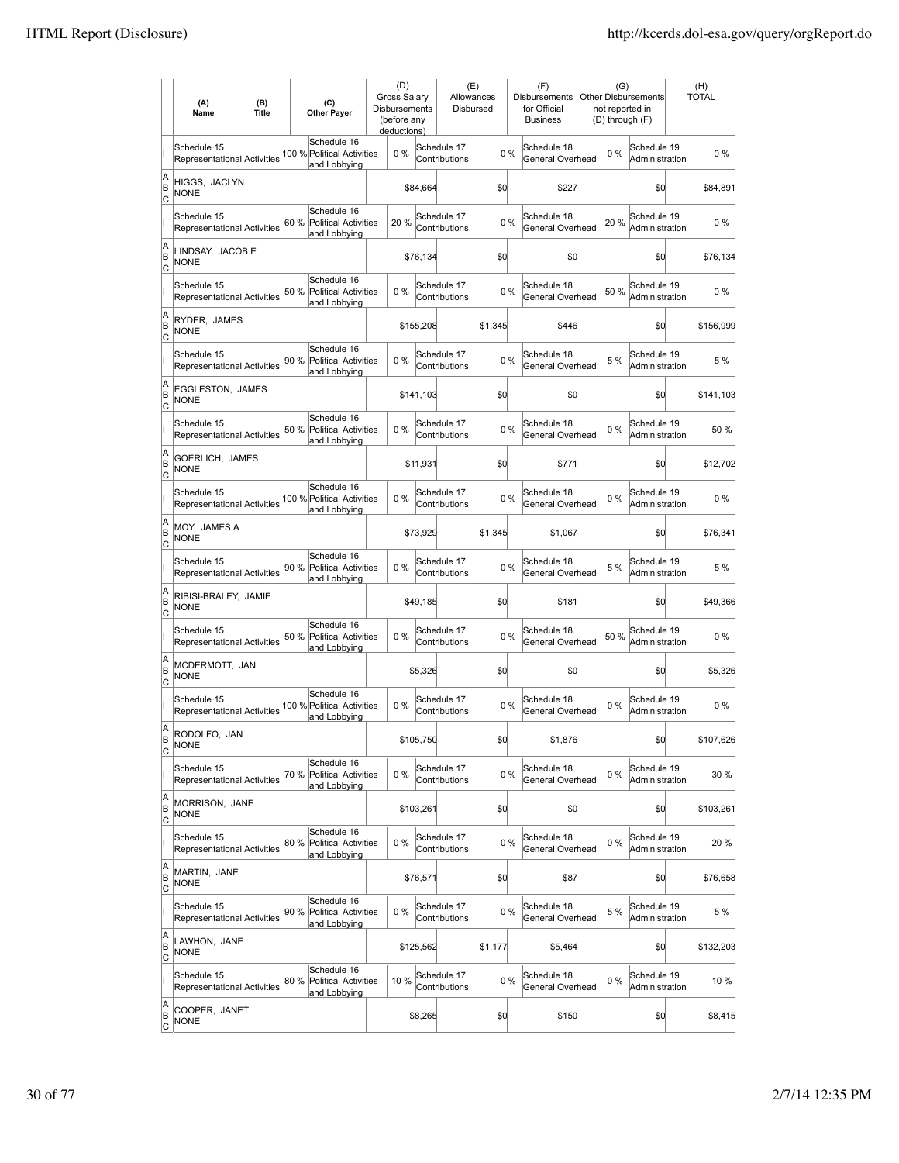|                     | (A)<br>Name                                       | (B)<br><b>Title</b> | (C)<br><b>Other Payer</b>                                          | (D)<br>Gross Salary<br>Disbursements<br>(before any<br>deductions) |           | (E)<br>Allowances<br>Disbursed |         |       | (F)<br>Disbursements<br>for Official<br><b>Business</b> | (G)   | <b>Other Disbursements</b><br>not reported in<br>(D) through (F) | (H)<br><b>TOTAL</b> |           |
|---------------------|---------------------------------------------------|---------------------|--------------------------------------------------------------------|--------------------------------------------------------------------|-----------|--------------------------------|---------|-------|---------------------------------------------------------|-------|------------------------------------------------------------------|---------------------|-----------|
|                     | Schedule 15<br><b>Representational Activities</b> |                     | Schedule 16<br>100 % Political Activities<br>and Lobbying          | 0%                                                                 |           | Schedule 17<br>Contributions   |         | $0\%$ | Schedule 18<br>General Overhead                         | $0\%$ | Schedule 19<br>Administration                                    |                     | $0\%$     |
| A<br>ΙB<br> c       | HIGGS, JACLYN<br><b>NONE</b>                      |                     |                                                                    |                                                                    | \$84,664  |                                | \$d     |       | \$227                                                   |       | \$d                                                              |                     | \$84,891  |
|                     | Schedule 15<br><b>Representational Activities</b> |                     | Schedule 16<br>60 % Political Activities<br>and Lobbying           | 20%                                                                |           | Schedule 17<br>Contributions   |         | 0%    | Schedule 18<br>General Overhead                         | 20%   | Schedule 19<br>Administration                                    |                     | $0\%$     |
| A<br>B<br>C         | LINDSAY, JACOB E<br><b>NONE</b>                   |                     |                                                                    |                                                                    | \$76,134  |                                | \$d     |       | \$0                                                     |       | \$0                                                              |                     | \$76,134  |
|                     | Schedule 15<br>Representational Activities        |                     | Schedule 16<br>50 %<br><b>Political Activities</b><br>and Lobbying | 0%                                                                 |           | Schedule 17<br>Contributions   |         | 0%    | Schedule 18<br>General Overhead                         | 50 %  | Schedule 19<br>Administration                                    |                     | 0%        |
| A<br>B<br> c        | RYDER, JAMES<br>NONE                              |                     |                                                                    |                                                                    | \$155,208 |                                | \$1,345 |       | \$446                                                   |       | \$0                                                              |                     | \$156,999 |
|                     | Schedule 15<br><b>Representational Activities</b> |                     | Schedule 16<br>90 %<br><b>Political Activities</b><br>and Lobbying | 0%                                                                 |           | Schedule 17<br>Contributions   |         | 0%    | Schedule 18<br>General Overhead                         | 5 %   | Schedule 19<br>Administration                                    |                     | 5 %       |
| A<br>ΙB<br> c       | EGGLESTON, JAMES<br><b>NONE</b>                   |                     |                                                                    |                                                                    | \$141,103 |                                | \$d     |       | \$0                                                     |       | \$0                                                              |                     | \$141,103 |
|                     | Schedule 15<br><b>Representational Activities</b> |                     | Schedule 16<br>50 % Political Activities<br>and Lobbying           | $0\%$                                                              |           | Schedule 17<br>Contributions   |         | $0\%$ | Schedule 18<br>General Overhead                         | $0\%$ | Schedule 19<br>Administration                                    |                     | 50 %      |
| A<br>B<br>c         | GOERLICH, JAMES<br><b>NONE</b>                    |                     |                                                                    |                                                                    | \$11,931  |                                | \$0     |       | \$771                                                   |       | \$0                                                              |                     | \$12,702  |
|                     | Schedule 15<br>Representational Activities        |                     | Schedule 16<br>100 % Political Activities<br>and Lobbying          | 0%                                                                 |           | Schedule 17<br>Contributions   |         | $0\%$ | Schedule 18<br>General Overhead                         | $0\%$ | Schedule 19<br>Administration                                    |                     | 0%        |
| A<br>B<br>C         | MOY, JAMES A<br><b>NONE</b>                       |                     |                                                                    |                                                                    | \$73,929  |                                | \$1,345 |       | \$1,067                                                 |       | \$0                                                              |                     | \$76,341  |
|                     | Schedule 15<br>Representational Activities        |                     | Schedule 16<br>90 % Political Activities<br>and Lobbying           | 0%                                                                 |           | Schedule 17<br>Contributions   |         | 0%    | Schedule 18<br>General Overhead                         | 5 %   | Schedule 19<br>Administration                                    |                     | 5 %       |
| A<br>B<br>Iс        | RIBISI-BRALEY, JAMIE<br><b>NONE</b>               |                     |                                                                    |                                                                    | \$49,185  |                                | \$d     |       | \$181                                                   |       | \$d                                                              |                     | \$49,366  |
|                     | Schedule 15<br><b>Representational Activities</b> |                     | Schedule 16<br>50 %<br><b>Political Activities</b><br>and Lobbying | 0%                                                                 |           | Schedule 17<br>Contributions   |         | 0%    | Schedule 18<br>General Overhead                         | 50 %  | Schedule 19<br>Administration                                    |                     | $0\%$     |
| A<br>B<br> c        | MCDERMOTT, JAN<br><b>NONE</b>                     |                     |                                                                    |                                                                    | \$5,326   |                                | \$0     |       | \$0                                                     |       | \$0                                                              |                     | \$5,326   |
|                     | Schedule 15<br><b>Representational Activities</b> |                     | Schedule 16<br>100 % Political Activities<br>and Lobbying          | 0%                                                                 |           | Schedule 17<br>Contributions   |         | 0%    | Schedule 18<br>General Overhead                         | $0\%$ | Schedule 19<br>Administration                                    |                     | $0\%$     |
| A<br>ΙB<br>C        | RODOLFO, JAN<br><b>NONE</b>                       |                     |                                                                    |                                                                    | \$105,750 |                                | \$d     |       | \$1,876                                                 |       | \$d                                                              |                     | \$107,626 |
|                     | Schedule 15<br>Representational Activities        |                     | Schedule 16<br>70 %<br><b>Political Activities</b><br>and Lobbying | 0%                                                                 |           | Schedule 17<br>Contributions   |         | $0\%$ | Schedule 18<br>General Overhead                         | $0\%$ | Schedule 19<br>Administration                                    |                     | 30 %      |
| A<br>B<br>C         | MORRISON, JANE<br><b>NONE</b>                     |                     |                                                                    |                                                                    | \$103,261 |                                | \$d     |       | \$d                                                     |       | \$d                                                              |                     | \$103,261 |
|                     | Schedule 15<br>Representational Activities        |                     | Schedule 16<br>80 % Political Activities<br>and Lobbying           | $0\%$                                                              |           | Schedule 17<br>Contributions   |         | $0\%$ | Schedule 18<br>General Overhead                         | $0\%$ | Schedule 19<br>Administration                                    |                     | 20 %      |
| A<br>B<br>C         | MARTIN, JANE<br><b>NONE</b>                       |                     |                                                                    |                                                                    | \$76,571  |                                | \$0     |       | \$87                                                    |       | \$0                                                              |                     | \$76,658  |
|                     | Schedule 15<br>Representational Activities        |                     | Schedule 16<br>90 %<br><b>Political Activities</b><br>and Lobbying | 0%                                                                 |           | Schedule 17<br>Contributions   |         | $0\%$ | Schedule 18<br>General Overhead                         | 5 %   | Schedule 19<br>Administration                                    |                     | 5 %       |
| A<br>B<br>C         | LAWHON, JANE<br><b>NONE</b>                       |                     |                                                                    |                                                                    | \$125,562 |                                | \$1,177 |       | \$5,464                                                 |       | \$d                                                              |                     | \$132,203 |
|                     | Schedule 15<br>Representational Activities        |                     | Schedule 16<br>80 %<br><b>Political Activities</b><br>and Lobbying | 10 %                                                               |           | Schedule 17<br>Contributions   |         | 0%    | Schedule 18<br>General Overhead                         | $0\%$ | Schedule 19<br>Administration                                    |                     | 10 %      |
| A<br>B<br><u>lc</u> | COOPER, JANET<br><b>NONE</b>                      |                     |                                                                    |                                                                    | \$8,265   |                                | \$0     |       | \$150                                                   |       | \$d                                                              |                     | \$8,415   |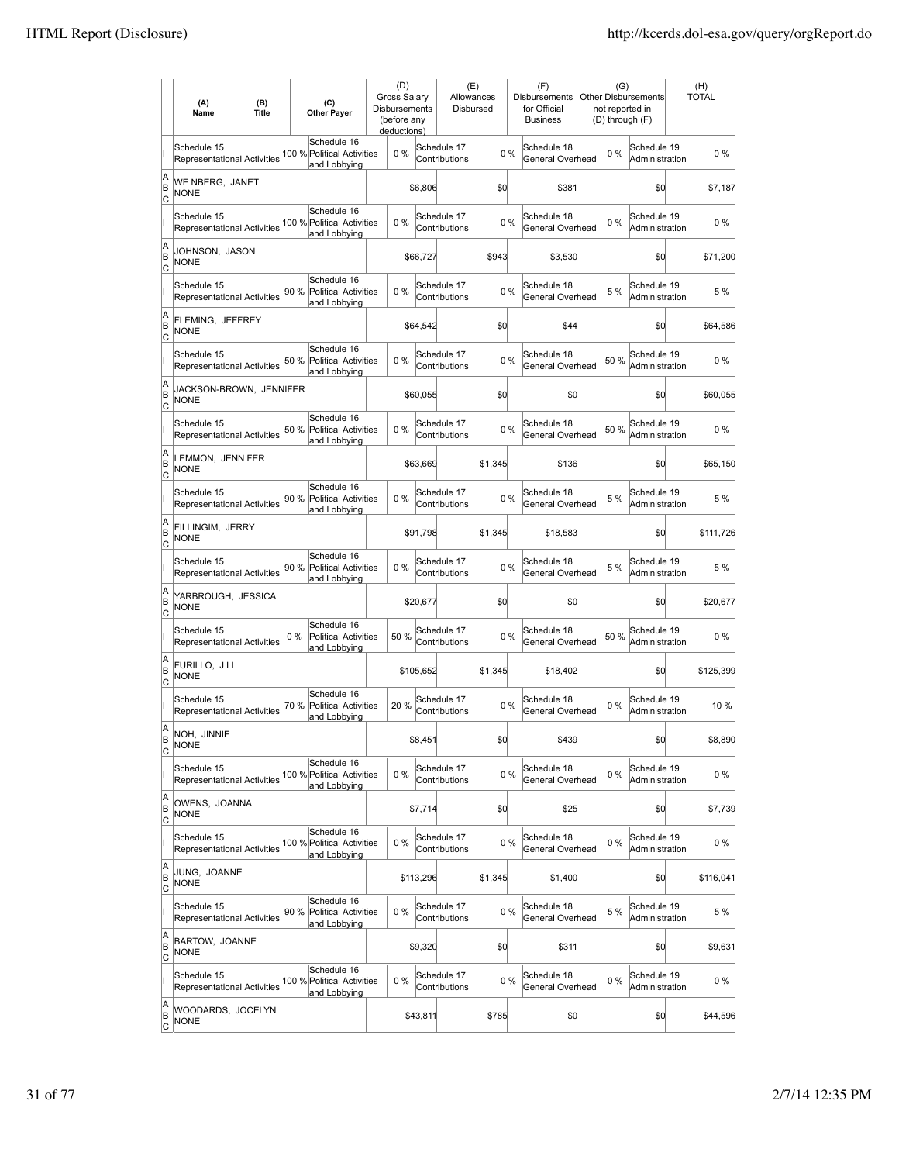|                     | (A)<br>Name                                       | (B)<br><b>Title</b> | (C)<br><b>Other Payer</b>                                           | (D)<br><b>Gross Salary</b><br>Disbursements<br>(before any<br>deductions) |           | (E)<br>Allowances<br>Disbursed |         |       | (F)<br><b>Disbursements</b><br>for Official<br><b>Business</b> | (G)   | Other Disbursements<br>not reported in<br>(D) through (F) | (H)<br><b>TOTAL</b> |
|---------------------|---------------------------------------------------|---------------------|---------------------------------------------------------------------|---------------------------------------------------------------------------|-----------|--------------------------------|---------|-------|----------------------------------------------------------------|-------|-----------------------------------------------------------|---------------------|
|                     | Schedule 15<br><b>Representational Activities</b> |                     | Schedule 16<br>100 % Political Activities<br>and Lobbying           | $0\%$                                                                     |           | Schedule 17<br>Contributions   |         | $0\%$ | Schedule 18<br>General Overhead                                | 0%    | Schedule 19<br>Administration                             | $0\%$               |
| A<br>B<br> c        | WE NBERG, JANET<br><b>NONE</b>                    |                     |                                                                     |                                                                           | \$6,806   |                                | \$d     |       | \$381                                                          |       | \$0                                                       | \$7,187             |
|                     | Schedule 15<br>Representational Activities        |                     | Schedule 16<br>100 % Political Activities<br>and Lobbying           | 0%                                                                        |           | Schedule 17<br>Contributions   |         | 0%    | Schedule 18<br>General Overhead                                | 0%    | Schedule 19<br>Administration                             | $0\%$               |
| A<br>B<br>c         | JOHNSON, JASON<br>NONE                            |                     |                                                                     |                                                                           | \$66,727  |                                | \$943   |       | \$3,530                                                        |       | \$0                                                       | \$71,200            |
|                     | Schedule 15<br>Representational Activities        |                     | Schedule 16<br>90%<br><b>Political Activities</b><br>and Lobbying   | 0%                                                                        |           | Schedule 17<br>Contributions   |         | 0%    | Schedule 18<br>General Overhead                                | 5 %   | Schedule 19<br>Administration                             | 5 %                 |
| A<br>B<br> c        | FLEMING, JEFFREY<br><b>NONE</b>                   |                     |                                                                     |                                                                           | \$64,542  |                                | \$0     |       | \$44                                                           |       | \$0                                                       | \$64,586            |
|                     | Schedule 15<br><b>Representational Activities</b> |                     | Schedule 16<br>50 %<br><b>Political Activities</b><br>and Lobbying  | 0%                                                                        |           | Schedule 17<br>Contributions   |         | 0%    | Schedule 18<br>General Overhead                                | 50 %  | Schedule 19<br>Administration                             | $0\%$               |
| A<br>ΙB<br> c       | JACKSON-BROWN, JENNIFER<br>NONE                   |                     |                                                                     |                                                                           | \$60,055  |                                | \$0     |       | \$0                                                            |       | \$0                                                       | \$60,055            |
|                     | Schedule 15<br><b>Representational Activities</b> |                     | Schedule 16<br>50 % Political Activities<br>and Lobbying            | $0\%$                                                                     |           | Schedule 17<br>Contributions   |         | 0%    | Schedule 18<br>General Overhead                                | 50%   | Schedule 19<br>Administration                             | $0\%$               |
| A<br>B<br>c         | LEMMON, JENN FER<br><b>NONE</b>                   |                     |                                                                     |                                                                           | \$63,669  |                                | \$1,345 |       | \$136                                                          |       | \$0                                                       | \$65,150            |
|                     | Schedule 15<br>Representational Activities        |                     | Schedule 16<br>90%<br><b>Political Activities</b><br>and Lobbying   | 0%                                                                        |           | Schedule 17<br>Contributions   |         | 0%    | Schedule 18<br>General Overhead                                | 5 %   | Schedule 19<br>Administration                             | 5 %                 |
| A<br>B<br>C         | FILLINGIM, JERRY<br><b>NONE</b>                   |                     |                                                                     |                                                                           | \$91,798  |                                | \$1,345 |       | \$18,583                                                       |       | \$0                                                       | \$111,726           |
|                     | Schedule 15<br>Representational Activities        |                     | Schedule 16<br>90 %<br><b>Political Activities</b><br>and Lobbying  | 0%                                                                        |           | Schedule 17<br>Contributions   |         | 0%    | Schedule 18<br>General Overhead                                | 5 %   | Schedule 19<br>Administration                             | 5 %                 |
| A<br>B<br>Iс        | YARBROUGH, JESSICA<br><b>NONE</b>                 |                     |                                                                     |                                                                           | \$20,677  |                                | \$d     |       | \$0                                                            |       | \$d                                                       | \$20,677            |
|                     | Schedule 15<br>Representational Activities        |                     | Schedule 16<br>$0\%$<br><b>Political Activities</b><br>and Lobbying | 50 %                                                                      |           | Schedule 17<br>Contributions   |         | 0%    | Schedule 18<br>General Overhead                                | 50 %  | Schedule 19<br>Administration                             | $0\%$               |
| A<br>B<br> c        | FURILLO, J LL<br><b>NONE</b>                      |                     |                                                                     |                                                                           | \$105,652 |                                | \$1,345 |       | \$18,402                                                       |       | \$0                                                       | \$125,399           |
|                     | Schedule 15<br><b>Representational Activities</b> |                     | Schedule 16<br>70 %<br><b>Political Activities</b><br>and Lobbying  | 20 %                                                                      |           | Schedule 17<br>Contributions   |         | 0%    | Schedule 18<br>General Overhead                                | 0%    | Schedule 19<br>Administration                             | 10 %                |
| A<br>ΙB<br>C        | NOH, JINNIE<br><b>NONE</b>                        |                     |                                                                     |                                                                           | \$8,451   |                                | \$d     |       | \$439                                                          |       | \$d                                                       | \$8,890             |
|                     | Schedule 15<br><b>Representational Activities</b> |                     | Schedule 16<br>100 % Political Activities<br>and Lobbying           | $0\%$                                                                     |           | Schedule 17<br>Contributions   |         | 0%    | Schedule 18<br>General Overhead                                | $0\%$ | Schedule 19<br>Administration                             | 0%                  |
| A<br>B<br>C         | OWENS, JOANNA<br><b>NONE</b>                      |                     |                                                                     |                                                                           | \$7,714   |                                | \$0     |       | \$25                                                           |       | \$d                                                       | \$7,739             |
|                     | Schedule 15<br>Representational Activities        |                     | Schedule 16<br>100 % Political Activities<br>and Lobbying           | 0%                                                                        |           | Schedule 17<br>Contributions   |         | $0\%$ | Schedule 18<br>General Overhead                                | $0\%$ | Schedule 19<br>Administration                             | $0\%$               |
| A<br>B<br>C         | JUNG, JOANNE<br><b>NONE</b>                       |                     |                                                                     |                                                                           | \$113,296 |                                | \$1,345 |       | \$1,400                                                        |       | \$d                                                       | \$116,041           |
|                     | Schedule 15<br>Representational Activities        |                     | Schedule 16<br>90 %<br><b>Political Activities</b><br>and Lobbying  | 0%                                                                        |           | Schedule 17<br>Contributions   |         | 0%    | Schedule 18<br>General Overhead                                | 5 %   | Schedule 19<br>Administration                             | 5 %                 |
| A<br>B<br>C         | BARTOW, JOANNE<br><b>NONE</b>                     |                     |                                                                     |                                                                           | \$9,320   |                                | \$d     |       | \$311                                                          |       | \$d                                                       | \$9,631             |
|                     | Schedule 15<br>Representational Activities        |                     | Schedule 16<br>100 % Political Activities<br>and Lobbying           | 0%                                                                        |           | Schedule 17<br>Contributions   |         | 0%    | Schedule 18<br>General Overhead                                | $0\%$ | Schedule 19<br>Administration                             | $0\%$               |
| A<br>B<br><u>lc</u> | WOODARDS, JOCELYN<br>NONE                         |                     |                                                                     |                                                                           | \$43,811  |                                | \$785   |       | \$0                                                            |       | \$q                                                       | \$44,596            |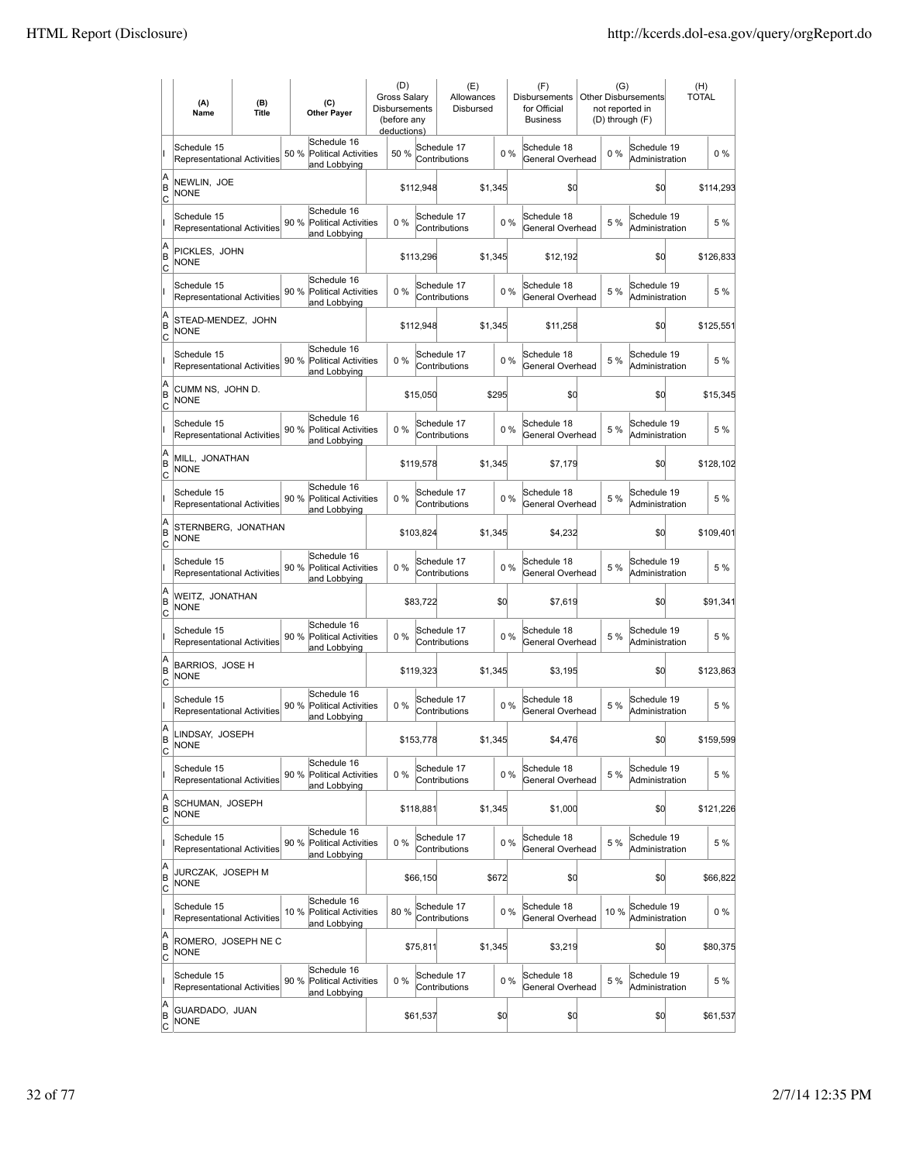|                     | (A)<br>Name                                       | (B)<br><b>Title</b> |      | (C)<br><b>Other Payer</b>                                  | (D)<br><b>Gross Salarv</b><br>Disbursements<br>(before any<br>deductions) |           | (E)<br>Allowances<br>Disbursed |         |       | (F)<br><b>Disbursements</b><br>for Official<br><b>Business</b> | (G)   | Other Disbursements<br>not reported in<br>(D) through (F) | (H)<br><b>TOTAL</b> |           |
|---------------------|---------------------------------------------------|---------------------|------|------------------------------------------------------------|---------------------------------------------------------------------------|-----------|--------------------------------|---------|-------|----------------------------------------------------------------|-------|-----------------------------------------------------------|---------------------|-----------|
|                     | Schedule 15<br><b>Representational Activities</b> |                     | 50 % | Schedule 16<br>Political Activities<br>and Lobbying        | 50 %                                                                      |           | Schedule 17<br>Contributions   |         | $0\%$ | Schedule 18<br>General Overhead                                | $0\%$ | Schedule 19<br>Administration                             |                     | $0\%$     |
| A<br>ΙB<br> c       | NEWLIN, JOE<br><b>NONE</b>                        |                     |      |                                                            |                                                                           | \$112,948 |                                | \$1,345 |       | \$d                                                            |       | \$d                                                       |                     | \$114,293 |
|                     | Schedule 15<br><b>Representational Activities</b> |                     | 90 % | Schedule 16<br>Political Activities<br>and Lobbying        | $0\%$                                                                     |           | Schedule 17<br>Contributions   |         | 0%    | Schedule 18<br>General Overhead                                | 5 %   | Schedule 19<br>Administration                             |                     | 5 %       |
| A<br>B<br>C         | PICKLES, JOHN<br><b>NONE</b>                      |                     |      |                                                            |                                                                           | \$113,296 |                                | \$1,345 |       | \$12,192                                                       |       | \$0                                                       |                     | \$126,833 |
|                     | Schedule 15<br>Representational Activities        |                     | 90 % | Schedule 16<br><b>Political Activities</b><br>and Lobbying | 0%                                                                        |           | Schedule 17<br>Contributions   |         | 0%    | Schedule 18<br>General Overhead                                | 5 %   | Schedule 19<br>Administration                             |                     | 5 %       |
| A<br>B<br> c        | STEAD-MENDEZ, JOHN<br>NONE                        |                     |      |                                                            |                                                                           | \$112,948 |                                | \$1,345 |       | \$11,258                                                       |       | \$0                                                       |                     | \$125,551 |
|                     | Schedule 15<br>Representational Activities        |                     | 90 % | Schedule 16<br><b>Political Activities</b><br>and Lobbying | 0%                                                                        |           | Schedule 17<br>Contributions   |         | 0%    | Schedule 18<br>General Overhead                                | 5 %   | Schedule 19<br>Administration                             |                     | 5 %       |
| A<br>ΙB<br> c       | CUMM NS, JOHN D.<br><b>NONE</b>                   |                     |      |                                                            |                                                                           | \$15,050  |                                | \$295   |       | \$0                                                            |       | \$0                                                       |                     | \$15,345  |
|                     | Schedule 15<br><b>Representational Activities</b> |                     |      | Schedule 16<br>90 % Political Activities<br>and Lobbying   | $0\%$                                                                     |           | Schedule 17<br>Contributions   |         | $0\%$ | Schedule 18<br>General Overhead                                | 5 %   | Schedule 19<br>Administration                             |                     | 5 %       |
| A<br>B<br>C         | MILL, JONATHAN<br><b>NONE</b>                     |                     |      |                                                            |                                                                           | \$119,578 |                                | \$1.345 |       | \$7,179                                                        |       | \$0                                                       |                     | \$128,102 |
|                     | Schedule 15<br>Representational Activities        |                     |      | Schedule 16<br>90 % Political Activities<br>and Lobbying   | 0%                                                                        |           | Schedule 17<br>Contributions   |         | 0%    | Schedule 18<br>General Overhead                                | 5 %   | Schedule 19<br>Administration                             |                     | 5 %       |
| A<br>B<br>C         | STERNBERG, JONATHAN<br><b>NONE</b>                |                     |      |                                                            |                                                                           | \$103,824 |                                | \$1,345 |       | \$4,232                                                        |       | \$0                                                       |                     | \$109,401 |
|                     | Schedule 15<br>Representational Activities        |                     | 90 % | Schedule 16<br><b>Political Activities</b><br>and Lobbying | 0%                                                                        |           | Schedule 17<br>Contributions   |         | 0%    | Schedule 18<br>General Overhead                                | 5 %   | Schedule 19<br>Administration                             |                     | 5 %       |
| A<br>B<br>Iс        | WEITZ, JONATHAN<br><b>NONE</b>                    |                     |      |                                                            |                                                                           | \$83,722  |                                | \$0     |       | \$7,619                                                        |       | \$d                                                       |                     | \$91,341  |
|                     | Schedule 15<br>Representational Activities        |                     | 90 % | Schedule 16<br>Political Activities<br>and Lobbying        | 0%                                                                        |           | Schedule 17<br>Contributions   |         | 0%    | Schedule 18<br>General Overhead                                | 5 %   | Schedule 19<br>Administration                             |                     | 5 %       |
| A<br>B<br>C         | BARRIOS, JOSE H<br><b>NONE</b>                    |                     |      |                                                            |                                                                           | \$119,323 |                                | \$1.345 |       | \$3,195                                                        |       | \$0                                                       |                     | \$123,863 |
|                     | Schedule 15<br>Representational Activities        |                     | 90 % | Schedule 16<br><b>Political Activities</b><br>and Lobbving | 0%                                                                        |           | Schedule 17<br>Contributions   |         | 0%    | Schedule 18<br>General Overhead                                | 5 %   | Schedule 19<br>Administration                             |                     | 5 %       |
| A<br>ΙB<br>C        | LINDSAY, JOSEPH<br><b>NONE</b>                    |                     |      |                                                            |                                                                           | \$153,778 |                                | \$1,345 |       | \$4,476                                                        |       | \$d                                                       |                     | \$159,599 |
|                     | Schedule 15<br>Representational Activities        |                     | 90%  | Schedule 16<br><b>Political Activities</b><br>and Lobbying | 0%                                                                        |           | Schedule 17<br>Contributions   |         | $0\%$ | Schedule 18<br>General Overhead                                | 5 %   | Schedule 19<br>Administration                             |                     | 5 %       |
| A<br>B<br>C         | SCHUMAN, JOSEPH<br><b>NONE</b>                    |                     |      |                                                            |                                                                           | \$118,881 |                                | \$1,345 |       | \$1,000                                                        |       | \$0                                                       |                     | \$121,226 |
|                     | Schedule 15<br>Representational Activities        |                     |      | Schedule 16<br>90 % Political Activities<br>and Lobbying   | $0\%$                                                                     |           | Schedule 17<br>Contributions   |         | $0\%$ | Schedule 18<br>General Overhead                                | 5 %   | Schedule 19<br>Administration                             |                     | 5 %       |
| A<br>B<br>C         | JURCZAK, JOSEPH M<br><b>NONE</b>                  |                     |      |                                                            |                                                                           | \$66,150  |                                | \$672   |       | \$0                                                            |       | \$d                                                       |                     | \$66,822  |
|                     | Schedule 15<br>Representational Activities        |                     |      | Schedule 16<br>10 % Political Activities<br>and Lobbying   | 80%                                                                       |           | Schedule 17<br>Contributions   |         | 0%    | Schedule 18<br>General Overhead                                | 10 %  | Schedule 19<br>Administration                             |                     | $0\%$     |
| A<br>B<br> c        | ROMERO, JOSEPH NE C<br><b>NONE</b>                |                     |      |                                                            |                                                                           | \$75,811  |                                | \$1,345 |       | \$3,219                                                        |       | \$d                                                       |                     | \$80,375  |
|                     | Schedule 15<br>Representational Activities        |                     |      | Schedule 16<br>90 % Political Activities<br>and Lobbying   | 0%                                                                        |           | Schedule 17<br>Contributions   |         | 0%    | Schedule 18<br>General Overhead                                | 5 %   | Schedule 19<br>Administration                             |                     | 5 %       |
| A<br>B<br><u>lc</u> | GUARDADO, JUAN<br><b>NONE</b>                     |                     |      |                                                            |                                                                           | \$61,537  |                                | \$0     |       | \$0                                                            |       | \$0                                                       |                     | \$61,537  |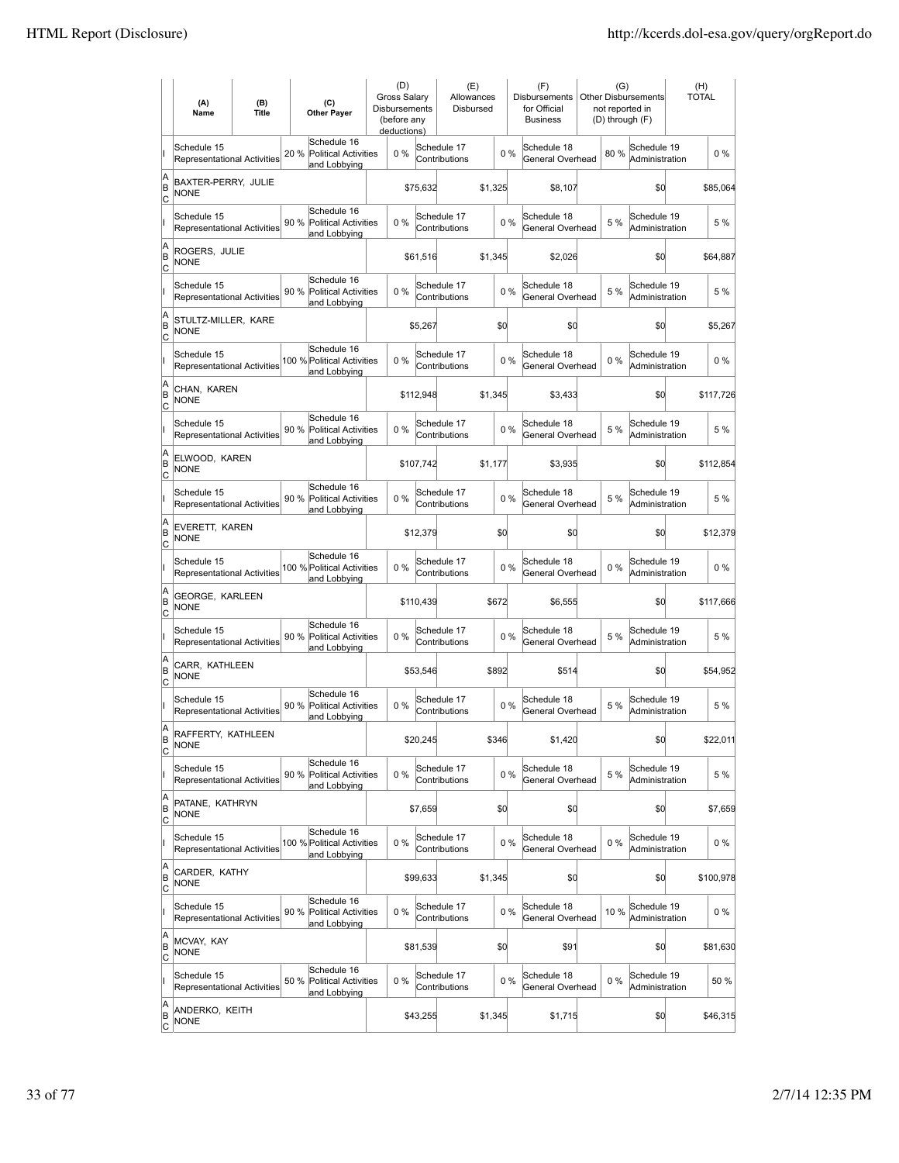|                     | (A)<br>Name                                       | (B)<br><b>Title</b> | (C)<br><b>Other Payer</b>                                          | (D)<br>Gross Salary<br>Disbursements<br>(before any<br>deductions) |           | (E)<br>Allowances<br>Disbursed |         |       | (F)<br>Disbursements<br>for Official<br><b>Business</b> | (G)<br><b>Other Disbursements</b><br>not reported in<br>(D) through (F) |                               | (H)<br><b>TOTAL</b> |
|---------------------|---------------------------------------------------|---------------------|--------------------------------------------------------------------|--------------------------------------------------------------------|-----------|--------------------------------|---------|-------|---------------------------------------------------------|-------------------------------------------------------------------------|-------------------------------|---------------------|
|                     | Schedule 15<br>Representational Activities        |                     | Schedule 16<br>20 %<br><b>Political Activities</b><br>and Lobbying | 0%                                                                 |           | Schedule 17<br>Contributions   |         | 0%    | Schedule 18<br>General Overhead                         | 80%                                                                     | Schedule 19<br>Administration | $0\%$               |
| A<br>ΙB<br> c       | BAXTER-PERRY, JULIE<br><b>NONE</b>                |                     |                                                                    |                                                                    | \$75,632  |                                | \$1,325 |       | \$8,107                                                 |                                                                         | \$0                           | \$85,064            |
|                     | Schedule 15<br><b>Representational Activities</b> |                     | Schedule 16<br>90 % Political Activities<br>and Lobbying           | 0%                                                                 |           | Schedule 17<br>Contributions   |         | 0%    | Schedule 18<br>General Overhead                         | 5 %                                                                     | Schedule 19<br>Administration | 5 %                 |
| A<br>B<br>c         | ROGERS, JULIE<br>NONE                             |                     |                                                                    |                                                                    | \$61,516  |                                | \$1,345 |       | \$2,026                                                 |                                                                         | \$0                           | \$64,887            |
|                     | Schedule 15<br>Representational Activities        |                     | Schedule 16<br>90 %<br><b>Political Activities</b><br>and Lobbying | 0%                                                                 |           | Schedule 17<br>Contributions   |         | 0%    | Schedule 18<br>General Overhead                         | 5 %                                                                     | Schedule 19<br>Administration | 5 %                 |
| A<br>B<br> c        | STULTZ-MILLER, KARE<br>NONE                       |                     |                                                                    |                                                                    | \$5,267   |                                | \$d     |       | \$0                                                     |                                                                         | \$0                           | \$5,267             |
|                     | Schedule 15<br><b>Representational Activities</b> |                     | Schedule 16<br>100 % Political Activities<br>and Lobbying          | 0%                                                                 |           | Schedule 17<br>Contributions   |         | 0%    | Schedule 18<br>General Overhead                         | $0\%$                                                                   | Schedule 19<br>Administration | $0\%$               |
| A<br>ΙB<br> c       | CHAN, KAREN<br>NONE                               |                     |                                                                    |                                                                    | \$112,948 |                                | \$1.345 |       | \$3,433                                                 |                                                                         | \$0                           | \$117,726           |
|                     | Schedule 15<br>Representational Activities        |                     | Schedule 16<br>90 % Political Activities<br>and Lobbying           | $0\%$                                                              |           | Schedule 17<br>Contributions   |         | $0\%$ | Schedule 18<br>General Overhead                         | 5 %                                                                     | Schedule 19<br>Administration | 5 %                 |
| A<br>B<br>c         | ELWOOD, KAREN<br><b>NONE</b>                      |                     |                                                                    |                                                                    | \$107.742 |                                | \$1,177 |       | \$3,935                                                 |                                                                         | \$0                           | \$112,854           |
|                     | Schedule 15<br>Representational Activities        |                     | Schedule 16<br>90 % Political Activities<br>and Lobbying           | 0%                                                                 |           | Schedule 17<br>Contributions   |         | 0%    | Schedule 18<br>General Overhead                         | 5 %                                                                     | Schedule 19<br>Administration | 5 %                 |
| A<br>B<br>C         | EVERETT, KAREN<br><b>NONE</b>                     |                     |                                                                    |                                                                    | \$12,379  |                                | \$d     |       | \$0                                                     |                                                                         | \$0                           | \$12,379            |
|                     | Schedule 15<br><b>Representational Activities</b> |                     | Schedule 16<br>100 % Political Activities<br>and Lobbying          | 0%                                                                 |           | Schedule 17<br>Contributions   |         | 0%    | Schedule 18<br>General Overhead                         | $0\%$                                                                   | Schedule 19<br>Administration | $0\%$               |
| A<br>B<br>Iс        | GEORGE, KARLEEN<br><b>NONE</b>                    |                     |                                                                    |                                                                    | \$110,439 |                                | \$672   |       | \$6,555                                                 |                                                                         | \$d                           | \$117,666           |
|                     | Schedule 15<br><b>Representational Activities</b> |                     | Schedule 16<br>90 %<br><b>Political Activities</b><br>and Lobbying | 0%                                                                 |           | Schedule 17<br>Contributions   |         | $0\%$ | Schedule 18<br>General Overhead                         | 5 %                                                                     | Schedule 19<br>Administration | 5 %                 |
| A<br>B<br>C         | CARR, KATHLEEN<br><b>NONE</b>                     |                     |                                                                    |                                                                    | \$53,546  |                                | \$892   |       | \$514                                                   |                                                                         | \$0                           | \$54,952            |
|                     | Schedule 15<br>Representational Activities        |                     | Schedule 16<br>90 %<br><b>Political Activities</b><br>and Lobbying | 0%                                                                 |           | Schedule 17<br>Contributions   |         | 0%    | Schedule 18<br>General Overhead                         | 5 %                                                                     | Schedule 19<br>Administration | 5 %                 |
| A<br>B<br>C         | RAFFERTY, KATHLEEN<br><b>NONE</b>                 |                     |                                                                    |                                                                    | \$20,245  |                                | \$346   |       | \$1,420                                                 |                                                                         | \$0                           | \$22,011            |
|                     | Schedule 15<br><b>Representational Activities</b> |                     | Schedule 16<br>90 %<br><b>Political Activities</b><br>and Lobbying | 0%                                                                 |           | Schedule 17<br>Contributions   |         | $0\%$ | Schedule 18<br>General Overhead                         | 5 %                                                                     | Schedule 19<br>Administration | 5 %                 |
| A<br>B<br>C         | PATANE, KATHRYN<br><b>NONE</b>                    |                     |                                                                    |                                                                    | \$7,659   |                                | \$d     |       | \$d                                                     |                                                                         | \$0                           | \$7,659             |
|                     | Schedule 15<br>Representational Activities        |                     | Schedule 16<br>100 % Political Activities<br>and Lobbying          | $0\%$                                                              |           | Schedule 17<br>Contributions   |         | $0\%$ | Schedule 18<br>General Overhead                         | $0\%$                                                                   | Schedule 19<br>Administration | 0%                  |
| A<br>B<br>C         | CARDER, KATHY<br><b>NONE</b>                      |                     |                                                                    |                                                                    | \$99,633  |                                | \$1,345 |       | \$0                                                     |                                                                         | \$0                           | \$100,978           |
|                     | Schedule 15<br>Representational Activities        |                     | Schedule 16<br>90 %<br><b>Political Activities</b><br>and Lobbying | 0%                                                                 |           | Schedule 17<br>Contributions   |         | $0\%$ | Schedule 18<br>General Overhead                         | 10%                                                                     | Schedule 19<br>Administration | $0\%$               |
| A<br>B<br>C         | MCVAY, KAY<br><b>NONE</b>                         |                     |                                                                    |                                                                    | \$81,539  |                                | \$d     |       | \$91                                                    |                                                                         | \$0                           | \$81,630            |
|                     | Schedule 15<br>Representational Activities        |                     | Schedule 16<br>50 %<br><b>Political Activities</b><br>and Lobbying | 0%                                                                 |           | Schedule 17<br>Contributions   |         | 0%    | Schedule 18<br>General Overhead                         | $0\%$                                                                   | Schedule 19<br>Administration | 50 %                |
| A<br>B<br><u>lc</u> | ANDERKO, KEITH<br><b>NONE</b>                     |                     |                                                                    |                                                                    | \$43,255  |                                | \$1,345 |       | \$1,715                                                 |                                                                         | \$0                           | \$46,315            |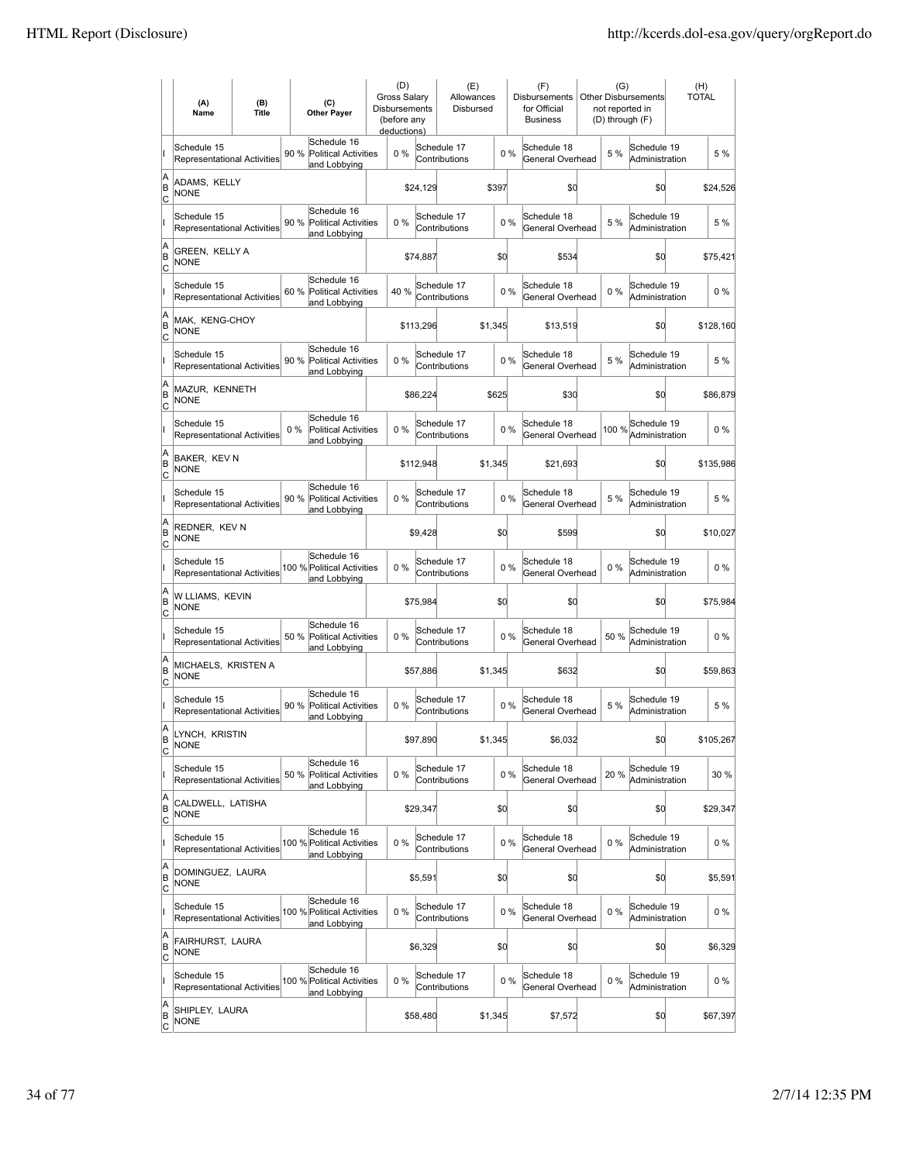|                     | (A)<br>Name                                       | (B)<br><b>Title</b> | (C)<br><b>Other Payer</b>                                           | (D)<br>Gross Salary<br>Disbursements<br>(before any<br>deductions) |           | (E)<br>Allowances<br>Disbursed |         |       | (F)<br>Disbursements<br>for Official<br><b>Business</b> | (G)<br><b>Other Disbursements</b><br>not reported in<br>(D) through (F) |       |                               | (H)<br><b>TOTAL</b> |           |
|---------------------|---------------------------------------------------|---------------------|---------------------------------------------------------------------|--------------------------------------------------------------------|-----------|--------------------------------|---------|-------|---------------------------------------------------------|-------------------------------------------------------------------------|-------|-------------------------------|---------------------|-----------|
|                     | Schedule 15<br><b>Representational Activities</b> |                     | Schedule 16<br>90 %<br><b>Political Activities</b><br>and Lobbying  | 0%                                                                 |           | Schedule 17<br>Contributions   |         | 0%    | Schedule 18<br>General Overhead                         |                                                                         | 5 %   | Schedule 19<br>Administration |                     | 5 %       |
| A<br>ΙB<br> c       | ADAMS, KELLY<br><b>NONE</b>                       |                     |                                                                     |                                                                    | \$24,129  |                                | \$397   |       | \$0                                                     |                                                                         |       | \$0                           |                     | \$24,526  |
|                     | Schedule 15<br><b>Representational Activities</b> |                     | Schedule 16<br>90 % Political Activities<br>and Lobbying            | 0%                                                                 |           | Schedule 17<br>Contributions   |         | 0%    | Schedule 18<br>General Overhead                         |                                                                         | 5 %   | Schedule 19<br>Administration |                     | 5 %       |
| A<br>B<br>c         | GREEN, KELLY A<br>NONE                            |                     |                                                                     |                                                                    | \$74,887  |                                | \$d     |       | \$534                                                   |                                                                         |       | \$0                           |                     | \$75,421  |
|                     | Schedule 15<br>Representational Activities        |                     | Schedule 16<br>60 %<br><b>Political Activities</b><br>and Lobbying  | 40 %                                                               |           | Schedule 17<br>Contributions   |         | 0%    | Schedule 18<br>General Overhead                         |                                                                         | $0\%$ | Schedule 19<br>Administration |                     | 0%        |
| A<br>B<br> c        | MAK, KENG-CHOY<br>NONE                            |                     |                                                                     |                                                                    | \$113,296 |                                | \$1,345 |       | \$13,519                                                |                                                                         |       | \$0                           |                     | \$128,160 |
|                     | Schedule 15<br><b>Representational Activities</b> |                     | Schedule 16<br>90 %<br><b>Political Activities</b><br>and Lobbying  | 0%                                                                 |           | Schedule 17<br>Contributions   |         | 0%    | Schedule 18<br>General Overhead                         |                                                                         | 5 %   | Schedule 19<br>Administration |                     | 5 %       |
| A<br>ΙB<br> c       | MAZUR, KENNETH<br>NONE                            |                     |                                                                     |                                                                    | \$86,224  |                                | \$625   |       | \$30                                                    |                                                                         |       | \$0                           |                     | \$86,879  |
|                     | Schedule 15<br>Representational Activities        |                     | Schedule 16<br>$0\%$<br><b>Political Activities</b><br>and Lobbying | $0\%$                                                              |           | Schedule 17<br>Contributions   |         | $0\%$ | Schedule 18<br>General Overhead                         |                                                                         | 100 % | Schedule 19<br>Administration |                     | $0\%$     |
| A<br>B<br>c         | <b>BAKER, KEV N</b><br><b>NONE</b>                |                     |                                                                     |                                                                    | \$112,948 |                                | \$1,345 |       | \$21,693                                                |                                                                         |       | \$0                           |                     | \$135,986 |
|                     | Schedule 15<br>Representational Activities        |                     | Schedule 16<br>90 % Political Activities<br>and Lobbying            | 0%                                                                 |           | Schedule 17<br>Contributions   |         | 0%    | Schedule 18<br>General Overhead                         |                                                                         | 5 %   | Schedule 19<br>Administration |                     | 5 %       |
| A<br>B<br>C         | REDNER, KEV N<br><b>NONE</b>                      |                     |                                                                     |                                                                    | \$9,428   |                                | \$d     |       | \$599                                                   |                                                                         |       | \$0                           |                     | \$10,027  |
|                     | Schedule 15<br>Representational Activities        |                     | Schedule 16<br>100 % Political Activities<br>and Lobbying           | 0%                                                                 |           | Schedule 17<br>Contributions   |         | 0%    | Schedule 18<br>General Overhead                         |                                                                         | $0\%$ | Schedule 19<br>Administration |                     | $0\%$     |
| A<br>B<br>Iс        | W LLIAMS, KEVIN<br><b>NONE</b>                    |                     |                                                                     |                                                                    | \$75,984  |                                | \$d     |       | \$0                                                     |                                                                         |       | \$d                           |                     | \$75,984  |
|                     | Schedule 15<br><b>Representational Activities</b> |                     | Schedule 16<br>50 % Political Activities<br>and Lobbying            | 0%                                                                 |           | Schedule 17<br>Contributions   |         | $0\%$ | Schedule 18<br>General Overhead                         |                                                                         | 50 %  | Schedule 19<br>Administration |                     | $0\%$     |
| A<br>B<br> c        | MICHAELS, KRISTEN A<br><b>NONE</b>                |                     |                                                                     |                                                                    | \$57,886  |                                | \$1,345 |       | \$632                                                   |                                                                         |       | \$0                           |                     | \$59,863  |
|                     | Schedule 15<br><b>Representational Activities</b> |                     | Schedule 16<br>90 %<br>Political Activities<br>and Lobbying         | 0%                                                                 |           | Schedule 17<br>Contributions   |         | 0%    | Schedule 18<br>General Overhead                         |                                                                         | 5 %   | Schedule 19<br>Administration |                     | 5 %       |
| A<br>ΙB<br>C        | LYNCH, KRISTIN<br><b>NONE</b>                     |                     |                                                                     |                                                                    | \$97,890  |                                | \$1,345 |       | \$6,032                                                 |                                                                         |       | \$d                           |                     | \$105,267 |
|                     | Schedule 15<br><b>Representational Activities</b> |                     | Schedule 16<br>50 %<br><b>Political Activities</b><br>and Lobbying  | 0%                                                                 |           | Schedule 17<br>Contributions   |         | $0\%$ | Schedule 18<br>General Overhead                         |                                                                         | 20%   | Schedule 19<br>Administration |                     | 30 %      |
| A<br>B<br>C         | CALDWELL, LATISHA<br><b>NONE</b>                  |                     |                                                                     |                                                                    | \$29,347  |                                | \$d     |       | \$d                                                     |                                                                         |       | \$d                           |                     | \$29,347  |
|                     | Schedule 15<br>Representational Activities        |                     | Schedule 16<br>100 % Political Activities<br>and Lobbying           | $0\%$                                                              |           | Schedule 17<br>Contributions   |         | $0\%$ | Schedule 18<br>General Overhead                         |                                                                         | $0\%$ | Schedule 19<br>Administration |                     | 0%        |
| A<br>B<br>C         | DOMINGUEZ, LAURA<br><b>NONE</b>                   |                     |                                                                     |                                                                    | \$5,591   |                                | \$0     |       | \$0                                                     |                                                                         |       | \$0                           |                     | \$5,591   |
|                     | Schedule 15<br>Representational Activities        |                     | Schedule 16<br>100 % Political Activities<br>and Lobbying           | 0%                                                                 |           | Schedule 17<br>Contributions   |         | $0\%$ | Schedule 18<br>General Overhead                         |                                                                         | $0\%$ | Schedule 19<br>Administration |                     | $0\%$     |
| A<br>B<br>C         | FAIRHURST, LAURA<br><b>NONE</b>                   |                     |                                                                     |                                                                    | \$6,329   |                                | \$0     |       | \$0                                                     |                                                                         |       | \$d                           |                     | \$6,329   |
|                     | Schedule 15<br>Representational Activities        |                     | Schedule 16<br>100 % Political Activities<br>and Lobbying           | 0%                                                                 |           | Schedule 17<br>Contributions   |         | 0%    | Schedule 18<br>General Overhead                         |                                                                         | $0\%$ | Schedule 19<br>Administration |                     | 0%        |
| A<br>B<br><u>lc</u> | SHIPLEY, LAURA<br><b>NONE</b>                     |                     |                                                                     |                                                                    | \$58,480  |                                | \$1,345 |       | \$7,572                                                 |                                                                         |       | \$d                           |                     | \$67,397  |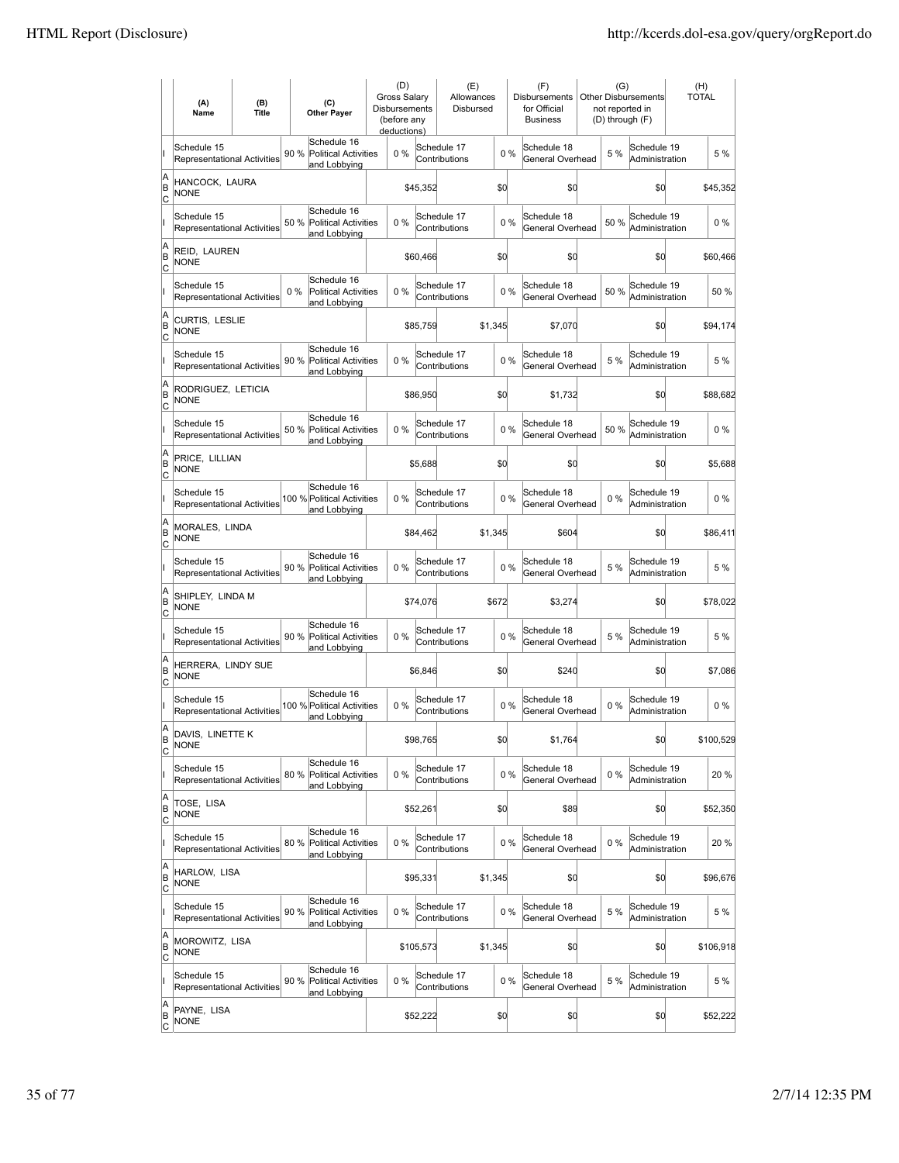|                          | (A)<br>Name                                       | (B)<br>(C)<br><b>Title</b><br><b>Other Payer</b> |      |                                                            | (D)<br><b>Gross Salarv</b><br>Disbursements<br>(before any<br>deductions) |           | (E)<br>Allowances<br>Disbursed |         | (F)<br><b>Disbursements</b><br>for Official<br><b>Business</b> | (G)<br>Other Disbursements<br>not reported in<br>(D) through (F) |  |       | (H)<br><b>TOTAL</b>           |           |
|--------------------------|---------------------------------------------------|--------------------------------------------------|------|------------------------------------------------------------|---------------------------------------------------------------------------|-----------|--------------------------------|---------|----------------------------------------------------------------|------------------------------------------------------------------|--|-------|-------------------------------|-----------|
|                          | Schedule 15<br>Representational Activities        |                                                  | 90 % | Schedule 16<br><b>Political Activities</b><br>and Lobbying | 0%                                                                        |           | Schedule 17<br>Contributions   |         | 0%                                                             | Schedule 18<br>General Overhead                                  |  | 5 %   | Schedule 19<br>Administration | 5 %       |
| A<br>B<br>lc             | HANCOCK, LAURA<br><b>NONE</b>                     |                                                  |      |                                                            |                                                                           | \$45,352  | \$d                            |         |                                                                | \$0                                                              |  |       | \$0                           | \$45,352  |
|                          | Schedule 15<br><b>Representational Activities</b> |                                                  | 50 % | Schedule 16<br>Political Activities<br>and Lobbying        | 0%                                                                        |           | Schedule 17<br>Contributions   |         | 0%                                                             | Schedule 18<br>General Overhead                                  |  | 50%   | Schedule 19<br>Administration | 0%        |
| A<br>B<br>C              | REID, LAUREN<br><b>NONE</b>                       |                                                  |      |                                                            |                                                                           | \$60,466  |                                | \$d     |                                                                | \$0                                                              |  |       | \$0                           | \$60,466  |
|                          | Schedule 15<br>Representational Activities        |                                                  | 0%   | Schedule 16<br><b>Political Activities</b><br>and Lobbying | 0%                                                                        |           | Schedule 17<br>Contributions   |         | 0%                                                             | Schedule 18<br>General Overhead                                  |  | 50%   | Schedule 19<br>Administration | 50%       |
| A<br>B<br>Ιc             | CURTIS, LESLIE<br><b>NONE</b>                     |                                                  |      |                                                            |                                                                           | \$85,759  |                                | \$1,345 |                                                                | \$7,070                                                          |  |       | \$0                           | \$94,174  |
|                          | Schedule 15<br><b>Representational Activities</b> |                                                  | 90 % | Schedule 16<br><b>Political Activities</b><br>and Lobbying | $0\%$                                                                     |           | Schedule 17<br>Contributions   |         | 0%                                                             | Schedule 18<br>General Overhead                                  |  | 5 %   | Schedule 19<br>Administration | 5 %       |
| A<br>B<br>lc             | RODRIGUEZ, LETICIA<br>NONE                        |                                                  |      |                                                            |                                                                           | \$86,950  |                                | \$0     |                                                                | \$1,732                                                          |  |       | \$0                           | \$88,682  |
|                          | Schedule 15<br>Representational Activities        |                                                  | 50 % | Schedule 16<br><b>Political Activities</b><br>and Lobbying | 0%                                                                        |           | Schedule 17<br>Contributions   |         | 0%                                                             | Schedule 18<br>General Overhead                                  |  | 50 %  | Schedule 19<br>Administration | $0\%$     |
| A<br>B<br>C              | PRICE, LILLIAN<br><b>NONE</b>                     |                                                  |      |                                                            |                                                                           | \$5,688   |                                | \$d     |                                                                | \$0                                                              |  |       | \$0                           | \$5,688   |
|                          | Schedule 15<br>Representational Activities        |                                                  |      | Schedule 16<br>100 % Political Activities<br>and Lobbying  | 0%                                                                        |           | Schedule 17<br>Contributions   |         | 0%                                                             | Schedule 18<br>General Overhead                                  |  | $0\%$ | Schedule 19<br>Administration | $0\%$     |
| A<br>B<br>C              | MORALES, LINDA<br><b>NONE</b>                     |                                                  |      |                                                            |                                                                           | \$84,462  |                                | \$1,345 |                                                                | \$604                                                            |  |       | \$0                           | \$86,411  |
|                          | Schedule 15<br><b>Representational Activities</b> |                                                  | 90 % | Schedule 16<br><b>Political Activities</b><br>and Lobbying | $0\%$                                                                     |           | Schedule 17<br>Contributions   |         | 0%                                                             | Schedule 18<br>General Overhead                                  |  | 5 %   | Schedule 19<br>Administration | 5 %       |
| A<br>B<br> c             | SHIPLEY, LINDA M<br><b>NONE</b>                   |                                                  |      |                                                            |                                                                           | \$74,076  |                                | \$672   |                                                                | \$3,274                                                          |  |       | \$0                           | \$78,022  |
|                          | Schedule 15<br>Representational Activities        |                                                  | 90 % | Schedule 16<br><b>Political Activities</b><br>and Lobbying | 0%                                                                        |           | Schedule 17<br>Contributions   |         | 0%                                                             | Schedule 18<br>General Overhead                                  |  | 5 %   | Schedule 19<br>Administration | 5 %       |
| A<br>B<br> c             | HERRERA, LINDY SUE<br><b>NONE</b>                 |                                                  |      |                                                            |                                                                           | \$6,846   |                                | \$d     |                                                                | \$240                                                            |  |       | \$0                           | \$7,086   |
|                          | Schedule 15<br>Representational Activities        |                                                  |      | Schedule 16<br>100 % Political Activities<br>and Lobbying  | 0%                                                                        |           | Schedule 17<br>Contributions   |         | 0%                                                             | Schedule 18<br>General Overhead                                  |  | 0%    | Schedule 19<br>Administration | $0\%$     |
| A<br>B<br>C              | DAVIS, LINETTE K<br><b>NONE</b>                   |                                                  |      |                                                            |                                                                           | \$98,765  |                                | \$d     |                                                                | \$1,764                                                          |  |       | \$0                           | \$100,529 |
|                          | Schedule 15<br>Representational Activities        |                                                  | 80%  | Schedule 16<br>Political Activities<br>and Lobbying        | $0\%$                                                                     |           | Schedule 17<br>Contributions   |         | 0%                                                             | Schedule 18<br>General Overhead                                  |  | $0\%$ | Schedule 19<br>Administration | 20 %      |
| A<br>B<br>$\overline{c}$ | TOSE, LISA<br><b>NONE</b>                         |                                                  |      |                                                            |                                                                           | \$52,261  |                                | \$d     |                                                                | \$89                                                             |  |       | \$0                           | \$52,350  |
|                          | Schedule 15<br>Representational Activities        |                                                  | 80%  | Schedule 16<br><b>Political Activities</b><br>and Lobbying | $0\%$                                                                     |           | Schedule 17<br>Contributions   |         | 0%                                                             | Schedule 18<br>General Overhead                                  |  | $0\%$ | Schedule 19<br>Administration | 20%       |
| A<br>B<br>$\mathsf{C}$   | HARLOW, LISA<br><b>NONE</b>                       |                                                  |      |                                                            |                                                                           | \$95,331  |                                | \$1,345 |                                                                | \$0                                                              |  |       | \$0                           | \$96,676  |
|                          | Schedule 15<br>Representational Activities        |                                                  | 90 % | Schedule 16<br><b>Political Activities</b><br>and Lobbying | $0\%$                                                                     |           | Schedule 17<br>Contributions   |         | 0%                                                             | Schedule 18<br>General Overhead                                  |  | 5 %   | Schedule 19<br>Administration | 5 %       |
| A<br>B<br>C              | MOROWITZ, LISA<br>NONE                            |                                                  |      |                                                            |                                                                           | \$105,573 |                                | \$1,345 |                                                                | \$0                                                              |  |       | \$d                           | \$106,918 |
|                          | Schedule 15<br>Representational Activities        |                                                  | 90 % | Schedule 16<br>Political Activities<br>and Lobbying        | $0\%$                                                                     |           | Schedule 17<br>Contributions   |         | 0%                                                             | Schedule 18<br>General Overhead                                  |  | 5 %   | Schedule 19<br>Administration | 5 %       |
| A<br>B<br><u>lc</u>      | PAYNE, LISA<br>NONE                               |                                                  |      |                                                            |                                                                           | \$52,222  |                                | \$0     |                                                                | \$0                                                              |  |       | \$0                           | \$52,222  |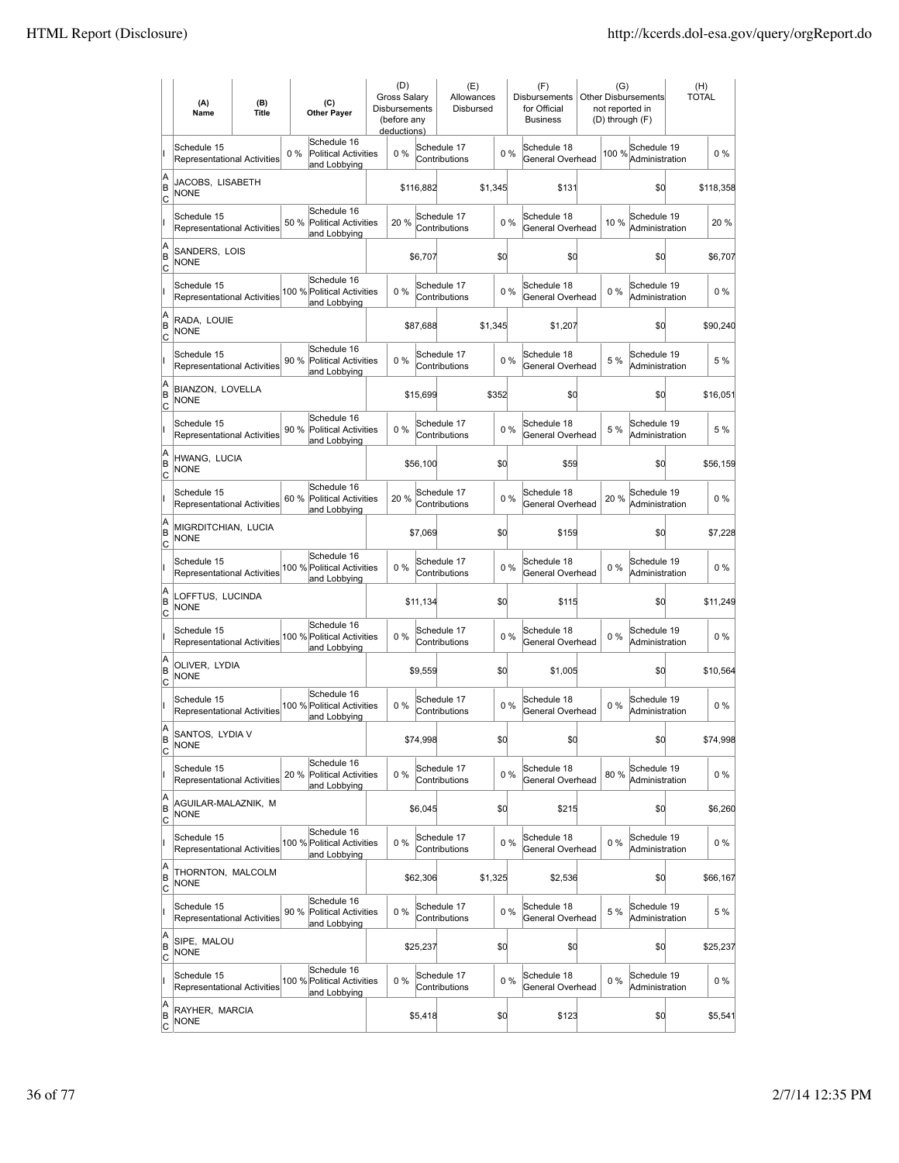|                        | (A)<br>Name                                       | (B)<br>(C)<br><b>Title</b><br><b>Other Paver</b> |      | (D)<br><b>Gross Salarv</b><br><b>Disbursements</b><br>(before any<br>deductions) |       | (E)<br>Allowances<br>Disbursed |                              |         | (F)<br><b>Disbursements</b><br>for Official<br><b>Business</b> |                                 | (G)<br><b>Other Disbursements</b><br>not reported in<br>(D) through (F) |       | (H)<br><b>TOTAL</b>           |  |           |
|------------------------|---------------------------------------------------|--------------------------------------------------|------|----------------------------------------------------------------------------------|-------|--------------------------------|------------------------------|---------|----------------------------------------------------------------|---------------------------------|-------------------------------------------------------------------------|-------|-------------------------------|--|-----------|
|                        | Schedule 15<br><b>Representational Activities</b> |                                                  | 0%   | Schedule 16<br><b>Political Activities</b><br>and Lobbying                       | 0%    |                                | Schedule 17<br>Contributions |         | 0%                                                             | Schedule 18<br>General Overhead |                                                                         | 100 % | Schedule 19<br>Administration |  | $0\%$     |
| A<br>B<br>lc           | JACOBS, LISABETH<br><b>NONE</b>                   |                                                  |      |                                                                                  |       | \$116,882                      |                              | \$1,345 |                                                                | \$131                           |                                                                         |       | \$d                           |  | \$118,358 |
|                        | Schedule 15<br>Representational Activities        |                                                  | 50 % | Schedule 16<br><b>Political Activities</b><br>and Lobbying                       | 20 %  |                                | Schedule 17<br>Contributions |         | 0%                                                             | Schedule 18<br>General Overhead |                                                                         | 10%   | Schedule 19<br>Administration |  | 20%       |
| A<br>B<br>C            | SANDERS, LOIS<br><b>NONE</b>                      |                                                  |      |                                                                                  |       | \$6,707                        |                              | \$0     |                                                                | \$0                             |                                                                         |       | \$0                           |  | \$6,707   |
|                        | Schedule 15<br>Representational Activities        |                                                  |      | Schedule 16<br>100 % Political Activities<br>and Lobbying                        | 0%    |                                | Schedule 17<br>Contributions |         | 0%                                                             | Schedule 18<br>General Overhead |                                                                         | 0%    | Schedule 19<br>Administration |  | $0\%$     |
| A<br>B<br>C            | RADA, LOUIE<br><b>NONE</b>                        |                                                  |      |                                                                                  |       | \$87,688                       |                              | \$1,345 |                                                                | \$1,207                         |                                                                         |       | \$0                           |  | \$90,240  |
|                        | Schedule 15<br><b>Representational Activities</b> |                                                  | 90%  | Schedule 16<br>Political Activities<br>and Lobbying                              | $0\%$ |                                | Schedule 17<br>Contributions |         | 0%                                                             | Schedule 18<br>General Overhead |                                                                         | 5 %   | Schedule 19<br>Administration |  | 5 %       |
| A<br>B<br>lc           | BIANZON, LOVELLA<br>NONE                          |                                                  |      |                                                                                  |       | \$15,699                       |                              | \$352   |                                                                | \$O                             |                                                                         |       | \$0                           |  | \$16,051  |
|                        | Schedule 15<br><b>Representational Activities</b> |                                                  | 90 % | Schedule 16<br><b>Political Activities</b><br>and Lobbying                       | 0%    |                                | Schedule 17<br>Contributions |         | 0%                                                             | Schedule 18<br>General Overhead |                                                                         | 5 %   | Schedule 19<br>Administration |  | 5 %       |
| A<br>B<br>C            | HWANG, LUCIA<br><b>NONE</b>                       |                                                  |      |                                                                                  |       | \$56,100                       |                              | \$0     |                                                                | \$59                            |                                                                         |       | \$0                           |  | \$56,159  |
|                        | Schedule 15<br>Representational Activities        |                                                  |      | Schedule 16<br>60 % Political Activities<br>and Lobbying                         | 20%   |                                | Schedule 17<br>Contributions |         | 0%                                                             | Schedule 18<br>General Overhead |                                                                         | 20%   | Schedule 19<br>Administration |  | $0\%$     |
| A<br>B<br>C            | MIGRDITCHIAN, LUCIA<br><b>NONE</b>                |                                                  |      |                                                                                  |       | \$7,069                        |                              | \$0     |                                                                | \$159                           |                                                                         |       | \$0                           |  | \$7,228   |
|                        | Schedule 15<br>Representational Activities        |                                                  |      | Schedule 16<br>100 % Political Activities<br>and Lobbying                        | $0\%$ |                                | Schedule 17<br>Contributions |         | $0\%$                                                          | Schedule 18<br>General Overhead |                                                                         | 0%    | Schedule 19<br>Administration |  | $0\%$     |
| A<br>B<br> c           | LOFFTUS, LUCINDA<br><b>NONE</b>                   |                                                  |      |                                                                                  |       | \$11,134                       |                              | \$0     |                                                                | \$115                           |                                                                         |       | \$d                           |  | \$11,249  |
|                        | Schedule 15<br>Representational Activities        |                                                  |      | Schedule 16<br>100 % Political Activities<br>and Lobbying                        | 0%    |                                | Schedule 17<br>Contributions |         | 0%                                                             | Schedule 18<br>General Overhead |                                                                         | 0%    | Schedule 19<br>Administration |  | $0\%$     |
| A<br>B<br> c           | OLIVER, LYDIA<br><b>NONE</b>                      |                                                  |      |                                                                                  |       | \$9,559                        |                              | \$0     |                                                                | \$1,005                         |                                                                         |       | \$0                           |  | \$10,564  |
|                        | Schedule 15<br>Representational Activities        |                                                  |      | Schedule 16<br>100 % Political Activities<br>and Lobbying                        | 0%    |                                | Schedule 17<br>Contributions |         | 0%                                                             | Schedule 18<br>General Overhead |                                                                         | 0%    | Schedule 19<br>Administration |  | $0\%$     |
| A<br>B<br>C            | SANTOS, LYDIA V<br><b>NONE</b>                    |                                                  |      |                                                                                  |       | \$74,998                       |                              | \$d     |                                                                | \$0                             |                                                                         |       | \$0                           |  | \$74,998  |
|                        | Schedule 15<br>Representational Activities        |                                                  | 20%  | Schedule 16<br>Political Activities<br>and Lobbying                              | 0%    |                                | Schedule 17<br>Contributions |         | 0%                                                             | Schedule 18<br>General Overhead |                                                                         | 80 %  | Schedule 19<br>Administration |  | $0\%$     |
| A<br>B<br><u>lc</u>    | AGUILAR-MALAZNIK, M<br><b>NONE</b>                |                                                  |      |                                                                                  |       | \$6,045                        |                              | \$0     |                                                                | \$215                           |                                                                         |       | \$0                           |  | \$6,260   |
|                        | Schedule 15<br>Representational Activities        |                                                  |      | Schedule 16<br>100 % Political Activities<br>and Lobbying                        | 0%    |                                | Schedule 17<br>Contributions |         | 0%                                                             | Schedule 18<br>General Overhead |                                                                         | $0\%$ | Schedule 19<br>Administration |  | $0\%$     |
| A<br>B<br>$\mathsf{C}$ | THORNTON, MALCOLM<br><b>NONE</b>                  |                                                  |      |                                                                                  |       | \$62,306                       |                              | \$1,325 |                                                                | \$2,536                         |                                                                         |       | \$0                           |  | \$66,167  |
|                        | Schedule 15<br>Representational Activities        |                                                  |      | Schedule 16<br>90 % Political Activities<br>and Lobbying                         | 0%    |                                | Schedule 17<br>Contributions |         | 0%                                                             | Schedule 18<br>General Overhead |                                                                         | 5 %   | Schedule 19<br>Administration |  | 5 %       |
| A<br>B<br>C            | SIPE, MALOU<br>NONE                               |                                                  |      |                                                                                  |       | \$25,237                       |                              | \$0     |                                                                | \$0                             |                                                                         |       | \$0                           |  | \$25,237  |
|                        | Schedule 15<br>Representational Activities        |                                                  |      | Schedule 16<br>100 % Political Activities<br>and Lobbying                        | 0%    |                                | Schedule 17<br>Contributions |         | 0%                                                             | Schedule 18<br>General Overhead |                                                                         | $0\%$ | Schedule 19<br>Administration |  | $0\%$     |
| A<br>B<br><u>lc</u>    | RAYHER, MARCIA<br>NONE                            |                                                  |      |                                                                                  |       | \$5,418                        |                              | \$0     |                                                                | \$123                           |                                                                         |       | \$0                           |  | \$5,541   |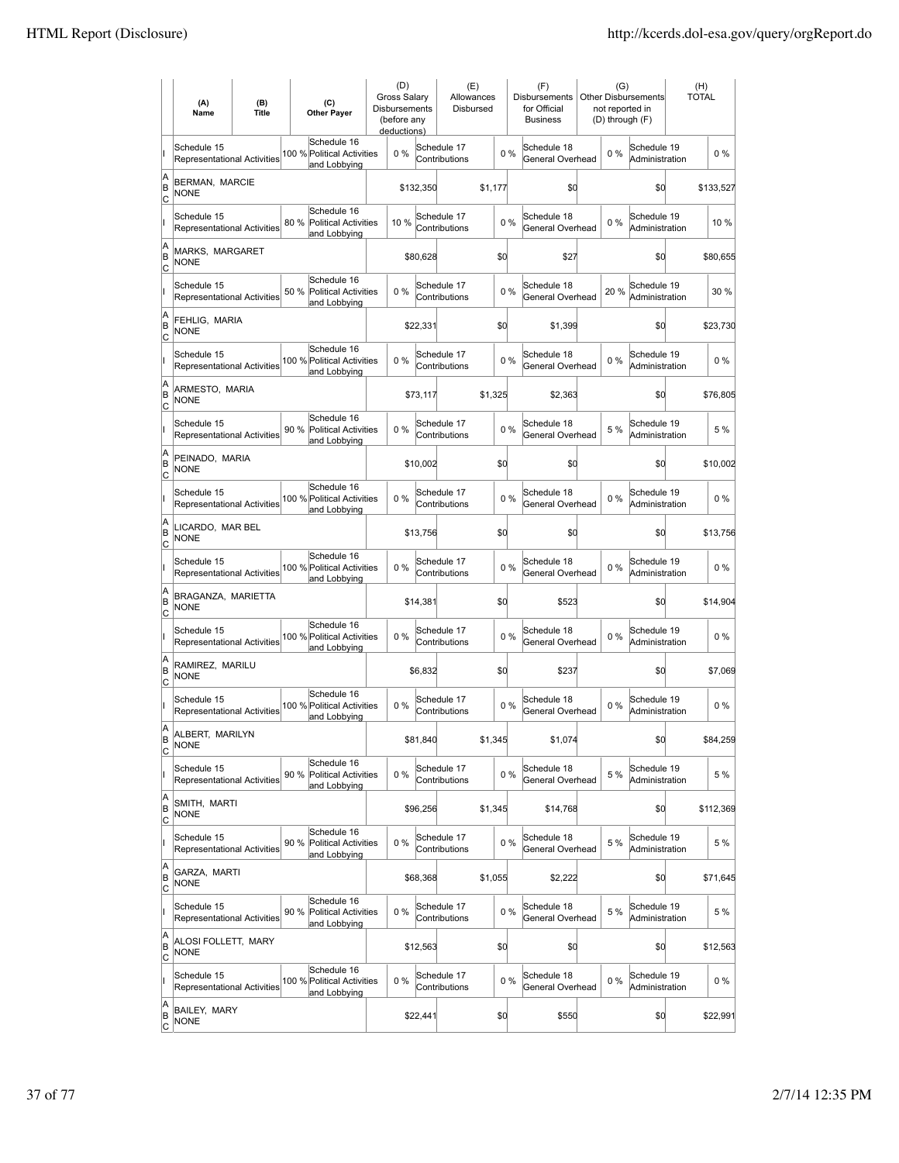|                     | (A)<br>Name                                       | (B)<br><b>Title</b> | (C)<br><b>Other Payer</b>                                          | (D)<br><b>Gross Salarv</b><br>Disbursements<br>(before any<br>deductions) |           | (E)<br>Allowances<br>Disbursed |         |       | (F)<br><b>Disbursements</b><br>for Official<br><b>Business</b> | (G)<br>Other Disbursements<br>not reported in<br>(D) through (F) |                               | (H)<br><b>TOTAL</b> |           |
|---------------------|---------------------------------------------------|---------------------|--------------------------------------------------------------------|---------------------------------------------------------------------------|-----------|--------------------------------|---------|-------|----------------------------------------------------------------|------------------------------------------------------------------|-------------------------------|---------------------|-----------|
|                     | Schedule 15<br><b>Representational Activities</b> |                     | Schedule 16<br>100 % Political Activities<br>and Lobbying          | 0%                                                                        |           | Schedule 17<br>Contributions   |         | $0\%$ | Schedule 18<br>General Overhead                                | 0%                                                               | Schedule 19<br>Administration |                     | $0\%$     |
| A<br>ΙB<br> c       | BERMAN, MARCIE<br><b>NONE</b>                     |                     |                                                                    |                                                                           | \$132,350 |                                | \$1,177 |       | \$d                                                            |                                                                  | \$d                           |                     | \$133,527 |
|                     | Schedule 15<br><b>Representational Activities</b> |                     | Schedule 16<br>80 %<br>Political Activities<br>and Lobbying        | 10 %                                                                      |           | Schedule 17<br>Contributions   |         | 0%    | Schedule 18<br>General Overhead                                | 0%                                                               | Schedule 19<br>Administration |                     | 10 %      |
| A<br>B<br>C         | MARKS, MARGARET<br><b>NONE</b>                    |                     |                                                                    |                                                                           | \$80,628  |                                | \$0     |       | \$27                                                           |                                                                  | \$0                           |                     | \$80,655  |
|                     | Schedule 15<br><b>Representational Activities</b> |                     | Schedule 16<br>50 %<br><b>Political Activities</b><br>and Lobbying | 0%                                                                        |           | Schedule 17<br>Contributions   |         | 0%    | Schedule 18<br>General Overhead                                | 20%                                                              | Schedule 19<br>Administration |                     | 30 %      |
| A<br>B<br>c         | FEHLIG, MARIA<br><b>NONE</b>                      |                     |                                                                    |                                                                           | \$22,331  |                                | \$0     |       | \$1,399                                                        |                                                                  | \$0                           |                     | \$23,730  |
|                     | Schedule 15<br><b>Representational Activities</b> |                     | Schedule 16<br>100 % Political Activities<br>and Lobbying          | 0%                                                                        |           | Schedule 17<br>Contributions   |         | 0%    | Schedule 18<br>General Overhead                                | $0\%$                                                            | Schedule 19<br>Administration |                     | $0\%$     |
| A<br>ΙB<br> c       | ARMESTO, MARIA<br><b>NONE</b>                     |                     |                                                                    |                                                                           | \$73,117  |                                | \$1,325 |       | \$2,363                                                        |                                                                  | \$0                           |                     | \$76,805  |
|                     | Schedule 15<br><b>Representational Activities</b> |                     | Schedule 16<br>90 % Political Activities<br>and Lobbying           | $0\%$                                                                     |           | Schedule 17<br>Contributions   |         | $0\%$ | Schedule 18<br>General Overhead                                | 5 %                                                              | Schedule 19<br>Administration |                     | 5 %       |
| A<br>B<br>c         | PEINADO, MARIA<br><b>NONE</b>                     |                     |                                                                    |                                                                           | \$10,002  |                                | \$0     |       | \$0                                                            |                                                                  | \$0                           |                     | \$10,002  |
|                     | Schedule 15<br>Representational Activities        |                     | Schedule 16<br>100 % Political Activities<br>and Lobbying          | $0\%$                                                                     |           | Schedule 17<br>Contributions   |         | 0%    | Schedule 18<br>General Overhead                                | $0\%$                                                            | Schedule 19<br>Administration |                     | $0\%$     |
| A<br>B<br>C         | LICARDO, MAR BEL<br><b>NONE</b>                   |                     |                                                                    |                                                                           | \$13,756  |                                | \$0     |       | \$0                                                            |                                                                  | \$0                           |                     | \$13,756  |
|                     | Schedule 15<br>Representational Activities        |                     | Schedule 16<br>100 % Political Activities<br>and Lobbying          | $0\%$                                                                     |           | Schedule 17<br>Contributions   |         | 0%    | Schedule 18<br>General Overhead                                | 0%                                                               | Schedule 19<br>Administration |                     | $0\%$     |
| A<br>B<br>Iс        | BRAGANZA, MARIETTA<br><b>NONE</b>                 |                     |                                                                    |                                                                           | \$14,381  |                                | \$d     |       | \$523                                                          |                                                                  | \$d                           |                     | \$14,904  |
|                     | Schedule 15<br><b>Representational Activities</b> |                     | Schedule 16<br>100 % Political Activities<br>and Lobbying          | $0\%$                                                                     |           | Schedule 17<br>Contributions   |         | $0\%$ | Schedule 18<br>General Overhead                                | $0\%$                                                            | Schedule 19<br>Administration |                     | $0\%$     |
| A<br>B<br>C         | RAMIREZ, MARILU<br><b>NONE</b>                    |                     |                                                                    |                                                                           | \$6,832   |                                | \$0     |       | \$237                                                          |                                                                  | \$0                           |                     | \$7,069   |
|                     | Schedule 15<br>Representational Activities        |                     | Schedule 16<br>100 % Political Activities<br>and Lobbying          | $0\%$                                                                     |           | Schedule 17<br>Contributions   |         | 0%    | Schedule 18<br>General Overhead                                | $0\%$                                                            | Schedule 19<br>Administration |                     | $0\%$     |
| A<br>ΙB<br>C        | ALBERT, MARILYN<br><b>NONE</b>                    |                     |                                                                    |                                                                           | \$81,840  |                                | \$1,345 |       | \$1,074                                                        |                                                                  | \$d                           |                     | \$84,259  |
|                     | Schedule 15<br><b>Representational Activities</b> |                     | Schedule 16<br><b>Political Activities</b><br>90%<br>and Lobbying  | $0\%$                                                                     |           | Schedule 17<br>Contributions   |         | $0\%$ | Schedule 18<br>General Overhead                                | 5 %                                                              | Schedule 19<br>Administration |                     | 5 %       |
| A<br>B<br>C         | SMITH, MARTI<br><b>NONE</b>                       |                     |                                                                    |                                                                           | \$96,256  |                                | \$1,345 |       | \$14,768                                                       |                                                                  | \$d                           |                     | \$112,369 |
|                     | Schedule 15<br>Representational Activities        |                     | Schedule 16<br>90 % Political Activities<br>and Lobbying           | $0\%$                                                                     |           | Schedule 17<br>Contributions   |         | $0\%$ | Schedule 18<br>General Overhead                                | 5 %                                                              | Schedule 19<br>Administration |                     | 5 %       |
| A<br>B<br>C         | GARZA, MARTI<br><b>NONE</b>                       |                     |                                                                    |                                                                           | \$68,368  |                                | \$1,055 |       | \$2,222                                                        |                                                                  | \$q                           |                     | \$71,645  |
|                     | Schedule 15<br>Representational Activities        |                     | Schedule 16<br>90 % Political Activities<br>and Lobbying           | 0%                                                                        |           | Schedule 17<br>Contributions   |         | 0%    | Schedule 18<br>General Overhead                                | 5 %                                                              | Schedule 19<br>Administration |                     | 5 %       |
| A<br>B<br>C         | ALOSI FOLLETT, MARY<br><b>NONE</b>                |                     |                                                                    |                                                                           | \$12,563  |                                | \$0     |       | \$0                                                            |                                                                  | \$d                           |                     | \$12,563  |
|                     | Schedule 15<br>Representational Activities        |                     | Schedule 16<br>100 % Political Activities<br>and Lobbying          | 0%                                                                        |           | Schedule 17<br>Contributions   |         | $0\%$ | Schedule 18<br>General Overhead                                | $0\%$                                                            | Schedule 19<br>Administration |                     | 0 %       |
| A<br>B<br><u>lc</u> | BAILEY, MARY<br><b>NONE</b>                       |                     |                                                                    |                                                                           | \$22,441  |                                | \$0     |       | \$550                                                          |                                                                  | \$d                           |                     | \$22,991  |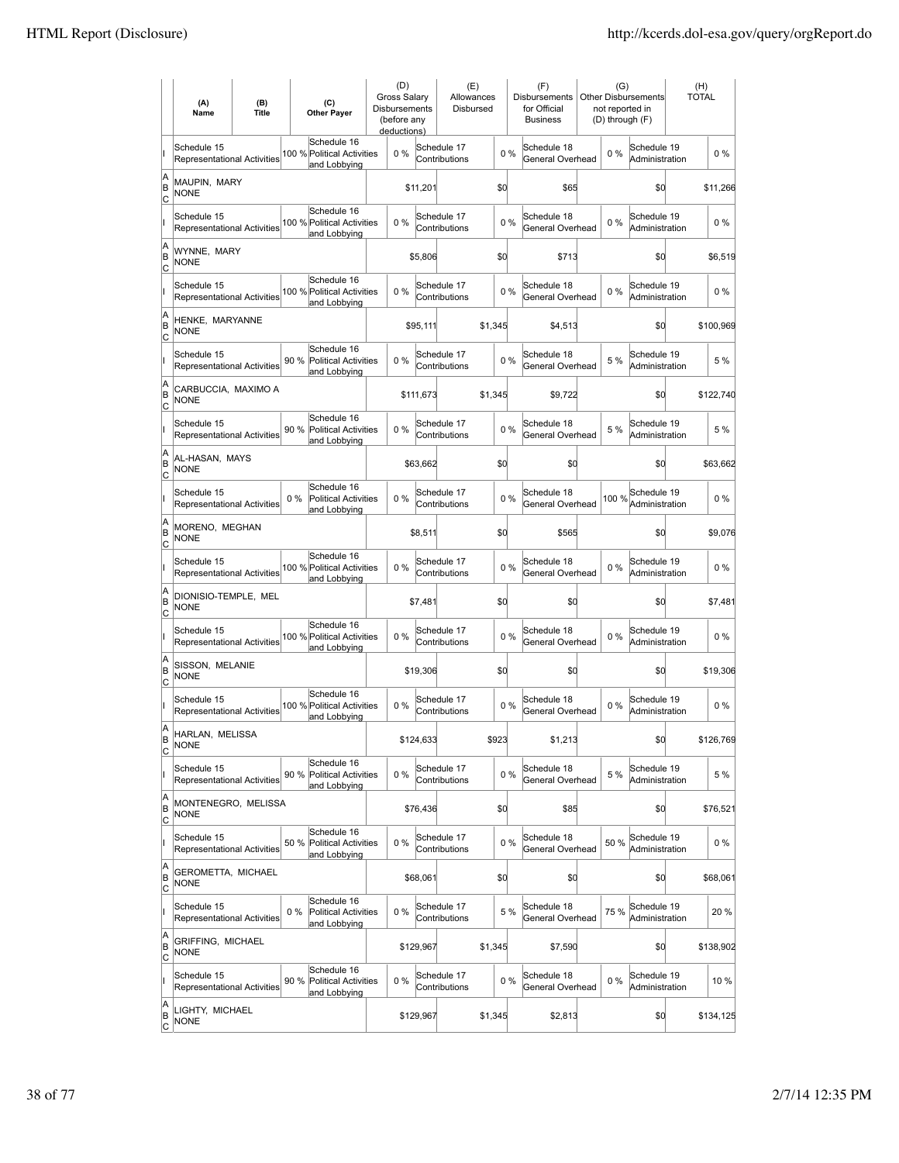|                     | (A)<br>Name                                       | (B)<br><b>Title</b> | (C)<br><b>Other Payer</b>                                          | (D)<br>Gross Salary<br>Disbursements<br>(before any<br>deductions) |           | (E)<br>Allowances<br>Disbursed |         |       | (F)<br>Disbursements<br>for Official<br><b>Business</b> | (G)<br>not reported in<br>(D) through (F) | <b>Other Disbursements</b>    | (H)<br><b>TOTAL</b> |           |
|---------------------|---------------------------------------------------|---------------------|--------------------------------------------------------------------|--------------------------------------------------------------------|-----------|--------------------------------|---------|-------|---------------------------------------------------------|-------------------------------------------|-------------------------------|---------------------|-----------|
|                     | Schedule 15<br>Representational Activities        |                     | Schedule 16<br>100 % Political Activities<br>and Lobbying          | 0%                                                                 |           | Schedule 17<br>Contributions   |         | 0%    | Schedule 18<br>General Overhead                         | $0\%$                                     | Schedule 19<br>Administration |                     | $0\%$     |
| A<br>ΙB<br> c       | MAUPIN, MARY<br><b>NONE</b>                       |                     |                                                                    |                                                                    | \$11,201  |                                | \$d     |       | \$65                                                    |                                           | \$d                           |                     | \$11,266  |
|                     | Schedule 15<br><b>Representational Activities</b> |                     | Schedule 16<br>100 % Political Activities<br>and Lobbying          | $0\%$                                                              |           | Schedule 17<br>Contributions   |         | 0%    | Schedule 18<br>General Overhead                         | $0\%$                                     | Schedule 19<br>Administration |                     | $0\%$     |
| A<br>B<br>C         | WYNNE, MARY<br>NONE                               |                     |                                                                    |                                                                    | \$5,806   |                                | \$d     |       | \$713                                                   |                                           | \$0                           |                     | \$6,519   |
|                     | Schedule 15<br>Representational Activities        |                     | Schedule 16<br>100 % Political Activities<br>and Lobbying          | $0\%$                                                              |           | Schedule 17<br>Contributions   |         | 0%    | Schedule 18<br>General Overhead                         | $0\%$                                     | Schedule 19<br>Administration |                     | 0%        |
| A<br>B<br> c        | HENKE, MARYANNE<br>NONE                           |                     |                                                                    |                                                                    | \$95,111  |                                | \$1,345 |       | \$4,513                                                 |                                           | \$0                           |                     | \$100,969 |
|                     | Schedule 15<br><b>Representational Activities</b> |                     | Schedule 16<br>90 %<br><b>Political Activities</b><br>and Lobbying | $0\%$                                                              |           | Schedule 17<br>Contributions   |         | 0%    | Schedule 18<br>General Overhead                         | 5 %                                       | Schedule 19<br>Administration |                     | 5 %       |
| A<br>ΙB<br> c       | CARBUCCIA, MAXIMO A<br><b>NONE</b>                |                     |                                                                    |                                                                    | \$111,673 |                                | \$1.345 |       | \$9,722                                                 |                                           | \$0                           |                     | \$122,740 |
|                     | Schedule 15<br><b>Representational Activities</b> |                     | Schedule 16<br>90 % Political Activities<br>and Lobbying           | $0\%$                                                              |           | Schedule 17<br>Contributions   |         | 0%    | Schedule 18<br>General Overhead                         | 5 %                                       | Schedule 19<br>Administration |                     | 5 %       |
| A<br>B<br>C         | AL-HASAN, MAYS<br><b>NONE</b>                     |                     |                                                                    |                                                                    | \$63,662  |                                | \$0     |       | \$0                                                     |                                           | \$0                           |                     | \$63,662  |
|                     | Schedule 15<br>Representational Activities        |                     | Schedule 16<br>$0\%$<br>Political Activities<br>and Lobbying       | $0\%$                                                              |           | Schedule 17<br>Contributions   |         | 0%    | Schedule 18<br>General Overhead                         | 100 %                                     | Schedule 19<br>Administration |                     | $0\%$     |
| A<br>B<br>C         | MORENO, MEGHAN<br><b>NONE</b>                     |                     |                                                                    |                                                                    | \$8,511   |                                | \$d     |       | \$565                                                   |                                           | \$0                           |                     | \$9,076   |
|                     | Schedule 15<br>Representational Activities        |                     | Schedule 16<br>100 % Political Activities<br>and Lobbying          | 0%                                                                 |           | Schedule 17<br>Contributions   |         | 0%    | Schedule 18<br>General Overhead                         | $0\%$                                     | Schedule 19<br>Administration |                     | $0\%$     |
| A<br>B<br>Iс        | DIONISIO-TEMPLE, MEL<br><b>NONE</b>               |                     |                                                                    |                                                                    | \$7,481   |                                | \$d     |       | \$0                                                     |                                           | \$d                           |                     | \$7,481   |
|                     | Schedule 15<br>Representational Activities        |                     | Schedule 16<br>100 % Political Activities<br>and Lobbying          | 0%                                                                 |           | Schedule 17<br>Contributions   |         | $0\%$ | Schedule 18<br>General Overhead                         | $0\%$                                     | Schedule 19<br>Administration |                     | $0\%$     |
| A<br>B<br> c        | SISSON, MELANIE<br><b>NONE</b>                    |                     |                                                                    |                                                                    | \$19,306  |                                | \$0     |       | \$0                                                     |                                           | \$0                           |                     | \$19,306  |
|                     | Schedule 15<br>Representational Activities        |                     | Schedule 16<br>100 % Political Activities<br>and Lobbying          | 0%                                                                 |           | Schedule 17<br>Contributions   |         | 0%    | Schedule 18<br>General Overhead                         | $0\%$                                     | Schedule 19<br>Administration |                     | $0\%$     |
| A<br>ΙB<br>C        | HARLAN, MELISSA<br><b>NONE</b>                    |                     |                                                                    |                                                                    | \$124,633 |                                | \$923   |       | \$1,213                                                 |                                           | \$0                           |                     | \$126,769 |
|                     | Schedule 15<br>Representational Activities        |                     | Schedule 16<br>90 %<br><b>Political Activities</b><br>and Lobbying | 0%                                                                 |           | Schedule 17<br>Contributions   |         | $0\%$ | Schedule 18<br>General Overhead                         | 5 %                                       | Schedule 19<br>Administration |                     | 5 %       |
| A<br>B<br>C         | MONTENEGRO, MELISSA<br><b>NONE</b>                |                     |                                                                    |                                                                    | \$76,436  |                                | \$d     |       | \$85                                                    |                                           | \$d                           |                     | \$76,521  |
|                     | Schedule 15<br><b>Representational Activities</b> |                     | Schedule 16<br>50 % Political Activities<br>and Lobbying           | $0\%$                                                              |           | Schedule 17<br>Contributions   |         | $0\%$ | Schedule 18<br>General Overhead                         | 50 %                                      | Schedule 19<br>Administration |                     | 0%        |
| A<br>B<br>C         | <b>GEROMETTA, MICHAEL</b><br><b>NONE</b>          |                     |                                                                    |                                                                    | \$68,061  |                                | \$0     |       | \$0                                                     |                                           | \$0                           |                     | \$68,061  |
|                     | Schedule 15<br>Representational Activities        |                     | Schedule 16<br>Political Activities<br>$0\%$<br>and Lobbying       | $0\%$                                                              |           | Schedule 17<br>Contributions   |         | 5 %   | Schedule 18<br>General Overhead                         | 75 %                                      | Schedule 19<br>Administration |                     | 20 %      |
| A<br>B<br>C         | GRIFFING, MICHAEL<br><b>NONE</b>                  |                     |                                                                    |                                                                    | \$129,967 |                                | \$1,345 |       | \$7,590                                                 |                                           | \$0                           |                     | \$138,902 |
|                     | Schedule 15<br>Representational Activities        |                     | Schedule 16<br>90 %<br>Political Activities<br>and Lobbying        | $0\%$                                                              |           | Schedule 17<br>Contributions   |         | $0\%$ | Schedule 18<br>General Overhead                         | $0\%$                                     | Schedule 19<br>Administration |                     | 10 %      |
| A<br>B<br><u>lc</u> | LIGHTY, MICHAEL<br>NONE                           |                     |                                                                    |                                                                    | \$129,967 |                                | \$1,345 |       | \$2,813                                                 |                                           | \$0                           |                     | \$134,125 |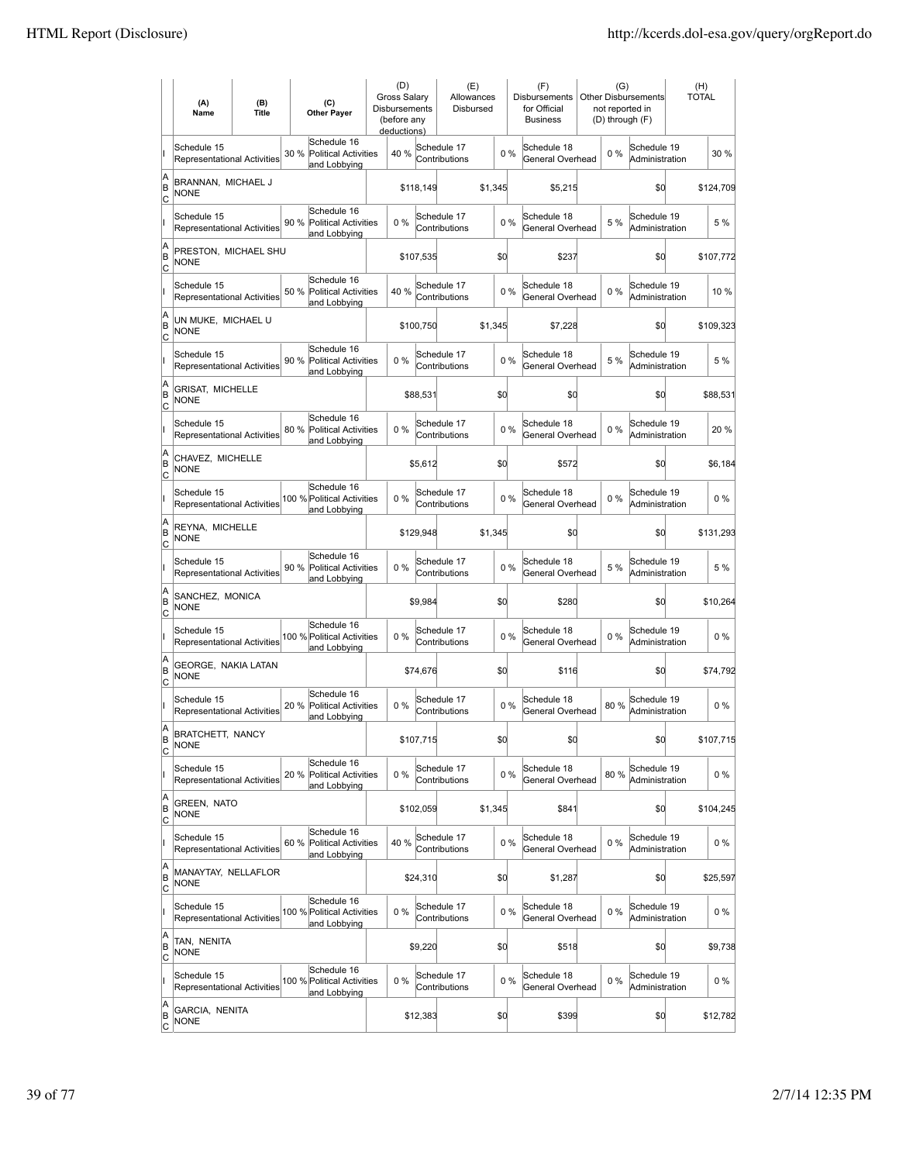|                        | (A)<br>Name                                       | (B)<br><b>Title</b> | (C)<br><b>Other Payer</b>                                          | (D)<br>Gross Salary<br>Disbursements<br>(before any<br>deductions) |           | (E)<br>Allowances<br>Disbursed |         |       | (F)<br>Disbursements<br>for Official<br><b>Business</b> | (G)<br>not reported in<br>(D) through (F) | <b>Other Disbursements</b>    | (H)<br>TOTAL |
|------------------------|---------------------------------------------------|---------------------|--------------------------------------------------------------------|--------------------------------------------------------------------|-----------|--------------------------------|---------|-------|---------------------------------------------------------|-------------------------------------------|-------------------------------|--------------|
|                        | Schedule 15<br>Representational Activities        |                     | Schedule 16<br>30 %<br><b>Political Activities</b><br>and Lobbying | 40 %                                                               |           | Schedule 17<br>Contributions   |         | 0%    | Schedule 18<br>General Overhead                         | $0\%$                                     | Schedule 19<br>Administration | 30 %         |
| A<br>B<br>Iс           | BRANNAN, MICHAEL J<br><b>NONE</b>                 |                     |                                                                    |                                                                    | \$118,149 |                                | \$1,345 |       | \$5,215                                                 |                                           | \$0                           | \$124,709    |
|                        | Schedule 15<br>Representational Activities        |                     | Schedule 16<br>90 % Political Activities<br>and Lobbying           | 0%                                                                 |           | Schedule 17<br>Contributions   |         | 0%    | Schedule 18<br>General Overhead                         | 5 %                                       | Schedule 19<br>Administration | 5 %          |
| A<br>B<br>C            | PRESTON, MICHAEL SHU<br><b>NONE</b>               |                     |                                                                    |                                                                    | \$107,535 |                                | \$d     |       | \$237                                                   |                                           | \$0                           | \$107,772    |
|                        | Schedule 15<br>Representational Activities        |                     | Schedule 16<br>50 %<br><b>Political Activities</b><br>and Lobbying | 40 %                                                               |           | Schedule 17<br>Contributions   |         | 0%    | Schedule 18<br>General Overhead                         | $0\%$                                     | Schedule 19<br>Administration | 10 %         |
| A<br>B<br>C            | UN MUKE, MICHAEL U<br><b>NONE</b>                 |                     |                                                                    |                                                                    | \$100,750 |                                | \$1,345 |       | \$7,228                                                 |                                           | \$0                           | \$109,323    |
|                        | Schedule 15<br><b>Representational Activities</b> |                     | Schedule 16<br>90 %<br>Political Activities<br>and Lobbying        | 0%                                                                 |           | Schedule 17<br>Contributions   |         | 0%    | Schedule 18<br>General Overhead                         | 5 %                                       | Schedule 19<br>Administration | 5 %          |
| A<br>B<br>lc           | <b>GRISAT, MICHELLE</b><br>NONE                   |                     |                                                                    |                                                                    | \$88,531  |                                | \$d     |       | \$0                                                     |                                           | \$0                           | \$88.531     |
|                        | Schedule 15<br>Representational Activities        |                     | Schedule 16<br>80 % Political Activities<br>and Lobbying           | 0%                                                                 |           | Schedule 17<br>Contributions   |         | $0\%$ | Schedule 18<br>General Overhead                         | $0\%$                                     | Schedule 19<br>Administration | 20 %         |
| A<br>B<br>C            | CHAVEZ, MICHELLE<br><b>NONE</b>                   |                     |                                                                    |                                                                    | \$5,612   |                                | \$d     |       | \$572                                                   |                                           | \$0                           | \$6,184      |
|                        | Schedule 15<br>Representational Activities        |                     | Schedule 16<br>100 % Political Activities<br>and Lobbying          | 0%                                                                 |           | Schedule 17<br>Contributions   |         | 0%    | Schedule 18<br>General Overhead                         | $0\%$                                     | Schedule 19<br>Administration | $0\%$        |
| A<br>B<br>C            | REYNA, MICHELLE<br><b>NONE</b>                    |                     |                                                                    |                                                                    | \$129,948 |                                | \$1,345 |       | \$0                                                     |                                           | \$0                           | \$131,293    |
|                        | Schedule 15<br>Representational Activities        |                     | Schedule 16<br>90 %<br><b>Political Activities</b><br>and Lobbying | $0\%$                                                              |           | Schedule 17<br>Contributions   |         | 0%    | Schedule 18<br>General Overhead                         | 5 %                                       | Schedule 19<br>Administration | 5 %          |
| A<br>B<br> c           | SANCHEZ, MONICA<br><b>NONE</b>                    |                     |                                                                    |                                                                    | \$9,984   |                                | \$d     |       | \$280                                                   |                                           | \$d                           | \$10,264     |
|                        | Schedule 15<br>Representational Activities        |                     | Schedule 16<br>100 % Political Activities<br>and Lobbying          | 0%                                                                 |           | Schedule 17<br>Contributions   |         | $0\%$ | Schedule 18<br>General Overhead                         | 0%                                        | Schedule 19<br>Administration | $0\%$        |
| A<br>B<br> c           | GEORGE, NAKIA LATAN<br><b>NONE</b>                |                     |                                                                    |                                                                    | \$74,676  |                                | \$0     |       | \$116                                                   |                                           | \$0                           | \$74,792     |
|                        | Schedule 15<br><b>Representational Activities</b> |                     | Schedule 16<br>20 %<br>Political Activities<br>and Lobbying        | 0%                                                                 |           | Schedule 17<br>Contributions   |         | 0%    | Schedule 18<br>General Overhead                         | 80%                                       | Schedule 19<br>Administration | $0\%$        |
| A<br>B<br>C            | <b>BRATCHETT, NANCY</b><br><b>NONE</b>            |                     |                                                                    |                                                                    | \$107,715 |                                | \$d     |       | \$0                                                     |                                           | \$0                           | \$107,715    |
|                        | Schedule 15<br>Representational Activities        |                     | Schedule 16<br>20 %<br><b>Political Activities</b><br>and Lobbying | 0%                                                                 |           | Schedule 17<br>Contributions   |         | $0\%$ | Schedule 18<br>General Overhead                         | 80%                                       | Schedule 19<br>Administration | $0\%$        |
| A<br>B<br><u>lc</u>    | GREEN, NATO<br><b>NONE</b>                        |                     |                                                                    |                                                                    | \$102.059 |                                | \$1,345 |       | \$841                                                   |                                           | \$d                           | \$104,245    |
|                        | Schedule 15<br>Representational Activities        |                     | Schedule 16<br>60 % Political Activities<br>and Lobbying           | 40 %                                                               |           | Schedule 17<br>Contributions   |         | $0\%$ | Schedule 18<br>General Overhead                         | $0\%$                                     | Schedule 19<br>Administration | $0\%$        |
| A<br>B<br>$\mathsf{C}$ | MANAYTAY, NELLAFLOR<br><b>NONE</b>                |                     |                                                                    |                                                                    | \$24,310  |                                | \$0     |       | \$1,287                                                 |                                           | \$0                           | \$25,597     |
|                        | Schedule 15<br>Representational Activities        |                     | Schedule 16<br>100 % Political Activities<br>and Lobbying          | 0%                                                                 |           | Schedule 17<br>Contributions   |         | $0\%$ | Schedule 18<br>General Overhead                         | $0\%$                                     | Schedule 19<br>Administration | 0 %          |
| A<br>B<br> c           | TAN, NENITA<br><b>NONE</b>                        |                     |                                                                    |                                                                    | \$9,220   |                                | \$0     |       | \$518                                                   |                                           | \$0                           | \$9,738      |
|                        | Schedule 15<br>Representational Activities        |                     | Schedule 16<br>100 % Political Activities<br>and Lobbying          | 0%                                                                 |           | Schedule 17<br>Contributions   |         | 0%    | Schedule 18<br>General Overhead                         | $0\%$                                     | Schedule 19<br>Administration | $0\%$        |
| A<br>B<br><u>lc</u>    | GARCIA, NENITA<br><b>NONE</b>                     |                     |                                                                    |                                                                    | \$12,383  |                                | \$0     |       | \$399                                                   |                                           | \$0                           | \$12,782     |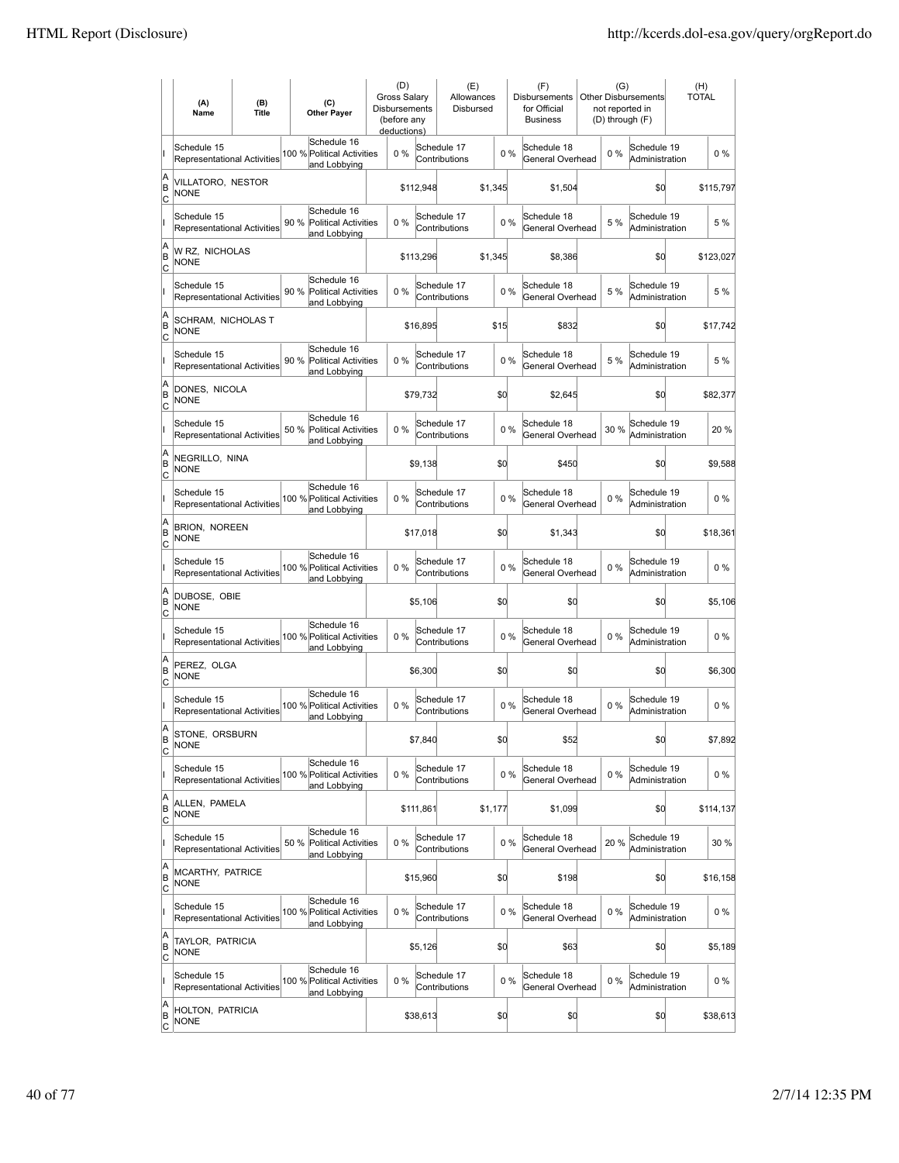|                     | (A)<br>Name                                       | (B)<br><b>Title</b> | (C)<br><b>Other Payer</b>                                          | (D)<br>Gross Salary<br>Disbursements<br>(before any<br>deductions) |           | (E)<br>Allowances<br>Disbursed |         |       | (F)<br>Disbursements<br>for Official<br><b>Business</b> | (G)<br>not reported in<br>(D) through (F) | <b>Other Disbursements</b>    | (H)<br><b>TOTAL</b> |           |
|---------------------|---------------------------------------------------|---------------------|--------------------------------------------------------------------|--------------------------------------------------------------------|-----------|--------------------------------|---------|-------|---------------------------------------------------------|-------------------------------------------|-------------------------------|---------------------|-----------|
|                     | Schedule 15<br><b>Representational Activities</b> |                     | Schedule 16<br>100 % Political Activities<br>and Lobbying          | 0%                                                                 |           | Schedule 17<br>Contributions   |         | 0%    | Schedule 18<br>General Overhead                         | $0\%$                                     | Schedule 19<br>Administration |                     | $0\%$     |
| A<br>ΙB<br> c       | VILLATORO, NESTOR<br><b>NONE</b>                  |                     |                                                                    |                                                                    | \$112,948 |                                | \$1,345 |       | \$1,504                                                 |                                           | \$0                           |                     | \$115,797 |
|                     | Schedule 15<br><b>Representational Activities</b> |                     | Schedule 16<br>90 % Political Activities<br>and Lobbying           | 0%                                                                 |           | Schedule 17<br>Contributions   |         | 0%    | Schedule 18<br>General Overhead                         | 5 %                                       | Schedule 19<br>Administration |                     | 5 %       |
| A<br>B<br>C         | W RZ, NICHOLAS<br><b>NONE</b>                     |                     |                                                                    |                                                                    | \$113,296 |                                | \$1,345 |       | \$8,386                                                 |                                           | \$0                           |                     | \$123,027 |
|                     | Schedule 15<br>Representational Activities        |                     | Schedule 16<br>90 %<br><b>Political Activities</b><br>and Lobbying | 0%                                                                 |           | Schedule 17<br>Contributions   | 0%      |       | Schedule 18<br>General Overhead                         | 5 %                                       | Schedule 19<br>Administration |                     | 5 %       |
| A<br>B<br> c        | SCHRAM, NICHOLAS T<br>NONE                        |                     |                                                                    |                                                                    | \$16,895  |                                | \$15    |       | \$832                                                   |                                           | \$0                           |                     | \$17,742  |
|                     | Schedule 15<br><b>Representational Activities</b> |                     | Schedule 16<br>90 %<br><b>Political Activities</b><br>and Lobbying | 0%                                                                 |           | Schedule 17<br>Contributions   |         | 0%    | Schedule 18<br>General Overhead                         | 5 %                                       | Schedule 19<br>Administration |                     | 5 %       |
| A<br>ΙB<br> c       | DONES, NICOLA<br><b>NONE</b>                      |                     |                                                                    |                                                                    | \$79,732  |                                | \$d     |       | \$2,645                                                 |                                           | \$0                           |                     | \$82,377  |
|                     | Schedule 15<br><b>Representational Activities</b> |                     | Schedule 16<br>50 % Political Activities<br>and Lobbying           | $0\%$                                                              |           | Schedule 17<br>Contributions   |         | $0\%$ | Schedule 18<br>General Overhead                         | 30 %                                      | Schedule 19<br>Administration |                     | 20 %      |
| A<br>B<br>c         | NEGRILLO, NINA<br><b>NONE</b>                     |                     |                                                                    |                                                                    | \$9,138   |                                | \$Q     |       | \$450                                                   |                                           | \$0                           |                     | \$9,588   |
|                     | Schedule 15<br>Representational Activities        |                     | Schedule 16<br>100 % Political Activities<br>and Lobbying          | 0%                                                                 |           | Schedule 17<br>Contributions   |         | 0%    | Schedule 18<br>General Overhead                         | $0\%$                                     | Schedule 19<br>Administration |                     | 0%        |
| A<br>B<br>C         | <b>BRION, NOREEN</b><br><b>NONE</b>               |                     |                                                                    |                                                                    | \$17,018  |                                | \$d     |       | \$1,343                                                 |                                           | \$0                           |                     | \$18,361  |
|                     | Schedule 15<br><b>Representational Activities</b> |                     | Schedule 16<br>100 % Political Activities<br>and Lobbying          | 0%                                                                 |           | Schedule 17<br>Contributions   |         | 0%    | Schedule 18<br>General Overhead                         | $0\%$                                     | Schedule 19<br>Administration |                     | $0\%$     |
| A<br>B<br>Iс        | DUBOSE, OBIE<br><b>NONE</b>                       |                     |                                                                    |                                                                    | \$5,106   |                                | \$d     |       | \$0                                                     |                                           | \$d                           |                     | \$5,106   |
|                     | Schedule 15<br><b>Representational Activities</b> |                     | Schedule 16<br>100 % Political Activities<br>and Lobbying          | $0\%$                                                              |           | Schedule 17<br>Contributions   |         | 0%    | Schedule 18<br>General Overhead                         | $0\%$                                     | Schedule 19<br>Administration |                     | $0\%$     |
| A<br>B<br>C         | PEREZ, OLGA<br><b>NONE</b>                        |                     |                                                                    |                                                                    | \$6,300   |                                | \$0     |       | \$0                                                     |                                           | \$0                           |                     | \$6,300   |
|                     | Schedule 15<br>Representational Activities        |                     | Schedule 16<br>100 % Political Activities<br>and Lobbying          | $0\%$                                                              |           | Schedule 17<br>Contributions   |         | 0%    | Schedule 18<br>General Overhead                         | $0\%$                                     | Schedule 19<br>Administration |                     | $0\%$     |
| A<br>ΙB<br> c       | STONE, ORSBURN<br><b>NONE</b>                     |                     |                                                                    |                                                                    | \$7,840   |                                | \$d     |       | \$52                                                    |                                           | \$0                           |                     | \$7,892   |
|                     | Schedule 15<br>Representational Activities        |                     | Schedule 16<br>100 % Political Activities<br>and Lobbying          | 0%                                                                 |           | Schedule 17<br>Contributions   |         | $0\%$ | Schedule 18<br>General Overhead                         | $0\%$                                     | Schedule 19<br>Administration |                     | 0%        |
| A<br>B<br>C         | ALLEN, PAMELA<br><b>NONE</b>                      |                     |                                                                    |                                                                    | \$111.861 |                                | \$1,177 |       | \$1,099                                                 |                                           | \$d                           |                     | \$114,137 |
|                     | Schedule 15<br>Representational Activities        |                     | Schedule 16<br>50 % Political Activities<br>and Lobbying           | $0\%$                                                              |           | Schedule 17<br>Contributions   |         | $0\%$ | Schedule 18<br>General Overhead                         | 20 %                                      | Schedule 19<br>Administration |                     | 30 %      |
| A<br>B<br>C         | MCARTHY, PATRICE<br><b>NONE</b>                   |                     |                                                                    |                                                                    | \$15,960  |                                | \$0     |       | \$198                                                   |                                           | \$0                           |                     | \$16,158  |
|                     | Schedule 15<br>Representational Activities        |                     | Schedule 16<br>100 % Political Activities<br>and Lobbying          | $0\%$                                                              |           | Schedule 17<br>Contributions   |         | $0\%$ | Schedule 18<br>General Overhead                         | $0\%$                                     | Schedule 19<br>Administration |                     | $0\%$     |
| A<br>B<br>C         | TAYLOR, PATRICIA<br><b>NONE</b>                   |                     |                                                                    |                                                                    | \$5,126   |                                | \$0     |       | \$63                                                    |                                           | \$0                           |                     | \$5,189   |
|                     | Schedule 15<br>Representational Activities        |                     | Schedule 16<br>100 % Political Activities<br>and Lobbying          | $0\%$                                                              |           | Schedule 17<br>Contributions   |         | $0\%$ | Schedule 18<br>General Overhead                         | $0\%$                                     | Schedule 19<br>Administration |                     | 0%        |
| A<br>B<br><u>lc</u> | HOLTON, PATRICIA<br><b>NONE</b>                   |                     |                                                                    |                                                                    | \$38,613  |                                | \$0     |       | \$0                                                     |                                           | \$0                           |                     | \$38,613  |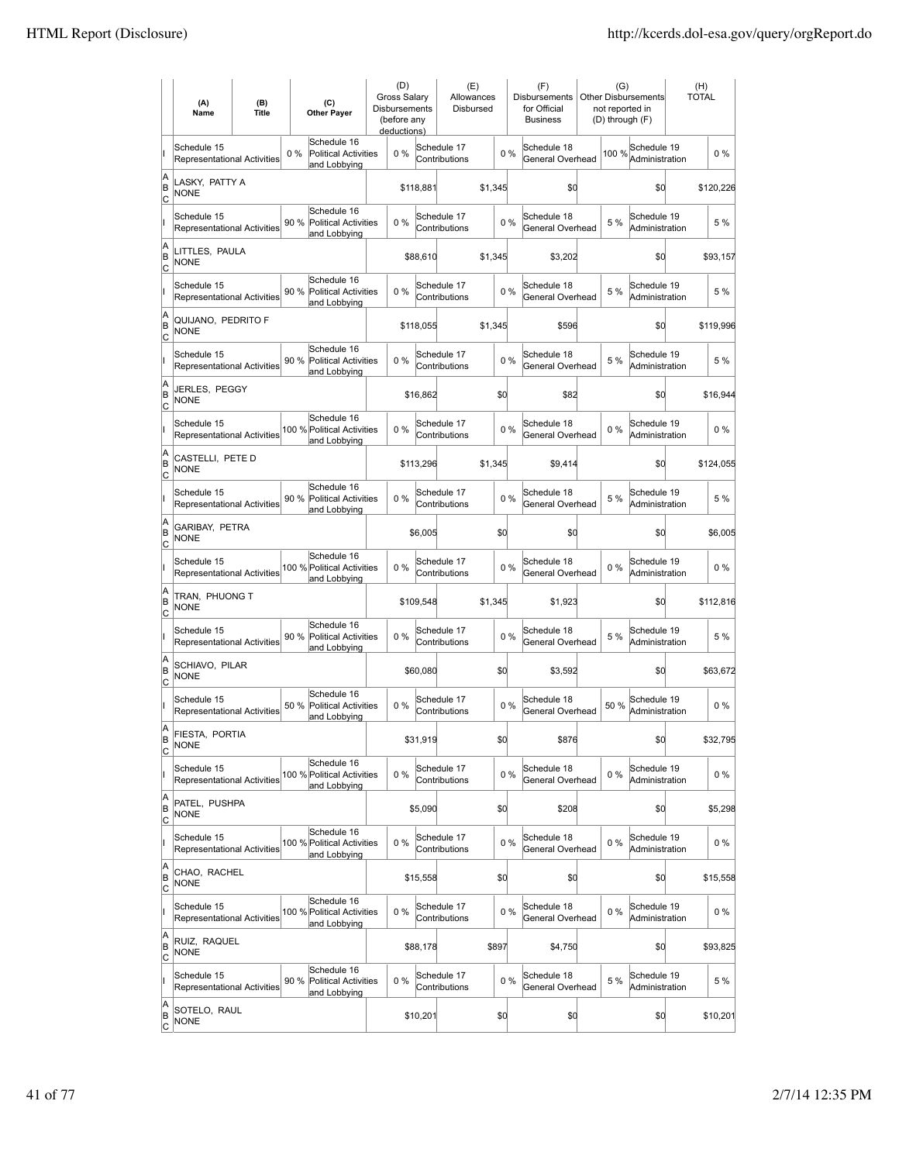|                        | (A)<br>Name                                       | (B)<br><b>Title</b> | (C)<br><b>Other Payer</b>                                           | (D)<br>Gross Salary<br>Disbursements<br>(before any<br>deductions) |           | (E)<br>Allowances<br>Disbursed |         |       | (F)<br>Disbursements<br>for Official<br><b>Business</b> | (G)<br>not reported in<br>(D) through (F) | <b>Other Disbursements</b>    | (H)<br><b>TOTAL</b> |
|------------------------|---------------------------------------------------|---------------------|---------------------------------------------------------------------|--------------------------------------------------------------------|-----------|--------------------------------|---------|-------|---------------------------------------------------------|-------------------------------------------|-------------------------------|---------------------|
|                        | Schedule 15<br>Representational Activities        |                     | Schedule 16<br>$0\%$<br><b>Political Activities</b><br>and Lobbying | $0\%$                                                              |           | Schedule 17<br>Contributions   |         | 0%    | Schedule 18<br>General Overhead                         | 100 %                                     | Schedule 19<br>Administration | $0\%$               |
| A<br>B<br>Iс           | LASKY, PATTY A<br><b>NONE</b>                     |                     |                                                                     |                                                                    | \$118,881 |                                | \$1,345 |       | \$0                                                     |                                           | \$0                           | \$120,226           |
|                        | Schedule 15<br><b>Representational Activities</b> |                     | Schedule 16<br>90 %<br><b>Political Activities</b><br>and Lobbying  | $0\%$                                                              |           | Schedule 17<br>Contributions   |         | 0%    | Schedule 18<br>General Overhead                         | 5 %                                       | Schedule 19<br>Administration | 5 %                 |
| A<br>B<br>C            | LITTLES, PAULA<br><b>NONE</b>                     |                     |                                                                     |                                                                    | \$88,610  |                                | \$1,345 |       | \$3,202                                                 |                                           | \$0                           | \$93,157            |
|                        | Schedule 15<br>Representational Activities        |                     | Schedule 16<br>90 %<br><b>Political Activities</b><br>and Lobbying  | $0\%$                                                              |           | Schedule 17<br>Contributions   |         | 0%    | Schedule 18<br>General Overhead                         | 5 %                                       | Schedule 19<br>Administration | 5 %                 |
| A<br>B<br>Iс           | QUIJANO, PEDRITO F<br><b>NONE</b>                 |                     |                                                                     |                                                                    | \$118,055 |                                | \$1,345 |       | \$596                                                   |                                           | \$0                           | \$119,996           |
|                        | Schedule 15<br><b>Representational Activities</b> |                     | Schedule 16<br>90 %<br><b>Political Activities</b><br>and Lobbying  | $0\%$                                                              |           | Schedule 17<br>Contributions   |         | 0%    | Schedule 18<br>General Overhead                         | 5 %                                       | Schedule 19<br>Administration | 5 %                 |
| A<br>B<br>lc           | JERLES, PEGGY<br>NONE                             |                     |                                                                     |                                                                    | \$16,862  |                                | \$d     |       | \$82                                                    |                                           | \$0                           | \$16,944            |
|                        | Schedule 15<br>Representational Activities        |                     | Schedule 16<br>100 % Political Activities<br>and Lobbying           | $0\%$                                                              |           | Schedule 17<br>Contributions   |         | $0\%$ | Schedule 18<br>General Overhead                         | $0\%$                                     | Schedule 19<br>Administration | $0\%$               |
| A<br>B<br>C            | CASTELLI. PETE D<br><b>NONE</b>                   |                     |                                                                     |                                                                    | \$113,296 |                                | \$1,345 |       | \$9,414                                                 |                                           | \$0                           | \$124,055           |
|                        | Schedule 15<br>Representational Activities        |                     | Schedule 16<br>90 % Political Activities<br>and Lobbying            | $0\%$                                                              |           | Schedule 17<br>Contributions   |         | 0%    | Schedule 18<br>General Overhead                         | 5 %                                       | Schedule 19<br>Administration | 5 %                 |
| A<br>B<br>C            | GARIBAY, PETRA<br><b>NONE</b>                     |                     |                                                                     |                                                                    | \$6,005   |                                | \$d     |       | \$0                                                     |                                           | \$0                           | \$6,005             |
|                        | Schedule 15<br><b>Representational Activities</b> |                     | Schedule 16<br>100 % Political Activities<br>and Lobbying           | $0\%$                                                              |           | Schedule 17<br>Contributions   |         | 0%    | Schedule 18<br>General Overhead                         | $0\%$                                     | Schedule 19<br>Administration | $0\%$               |
| A<br>B<br> c           | TRAN, PHUONG T<br><b>NONE</b>                     |                     |                                                                     |                                                                    | \$109,548 |                                | \$1,345 |       | \$1,923                                                 |                                           | \$d                           | \$112,816           |
|                        | Schedule 15<br>Representational Activities        |                     | Schedule 16<br>90 %<br><b>Political Activities</b><br>and Lobbying  | 0%                                                                 |           | Schedule 17<br>Contributions   |         | $0\%$ | Schedule 18<br>General Overhead                         | 5 %                                       | Schedule 19<br>Administration | 5 %                 |
| A<br>B<br> c           | SCHIAVO, PILAR<br><b>NONE</b>                     |                     |                                                                     |                                                                    | \$60,080  |                                | \$0     |       | \$3,592                                                 |                                           | \$0                           | \$63,672            |
|                        | Schedule 15<br>Representational Activities        |                     | Schedule 16<br>50 %<br><b>Political Activities</b><br>and Lobbying  | 0%                                                                 |           | Schedule 17<br>Contributions   |         | 0%    | Schedule 18<br>General Overhead                         | 50%                                       | Schedule 19<br>Administration | $0\%$               |
| A<br>B<br>C            | FIESTA, PORTIA<br><b>NONE</b>                     |                     |                                                                     |                                                                    | \$31,919  |                                | \$d     |       | \$876                                                   |                                           | \$0                           | \$32,795            |
|                        | Schedule 15<br>Representational Activities        |                     | Schedule 16<br>100 % Political Activities<br>and Lobbying           | 0%                                                                 |           | Schedule 17<br>Contributions   |         | $0\%$ | Schedule 18<br>General Overhead                         | $0\%$                                     | Schedule 19<br>Administration | $0\%$               |
| A<br>B<br><u>lc</u>    | PATEL, PUSHPA<br><b>NONE</b>                      |                     |                                                                     |                                                                    | \$5,090   |                                | \$d     |       | \$208                                                   |                                           | \$d                           | \$5,298             |
|                        | Schedule 15<br>Representational Activities        |                     | Schedule 16<br>100 % Political Activities<br>and Lobbying           | 0%                                                                 |           | Schedule 17<br>Contributions   |         | $0\%$ | Schedule 18<br>General Overhead                         | $0\%$                                     | Schedule 19<br>Administration | $0\%$               |
| A<br>B<br>$\mathsf{C}$ | CHAO, RACHEL<br><b>NONE</b>                       |                     |                                                                     |                                                                    | \$15,558  |                                | \$0     |       | \$0                                                     |                                           | \$0                           | \$15,558            |
|                        | Schedule 15<br>Representational Activities        |                     | Schedule 16<br>100 % Political Activities<br>and Lobbying           | 0%                                                                 |           | Schedule 17<br>Contributions   |         | $0\%$ | Schedule 18<br>General Overhead                         | $0\%$                                     | Schedule 19<br>Administration | $0\%$               |
| A<br>B<br>C            | RUIZ, RAQUEL<br><b>NONE</b>                       |                     |                                                                     |                                                                    | \$88,178  |                                | \$897   |       | \$4,750                                                 |                                           | \$0                           | \$93,825            |
|                        | Schedule 15<br>Representational Activities        |                     | Schedule 16<br>90 %<br>Political Activities<br>and Lobbying         | 0%                                                                 |           | Schedule 17<br>Contributions   |         | 0%    | Schedule 18<br>General Overhead                         | 5 %                                       | Schedule 19<br>Administration | 5 %                 |
| A<br>B<br><u>lc</u>    | SOTELO, RAUL<br><b>NONE</b>                       |                     |                                                                     |                                                                    | \$10,201  |                                | \$0     |       | \$0                                                     |                                           | \$0                           | \$10,201            |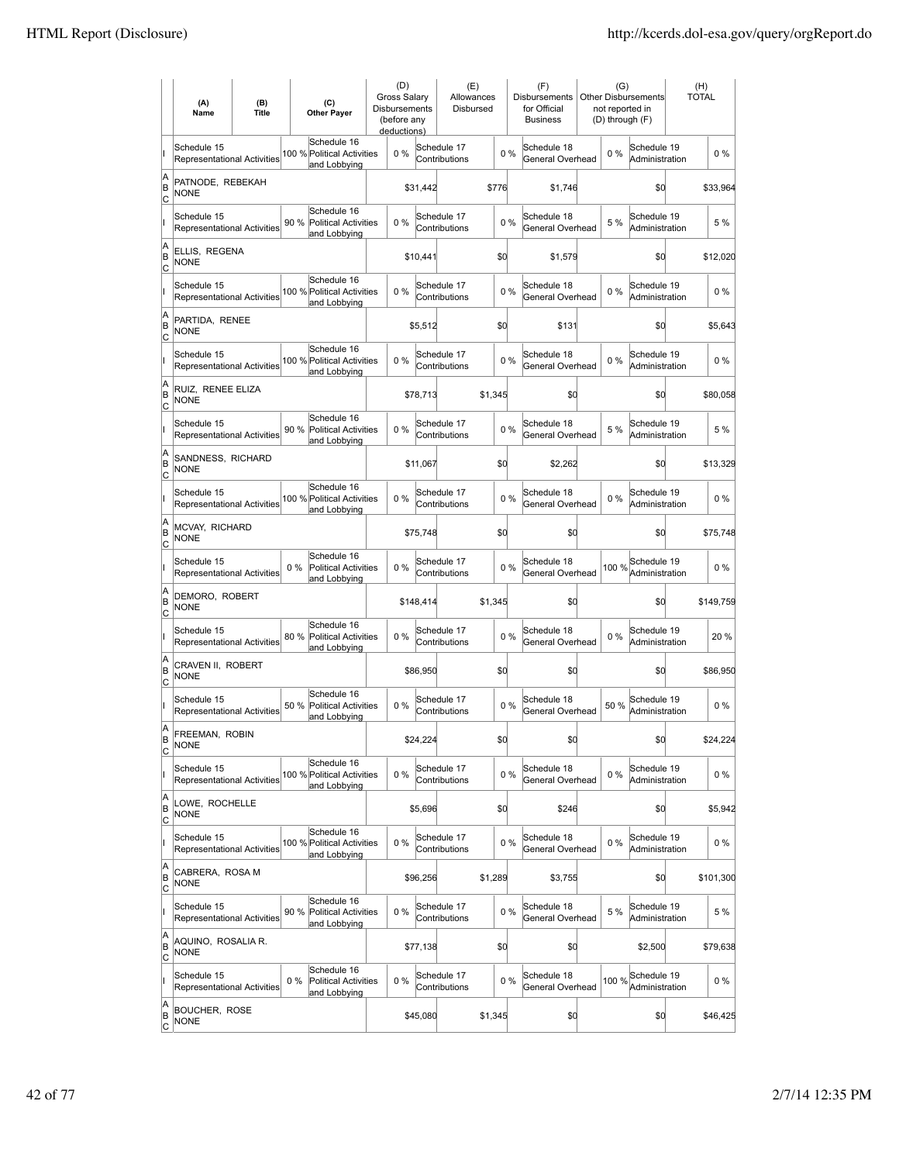|                     | (A)<br>Name                                       | (B)<br><b>Title</b> | (C)<br><b>Other Payer</b>                                          | (D)<br><b>Gross Salary</b><br><b>Disbursements</b><br>(before any<br>deductions) |           | (E)<br>Allowances<br>Disbursed |         |       | (F)<br><b>Disbursements</b><br>for Official<br><b>Business</b> | (G)<br>not reported in<br>(D) through (F) | <b>Other Disbursements</b>    | (H)<br><b>TOTAL</b> |
|---------------------|---------------------------------------------------|---------------------|--------------------------------------------------------------------|----------------------------------------------------------------------------------|-----------|--------------------------------|---------|-------|----------------------------------------------------------------|-------------------------------------------|-------------------------------|---------------------|
|                     | Schedule 15<br><b>Representational Activities</b> |                     | Schedule 16<br>100 % Political Activities<br>and Lobbying          | $0\%$                                                                            |           | Schedule 17<br>Contributions   |         | $0\%$ | Schedule 18<br>General Overhead                                | 0%                                        | Schedule 19<br>Administration | $0\%$               |
| A<br>ΙB<br> c       | PATNODE, REBEKAH<br><b>NONE</b>                   |                     |                                                                    |                                                                                  | \$31,442  |                                | \$776   |       | \$1,746                                                        |                                           | \$0                           | \$33,964            |
|                     | Schedule 15<br><b>Representational Activities</b> |                     | Schedule 16<br>90 % Political Activities<br>and Lobbying           | 0%                                                                               |           | Schedule 17<br>Contributions   |         | 0%    | Schedule 18<br>General Overhead                                | 5 %                                       | Schedule 19<br>Administration | 5 %                 |
| A<br>B<br>c         | ELLIS. REGENA<br><b>NONE</b>                      |                     |                                                                    |                                                                                  | \$10,441  |                                | \$0     |       | \$1,579                                                        |                                           | \$0                           | \$12,020            |
|                     | Schedule 15<br>Representational Activities        |                     | Schedule 16<br>100 % Political Activities<br>and Lobbying          | 0%                                                                               |           | Schedule 17<br>Contributions   |         | 0%    | Schedule 18<br>General Overhead                                | 0%                                        | Schedule 19<br>Administration | $0\%$               |
| A<br>B<br> c        | PARTIDA, RENEE<br>NONE                            |                     |                                                                    |                                                                                  | \$5,512   |                                | \$0     |       | \$131                                                          |                                           | \$0                           | \$5,643             |
|                     | Schedule 15<br>Representational Activities        |                     | Schedule 16<br>100 % Political Activities<br>and Lobbying          | 0%                                                                               |           | Schedule 17<br>Contributions   |         | 0%    | Schedule 18<br>General Overhead                                | $0\%$                                     | Schedule 19<br>Administration | $0\%$               |
| A<br>ΙB<br> c       | RUIZ. RENEE ELIZA<br><b>NONE</b>                  |                     |                                                                    |                                                                                  | \$78,713  |                                | \$1.345 |       | \$0                                                            |                                           | \$0                           | \$80,058            |
|                     | Schedule 15<br><b>Representational Activities</b> |                     | Schedule 16<br>90 % Political Activities<br>and Lobbying           | 0%                                                                               |           | Schedule 17<br>Contributions   |         | 0%    | Schedule 18<br>General Overhead                                | 5 %                                       | Schedule 19<br>Administration | 5 %                 |
| A<br>B<br>c         | SANDNESS, RICHARD<br><b>NONE</b>                  |                     |                                                                    |                                                                                  | \$11,067  |                                | \$0     |       | \$2,262                                                        |                                           | \$0                           | \$13,329            |
|                     | Schedule 15<br>Representational Activities        |                     | Schedule 16<br>100 % Political Activities<br>and Lobbying          | 0%                                                                               |           | Schedule 17<br>Contributions   |         | 0%    | Schedule 18<br>General Overhead                                | $0\%$                                     | Schedule 19<br>Administration | $0\%$               |
| A<br>B<br>C         | <b>MCVAY, RICHARD</b><br><b>NONE</b>              |                     |                                                                    |                                                                                  | \$75,748  |                                | \$0     |       | \$0                                                            |                                           | \$0                           | \$75,748            |
|                     | Schedule 15<br>Representational Activities        |                     | Schedule 16<br>$0\%$<br>Political Activities<br>and Lobbying       | 0%                                                                               |           | Schedule 17<br>Contributions   |         | 0%    | Schedule 18<br>General Overhead                                | 100 %                                     | Schedule 19<br>Administration | $0\%$               |
| A<br>B<br>Iс        | DEMORO, ROBERT<br><b>NONE</b>                     |                     |                                                                    |                                                                                  | \$148,414 |                                | \$1,345 |       | \$O                                                            |                                           | \$0                           | \$149,759           |
|                     | Schedule 15<br><b>Representational Activities</b> |                     | Schedule 16<br>80%<br><b>Political Activities</b><br>and Lobbying  | 0%                                                                               |           | Schedule 17<br>Contributions   |         | 0%    | Schedule 18<br>General Overhead                                | $0\%$                                     | Schedule 19<br>Administration | 20%                 |
| A<br>B<br> c        | CRAVEN II, ROBERT<br><b>NONE</b>                  |                     |                                                                    |                                                                                  | \$86,950  |                                | \$0     |       | \$0                                                            |                                           | \$0                           | \$86,950            |
|                     | Schedule 15<br>Representational Activities        |                     | Schedule 16<br>50 %<br><b>Political Activities</b><br>and Lobbying | 0%                                                                               |           | Schedule 17<br>Contributions   |         | 0%    | Schedule 18<br>General Overhead                                | 50 %                                      | Schedule 19<br>Administration | $0\%$               |
| A<br>ΙB<br>C        | FREEMAN, ROBIN<br><b>NONE</b>                     |                     |                                                                    |                                                                                  | \$24,224  |                                | \$d     |       | \$0                                                            |                                           | \$0                           | \$24,224            |
|                     | Schedule 15<br><b>Representational Activities</b> |                     | Schedule 16<br>100 % Political Activities<br>and Lobbying          | 0%                                                                               |           | Schedule 17<br>Contributions   |         | $0\%$ | Schedule 18<br>General Overhead                                | $0\%$                                     | Schedule 19<br>Administration | $0\%$               |
| A<br>B<br>C         | LOWE, ROCHELLE<br><b>NONE</b>                     |                     |                                                                    |                                                                                  | \$5,696   |                                | \$0     |       | \$246                                                          |                                           | \$d                           | \$5,942             |
|                     | Schedule 15<br>Representational Activities        |                     | Schedule 16<br>100 % Political Activities<br>and Lobbying          | $0\%$                                                                            |           | Schedule 17<br>Contributions   |         | 0%    | Schedule 18<br>General Overhead                                | $0\%$                                     | Schedule 19<br>Administration | $0\%$               |
| A<br>B<br>C         | CABRERA, ROSA M<br><b>NONE</b>                    |                     |                                                                    |                                                                                  | \$96,256  |                                | \$1,289 |       | \$3,755                                                        |                                           | \$0                           | \$101,300           |
|                     | Schedule 15<br>Representational Activities        |                     | Schedule 16<br>90 % Political Activities<br>and Lobbying           | 0%                                                                               |           | Schedule 17<br>Contributions   |         | 0%    | Schedule 18<br>General Overhead                                | 5 %                                       | Schedule 19<br>Administration | 5 %                 |
| A<br>B<br> c        | AQUINO, ROSALIA R.<br><b>NONE</b>                 |                     |                                                                    |                                                                                  | \$77,138  |                                | \$0     |       | \$0                                                            |                                           | \$2,500                       | \$79,638            |
|                     | Schedule 15<br>Representational Activities        |                     | Schedule 16<br>$0\%$<br>Political Activities<br>and Lobbying       | 0%                                                                               |           | Schedule 17<br>Contributions   |         | 0%    | Schedule 18<br>General Overhead                                | 100 %                                     | Schedule 19<br>Administration | $0\%$               |
| A<br>B<br><u>lc</u> | <b>BOUCHER, ROSE</b><br>NONE                      |                     |                                                                    |                                                                                  | \$45,080  |                                | \$1,345 |       | \$0                                                            |                                           | \$0                           | \$46,425            |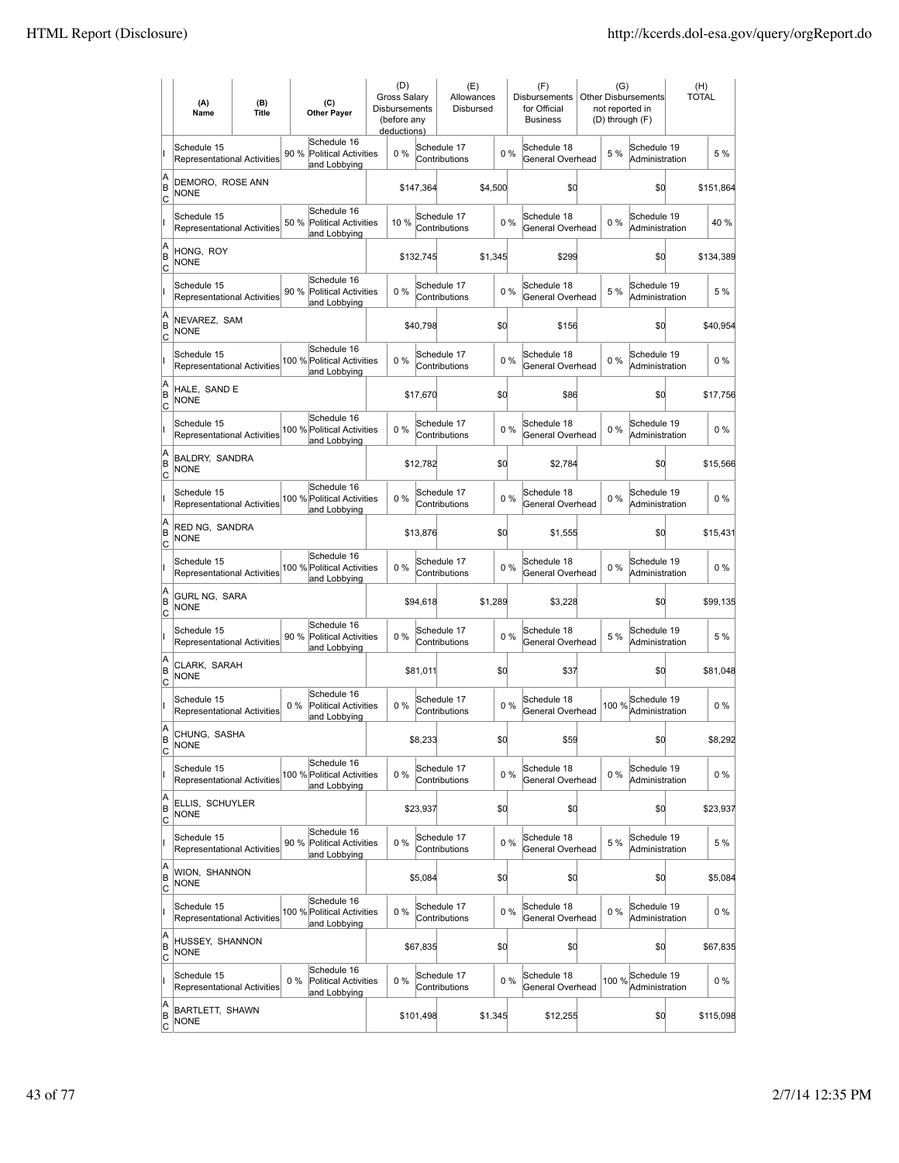|                        | (A)<br>Name                                       | (B)<br><b>Title</b> | (C)<br><b>Other Payer</b>                                           | (D)<br><b>Gross Salarv</b><br><b>Disbursements</b><br>(before any<br>deductions) |           | (E)<br>Allowances<br>Disbursed |         |       | (F)<br><b>Disbursements</b><br>for Official<br><b>Business</b> | (G)<br>not reported in<br>(D) through (F) | <b>Other Disbursements</b>    | (H)<br><b>TOTAL</b> |
|------------------------|---------------------------------------------------|---------------------|---------------------------------------------------------------------|----------------------------------------------------------------------------------|-----------|--------------------------------|---------|-------|----------------------------------------------------------------|-------------------------------------------|-------------------------------|---------------------|
|                        | Schedule 15<br>Representational Activities        |                     | Schedule 16<br>90 %<br><b>Political Activities</b><br>and Lobbying  | 0%                                                                               |           | Schedule 17<br>Contributions   |         | 0%    | Schedule 18<br>General Overhead                                | 5 %                                       | Schedule 19<br>Administration | 5 %                 |
| A<br>B<br>lc           | DEMORO, ROSE ANN<br><b>NONE</b>                   |                     |                                                                     |                                                                                  | \$147,364 |                                | \$4,500 |       | \$O                                                            |                                           | \$0                           | \$151,864           |
|                        | Schedule 15<br>Representational Activities        |                     | Schedule 16<br>50 % Political Activities<br>and Lobbying            | 10%                                                                              |           | Schedule 17<br>Contributions   |         | 0%    | Schedule 18<br>General Overhead                                | 0%                                        | Schedule 19<br>Administration | 40%                 |
| A<br>B<br>C            | HONG, ROY<br><b>NONE</b>                          |                     |                                                                     |                                                                                  | \$132,745 |                                | \$1,345 |       | \$299                                                          |                                           | \$0                           | \$134,389           |
|                        | Schedule 15<br>Representational Activities        |                     | Schedule 16<br>90 %<br><b>Political Activities</b><br>and Lobbying  | 0%                                                                               |           | Schedule 17<br>Contributions   |         | 0%    | Schedule 18<br>General Overhead                                | 5 %                                       | Schedule 19<br>Administration | 5 %                 |
| A<br>B<br>C            | NEVAREZ, SAM<br><b>NONE</b>                       |                     |                                                                     |                                                                                  | \$40,798  |                                | \$0     |       | \$156                                                          |                                           | \$0                           | \$40,954            |
|                        | Schedule 15<br><b>Representational Activities</b> |                     | Schedule 16<br>100 % Political Activities<br>and Lobbying           | $0\%$                                                                            |           | Schedule 17<br>Contributions   |         | 0%    | Schedule 18<br>General Overhead                                | 0%                                        | Schedule 19<br>Administration | $0\%$               |
| A<br>B<br>lc           | HALE. SAND E<br><b>NONE</b>                       |                     |                                                                     |                                                                                  | \$17,670  |                                | \$0     |       | \$86                                                           |                                           | \$0                           | \$17,756            |
|                        | Schedule 15<br><b>Representational Activities</b> |                     | Schedule 16<br>100 % Political Activities<br>and Lobbying           | 0%                                                                               |           | Schedule 17<br>Contributions   |         | 0%    | Schedule 18<br>General Overhead                                | $0\%$                                     | Schedule 19<br>Administration | $0\%$               |
| A<br>B<br>C            | <b>BALDRY, SANDRA</b><br><b>NONE</b>              |                     |                                                                     |                                                                                  | \$12,782  |                                | \$0     |       | \$2,784                                                        |                                           | \$0                           | \$15,566            |
|                        | Schedule 15<br>Representational Activities        |                     | Schedule 16<br>100 % Political Activities<br>and Lobbying           | 0%                                                                               |           | Schedule 17<br>Contributions   |         | 0%    | Schedule 18<br>General Overhead                                | 0%                                        | Schedule 19<br>Administration | $0\%$               |
| A<br>B<br>C            | RED NG, SANDRA<br><b>NONE</b>                     |                     |                                                                     |                                                                                  | \$13,876  |                                | \$0     |       | \$1,555                                                        |                                           | \$0                           | \$15,431            |
|                        | Schedule 15<br><b>Representational Activities</b> |                     | Schedule 16<br>100 % Political Activities<br>and Lobbying           | $0\%$                                                                            |           | Schedule 17<br>Contributions   |         | $0\%$ | Schedule 18<br>General Overhead                                | 0%                                        | Schedule 19<br>Administration | $0\%$               |
| A<br>B<br> c           | GURL NG, SARA<br><b>NONE</b>                      |                     |                                                                     |                                                                                  | \$94,618  |                                | \$1,289 |       | \$3,228                                                        |                                           | \$d                           | \$99,135            |
|                        | Schedule 15<br>Representational Activities        |                     | Schedule 16<br>90%<br><b>Political Activities</b><br>and Lobbying   | 0%                                                                               |           | Schedule 17<br>Contributions   |         | 0%    | Schedule 18<br>General Overhead                                | 5 %                                       | Schedule 19<br>Administration | 5 %                 |
| A<br>B<br> c           | CLARK, SARAH<br><b>NONE</b>                       |                     |                                                                     |                                                                                  | \$81,011  |                                | \$0     |       | \$37                                                           |                                           | \$0                           | \$81,048            |
|                        | Schedule 15<br>Representational Activities        |                     | Schedule 16<br>$0\%$<br><b>Political Activities</b><br>and Lobbying | 0%                                                                               |           | Schedule 17<br>Contributions   |         | 0%    | Schedule 18<br>General Overhead                                | 100 %                                     | Schedule 19<br>Administration | $0\%$               |
| A<br>B<br>C            | CHUNG, SASHA<br><b>NONE</b>                       |                     |                                                                     |                                                                                  | \$8,233   |                                | \$d     |       | \$59                                                           |                                           | \$0                           | \$8,292             |
|                        | Schedule 15<br>Representational Activities        |                     | Schedule 16<br>100 % Political Activities<br>and Lobbying           | 0%                                                                               |           | Schedule 17<br>Contributions   |         | $0\%$ | Schedule 18<br>General Overhead                                | $0\%$                                     | Schedule 19<br>Administration | $0\%$               |
| A<br>B<br><u>lc</u>    | ELLIS, SCHUYLER<br><b>NONE</b>                    |                     |                                                                     |                                                                                  | \$23,937  |                                | \$d     |       | \$0                                                            |                                           | \$d                           | \$23,937            |
|                        | Schedule 15<br>Representational Activities        |                     | Schedule 16<br>90 % Political Activities<br>and Lobbying            | 0%                                                                               |           | Schedule 17<br>Contributions   |         | $0\%$ | Schedule 18<br>General Overhead                                | 5 %                                       | Schedule 19<br>Administration | 5 %                 |
| A<br>B<br>$\mathsf{C}$ | WION, SHANNON<br><b>NONE</b>                      |                     |                                                                     |                                                                                  | \$5,084   |                                | \$d     |       | \$0                                                            |                                           | \$0                           | \$5,084             |
|                        | Schedule 15<br>Representational Activities        |                     | Schedule 16<br>100 % Political Activities<br>and Lobbying           | $0\%$                                                                            |           | Schedule 17<br>Contributions   |         | $0\%$ | Schedule 18<br>General Overhead                                | $0\%$                                     | Schedule 19<br>Administration | $0\%$               |
| A<br>B<br> c           | HUSSEY, SHANNON<br>NONE                           |                     |                                                                     |                                                                                  | \$67,835  |                                | \$0     |       | \$0                                                            |                                           | \$0                           | \$67,835            |
|                        | Schedule 15<br>Representational Activities        |                     | Schedule 16<br>$0\%$<br>Political Activities<br>and Lobbying        | 0%                                                                               |           | Schedule 17<br>Contributions   |         | $0\%$ | Schedule 18<br>General Overhead                                | 100 %                                     | Schedule 19<br>Administration | $0\%$               |
| A<br>B<br><u>lc</u>    | <b>BARTLETT, SHAWN</b><br><b>NONE</b>             |                     |                                                                     |                                                                                  | \$101,498 |                                | \$1,345 |       | \$12,255                                                       |                                           | \$0                           | \$115,098           |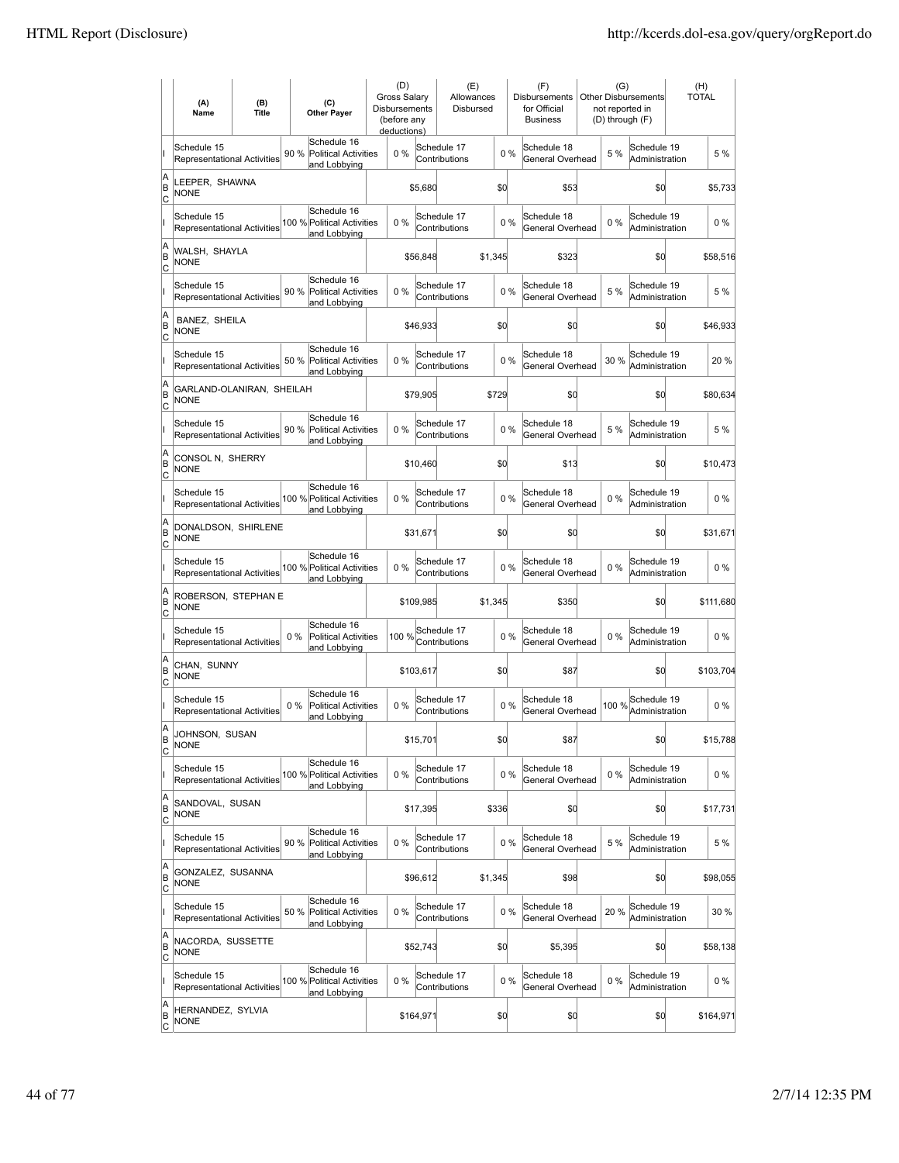|                        | (A)<br>Name                                       | (B)<br><b>Title</b> | (C)<br><b>Other Payer</b>                                           | (D)<br><b>Gross Salarv</b><br><b>Disbursements</b><br>(before any<br>deductions) |           | (E)<br>Allowances<br>Disbursed |         |       | (F)<br>Disbursements<br>for Official<br><b>Business</b> | (G)<br>not reported in | <b>Other Disbursements</b><br>(D) through (F) | (H)<br><b>TOTAL</b> |
|------------------------|---------------------------------------------------|---------------------|---------------------------------------------------------------------|----------------------------------------------------------------------------------|-----------|--------------------------------|---------|-------|---------------------------------------------------------|------------------------|-----------------------------------------------|---------------------|
|                        | Schedule 15<br>Representational Activities        |                     | Schedule 16<br>90 %<br><b>Political Activities</b><br>and Lobbying  | 0%                                                                               |           | Schedule 17<br>Contributions   |         | 0%    | Schedule 18<br>General Overhead                         | 5 %                    | Schedule 19<br>Administration                 | 5 %                 |
| A<br>B<br>Iс           | LEEPER, SHAWNA<br><b>NONE</b>                     |                     |                                                                     |                                                                                  | \$5,680   |                                | \$d     |       | \$53                                                    |                        | \$0                                           | \$5,733             |
|                        | Schedule 15<br><b>Representational Activities</b> |                     | Schedule 16<br>100 % Political Activities<br>and Lobbying           | 0%                                                                               |           | Schedule 17<br>Contributions   |         | 0%    | Schedule 18<br>General Overhead                         | 0%                     | Schedule 19<br>Administration                 | $0\%$               |
| A<br>B<br>C            | WALSH, SHAYLA<br><b>NONE</b>                      |                     |                                                                     |                                                                                  | \$56,848  |                                | \$1,345 |       | \$323                                                   |                        | \$0                                           | \$58,516            |
|                        | Schedule 15<br>Representational Activities        |                     | Schedule 16<br>90 %<br><b>Political Activities</b><br>and Lobbying  | 0%                                                                               |           | Schedule 17<br>Contributions   |         | 0%    | Schedule 18<br>General Overhead                         | 5 %                    | Schedule 19<br>Administration                 | 5 %                 |
| A<br>B<br>C            | BANEZ, SHEILA<br>NONE                             |                     |                                                                     |                                                                                  | \$46,933  |                                | \$0     |       | \$0                                                     |                        | \$0                                           | \$46,933            |
|                        | Schedule 15<br><b>Representational Activities</b> |                     | Schedule 16<br>50 %<br>Political Activities<br>and Lobbying         | $0\%$                                                                            |           | Schedule 17<br>Contributions   |         | 0%    | Schedule 18<br>General Overhead                         | 30 %                   | Schedule 19<br>Administration                 | 20%                 |
| A<br>B<br>lc           | GARLAND-OLANIRAN, SHEILAH<br><b>NONE</b>          |                     |                                                                     |                                                                                  | \$79,905  |                                | \$729   |       | \$O                                                     |                        | \$0                                           | \$80,634            |
|                        | Schedule 15<br><b>Representational Activities</b> |                     | Schedule 16<br>90 % Political Activities<br>and Lobbying            | 0%                                                                               |           | Schedule 17<br>Contributions   |         | 0%    | Schedule 18<br>General Overhead                         | 5 %                    | Schedule 19<br>Administration                 | 5 %                 |
| A<br>B<br>C            | CONSOL N. SHERRY<br><b>NONE</b>                   |                     |                                                                     |                                                                                  | \$10,460  |                                | \$0     |       | \$13                                                    |                        | \$0                                           | \$10,473            |
|                        | Schedule 15<br>Representational Activities        |                     | Schedule 16<br>100 % Political Activities<br>and Lobbying           | 0%                                                                               |           | Schedule 17<br>Contributions   |         | 0%    | Schedule 18<br>General Overhead                         | 0%                     | Schedule 19<br>Administration                 | $0\%$               |
| A<br>B<br>C            | DONALDSON, SHIRLENE<br><b>NONE</b>                |                     |                                                                     |                                                                                  | \$31,671  |                                | \$0     |       | \$0                                                     |                        | \$0                                           | \$31,671            |
|                        | Schedule 15<br><b>Representational Activities</b> |                     | Schedule 16<br>100 % Political Activities<br>and Lobbying           | $0\%$                                                                            |           | Schedule 17<br>Contributions   |         | $0\%$ | Schedule 18<br>General Overhead                         | 0%                     | Schedule 19<br>Administration                 | $0\%$               |
| A<br>B<br> c           | ROBERSON, STEPHAN E<br><b>NONE</b>                |                     |                                                                     |                                                                                  | \$109,985 |                                | \$1,345 |       | \$350                                                   |                        | \$d                                           | \$111,680           |
|                        | Schedule 15<br>Representational Activities        |                     | Schedule 16<br>$0\%$<br><b>Political Activities</b><br>and Lobbying | 100 %                                                                            |           | Schedule 17<br>Contributions   |         | 0%    | Schedule 18<br>General Overhead                         | 0%                     | Schedule 19<br>Administration                 | $0\%$               |
| A<br>B<br> c           | CHAN, SUNNY<br><b>NONE</b>                        |                     |                                                                     |                                                                                  | \$103,617 |                                | \$0     |       | \$87                                                    |                        | \$0                                           | \$103,704           |
|                        | Schedule 15<br>Representational Activities        |                     | Schedule 16<br>$0\%$<br><b>Political Activities</b><br>and Lobbying | 0%                                                                               |           | Schedule 17<br>Contributions   |         | 0%    | Schedule 18<br>General Overhead                         | 100 %                  | Schedule 19<br>Administration                 | $0\%$               |
| A<br>B<br>C            | JOHNSON, SUSAN<br><b>NONE</b>                     |                     |                                                                     |                                                                                  | \$15,701  |                                | \$d     |       | \$87                                                    |                        | \$0                                           | \$15,788            |
|                        | Schedule 15<br>Representational Activities        |                     | Schedule 16<br>100 % Political Activities<br>and Lobbying           | 0%                                                                               |           | Schedule 17<br>Contributions   |         | $0\%$ | Schedule 18<br>General Overhead                         | $0\%$                  | Schedule 19<br>Administration                 | $0\%$               |
| A<br>B<br><u>lc</u>    | SANDOVAL, SUSAN<br><b>NONE</b>                    |                     |                                                                     |                                                                                  | \$17,395  |                                | \$336   |       | \$0                                                     |                        | \$d                                           | \$17,731            |
|                        | Schedule 15<br><b>Representational Activities</b> |                     | Schedule 16<br>90 % Political Activities<br>and Lobbying            | 0%                                                                               |           | Schedule 17<br>Contributions   |         | $0\%$ | Schedule 18<br>General Overhead                         | 5 %                    | Schedule 19<br>Administration                 | 5 %                 |
| A<br>B<br>$\mathsf{C}$ | GONZALEZ, SUSANNA<br><b>NONE</b>                  |                     |                                                                     |                                                                                  | \$96,612  |                                | \$1,345 |       | \$98                                                    |                        | \$0                                           | \$98,055            |
|                        | Schedule 15<br>Representational Activities        |                     | Schedule 16<br>50 % Political Activities<br>and Lobbying            | $0\%$                                                                            |           | Schedule 17<br>Contributions   |         | 0%    | Schedule 18<br>General Overhead                         | 20%                    | Schedule 19<br>Administration                 | 30 %                |
| A<br>B<br> c           | NACORDA, SUSSETTE<br>NONE                         |                     |                                                                     |                                                                                  | \$52,743  |                                | \$0     |       | \$5,395                                                 |                        | \$0                                           | \$58,138            |
|                        | Schedule 15<br>Representational Activities        |                     | Schedule 16<br>100 % Political Activities<br>and Lobbying           | 0%                                                                               |           | Schedule 17<br>Contributions   |         | 0%    | Schedule 18<br>General Overhead                         | $0\%$                  | Schedule 19<br>Administration                 | $0\%$               |
| A<br>B<br><u>lc</u>    | HERNANDEZ, SYLVIA<br><b>NONE</b>                  |                     |                                                                     |                                                                                  | \$164,971 |                                | \$0     |       | \$0                                                     |                        | \$0                                           | \$164,971           |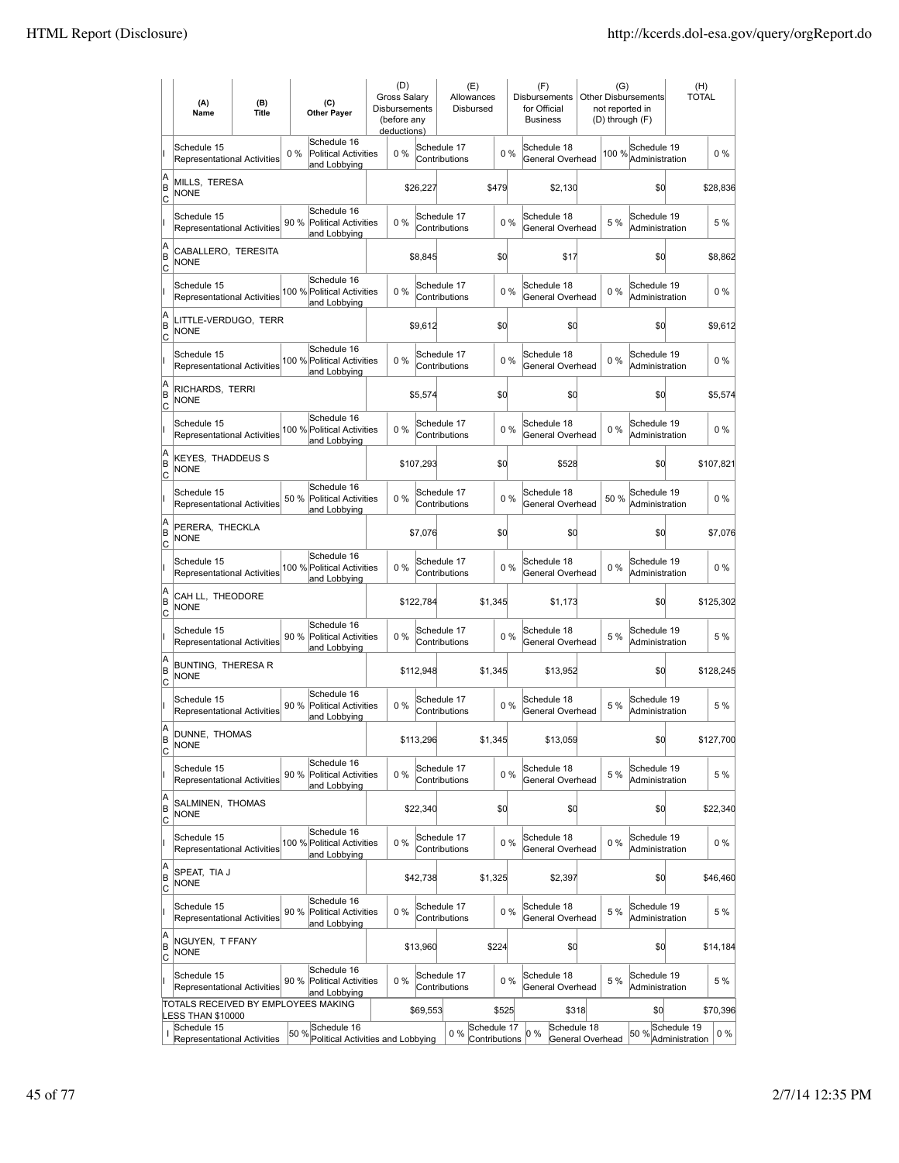|                          | (A)<br>Name                                              | (B)<br><b>Title</b> |       | (C)<br><b>Other Payer</b>                                  | (D)<br><b>Gross Salary</b><br>Disbursements<br>(before any<br>deductions) |           | (E)<br>Allowances<br>Disbursed |                              |       | (F)<br><b>Disbursements</b><br>for Official<br><b>Business</b> | (G)<br>not reported in<br>(D) through (F) | Other Disbursements           | <b>TOTAL</b>                  | (H)       |
|--------------------------|----------------------------------------------------------|---------------------|-------|------------------------------------------------------------|---------------------------------------------------------------------------|-----------|--------------------------------|------------------------------|-------|----------------------------------------------------------------|-------------------------------------------|-------------------------------|-------------------------------|-----------|
| II.                      | Schedule 15<br><b>Representational Activities</b>        |                     | $0\%$ | Schedule 16<br><b>Political Activities</b><br>and Lobbying | 0%                                                                        |           | Schedule 17<br>Contributions   |                              | $0\%$ | Schedule 18<br>General Overhead                                | 100 %                                     | Schedule 19<br>Administration |                               | $0\%$     |
| A<br>ΙB<br>C             | MILLS. TERESA<br><b>NONE</b>                             |                     |       |                                                            |                                                                           | \$26,227  |                                | \$479                        |       | \$2,130                                                        |                                           | \$d                           |                               | \$28,836  |
| lı.                      | Schedule 15<br><b>Representational Activities</b>        |                     | 90 %  | Schedule 16<br><b>Political Activities</b><br>and Lobbying | 0%                                                                        |           | Schedule 17<br>Contributions   |                              | 0%    | Schedule 18<br>General Overhead                                | 5 %                                       | Schedule 19<br>Administration |                               | 5 %       |
| A<br>ΙB<br>C             | CABALLERO, TERESITA<br><b>NONE</b>                       |                     |       |                                                            |                                                                           | \$8,845   |                                | \$d                          |       | \$17                                                           |                                           | \$d                           |                               | \$8,862   |
|                          | Schedule 15<br><b>Representational Activities</b>        |                     |       | Schedule 16<br>100 % Political Activities<br>and Lobbying  | 0%                                                                        |           | Schedule 17<br>Contributions   |                              | 0%    | Schedule 18<br>General Overhead                                | $0\%$                                     | Schedule 19<br>Administration |                               | $0\%$     |
| A<br>B<br> c             | LITTLE-VERDUGO, TERR<br><b>NONE</b>                      |                     |       |                                                            |                                                                           | \$9,612   |                                | \$0                          |       | \$0                                                            |                                           | \$0                           |                               | \$9,612   |
|                          | Schedule 15<br><b>Representational Activities</b>        |                     |       | Schedule 16<br>100 % Political Activities<br>and Lobbying  | 0%                                                                        |           | Schedule 17<br>Contributions   |                              | 0%    | Schedule 18<br>General Overhead                                | $0\%$                                     | Schedule 19<br>Administration |                               | $0\%$     |
| A<br>İΒ<br>C             | RICHARDS, TERRI<br><b>NONE</b>                           |                     |       |                                                            |                                                                           | \$5,574   |                                | \$0                          |       | \$0                                                            |                                           | \$0                           |                               | \$5,574   |
|                          | Schedule 15<br><b>Representational Activities</b>        |                     |       | Schedule 16<br>100 % Political Activities<br>and Lobbying  | 0%                                                                        |           | Schedule 17<br>Contributions   |                              | 0%    | Schedule 18<br>General Overhead                                | $0\%$                                     | Schedule 19<br>Administration |                               | $0\%$     |
| A<br> B<br>C             | <b>KEYES. THADDEUS S</b><br><b>NONE</b>                  |                     |       |                                                            |                                                                           | \$107,293 |                                | \$d                          |       | \$528                                                          |                                           | \$d                           |                               | \$107,821 |
| II                       | Schedule 15<br>Representational Activities               |                     | 50 %  | Schedule 16<br><b>Political Activities</b><br>and Lobbying | 0%                                                                        |           | Schedule 17<br>Contributions   |                              | 0%    | Schedule 18<br>General Overhead                                | 50 %                                      | Schedule 19<br>Administration |                               | $0\%$     |
| A<br>B<br>C              | PERERA, THECKLA<br><b>NONE</b>                           |                     |       |                                                            |                                                                           | \$7,076   |                                | \$d                          |       | \$0                                                            |                                           | \$d                           |                               | \$7,076   |
| lı.                      | Schedule 15<br>Representational Activities               |                     |       | Schedule 16<br>100 % Political Activities<br>and Lobbying  | 0%                                                                        |           | Schedule 17<br>Contributions   |                              | 0%    | Schedule 18<br>General Overhead                                | 0%                                        | Schedule 19<br>Administration |                               | $0\%$     |
| A<br>B<br> c             | CAH LL, THEODORE<br><b>NONE</b>                          |                     |       |                                                            |                                                                           | \$122,784 |                                | \$1,345                      |       | \$1,173                                                        |                                           | \$d                           |                               | \$125,302 |
| lı.                      | Schedule 15<br><b>Representational Activities</b>        |                     | 90 %  | Schedule 16<br><b>Political Activities</b><br>and Lobbying | 0%                                                                        |           | Schedule 17<br>Contributions   |                              | 0%    | Schedule 18<br>General Overhead                                | 5 %                                       | Schedule 19<br>Administration |                               | 5 %       |
| A<br>B<br>C              | BUNTING, THERESA R<br><b>NONE</b>                        |                     |       |                                                            |                                                                           | \$112,948 |                                | \$1,345                      |       | \$13,952                                                       |                                           | \$d                           |                               | \$128,245 |
|                          | Schedule 15<br><b>Representational Activities</b>        |                     | 90 %  | Schedule 16<br><b>Political Activities</b><br>and Lobbying | 0%                                                                        |           | Schedule 17<br>Contributions   |                              | 0%    | Schedule 18<br>General Overhead                                | 5 %                                       | Schedule 19<br>Administration |                               | 5 %       |
| A<br> B<br>C             | DUNNE, THOMAS<br><b>NONE</b>                             |                     |       |                                                            |                                                                           | \$113,296 |                                | \$1,345                      |       | \$13,059                                                       |                                           | \$0                           |                               | \$127,700 |
| lı.                      | Schedule 15<br>Representational Activities               |                     | 90%   | Schedule 16<br><b>Political Activities</b><br>and Lobbying | 0%                                                                        |           | Schedule 17<br>Contributions   |                              | 0%    | Schedule 18<br>General Overhead                                | 5 %                                       | Schedule 19<br>Administration |                               | 5 %       |
| A<br>B<br>$\overline{c}$ | SALMINEN, THOMAS<br><b>NONE</b>                          |                     |       |                                                            |                                                                           | \$22,340  |                                | \$d                          |       | \$d                                                            |                                           | \$d                           |                               | \$22,340  |
| lı.                      | Schedule 15<br>Representational Activities               |                     |       | Schedule 16<br>100 % Political Activities<br>and Lobbying  | $0\%$                                                                     |           | Schedule 17<br>Contributions   |                              | $0\%$ | Schedule 18<br>General Overhead                                | $0\%$                                     | Schedule 19<br>Administration |                               | $0\%$     |
| A<br> B<br>C             | SPEAT, TIA J<br><b>NONE</b>                              |                     |       |                                                            |                                                                           | \$42,738  |                                | \$1,325                      |       | \$2,397                                                        |                                           | \$d                           |                               | \$46,460  |
| lı.                      | Schedule 15<br>Representational Activities               |                     | 90 %  | Schedule 16<br><b>Political Activities</b><br>and Lobbying | 0%                                                                        |           | Schedule 17<br>Contributions   |                              | 0%    | Schedule 18<br>General Overhead                                | 5 %                                       | Schedule 19<br>Administration |                               | 5 %       |
| A<br>B<br> c             | NGUYEN, T FFANY<br><b>NONE</b>                           |                     |       |                                                            |                                                                           | \$13,960  |                                | \$224                        |       | \$0                                                            |                                           | \$d                           |                               | \$14,184  |
| II                       | Schedule 15<br>Representational Activities               |                     | 90 %  | Schedule 16<br><b>Political Activities</b><br>and Lobbying | 0%                                                                        |           | Schedule 17<br>Contributions   |                              | 0%    | Schedule 18<br>General Overhead                                | 5 %                                       | Schedule 19<br>Administration |                               | 5 %       |
|                          | TOTALS RECEIVED BY EMPLOYEES MAKING<br>LESS THAN \$10000 |                     |       |                                                            |                                                                           | \$69,553  |                                | \$525                        |       | \$318                                                          |                                           | \$0                           |                               | \$70,396  |
| I                        | Schedule 15<br>Representational Activities               |                     |       | $50\%$ Schedule 16<br>Political Activities and Lobbying    |                                                                           |           | 0%                             | Schedule 17<br>Contributions |       | Schedule 18<br>0%<br>General Overhead                          |                                           | 50 %                          | Schedule 19<br>Administration | $0\%$     |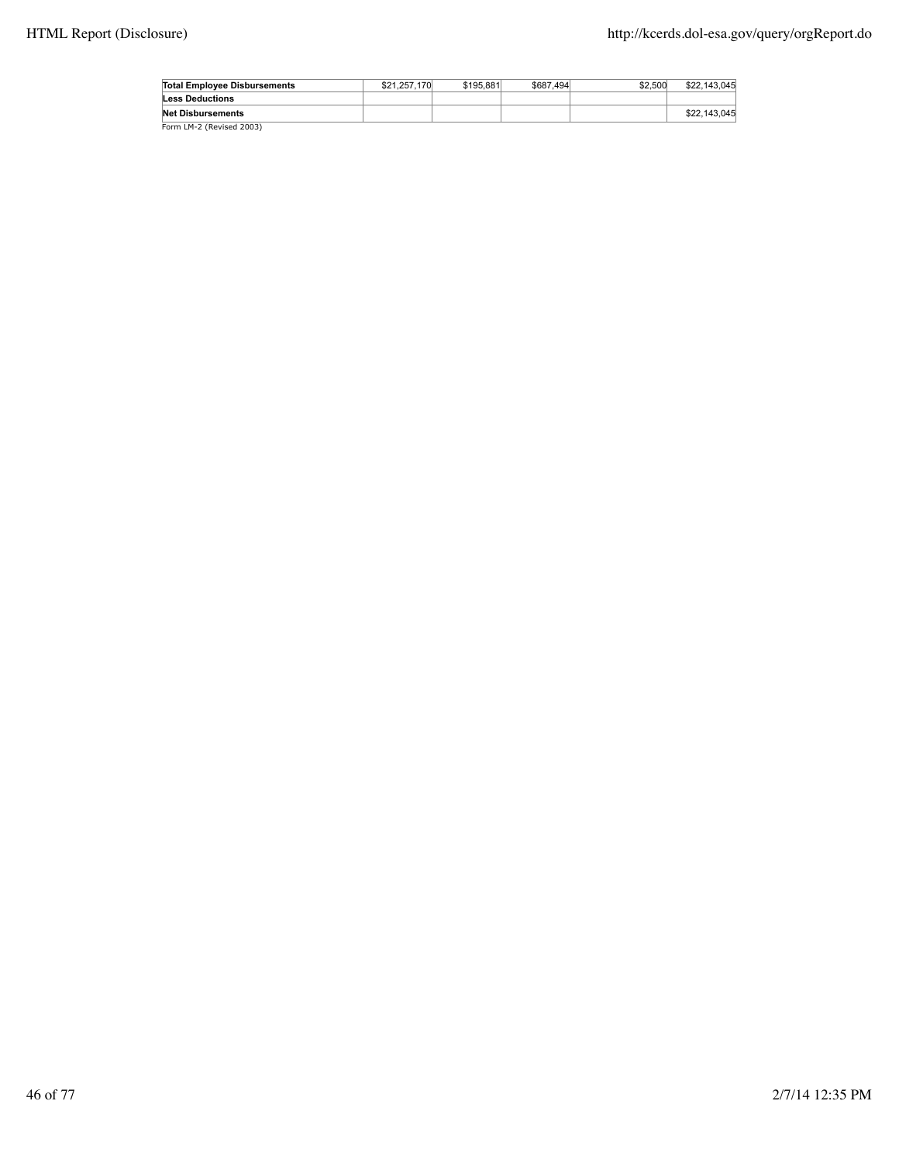| <b>Total Employee Disbursements</b> | \$21.257.170 | \$195,881 | \$687.494 | \$2,500 | \$22,143,045 |
|-------------------------------------|--------------|-----------|-----------|---------|--------------|
| <b>Less Deductions</b>              |              |           |           |         |              |
| <b>Net Disbursements</b>            |              |           |           |         | \$22,143,045 |
| Form LM-2 (Revised 2003)            |              |           |           |         |              |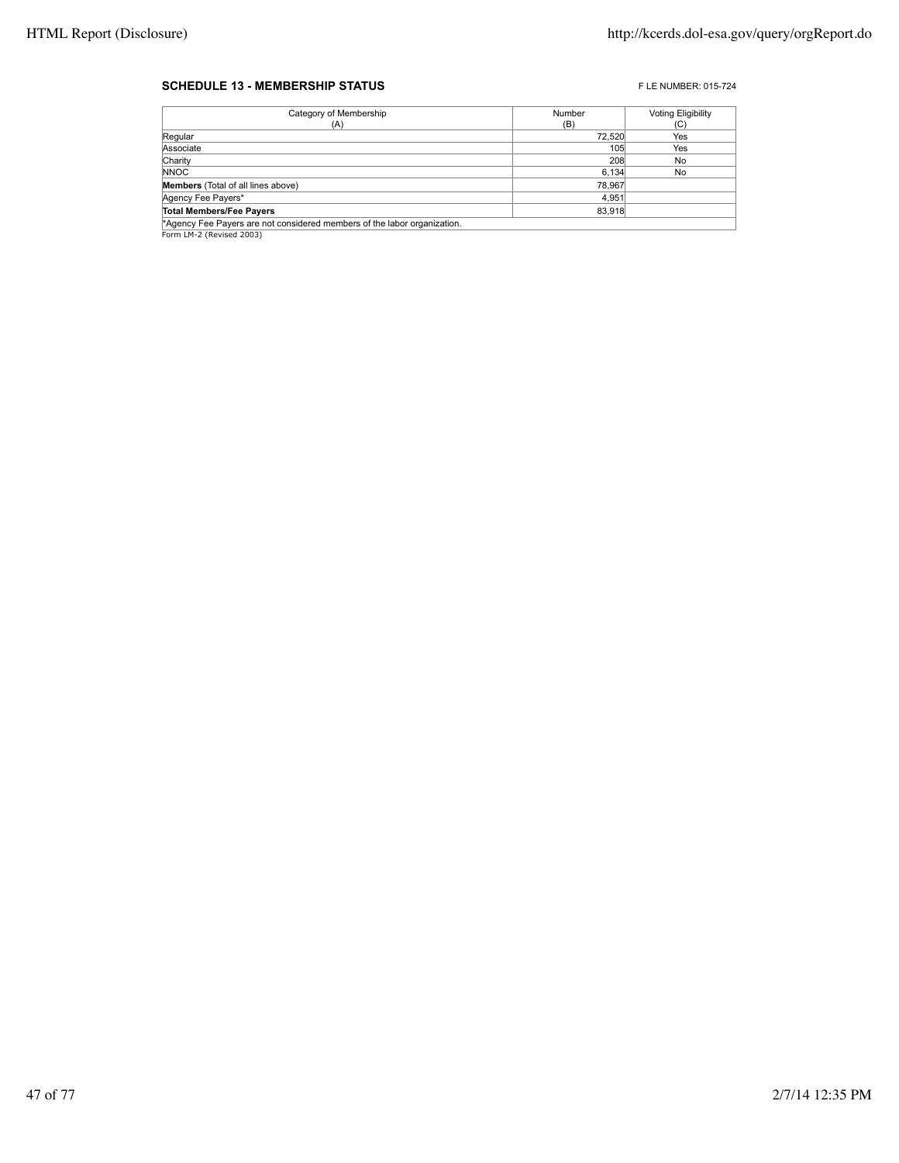#### **SCHEDULE 13 - MEMBERSHIP STATUS EXECUTE 2015-724** FLE NUMBER: 015-724

| Category of Membership                                                   | Number | <b>Voting Eligibility</b> |
|--------------------------------------------------------------------------|--------|---------------------------|
| (A)                                                                      | (B)    | (C)                       |
| Regular                                                                  | 72,520 | Yes                       |
| Associate                                                                | 105    | Yes                       |
| Charity                                                                  | 208    | No                        |
| <b>NNOC</b>                                                              | 6,134  | No                        |
| <b>Members</b> (Total of all lines above)                                | 78.967 |                           |
| Agency Fee Payers*                                                       | 4.951  |                           |
| <b>Total Members/Fee Payers</b>                                          | 83,918 |                           |
| *Agency Fee Payers are not considered members of the labor organization. |        |                           |
| Form LM-2 (Revised 2003)                                                 |        |                           |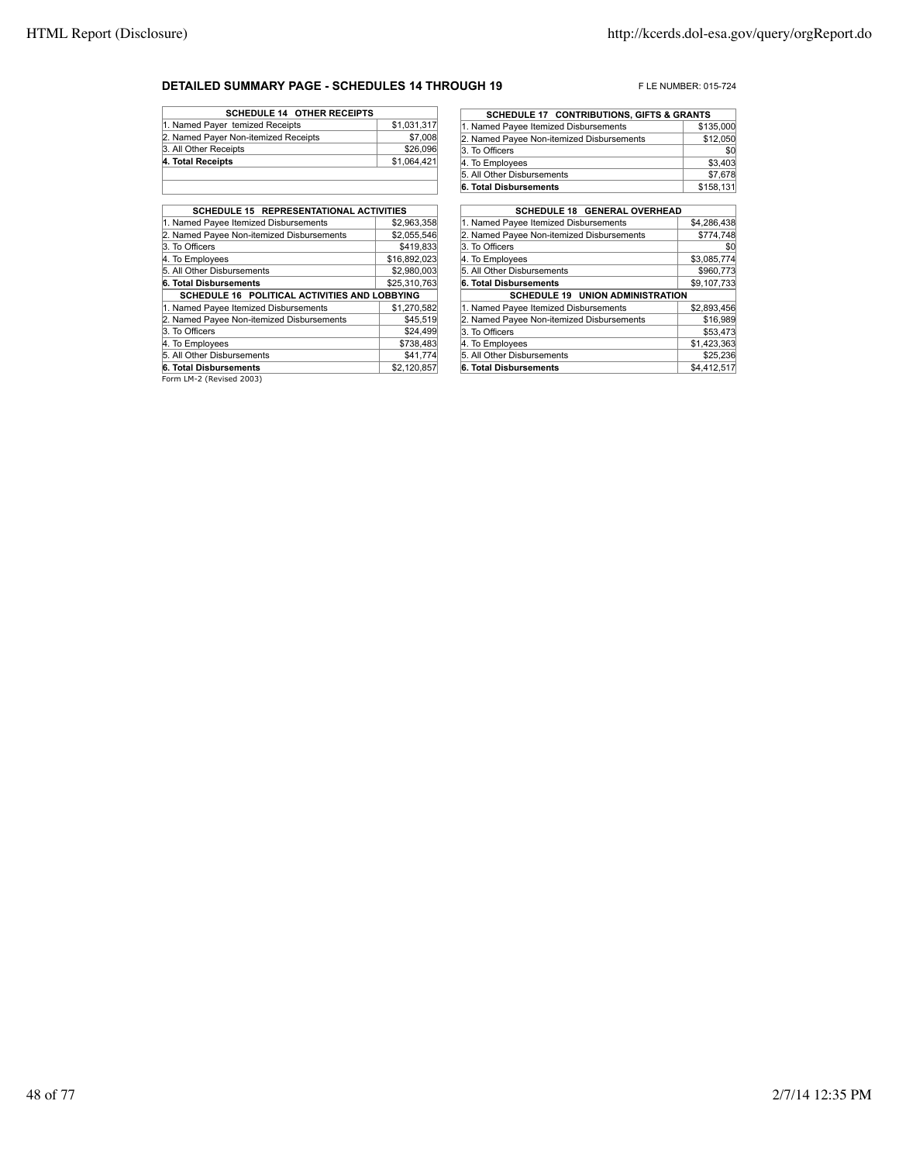#### **DETAILED SUMMARY PAGE - SCHEDULES 14 THROUGH 19** FLE NUMBER: 015-724

| <b>SCHEDULE 14 OTHER RECEIPTS</b>    |             |
|--------------------------------------|-------------|
| 1. Named Payer temized Receipts      | \$1,031,317 |
| 2. Named Payer Non-itemized Receipts | \$7,008     |
| 3. All Other Receipts                | \$26,096    |
| 4. Total Receipts                    | \$1,064,421 |
|                                      |             |

| SCHEDULE 15 REPRESENTATIONAL ACTIVITIES                  |              |
|----------------------------------------------------------|--------------|
| 1. Named Payee Itemized Disbursements                    | \$2.963.358  |
| 2. Named Payee Non-itemized Disbursements                | \$2,055,546  |
| 3. To Officers                                           | \$419,833    |
| 4. To Employees                                          | \$16,892,023 |
| 5. All Other Disbursements                               | \$2,980,003  |
| 6. Total Disbursements                                   | \$25,310,763 |
| SCHEDULE 16 POLITICAL ACTIVITIES AND LOBBYING            |              |
| 1. Named Payee Itemized Disbursements                    | \$1,270,582  |
| 2. Named Payee Non-itemized Disbursements                | \$45,519     |
| 3. To Officers                                           | \$24,499     |
| 4. To Employees                                          | \$738,483    |
| 5. All Other Disbursements                               | \$41,774     |
| 6. Total Disbursements                                   | \$2,120,857  |
| $F_{\text{current}}$ $\mid M \mid \gamma$ (Berlead 2002) |              |

Form LM-2 (Revised 2003)

| <b>SCHEDULE 17 CONTRIBUTIONS, GIFTS &amp; GRANTS</b> |           |
|------------------------------------------------------|-----------|
| 1. Named Payee Itemized Disbursements                | \$135,000 |
| 2. Named Payee Non-itemized Disbursements            | \$12,050  |
| 3. To Officers                                       | \$0       |
| 4. To Employees                                      | \$3,403   |
| 5. All Other Disbursements                           | \$7,678   |
| 6. Total Disbursements                               | \$158,131 |

| <b>SCHEDULE 18 GENERAL OVERHEAD</b>       |             |
|-------------------------------------------|-------------|
| 1. Named Payee Itemized Disbursements     | \$4,286,438 |
| 2. Named Payee Non-itemized Disbursements | \$774,748   |
| 3. To Officers                            | \$0         |
| 4. To Employees                           | \$3,085,774 |
| 5. All Other Disbursements                | \$960,773   |
| 6. Total Disbursements                    | \$9,107,733 |
| <b>SCHEDULE 19 UNION ADMINISTRATION</b>   |             |
| 1. Named Payee Itemized Disbursements     | \$2.893.456 |
| 2. Named Payee Non-itemized Disbursements | \$16,989    |
| 3. To Officers                            | \$53,473    |
| 4. To Employees                           | \$1,423,363 |
| 5. All Other Disbursements                | \$25.236    |
| 6. Total Disbursements                    | \$4,412,517 |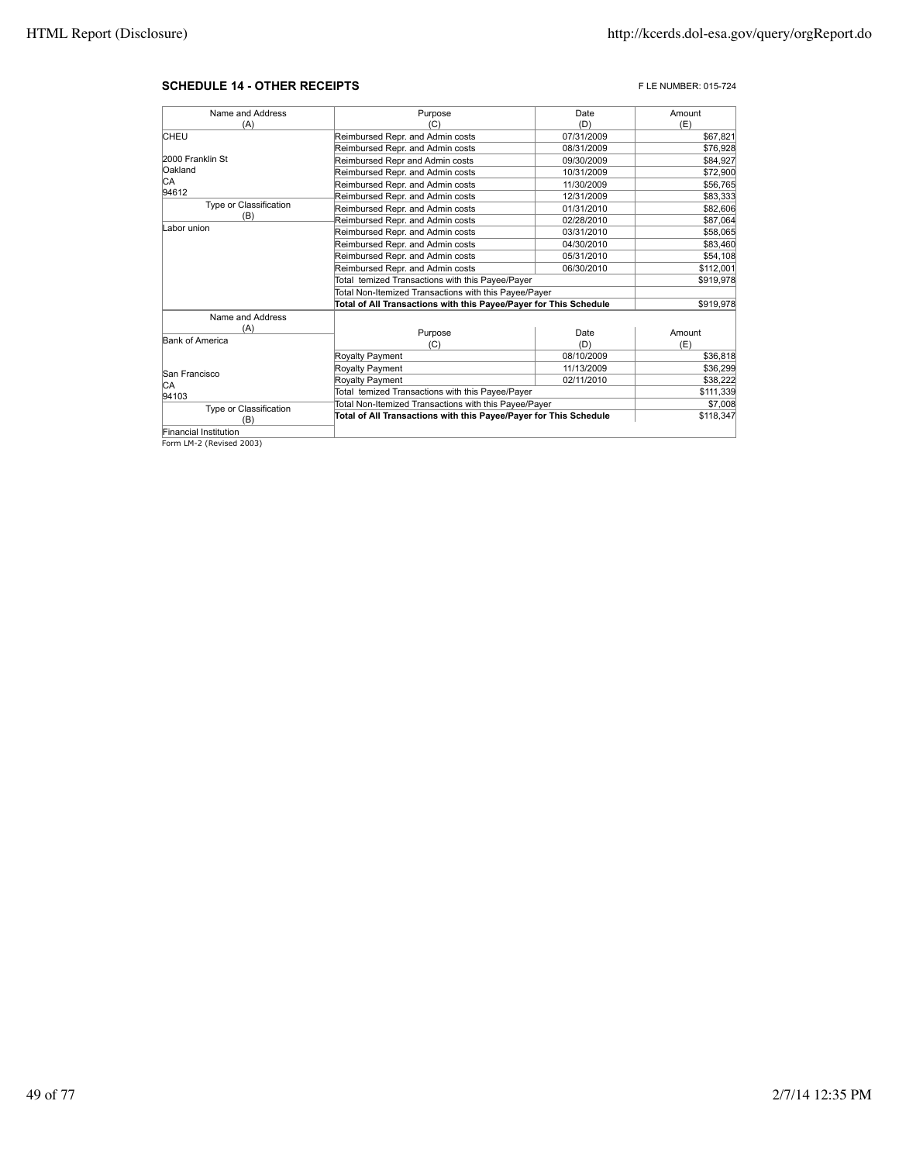#### **SCHEDULE 14 - OTHER RECEIPTS FLE NUMBER: 015-724**

| Name and Address       | Purpose                                                           | Date       | Amount    |
|------------------------|-------------------------------------------------------------------|------------|-----------|
| (A)                    | (C)                                                               | (D)        | (E)       |
| <b>CHEU</b>            | Reimbursed Repr. and Admin costs                                  | 07/31/2009 | \$67,821  |
|                        | Reimbursed Repr. and Admin costs                                  | 08/31/2009 | \$76,928  |
| 2000 Franklin St       | Reimbursed Repr and Admin costs                                   | 09/30/2009 | \$84,927  |
| Oakland                | Reimbursed Repr. and Admin costs                                  | 10/31/2009 | \$72,900  |
| IСA                    | Reimbursed Repr. and Admin costs                                  | 11/30/2009 | \$56,765  |
| 94612                  | Reimbursed Repr. and Admin costs                                  | 12/31/2009 | \$83,333  |
| Type or Classification | Reimbursed Repr. and Admin costs                                  | 01/31/2010 | \$82,606  |
| (B)                    | Reimbursed Repr. and Admin costs                                  | 02/28/2010 | \$87,064  |
| Labor union            | Reimbursed Repr. and Admin costs                                  | 03/31/2010 | \$58,065  |
|                        | Reimbursed Repr. and Admin costs                                  | 04/30/2010 | \$83,460  |
|                        | Reimbursed Repr. and Admin costs                                  | 05/31/2010 | \$54,108  |
|                        | Reimbursed Repr. and Admin costs                                  | 06/30/2010 | \$112,001 |
|                        | Total temized Transactions with this Payee/Payer                  |            | \$919,978 |
|                        | Total Non-Itemized Transactions with this Payee/Payer             |            |           |
|                        | Total of All Transactions with this Payee/Payer for This Schedule |            | \$919,978 |
| Name and Address       |                                                                   |            |           |
| (A)                    | Purpose                                                           | Date       | Amount    |
| Bank of America        | (C)                                                               | (D)        | (E)       |
|                        | Royalty Payment                                                   | 08/10/2009 | \$36,818  |
|                        | Royalty Payment                                                   | 11/13/2009 | \$36,299  |
| San Francisco          | <b>Royalty Payment</b>                                            | 02/11/2010 | \$38,222  |
| IСA                    | Total temized Transactions with this Payee/Payer                  |            | \$111,339 |
| 94103                  | Total Non-Itemized Transactions with this Payee/Payer             |            | \$7,008   |
| Type or Classification | Total of All Transactions with this Payee/Payer for This Schedule |            | \$118,347 |
| (B)                    |                                                                   |            |           |
| Financial Institution  |                                                                   |            |           |

Financial Institution Form LM-2 (Revised 2003)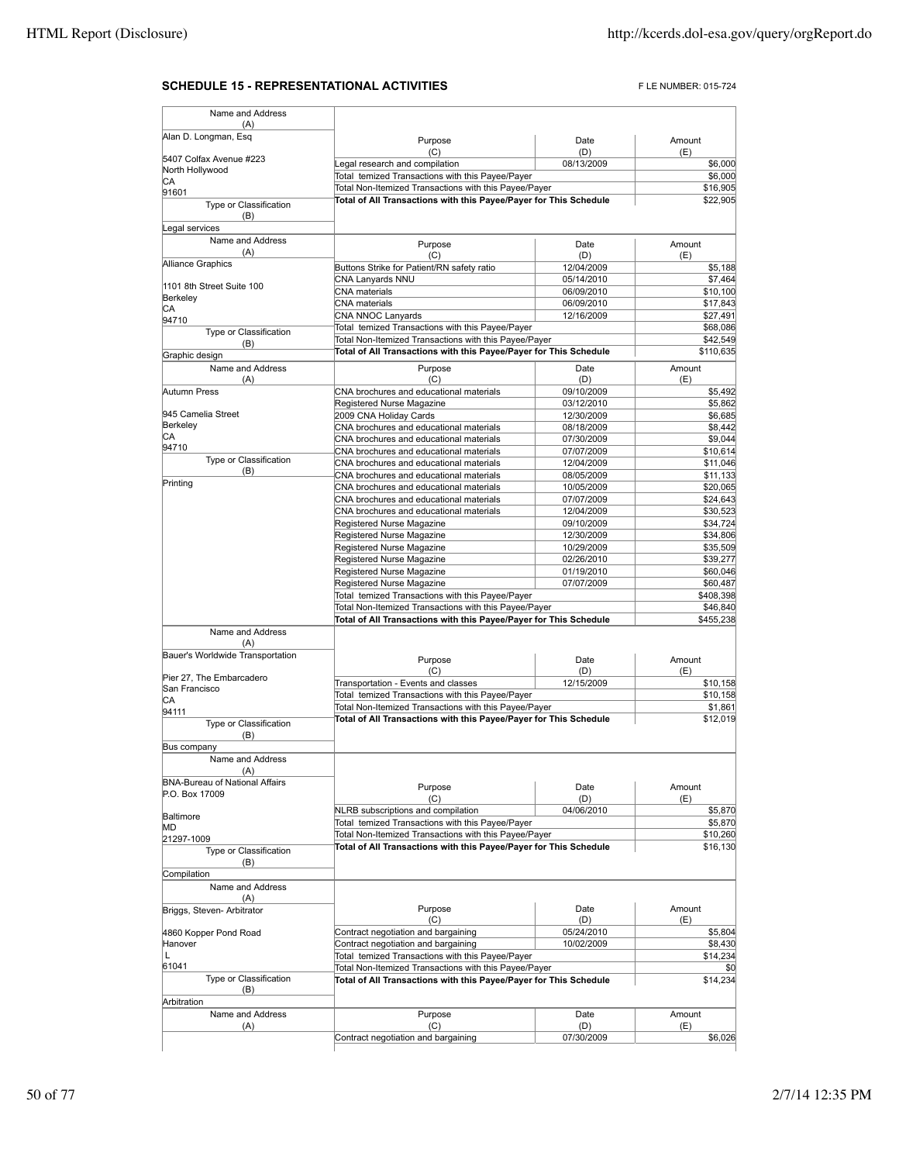## **SCHEDULE 15 - REPRESENTATIONAL ACTIVITIES** FLE NUMBER: 015-724

| Name and Address                        |                                                                                         |                          |                      |
|-----------------------------------------|-----------------------------------------------------------------------------------------|--------------------------|----------------------|
| (A)<br>Alan D. Longman, Esq             |                                                                                         |                          |                      |
|                                         | Purpose<br>(C)                                                                          | Date<br>(D)              | Amount<br>(E)        |
| 5407 Colfax Avenue #223                 | Legal research and compilation                                                          | 08/13/2009               | \$6,000              |
| North Hollywood<br>CА                   | Total temized Transactions with this Payee/Payer                                        |                          | \$6,000              |
| 91601                                   | Total Non-Itemized Transactions with this Payee/Payer                                   |                          | \$16,905             |
| Type or Classification                  | Total of All Transactions with this Payee/Payer for This Schedule                       |                          | \$22,905             |
| (B)                                     |                                                                                         |                          |                      |
| Legal services                          |                                                                                         |                          |                      |
| Name and Address<br>(A)                 | Purpose                                                                                 | Date                     | Amount               |
| Alliance Graphics                       | (C)                                                                                     | (D)                      | (E)                  |
|                                         | Buttons Strike for Patient/RN safety ratio                                              | 12/04/2009<br>05/14/2010 | \$5,188<br>\$7,464   |
| 1101 8th Street Suite 100               | CNA Lanyards NNU<br><b>CNA</b> materials                                                | 06/09/2010               | \$10,100             |
| Berkeley                                | <b>CNA</b> materials                                                                    | 06/09/2010               | \$17,843             |
| CА<br>94710                             | CNA NNOC Lanyards                                                                       | 12/16/2009               | \$27,491             |
| Type or Classification                  | Total temized Transactions with this Payee/Payer                                        |                          | \$68,086             |
| (B)                                     | Total Non-Itemized Transactions with this Payee/Payer                                   |                          | \$42,549             |
| Graphic design                          | Total of All Transactions with this Payee/Payer for This Schedule                       |                          | \$110,635            |
| Name and Address                        | Purpose                                                                                 | Date                     | Amount               |
| (A)                                     | (C)                                                                                     | (D)                      | (E)                  |
| Autumn Press                            | CNA brochures and educational materials                                                 | 09/10/2009               | \$5,492              |
|                                         | Registered Nurse Magazine                                                               | 03/12/2010               | \$5,862              |
| 945 Camelia Street<br>Berkeley          | 2009 CNA Holiday Cards                                                                  | 12/30/2009               | \$6,685              |
| CA                                      | CNA brochures and educational materials<br>CNA brochures and educational materials      | 08/18/2009<br>07/30/2009 | \$8,442<br>\$9,044   |
| 94710                                   | CNA brochures and educational materials                                                 | 07/07/2009               | \$10,614             |
| Type or Classification                  | CNA brochures and educational materials                                                 | 12/04/2009               | \$11,046             |
| (B)                                     | CNA brochures and educational materials                                                 | 08/05/2009               | \$11,133             |
| Printing                                | CNA brochures and educational materials                                                 | 10/05/2009               | \$20,065             |
|                                         | CNA brochures and educational materials                                                 | 07/07/2009               | \$24,643             |
|                                         | CNA brochures and educational materials                                                 | 12/04/2009               | \$30,523             |
|                                         | Registered Nurse Magazine                                                               | 09/10/2009               | \$34,724             |
|                                         | Registered Nurse Magazine                                                               | 12/30/2009               | \$34,806             |
|                                         | Registered Nurse Magazine<br>Registered Nurse Magazine                                  | 10/29/2009<br>02/26/2010 | \$35,509<br>\$39,277 |
|                                         | Registered Nurse Magazine                                                               | 01/19/2010               | \$60,046             |
|                                         | Registered Nurse Magazine                                                               | 07/07/2009               | \$60,487             |
|                                         | Total temized Transactions with this Payee/Payer                                        |                          | \$408,398            |
|                                         | Total Non-Itemized Transactions with this Payee/Payer                                   |                          | \$46,840             |
|                                         | Total of All Transactions with this Payee/Payer for This Schedule                       |                          | \$455,238            |
| Name and Address                        |                                                                                         |                          |                      |
| (A)<br>Bauer's Worldwide Transportation |                                                                                         |                          |                      |
|                                         | Purpose                                                                                 | Date                     | Amount               |
| Pier 27. The Embarcadero                | (C)                                                                                     | (D)<br>12/15/2009        | (E)<br>\$10,158      |
| San Francisco                           | Transportation - Events and classes<br>Total temized Transactions with this Payee/Payer |                          | \$10,158             |
| СA                                      | Total Non-Itemized Transactions with this Payee/Payer                                   |                          | \$1,861              |
| 94111<br><b>Type or Classification</b>  | Total of All Transactions with this Payee/Payer for This Schedule                       |                          | \$12,019             |
| (B)                                     |                                                                                         |                          |                      |
| Bus company                             |                                                                                         |                          |                      |
| Name and Address                        |                                                                                         |                          |                      |
| (A)                                     |                                                                                         |                          |                      |
| <b>BNA-Bureau of National Affairs</b>   | Purpose                                                                                 | Date                     | Amount               |
| P.O. Box 17009                          | (C)                                                                                     | (D)                      | (E)                  |
| Baltimore                               | NLRB subscriptions and compilation                                                      | 04/06/2010               | \$5,870              |
| MD                                      | Total temized Transactions with this Payee/Payer                                        |                          | \$5,870              |
| 21297-1009                              | Total Non-Itemized Transactions with this Payee/Payer                                   |                          | \$10,260             |
| Type or Classification                  | Total of All Transactions with this Payee/Payer for This Schedule                       |                          | \$16,130             |
| (B)                                     |                                                                                         |                          |                      |
| Compilation                             |                                                                                         |                          |                      |
| Name and Address                        |                                                                                         |                          |                      |
| (A)<br>Briggs, Steven-Arbitrator        | Purpose                                                                                 | Date                     | Amount               |
|                                         | (C)                                                                                     | (D)                      | (E)                  |
| 4860 Kopper Pond Road                   | Contract negotiation and bargaining                                                     | 05/24/2010               | \$5,804              |
| Hanover                                 | Contract negotiation and bargaining                                                     | 10/02/2009               | \$8,430              |
| L                                       | Total temized Transactions with this Payee/Payer                                        |                          | \$14,234             |
| 61041                                   | Total Non-Itemized Transactions with this Payee/Payer                                   |                          | \$0                  |
| Type or Classification                  | Total of All Transactions with this Payee/Payer for This Schedule                       |                          | \$14,234             |
| (B)<br>Arbitration                      |                                                                                         |                          |                      |
| Name and Address                        | Purpose                                                                                 | Date                     | Amount               |
| (A)                                     | (C)                                                                                     | (D)                      | (E)                  |
|                                         | Contract negotiation and bargaining                                                     | 07/30/2009               | \$6,026              |
|                                         |                                                                                         |                          |                      |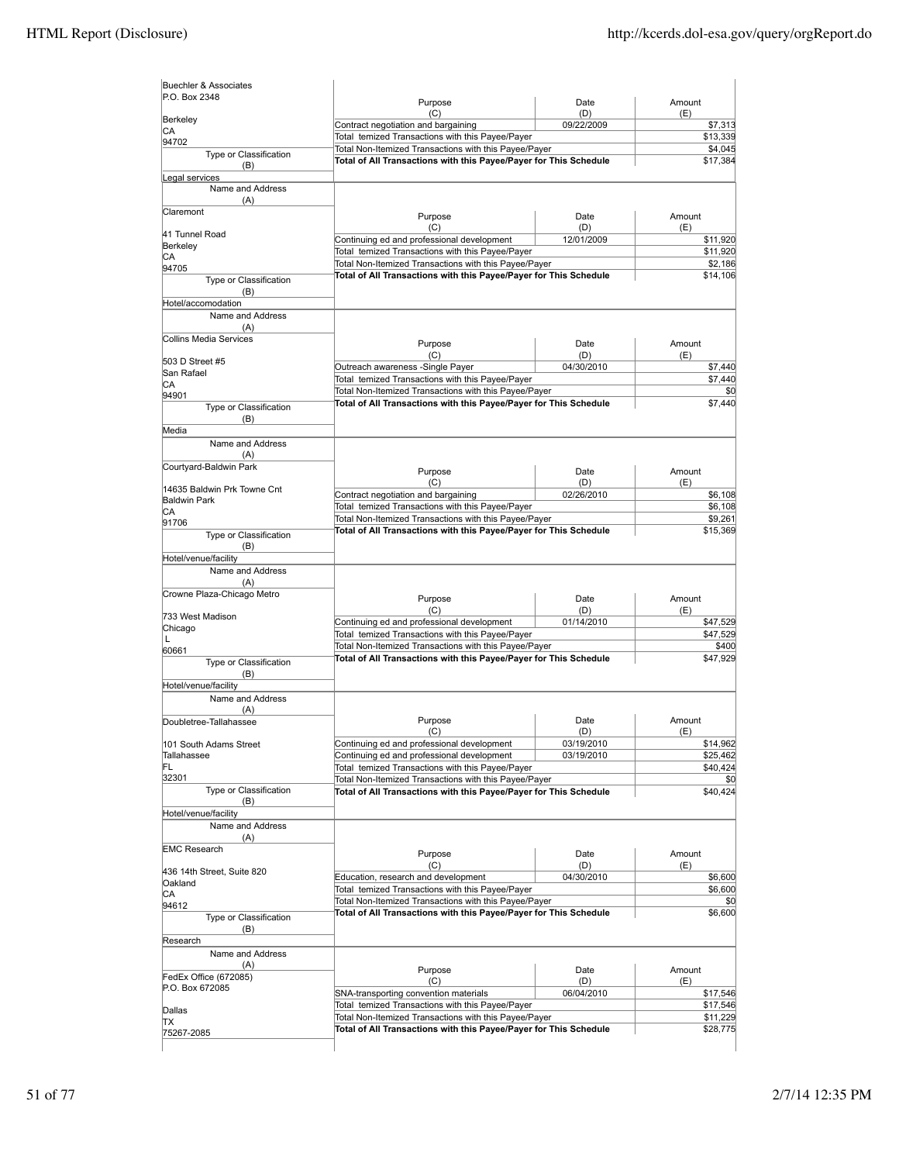| P.O. Box 2348                                      | Purpose                                                                                                   | Date              | Amount               |
|----------------------------------------------------|-----------------------------------------------------------------------------------------------------------|-------------------|----------------------|
| Berkeley                                           | (C)                                                                                                       | (D)               | (E)                  |
| СA                                                 | Contract negotiation and bargaining<br>Total temized Transactions with this Payee/Payer                   | 09/22/2009        | \$7,313<br>\$13,339  |
| 94702                                              | Total Non-Itemized Transactions with this Payee/Payer                                                     |                   | \$4,045              |
| Type or Classification<br>(B)                      | Total of All Transactions with this Payee/Payer for This Schedule                                         |                   | \$17,384             |
| Legal services                                     |                                                                                                           |                   |                      |
| Name and Address<br>(A)                            |                                                                                                           |                   |                      |
| Claremont                                          | Purpose                                                                                                   | Date              | Amount               |
|                                                    | (C)                                                                                                       | (D)               | (E)                  |
| 41 Tunnel Road<br>Berkeley                         | Continuing ed and professional development                                                                | 12/01/2009        | \$11,920             |
| СA                                                 | Total temized Transactions with this Payee/Payer                                                          |                   | \$11,920             |
| 94705                                              | Total Non-Itemized Transactions with this Payee/Payer                                                     |                   | \$2,186<br>\$14,106  |
| Type or Classification                             | Total of All Transactions with this Payee/Payer for This Schedule                                         |                   |                      |
| (B)<br>Hotel/accomodation                          |                                                                                                           |                   |                      |
| Name and Address                                   |                                                                                                           |                   |                      |
| (A)                                                |                                                                                                           |                   |                      |
| <b>Collins Media Services</b>                      | Purpose                                                                                                   | Date              | Amount               |
|                                                    | (C)                                                                                                       | (D)               | (E)                  |
| 503 D Street #5<br>San Rafael                      | Outreach awareness -Single Payer                                                                          | 04/30/2010        | \$7,440              |
| CА                                                 | Total temized Transactions with this Payee/Payer                                                          |                   | \$7,440              |
| 94901                                              | Total Non-Itemized Transactions with this Payee/Payer                                                     |                   | \$0                  |
| Type or Classification                             | Total of All Transactions with this Payee/Payer for This Schedule                                         |                   | \$7,440              |
| (B)<br>Media                                       |                                                                                                           |                   |                      |
| Name and Address                                   |                                                                                                           |                   |                      |
| (A)                                                |                                                                                                           |                   |                      |
| Courtyard-Baldwin Park                             | Purpose                                                                                                   | Date              | Amount               |
|                                                    | (C)                                                                                                       | (D)               | (E)                  |
| 14635 Baldwin Prk Towne Cnt<br><b>Baldwin Park</b> | Contract negotiation and bargaining                                                                       | 02/26/2010        | \$6,108              |
| CА                                                 | Total temized Transactions with this Payee/Payer                                                          |                   | \$6,108              |
| 91706                                              | Total Non-Itemized Transactions with this Payee/Payer                                                     |                   | \$9,261              |
| Type or Classification                             | Total of All Transactions with this Payee/Payer for This Schedule                                         |                   | \$15,369             |
| (B)<br>Hotel/venue/facility                        |                                                                                                           |                   |                      |
| Name and Address                                   |                                                                                                           |                   |                      |
| (A)                                                |                                                                                                           |                   |                      |
| Crowne Plaza-Chicago Metro                         | Purpose                                                                                                   | Date              | Amount               |
|                                                    | (C)                                                                                                       | (D)               | (E)                  |
| 733 West Madison                                   | Continuing ed and professional development                                                                | 01/14/2010        | \$47,529             |
|                                                    | Total temized Transactions with this Payee/Payer                                                          |                   |                      |
| Chicago                                            |                                                                                                           |                   | \$47,529             |
| L<br>60661                                         | Total Non-Itemized Transactions with this Payee/Payer                                                     |                   | \$400                |
| Type or Classification                             | Total of All Transactions with this Payee/Payer for This Schedule                                         |                   | \$47,929             |
| (B)                                                |                                                                                                           |                   |                      |
| Hotel/venue/facility                               |                                                                                                           |                   |                      |
| Name and Address<br>(A)                            |                                                                                                           |                   |                      |
| Doubletree-Tallahassee                             | Purpose                                                                                                   | Date              | Amount               |
|                                                    | (C)                                                                                                       | (D)               | (E)                  |
| 101 South Adams Street                             | Continuing ed and professional development                                                                | 03/19/2010        |                      |
| Tallahassee                                        | Continuing ed and professional development                                                                | 03/19/2010        | \$14,962<br>\$25,462 |
| FL<br>32301                                        | Total temized Transactions with this Payee/Payer<br>Total Non-Itemized Transactions with this Payee/Payer |                   | \$40,424             |
| Type or Classification                             | Total of All Transactions with this Payee/Payer for This Schedule                                         |                   | \$40,424             |
| (B)                                                |                                                                                                           |                   |                      |
| Hotel/venue/facility                               |                                                                                                           |                   |                      |
| Name and Address                                   |                                                                                                           |                   |                      |
| (A)<br><b>EMC Research</b>                         |                                                                                                           |                   | \$0                  |
|                                                    | Purpose                                                                                                   | Date              | Amount               |
|                                                    | (C)<br>Education, research and development                                                                | (D)<br>04/30/2010 | (E)<br>\$6,600       |
| Oakland                                            | Total temized Transactions with this Payee/Payer                                                          |                   | \$6,600              |
| СA<br>94612                                        | Total Non-Itemized Transactions with this Payee/Payer                                                     |                   | \$0                  |
| Type or Classification                             | Total of All Transactions with this Payee/Payer for This Schedule                                         |                   | \$6,600              |
| (B)                                                |                                                                                                           |                   |                      |
| Research                                           |                                                                                                           |                   |                      |
| Name and Address                                   |                                                                                                           |                   |                      |
| (A)                                                | Purpose                                                                                                   | Date              | Amount               |
| FedEx Office (672085)<br>P.O. Box 672085           | (C)                                                                                                       | (D)               | (E)                  |
| 436 14th Street, Suite 820                         | SNA-transporting convention materials                                                                     | 06/04/2010        | \$17,546             |
| Dallas<br>TΧ                                       | Total temized Transactions with this Payee/Payer<br>Total Non-Itemized Transactions with this Payee/Payer |                   | \$17,546<br>\$11,229 |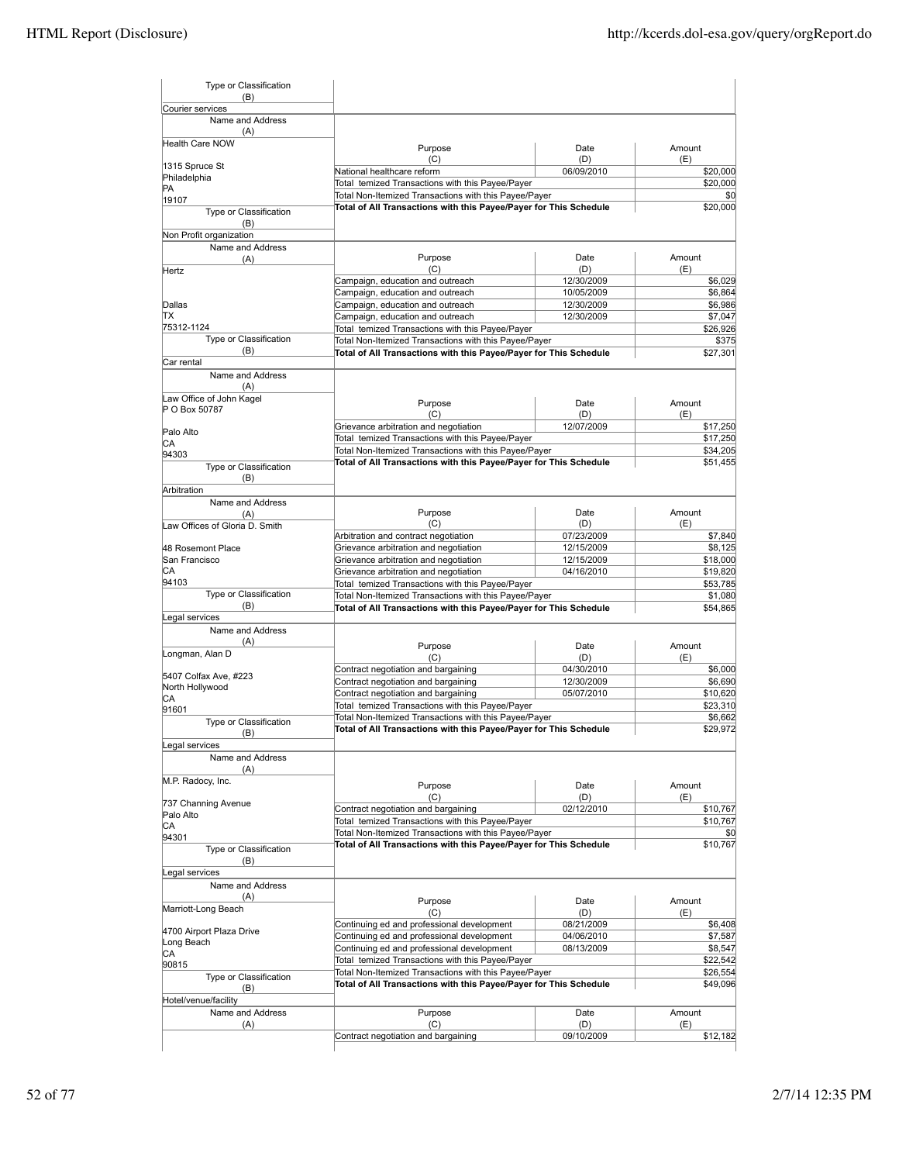| Type or Classification<br>(B)        |                                                                                                           |                   |                      |
|--------------------------------------|-----------------------------------------------------------------------------------------------------------|-------------------|----------------------|
| Courier services                     |                                                                                                           |                   |                      |
| Name and Address                     |                                                                                                           |                   |                      |
| (A)<br><b>Health Care NOW</b>        |                                                                                                           |                   | Amount               |
|                                      | Purpose<br>(C)                                                                                            | Date<br>(D)       | (E)                  |
| 1315 Spruce St                       | National healthcare reform                                                                                | 06/09/2010        | \$20,000             |
| Philadelphia                         | Total temized Transactions with this Payee/Payer                                                          |                   | \$20,000             |
| PA<br>19107                          | Total Non-Itemized Transactions with this Payee/Payer                                                     |                   | \$0                  |
| Type or Classification               | Total of All Transactions with this Payee/Payer for This Schedule                                         |                   | \$20,000             |
| (B)<br>Non Profit organization       |                                                                                                           |                   |                      |
| Name and Address                     |                                                                                                           |                   |                      |
| (A)                                  | Purpose                                                                                                   | Date              | Amount               |
| Hertz                                | (C)                                                                                                       | (D)               | (E)                  |
|                                      | Campaign, education and outreach                                                                          | 12/30/2009        | \$6,029              |
|                                      | Campaign, education and outreach                                                                          | 10/05/2009        | \$6,864              |
| Dallas                               | Campaign, education and outreach                                                                          | 12/30/2009        | \$6,986              |
| TХ                                   | Campaign, education and outreach                                                                          | 12/30/2009        | \$7,047              |
| 75312-1124<br>Type or Classification | Total temized Transactions with this Payee/Payer                                                          |                   | \$26,926             |
| (B)                                  | Total Non-Itemized Transactions with this Payee/Payer                                                     |                   | \$375                |
| Car rental                           | Total of All Transactions with this Payee/Payer for This Schedule                                         |                   | \$27,301             |
| Name and Address                     |                                                                                                           |                   |                      |
| (A)                                  |                                                                                                           |                   |                      |
| Law Office of John Kagel             | Purpose                                                                                                   | Date              | Amount               |
| P O Box 50787                        | (C)                                                                                                       | (D)               | (E)                  |
| Palo Alto                            | Grievance arbitration and negotiation                                                                     | 12/07/2009        | \$17,250             |
| СA                                   | Total temized Transactions with this Payee/Payer                                                          |                   | \$17,250             |
| 94303                                | Total Non-Itemized Transactions with this Payee/Payer                                                     |                   | \$34,205             |
| Type or Classification               | Total of All Transactions with this Payee/Payer for This Schedule                                         |                   | \$51,455             |
| (B)                                  |                                                                                                           |                   |                      |
| Arbitration                          |                                                                                                           |                   |                      |
| Name and Address                     |                                                                                                           |                   |                      |
| (A)                                  | Purpose                                                                                                   | Date              | Amount               |
| Law Offices of Gloria D. Smith       | (C)                                                                                                       | (D)               | (E)                  |
|                                      | Arbitration and contract negotiation                                                                      | 07/23/2009        | \$7,840              |
| 48 Rosemont Place                    | Grievance arbitration and negotiation                                                                     | 12/15/2009        | \$8,125              |
| San Francisco                        | Grievance arbitration and negotiation                                                                     | 12/15/2009        | \$18,000             |
| CА                                   | Grievance arbitration and negotiation                                                                     | 04/16/2010        | \$19,820             |
| 94103<br>Type or Classification      | Total temized Transactions with this Payee/Payer                                                          |                   | \$53,785             |
| (B)                                  | Total Non-Itemized Transactions with this Payee/Payer                                                     |                   | \$1,080              |
| Legal services                       | Total of All Transactions with this Payee/Payer for This Schedule                                         |                   | \$54,865             |
| Name and Address                     |                                                                                                           |                   |                      |
| (A)                                  | Purpose                                                                                                   | Date              | Amount               |
| Longman, Alan D                      | (C)                                                                                                       | (D)               | (E)                  |
|                                      | Contract negotiation and bargaining                                                                       | 04/30/2010        | \$6,000              |
| 5407 Colfax Ave, #223                | Contract negotiation and bargaining                                                                       | 12/30/2009        | \$6,690              |
| North Hollywood                      | Contract negotiation and bargaining                                                                       | 05/07/2010        | \$10,620             |
| IСA<br>91601                         | Total temized Transactions with this Payee/Payer                                                          |                   | \$23,310             |
| Type or Classification               | Total Non-Itemized Transactions with this Payee/Payer                                                     |                   | \$6,662              |
| (B)                                  | Total of All Transactions with this Payee/Payer for This Schedule                                         |                   | \$29.972             |
| egal services                        |                                                                                                           |                   |                      |
| Name and Address                     |                                                                                                           |                   |                      |
| (A)                                  |                                                                                                           |                   |                      |
| M.P. Radocy, Inc.                    | Purpose                                                                                                   | Date              | Amount               |
|                                      | (C)                                                                                                       | (D)               | (E)                  |
| 737 Channing Avenue                  | Contract negotiation and bargaining                                                                       | 02/12/2010        | \$10,767             |
| Palo Alto                            | Total temized Transactions with this Payee/Payer                                                          |                   | \$10,767             |
| СA                                   | Total Non-Itemized Transactions with this Payee/Payer                                                     |                   | \$0                  |
| 94301                                | Total of All Transactions with this Payee/Payer for This Schedule                                         |                   | \$10,767             |
| Type or Classification<br>(B)        |                                                                                                           |                   |                      |
| Legal services                       |                                                                                                           |                   |                      |
| Name and Address                     |                                                                                                           |                   |                      |
| (A)                                  |                                                                                                           |                   |                      |
| Marriott-Long Beach                  | Purpose                                                                                                   | Date              | Amount               |
|                                      | (C)                                                                                                       | (D)               | (E)                  |
| 4700 Airport Plaza Drive             | Continuing ed and professional development                                                                | 08/21/2009        | \$6,408              |
| Long Beach                           | Continuing ed and professional development                                                                | 04/06/2010        | \$7,587              |
| СA                                   | Continuing ed and professional development                                                                | 08/13/2009        | \$8,547              |
| 90815                                | Total temized Transactions with this Payee/Payer<br>Total Non-Itemized Transactions with this Payee/Payer |                   | \$22,542             |
| Type or Classification               | Total of All Transactions with this Payee/Payer for This Schedule                                         |                   | \$26,554<br>\$49,096 |
| (B)                                  |                                                                                                           |                   |                      |
| Hotel/venue/facility                 |                                                                                                           |                   |                      |
| Name and Address                     | Purpose                                                                                                   | Date              | Amount               |
| (A)                                  | (C)<br>Contract negotiation and bargaining                                                                | (D)<br>09/10/2009 | (E)<br>\$12,182      |
|                                      |                                                                                                           |                   |                      |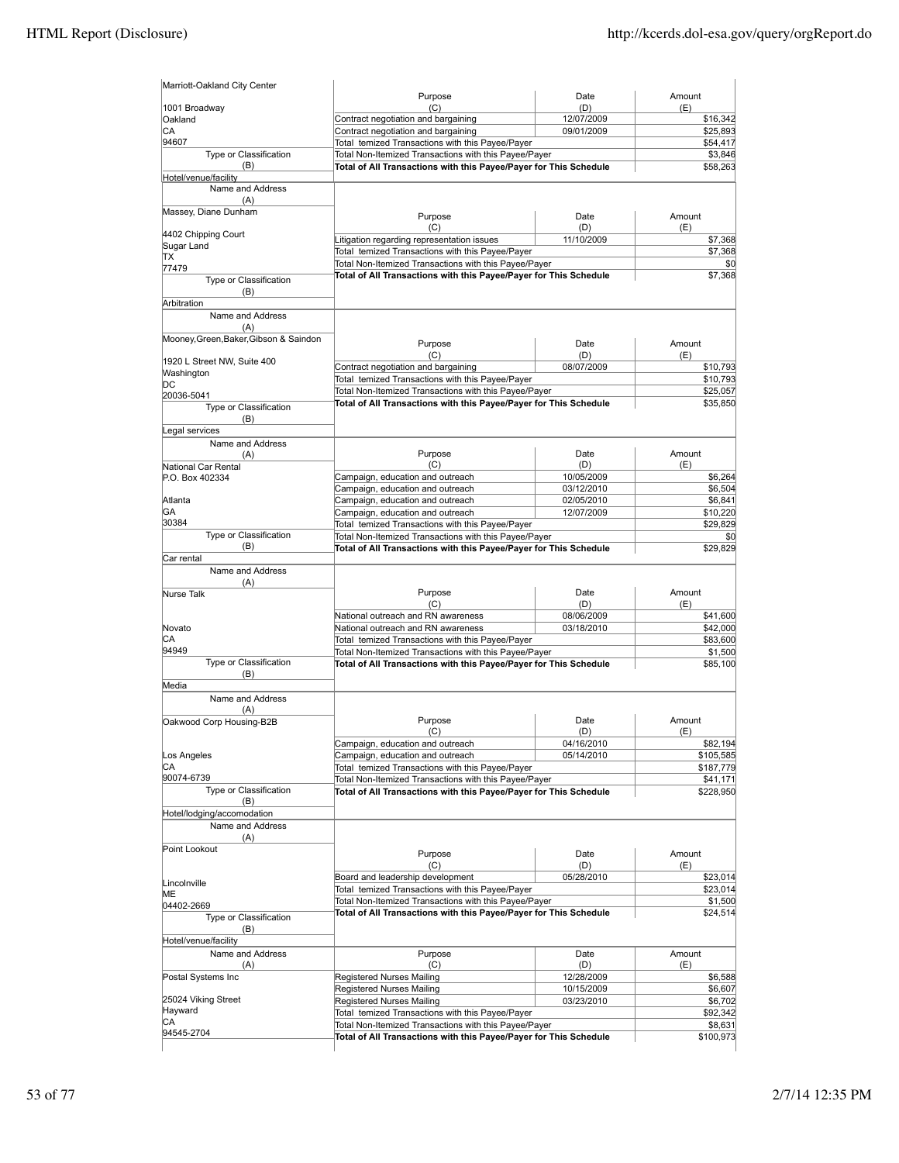| Marriott-Oakland City Center                   |                                                                                                                            |                          |                       |
|------------------------------------------------|----------------------------------------------------------------------------------------------------------------------------|--------------------------|-----------------------|
| 1001 Broadway                                  | Purpose<br>(C)                                                                                                             | Date<br>(D)              | Amount<br>(E)         |
| Oakland                                        | Contract negotiation and bargaining                                                                                        | 12/07/2009               | \$16,342              |
| СA                                             | Contract negotiation and bargaining                                                                                        | 09/01/2009               | \$25,893              |
| 94607                                          | Total temized Transactions with this Payee/Payer                                                                           |                          | \$54,417              |
| Type or Classification<br>(B)                  | Total Non-Itemized Transactions with this Payee/Payer<br>Total of All Transactions with this Payee/Payer for This Schedule |                          | \$3,846<br>\$58,263   |
| Hotel/venue/facility                           |                                                                                                                            |                          |                       |
| Name and Address                               |                                                                                                                            |                          |                       |
| (A)<br>Massey, Diane Dunham                    |                                                                                                                            |                          |                       |
|                                                | Purpose                                                                                                                    | Date                     | Amount                |
| 4402 Chipping Court                            | (C)<br>Litigation regarding representation issues                                                                          | (D)<br>11/10/2009        | (E)<br>\$7,368        |
| Sugar Land                                     | Total temized Transactions with this Payee/Payer                                                                           |                          | \$7,368               |
| TХ<br>77479                                    | Total Non-Itemized Transactions with this Payee/Payer                                                                      |                          | \$0                   |
| Type or Classification                         | Total of All Transactions with this Payee/Payer for This Schedule                                                          |                          | \$7,368               |
| (B)                                            |                                                                                                                            |                          |                       |
| Arbitration                                    |                                                                                                                            |                          |                       |
| Name and Address<br>(A)                        |                                                                                                                            |                          |                       |
| Mooney, Green, Baker, Gibson & Saindon         | Purpose                                                                                                                    | Date                     | Amount                |
|                                                | (C)                                                                                                                        | (D)                      | (E)                   |
| 1920 L Street NW, Suite 400                    | Contract negotiation and bargaining                                                                                        | 08/07/2009               | \$10,793              |
| Washington<br>DС                               | Total temized Transactions with this Payee/Payer                                                                           |                          | \$10,793              |
| 20036-5041                                     | Total Non-Itemized Transactions with this Payee/Payer                                                                      |                          | \$25,057              |
| Type or Classification                         | Total of All Transactions with this Payee/Payer for This Schedule                                                          |                          | \$35,850              |
| (B)                                            |                                                                                                                            |                          |                       |
| Legal services                                 |                                                                                                                            |                          |                       |
| Name and Address<br>(A)                        | Purpose                                                                                                                    | Date                     | Amount                |
| National Car Rental                            | (C)                                                                                                                        | (D)                      | (E)                   |
| P.O. Box 402334                                | Campaign, education and outreach                                                                                           | 10/05/2009               | \$6,264               |
|                                                | Campaign, education and outreach                                                                                           | 03/12/2010               | \$6,504               |
| Atlanta                                        | Campaign, education and outreach                                                                                           | 02/05/2010               | \$6,841               |
| GA<br>30384                                    | Campaign, education and outreach<br>Total temized Transactions with this Payee/Payer                                       | 12/07/2009               | \$10,220<br>\$29,829  |
| Type or Classification                         | Total Non-Itemized Transactions with this Payee/Payer                                                                      |                          | \$0                   |
| (B)                                            | Total of All Transactions with this Payee/Payer for This Schedule                                                          |                          | \$29,829              |
| Car rental                                     |                                                                                                                            |                          |                       |
| Name and Address                               |                                                                                                                            |                          |                       |
| (A)<br><b>Nurse Talk</b>                       | Purpose                                                                                                                    | Date                     | Amount                |
|                                                | (C)                                                                                                                        | (D)                      | (E)                   |
|                                                | National outreach and RN awareness                                                                                         | 08/06/2009               | \$41,600              |
| Novato<br>CA                                   | National outreach and RN awareness                                                                                         | 03/18/2010               | \$42,000<br>\$83,600  |
| 94949                                          | Total temized Transactions with this Payee/Payer<br>Total Non-Itemized Transactions with this Payee/Payer                  |                          | \$1,500               |
| Type or Classification                         | Total of All Transactions with this Payee/Payer for This Schedule                                                          |                          | \$85,100              |
| (B)                                            |                                                                                                                            |                          |                       |
| Media                                          |                                                                                                                            |                          |                       |
| Name and Address<br>(A)                        |                                                                                                                            |                          |                       |
| Oakwood Corp Housing-B2B                       | Purpose                                                                                                                    | Date                     | Amount                |
|                                                | (C)                                                                                                                        | (D)                      | (E)                   |
| Los Angeles                                    | Campaign, education and outreach<br>Campaign, education and outreach                                                       | 04/16/2010<br>05/14/2010 | \$82,194<br>\$105,585 |
| CА                                             | Total temized Transactions with this Payee/Payer                                                                           |                          | \$187,779             |
| 90074-6739                                     | Total Non-Itemized Transactions with this Payee/Payer                                                                      |                          | \$41,171              |
| Type or Classification                         | Total of All Transactions with this Payee/Payer for This Schedule                                                          |                          | \$228,950             |
| (B)                                            |                                                                                                                            |                          |                       |
| Hotel/lodging/accomodation<br>Name and Address |                                                                                                                            |                          |                       |
| (A)                                            |                                                                                                                            |                          |                       |
| Point Lookout                                  | Purpose                                                                                                                    | Date                     | Amount                |
|                                                | (C)                                                                                                                        | (D)                      | (E)                   |
| Lincolnville                                   | Board and leadership development                                                                                           | 05/28/2010               | \$23,014              |
| ME                                             | Total temized Transactions with this Payee/Payer                                                                           |                          | \$23,014              |
| 04402-2669                                     | Total Non-Itemized Transactions with this Payee/Payer                                                                      |                          | \$1,500               |
| Type or Classification                         | Total of All Transactions with this Payee/Payer for This Schedule                                                          |                          | \$24,514              |
| (B)                                            |                                                                                                                            |                          |                       |
| Hotel/venue/facility<br>Name and Address       | Purpose                                                                                                                    | Date                     | Amount                |
| (A)                                            | (C)                                                                                                                        | (D)                      | (E)                   |
| Postal Systems Inc                             | Registered Nurses Mailing                                                                                                  | 12/28/2009               | \$6,588               |
|                                                | Registered Nurses Mailing                                                                                                  | 10/15/2009               | \$6,607               |
| 25024 Viking Street<br>Hayward                 | Registered Nurses Mailing                                                                                                  | 03/23/2010               | \$6,702               |
| СA                                             | Total temized Transactions with this Payee/Payer<br>Total Non-Itemized Transactions with this Payee/Payer                  |                          | \$92,342<br>\$8,631   |
| 94545-2704                                     | Total of All Transactions with this Payee/Payer for This Schedule                                                          |                          | \$100,973             |
|                                                |                                                                                                                            |                          |                       |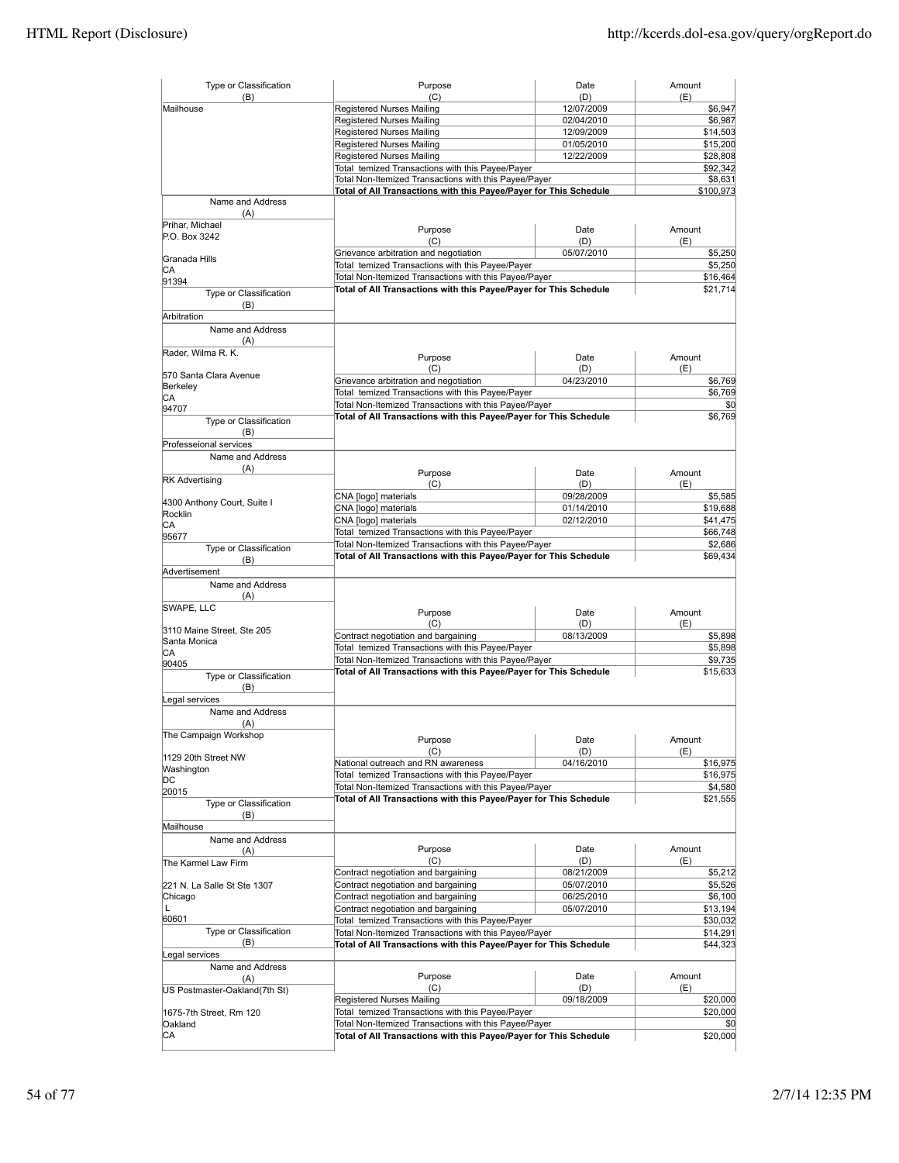| Type or Classification           | Purpose                                                           | Date              | Amount         |
|----------------------------------|-------------------------------------------------------------------|-------------------|----------------|
| (B)<br>Mailhouse                 | (C)<br>Registered Nurses Mailing                                  | (D)<br>12/07/2009 | (E)<br>\$6,947 |
|                                  | Registered Nurses Mailing                                         | 02/04/2010        | \$6,987        |
|                                  | Registered Nurses Mailing                                         | 12/09/2009        | \$14,503       |
|                                  | Registered Nurses Mailing                                         | 01/05/2010        | \$15,200       |
|                                  | Registered Nurses Mailing                                         |                   |                |
|                                  |                                                                   | 12/22/2009        | \$28,808       |
|                                  | Total temized Transactions with this Payee/Payer                  |                   | \$92,342       |
|                                  | Total Non-Itemized Transactions with this Payee/Payer             |                   | \$8,631        |
| Name and Address                 | Total of All Transactions with this Payee/Payer for This Schedule |                   | \$100,973      |
| (A)                              |                                                                   |                   |                |
| Prihar, Michael<br>P.O. Box 3242 | Purpose<br>(C)                                                    | Date<br>(D)       | Amount<br>(E)  |
|                                  | Grievance arbitration and negotiation                             | 05/07/2010        | \$5,250        |
| Granada Hills                    | Total temized Transactions with this Payee/Payer                  |                   | \$5,250        |
| CА                               | Total Non-Itemized Transactions with this Payee/Payer             |                   | \$16,464       |
| 91394                            | Total of All Transactions with this Payee/Payer for This Schedule |                   | \$21,714       |
| Type or Classification<br>(B)    |                                                                   |                   |                |
| Arbitration                      |                                                                   |                   |                |
| Name and Address                 |                                                                   |                   |                |
| (A)                              |                                                                   |                   |                |
| Rader, Wilma R. K.               | Purpose                                                           | Date              | Amount         |
|                                  | (C)                                                               | (D)               | (E)            |
| 570 Santa Clara Avenue           | Grievance arbitration and negotiation                             | 04/23/2010        | \$6,769        |
| Berkeley                         | Total temized Transactions with this Payee/Payer                  |                   | \$6,769        |
| CA                               | Total Non-Itemized Transactions with this Payee/Payer             |                   | \$0            |
| 94707                            | Total of All Transactions with this Payee/Payer for This Schedule |                   | \$6,769        |
| Type or Classification           |                                                                   |                   |                |
| (B)                              |                                                                   |                   |                |
| Professeional services           |                                                                   |                   |                |
| Name and Address                 |                                                                   |                   |                |
| (A)                              | Purpose                                                           | Date              | Amount         |
| <b>RK Advertising</b>            | (C)                                                               | (D)               | (E)            |
|                                  | CNA [logo] materials                                              | 09/28/2009        | \$5,585        |
| 4300 Anthony Court, Suite I      | CNA [logo] materials                                              | 01/14/2010        | \$19,688       |
| Rocklin                          | CNA [logo] materials                                              | 02/12/2010        | \$41,475       |
| CА                               | Total temized Transactions with this Payee/Payer                  |                   | \$66,748       |
| 95677                            | Total Non-Itemized Transactions with this Payee/Payer             |                   | \$2,686        |
| Type or Classification           | Total of All Transactions with this Payee/Payer for This Schedule |                   | \$69,434       |
| (B)                              |                                                                   |                   |                |
| Advertisement                    |                                                                   |                   |                |
| Name and Address                 |                                                                   |                   |                |
| (A)                              |                                                                   |                   |                |
| SWAPE, LLC                       | Purpose                                                           | Date              | Amount         |
|                                  | (C)                                                               | (D)               | (E)            |
| 3110 Maine Street, Ste 205       | Contract negotiation and bargaining                               | 08/13/2009        | \$5,898        |
| Santa Monica                     | Total temized Transactions with this Payee/Payer                  |                   | \$5,898        |
| CА                               | Total Non-Itemized Transactions with this Payee/Payer             |                   | \$9,735        |
| 90405                            | Total of All Transactions with this Payee/Payer for This Schedule |                   | \$15,633       |
| Type or Classification           |                                                                   |                   |                |
| (B)                              |                                                                   |                   |                |
| Legal services                   |                                                                   |                   |                |
| Name and Address                 |                                                                   |                   |                |
| (A)                              |                                                                   |                   |                |
| The Campaign Workshop            | Purpose                                                           | Date              | Amount         |
|                                  | (C)                                                               | (D)               | (E)            |
| 1129 20th Street NW              | National outreach and RN awareness                                | 04/16/2010        | \$16,975       |
| Washington                       | Total temized Transactions with this Payee/Payer                  |                   | \$16,975       |
| DС                               | Total Non-Itemized Transactions with this Payee/Payer             |                   | \$4,580        |
| 20015                            | Total of All Transactions with this Payee/Payer for This Schedule |                   | \$21,555       |
| Type or Classification           |                                                                   |                   |                |
| (B)                              |                                                                   |                   |                |
| Mailhouse                        |                                                                   |                   |                |
| Name and Address                 |                                                                   |                   |                |
| (A)                              | Purpose                                                           | Date              | Amount         |
| The Karmel Law Firm              | (C)                                                               | (D)               | (E)            |
|                                  | Contract negotiation and bargaining                               | 08/21/2009        | \$5,212        |
| 221 N. La Salle St Ste 1307      | Contract negotiation and bargaining                               | 05/07/2010        | \$5,526        |
| Chicago                          | Contract negotiation and bargaining                               | 06/25/2010        | \$6,100        |
| L                                | Contract negotiation and bargaining                               | 05/07/2010        | \$13,194       |
| 60601                            | Total temized Transactions with this Payee/Payer                  |                   | \$30,032       |
| Type or Classification           | Total Non-Itemized Transactions with this Payee/Payer             |                   | \$14,291       |
| (B)                              | Total of All Transactions with this Payee/Payer for This Schedule |                   | \$44,323       |
| Legal services                   |                                                                   |                   |                |
| Name and Address                 |                                                                   |                   |                |
| (A)                              | Purpose                                                           | Date              | Amount         |
| US Postmaster-Oakland(7th St)    | (C)                                                               | (D)               | (E)            |
|                                  | Registered Nurses Mailing                                         | 09/18/2009        | \$20,000       |
| 1675-7th Street, Rm 120          | Total temized Transactions with this Payee/Payer                  |                   | \$20,000       |
| Oakland                          | Total Non-Itemized Transactions with this Payee/Payer             |                   | \$0            |
| СA                               | Total of All Transactions with this Payee/Payer for This Schedule |                   | \$20,000       |
|                                  |                                                                   |                   |                |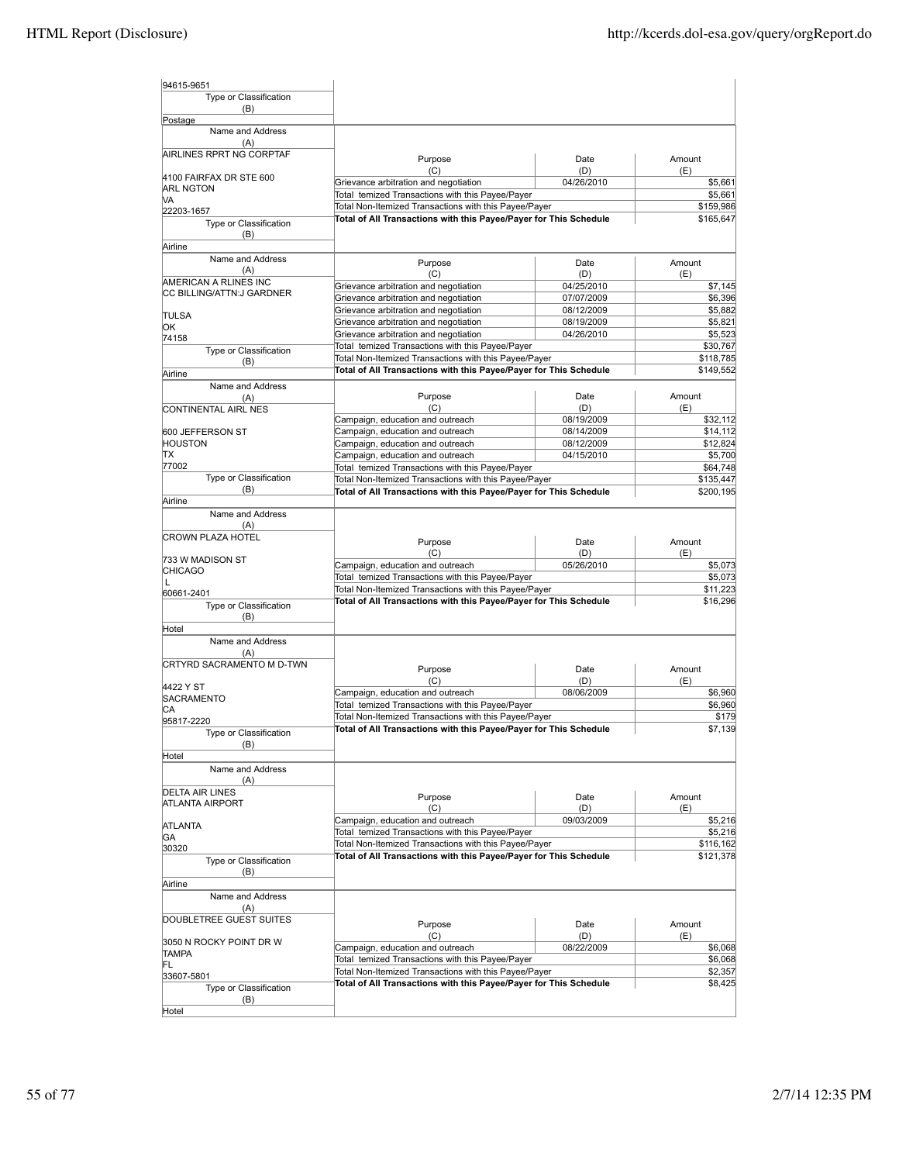| 94615-9651                         |                                                                                           |                          |                     |
|------------------------------------|-------------------------------------------------------------------------------------------|--------------------------|---------------------|
| Type or Classification             |                                                                                           |                          |                     |
| (B)                                |                                                                                           |                          |                     |
| Postage                            |                                                                                           |                          |                     |
| Name and Address<br>(A)            |                                                                                           |                          |                     |
| AIRLINES RPRT NG CORPTAF           | Purpose                                                                                   | Date                     | Amount              |
| 4100 FAIRFAX DR STE 600            | (C)                                                                                       | (D)                      | (E)                 |
| <b>ARL NGTON</b>                   | Grievance arbitration and negotiation<br>Total temized Transactions with this Payee/Payer | 04/26/2010               | \$5,661<br>\$5,661  |
| VA                                 | Total Non-Itemized Transactions with this Payee/Payer                                     |                          | \$159,986           |
| 22203-1657                         | Total of All Transactions with this Payee/Payer for This Schedule                         |                          | \$165,647           |
| Type or Classification<br>(B)      |                                                                                           |                          |                     |
| Airline                            |                                                                                           |                          |                     |
| Name and Address<br>(A)            | Purpose<br>(C)                                                                            | Date<br>(D)              | Amount<br>(E)       |
| AMERICAN A RLINES INC              | Grievance arbitration and negotiation                                                     | 04/25/2010               | \$7,145             |
| CC BILLING/ATTN:J GARDNER          | Grievance arbitration and negotiation                                                     | 07/07/2009               | \$6,396             |
|                                    | Grievance arbitration and negotiation                                                     | 08/12/2009               | \$5,882             |
| <b>TULSA</b><br>ЮK                 | Grievance arbitration and negotiation                                                     | 08/19/2009               | \$5,821             |
| 74158                              | Grievance arbitration and negotiation                                                     | 04/26/2010               | \$5,523             |
| Type or Classification             | Total temized Transactions with this Payee/Payer                                          |                          | \$30,767            |
| (B)                                | Total Non-Itemized Transactions with this Payee/Payer                                     |                          | \$118,785           |
| Airline                            | Total of All Transactions with this Payee/Payer for This Schedule                         |                          | \$149,552           |
| Name and Address                   |                                                                                           |                          |                     |
| (A)                                | Purpose                                                                                   | Date                     | Amount              |
| CONTINENTAL AIRL NES               | (C)                                                                                       | (D)                      | (E)                 |
|                                    | Campaign, education and outreach                                                          | 08/19/2009               | \$32,112            |
| 600 JEFFERSON ST                   | Campaign, education and outreach                                                          | 08/14/2009               | \$14,112            |
| HOUSTON<br>lΤX                     | Campaign, education and outreach                                                          | 08/12/2009<br>04/15/2010 | \$12,824<br>\$5,700 |
| 77002                              | Campaign, education and outreach<br>Total temized Transactions with this Payee/Payer      |                          | \$64,748            |
| Type or Classification             | Total Non-Itemized Transactions with this Payee/Payer                                     |                          | \$135,447           |
| (B)                                | Total of All Transactions with this Payee/Payer for This Schedule                         |                          | \$200,195           |
| Airline                            |                                                                                           |                          |                     |
| Name and Address                   |                                                                                           |                          |                     |
| (A)                                |                                                                                           |                          |                     |
| <b>CROWN PLAZA HOTEL</b>           | Purpose                                                                                   | Date                     | Amount              |
|                                    | (C)                                                                                       | (D)                      | (E)                 |
| 733 W MADISON ST<br><b>CHICAGO</b> | Campaign, education and outreach                                                          | 05/26/2010               | \$5,073             |
| L                                  | Total temized Transactions with this Payee/Payer                                          |                          | \$5,073             |
| 60661-2401                         | Total Non-Itemized Transactions with this Payee/Payer                                     |                          | \$11,223            |
| Type or Classification             | Total of All Transactions with this Payee/Payer for This Schedule                         |                          | \$16,296            |
| (B)                                |                                                                                           |                          |                     |
| Hotel                              |                                                                                           |                          |                     |
| Name and Address<br>(A)            |                                                                                           |                          |                     |
| <b>CRTYRD SACRAMENTO M D-TWN</b>   | Purpose                                                                                   | Date                     | Amount              |
|                                    | (C)                                                                                       | (D)                      | (E)                 |
| 4422 Y ST                          | Campaign, education and outreach                                                          | 08/06/2009               | \$6,960             |
| SACRAMENTO                         | Total temized Transactions with this Payee/Payer                                          |                          | \$6,960             |
| СA<br>95817-2220                   | Total Non-Itemized Transactions with this Payee/Payer                                     |                          | \$179               |
| Type or Classification             | Total of All Transactions with this Payee/Payer for This Schedule                         |                          | \$7,139             |
| (B)                                |                                                                                           |                          |                     |
| Hotel                              |                                                                                           |                          |                     |
| Name and Address                   |                                                                                           |                          |                     |
| (A)                                |                                                                                           |                          |                     |
| <b>DELTA AIR LINES</b>             | Purpose                                                                                   | Date                     | Amount              |
| ATLANTA AIRPORT                    | (C)                                                                                       | (D)                      | (E)                 |
|                                    | Campaign, education and outreach                                                          | 09/03/2009               | \$5,216             |
| ATLANTA                            | Total temized Transactions with this Payee/Payer                                          |                          | \$5,216             |
| GA<br>30320                        | Total Non-Itemized Transactions with this Payee/Payer                                     |                          | \$116,162           |
| Type or Classification             | Total of All Transactions with this Payee/Payer for This Schedule                         |                          | \$121,378           |
| (B)                                |                                                                                           |                          |                     |
| Airline                            |                                                                                           |                          |                     |
| Name and Address                   |                                                                                           |                          |                     |
| (A)                                |                                                                                           |                          |                     |
| DOUBLETREE GUEST SUITES            | Purpose                                                                                   | Date                     | Amount              |
|                                    | (C)                                                                                       | (D)                      | (E)                 |
| 3050 N ROCKY POINT DR W            | Campaign, education and outreach                                                          | 08/22/2009               | \$6,068             |
| <b>TAMPA</b><br>FL                 | Total temized Transactions with this Payee/Payer                                          |                          | \$6,068             |
| 33607-5801                         | Total Non-Itemized Transactions with this Payee/Payer                                     |                          | \$2,357             |
| Type or Classification             | Total of All Transactions with this Payee/Payer for This Schedule                         |                          | \$8,425             |
| (B)                                |                                                                                           |                          |                     |
| Hotel                              |                                                                                           |                          |                     |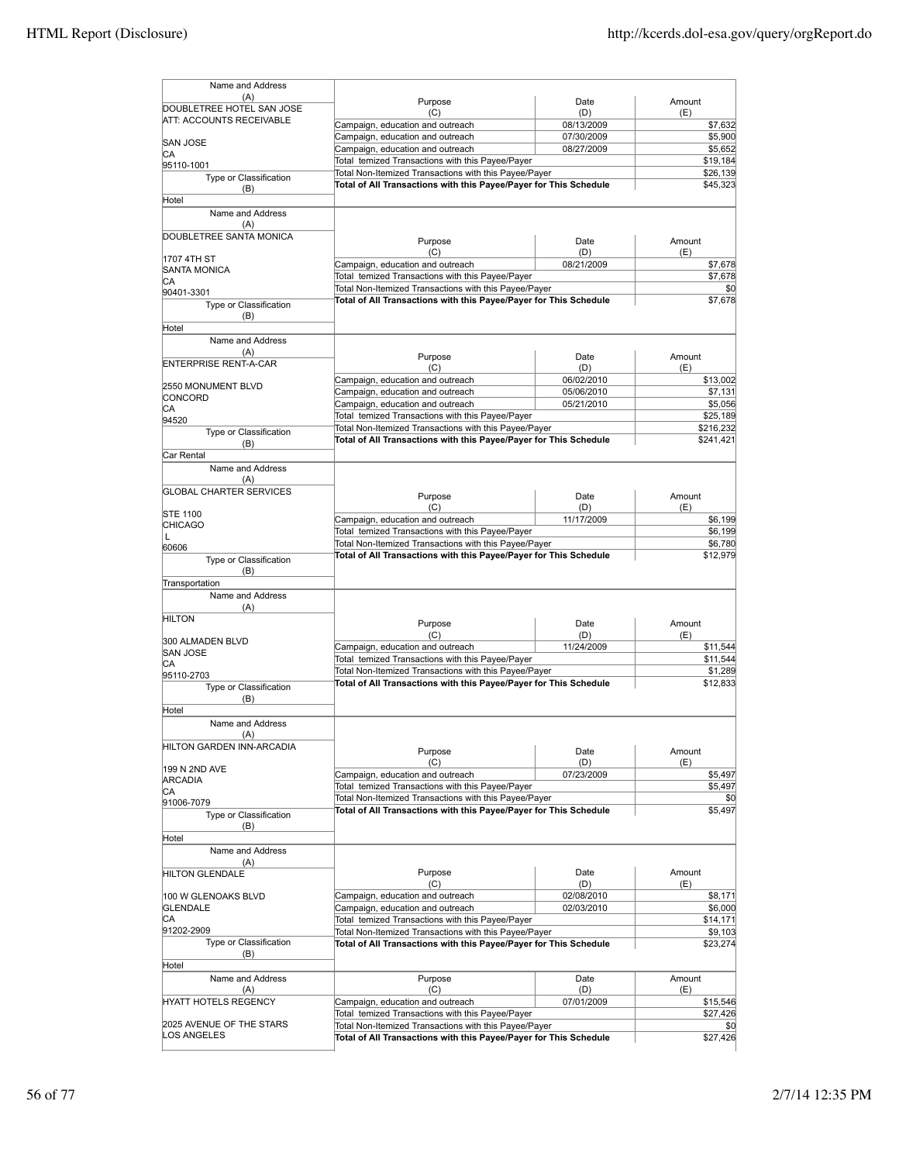| Name and Address                                             |                                                                                                                            |                          |                       |
|--------------------------------------------------------------|----------------------------------------------------------------------------------------------------------------------------|--------------------------|-----------------------|
| (A)                                                          | Purpose                                                                                                                    | Date                     | Amount                |
| DOUBLETREE HOTEL SAN JOSE<br><b>ATT: ACCOUNTS RECEIVABLE</b> | (C)                                                                                                                        | (D)                      | (E)                   |
|                                                              | Campaign, education and outreach                                                                                           | 08/13/2009               | \$7,632               |
| <b>SAN JOSE</b>                                              | Campaign, education and outreach<br>Campaign, education and outreach                                                       | 07/30/2009<br>08/27/2009 | \$5,900<br>\$5,652    |
| СA<br>95110-1001                                             | Total temized Transactions with this Payee/Payer                                                                           |                          | \$19,184              |
| Type or Classification                                       | Total Non-Itemized Transactions with this Payee/Payer                                                                      |                          | \$26,139              |
| (B)                                                          | Total of All Transactions with this Payee/Payer for This Schedule                                                          |                          | \$45,323              |
| Hotel                                                        |                                                                                                                            |                          |                       |
| Name and Address                                             |                                                                                                                            |                          |                       |
| (A)<br>DOUBLETREE SANTA MONICA                               |                                                                                                                            |                          |                       |
|                                                              | Purpose<br>(C)                                                                                                             | Date<br>(D)              | Amount<br>(E)         |
| 1707 4TH ST                                                  | Campaign, education and outreach                                                                                           | 08/21/2009               | \$7,678               |
| <b>SANTA MONICA</b><br>СA                                    | Total temized Transactions with this Payee/Payer                                                                           |                          | \$7,678               |
| 90401-3301                                                   | Total Non-Itemized Transactions with this Payee/Payer                                                                      |                          | \$0                   |
| Type or Classification                                       | Total of All Transactions with this Payee/Payer for This Schedule                                                          |                          | \$7,678               |
| (B)                                                          |                                                                                                                            |                          |                       |
| Hotel<br>Name and Address                                    |                                                                                                                            |                          |                       |
| (A)                                                          |                                                                                                                            |                          |                       |
| <b>ENTERPRISE RENT-A-CAR</b>                                 | Purpose<br>(C)                                                                                                             | Date<br>(D)              | Amount<br>(E)         |
|                                                              | Campaign, education and outreach                                                                                           | 06/02/2010               | \$13,002              |
| 2550 MONUMENT BLVD<br>CONCORD                                | Campaign, education and outreach                                                                                           | 05/06/2010               | \$7,131               |
| CА                                                           | Campaign, education and outreach                                                                                           | 05/21/2010               | \$5,056               |
| 94520                                                        | Total temized Transactions with this Payee/Payer<br>Total Non-Itemized Transactions with this Payee/Payer                  |                          | \$25.189<br>\$216,232 |
| Type or Classification<br>(B)                                | Total of All Transactions with this Payee/Payer for This Schedule                                                          |                          | \$241,421             |
| Car Rental                                                   |                                                                                                                            |                          |                       |
| Name and Address                                             |                                                                                                                            |                          |                       |
| (A)                                                          |                                                                                                                            |                          |                       |
| <b>GLOBAL CHARTER SERVICES</b>                               | Purpose                                                                                                                    | Date                     | Amount                |
| <b>STE 1100</b>                                              | (C)                                                                                                                        | (D)                      | (E)                   |
| CHICAGO                                                      | Campaign, education and outreach<br>Total temized Transactions with this Payee/Payer                                       | 11/17/2009               | \$6,199<br>\$6,199    |
| L                                                            | Total Non-Itemized Transactions with this Payee/Payer                                                                      |                          | \$6,780               |
| 60606<br>Type or Classification                              | Total of All Transactions with this Payee/Payer for This Schedule                                                          |                          | \$12,979              |
| (B)                                                          |                                                                                                                            |                          |                       |
| Transportation                                               |                                                                                                                            |                          |                       |
| Name and Address                                             |                                                                                                                            |                          |                       |
| (A)<br><b>HILTON</b>                                         |                                                                                                                            |                          |                       |
|                                                              | Purpose<br>(C)                                                                                                             | Date<br>(D)              | Amount<br>(E)         |
| 300 ALMADEN BLVD                                             | Campaign, education and outreach                                                                                           | 11/24/2009               | \$11,544              |
| <b>SAN JOSE</b><br>СA                                        | Total temized Transactions with this Payee/Payer                                                                           |                          | \$11,544              |
| 95110-2703                                                   | Total Non-Itemized Transactions with this Payee/Payer                                                                      |                          | \$1,289               |
| Type or Classification                                       | Total of All Transactions with this Payee/Payer for This Schedule                                                          |                          | \$12,833              |
| (B)<br>Hotel                                                 |                                                                                                                            |                          |                       |
| Name and Address                                             |                                                                                                                            |                          |                       |
| (A)                                                          |                                                                                                                            |                          |                       |
| HILTON GARDEN INN-ARCADIA                                    | Purpose                                                                                                                    | Date                     | Amount                |
| 199 N 2ND AVE                                                | (C)                                                                                                                        | (D)                      | (E)                   |
| ARCADIA                                                      | Campaign, education and outreach                                                                                           | 07/23/2009               | \$5,497               |
| СA                                                           | Total temized Transactions with this Payee/Payer<br>Total Non-Itemized Transactions with this Payee/Payer                  |                          | \$5,497<br>\$0        |
| 91006-7079                                                   | Total of All Transactions with this Payee/Payer for This Schedule                                                          |                          | \$5,497               |
| Type or Classification<br>(B)                                |                                                                                                                            |                          |                       |
| Hotel                                                        |                                                                                                                            |                          |                       |
| Name and Address                                             |                                                                                                                            |                          |                       |
| (A)                                                          | Purpose                                                                                                                    |                          |                       |
| <b>HILTON GLENDALE</b>                                       | (C)                                                                                                                        | Date<br>(D)              | Amount<br>(E)         |
| 100 W GLENOAKS BLVD                                          | Campaign, education and outreach                                                                                           | 02/08/2010               | \$8,171               |
| GLENDALE                                                     | Campaign, education and outreach                                                                                           | 02/03/2010               | \$6,000               |
| СA<br>91202-2909                                             | Total temized Transactions with this Payee/Payer                                                                           |                          | \$14,171              |
| Type or Classification                                       | Total Non-Itemized Transactions with this Payee/Payer<br>Total of All Transactions with this Payee/Payer for This Schedule |                          | \$9,103<br>\$23,274   |
| (B)                                                          |                                                                                                                            |                          |                       |
| Hotel                                                        |                                                                                                                            |                          |                       |
| Name and Address                                             | Purpose                                                                                                                    | Date                     | Amount                |
| (A)<br>HYATT HOTELS REGENCY                                  | (C)<br>Campaign, education and outreach                                                                                    | (D)<br>07/01/2009        | (E)<br>\$15,546       |
|                                                              | Total temized Transactions with this Payee/Payer                                                                           |                          | \$27,426              |
| 2025 AVENUE OF THE STARS                                     | Total Non-Itemized Transactions with this Payee/Payer                                                                      |                          | \$0                   |
| LOS ANGELES                                                  | Total of All Transactions with this Payee/Payer for This Schedule                                                          |                          | \$27,426              |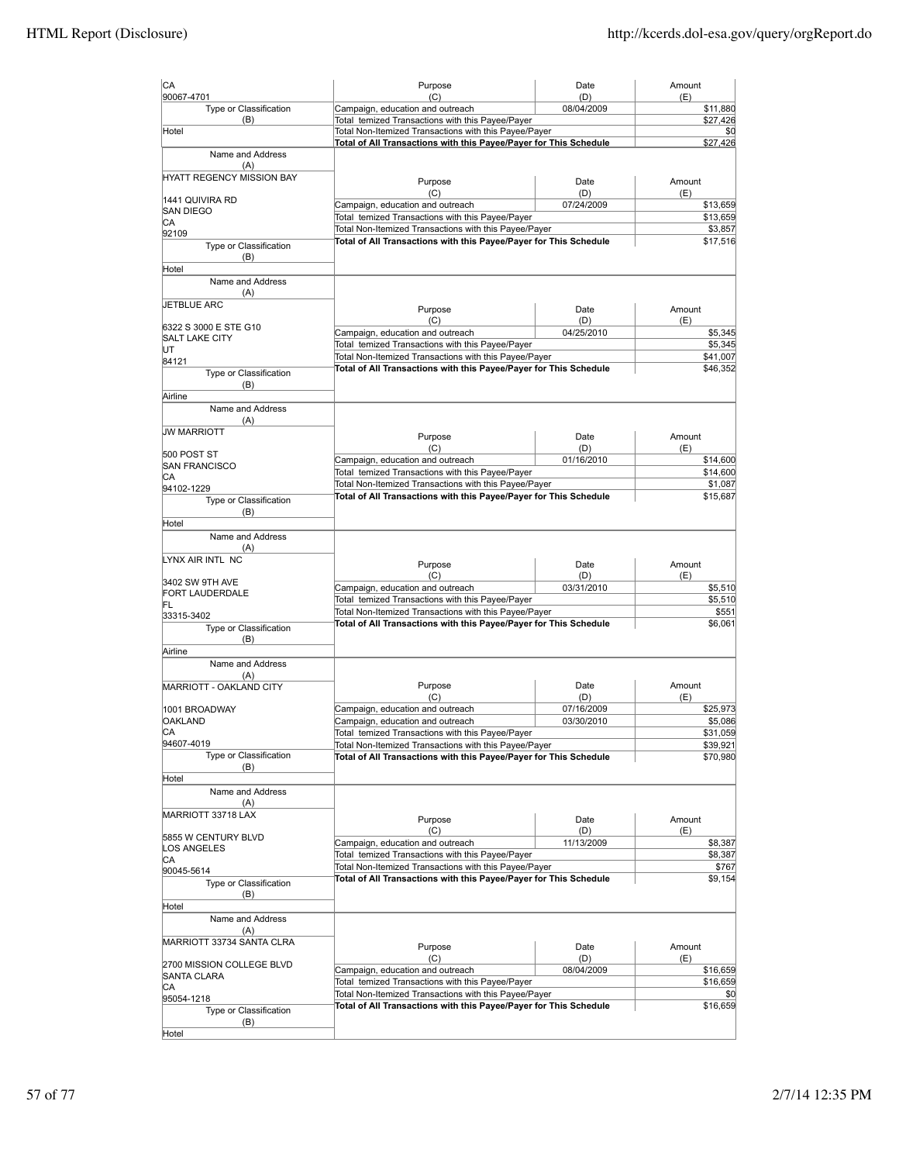| CA                                   | Purpose                                                                                                                    | Date                     | Amount               |
|--------------------------------------|----------------------------------------------------------------------------------------------------------------------------|--------------------------|----------------------|
| 90067-4701<br>Type or Classification | (C)<br>Campaign, education and outreach                                                                                    | (D)<br>08/04/2009        | (E)<br>\$11,880      |
| (B)                                  | Total temized Transactions with this Payee/Payer                                                                           |                          | \$27,426             |
| Hotel                                | Total Non-Itemized Transactions with this Payee/Payer                                                                      |                          | \$0                  |
| Name and Address                     | Total of All Transactions with this Payee/Payer for This Schedule                                                          |                          | \$27,426             |
| (A)                                  |                                                                                                                            |                          |                      |
| <b>HYATT REGENCY MISSION BAY</b>     | Purpose                                                                                                                    | Date                     | Amount               |
|                                      | (C)                                                                                                                        | (D)                      | (E)                  |
| 1441 QUIVIRA RD<br><b>SAN DIEGO</b>  | Campaign, education and outreach                                                                                           | 07/24/2009               | \$13,659             |
| СA                                   | Total temized Transactions with this Payee/Payer                                                                           |                          | \$13,659             |
| 92109                                | Total Non-Itemized Transactions with this Payee/Payer<br>Total of All Transactions with this Payee/Payer for This Schedule |                          | \$3,857<br>\$17,516  |
| Type or Classification               |                                                                                                                            |                          |                      |
| (B)<br>Hotel                         |                                                                                                                            |                          |                      |
| Name and Address                     |                                                                                                                            |                          |                      |
| (A)                                  |                                                                                                                            |                          |                      |
| <b>JETBLUE ARC</b>                   | Purpose                                                                                                                    | Date                     | Amount               |
| 6322 S 3000 E STE G10                | (C)                                                                                                                        | (D)                      | (E)                  |
| <b>SALT LAKE CITY</b>                | Campaign, education and outreach                                                                                           | 04/25/2010               | \$5,345              |
| UT                                   | Total temized Transactions with this Payee/Payer<br>Total Non-Itemized Transactions with this Payee/Payer                  |                          | \$5,345<br>\$41,007  |
| 84121<br>Type or Classification      | Total of All Transactions with this Payee/Payer for This Schedule                                                          |                          | \$46,352             |
| (B)                                  |                                                                                                                            |                          |                      |
| Airline                              |                                                                                                                            |                          |                      |
| Name and Address                     |                                                                                                                            |                          |                      |
| (A)                                  |                                                                                                                            |                          |                      |
| <b>JW MARRIOTT</b>                   | Purpose                                                                                                                    | Date                     | Amount               |
| 500 POST ST                          | (C)<br>Campaign, education and outreach                                                                                    | (D)<br>01/16/2010        | (E)<br>\$14,600      |
| <b>SAN FRANCISCO</b>                 | Total temized Transactions with this Payee/Payer                                                                           |                          | \$14,600             |
| СA<br>94102-1229                     | Total Non-Itemized Transactions with this Payee/Payer                                                                      |                          | \$1,087              |
| Type or Classification               | Total of All Transactions with this Payee/Payer for This Schedule                                                          |                          | \$15,687             |
| (B)                                  |                                                                                                                            |                          |                      |
| Hotel                                |                                                                                                                            |                          |                      |
| Name and Address                     |                                                                                                                            |                          |                      |
| (A)<br>LYNX AIR INTL NC              |                                                                                                                            |                          |                      |
|                                      | Purpose<br>(C)                                                                                                             | Date<br>(D)              | Amount<br>(E)        |
| 3402 SW 9TH AVE                      | Campaign, education and outreach                                                                                           | 03/31/2010               | \$5,510              |
| FORT LAUDERDALE<br>FL                | Total temized Transactions with this Payee/Payer                                                                           |                          | \$5,510              |
| 33315-3402                           | Total Non-Itemized Transactions with this Payee/Payer                                                                      |                          | \$551                |
| Type or Classification               | Total of All Transactions with this Payee/Payer for This Schedule                                                          |                          | \$6,061              |
| (B)                                  |                                                                                                                            |                          |                      |
| Airline<br>Name and Address          |                                                                                                                            |                          |                      |
| (A)                                  |                                                                                                                            |                          |                      |
| MARRIOTT - OAKLAND CITY              | Purpose                                                                                                                    | Date                     | Amount               |
|                                      | (C)                                                                                                                        | (D)                      | (E)                  |
| 1001 BROADWAY<br><b>OAKLAND</b>      | Campaign, education and outreach<br>Campaign, education and outreach                                                       | 07/16/2009<br>03/30/2010 | \$25,973<br>\$5,086  |
| СA                                   | Total temized Transactions with this Payee/Payer                                                                           |                          | \$31,059             |
| 94607-4019                           | Total Non-Itemized Transactions with this Payee/Payer                                                                      |                          | \$39,921             |
| Type or Classification               | Total of All Transactions with this Payee/Payer for This Schedule                                                          |                          | \$70,980             |
| (B)<br>Hotel                         |                                                                                                                            |                          |                      |
| Name and Address                     |                                                                                                                            |                          |                      |
| (A)                                  |                                                                                                                            |                          |                      |
| MARRIOTT 33718 LAX                   | Purpose                                                                                                                    | Date                     | Amount               |
| 5855 W CENTURY BLVD                  | (C)                                                                                                                        | (D)                      | (E)                  |
| LOS ANGELES                          | Campaign, education and outreach<br>Total temized Transactions with this Payee/Payer                                       | 11/13/2009               | \$8,387<br>\$8,387   |
| CА                                   | Total Non-Itemized Transactions with this Payee/Payer                                                                      |                          | \$767                |
| 90045-5614<br>Type or Classification | Total of All Transactions with this Payee/Payer for This Schedule                                                          |                          | \$9,154              |
| (B)                                  |                                                                                                                            |                          |                      |
| Hotel                                |                                                                                                                            |                          |                      |
| Name and Address                     |                                                                                                                            |                          |                      |
| (A)                                  |                                                                                                                            |                          |                      |
| MARRIOTT 33734 SANTA CLRA            | Purpose                                                                                                                    | Date                     | Amount               |
| 2700 MISSION COLLEGE BLVD            | (C)                                                                                                                        | (D)                      | (E)                  |
| SANTA CLARA                          | Campaign, education and outreach<br>Total temized Transactions with this Payee/Payer                                       | 08/04/2009               | \$16,659<br>\$16,659 |
| СA                                   | Total Non-Itemized Transactions with this Payee/Payer                                                                      |                          | \$0                  |
| 95054-1218<br>Type or Classification | Total of All Transactions with this Payee/Payer for This Schedule                                                          |                          | \$16,659             |
| (B)                                  |                                                                                                                            |                          |                      |
| Hotel                                |                                                                                                                            |                          |                      |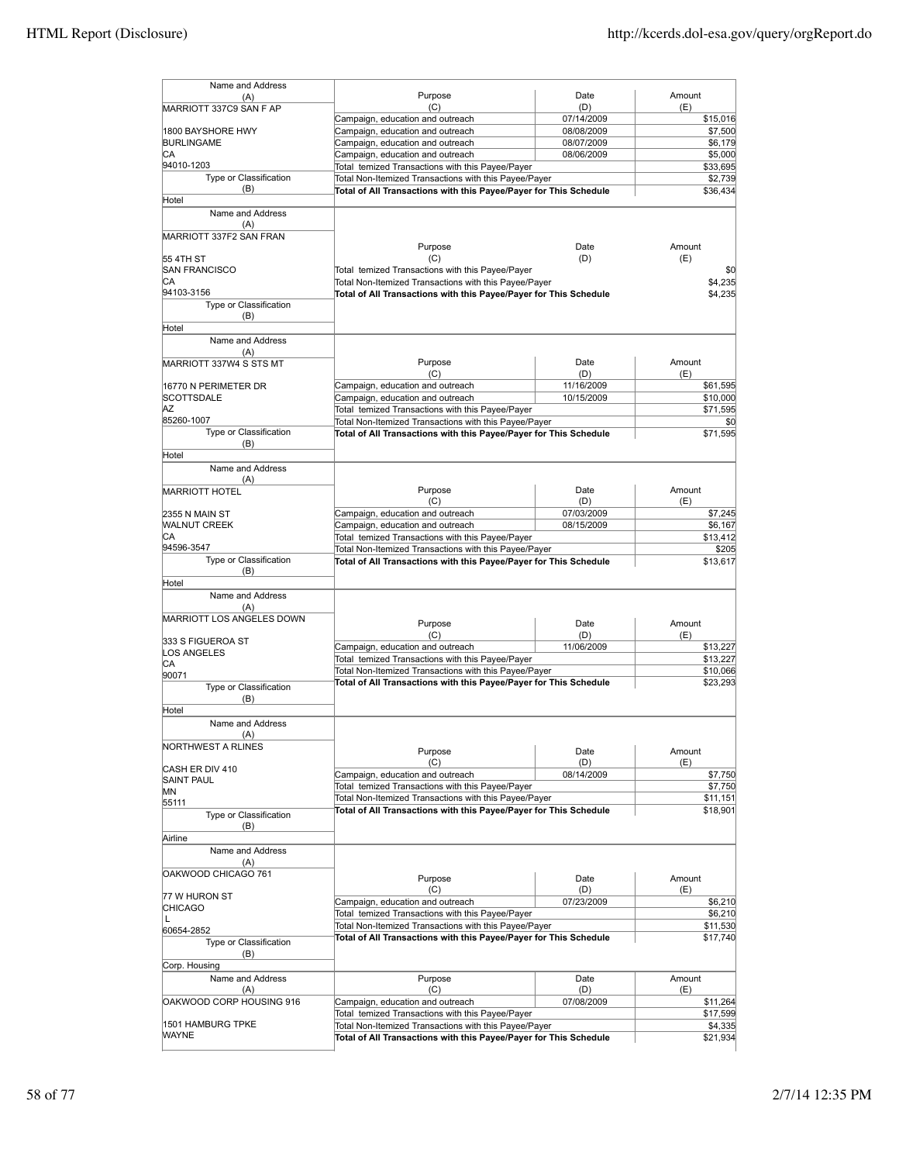| Name and Address                        |                                                                                                                            |                          |                      |
|-----------------------------------------|----------------------------------------------------------------------------------------------------------------------------|--------------------------|----------------------|
| (A)                                     | Purpose                                                                                                                    | Date                     | Amount               |
| MARRIOTT 337C9 SAN F AP                 | (C)                                                                                                                        | (D)                      | (E)                  |
|                                         | Campaign, education and outreach                                                                                           | 07/14/2009               | \$15,016             |
| 1800 BAYSHORE HWY<br><b>BURLINGAME</b>  | Campaign, education and outreach                                                                                           | 08/08/2009<br>08/07/2009 | \$7,500<br>\$6,179   |
| СA                                      | Campaign, education and outreach<br>Campaign, education and outreach                                                       | 08/06/2009               | \$5,000              |
| 94010-1203                              | Total temized Transactions with this Payee/Payer                                                                           |                          | \$33,695             |
| Type or Classification                  | Total Non-Itemized Transactions with this Payee/Payer                                                                      |                          | \$2,739              |
| (B)                                     | Total of All Transactions with this Payee/Payer for This Schedule                                                          |                          | \$36,434             |
| Hotel                                   |                                                                                                                            |                          |                      |
| Name and Address                        |                                                                                                                            |                          |                      |
| (A)                                     |                                                                                                                            |                          |                      |
| MARRIOTT 337F2 SAN FRAN                 |                                                                                                                            |                          |                      |
| 55 4TH ST                               | Purpose<br>(C)                                                                                                             | Date<br>(D)              | Amount<br>(E)        |
| SAN FRANCISCO                           | Total temized Transactions with this Payee/Payer                                                                           |                          | \$0                  |
| СA                                      | Total Non-Itemized Transactions with this Payee/Payer                                                                      |                          | \$4,235              |
| 94103-3156                              | Total of All Transactions with this Payee/Payer for This Schedule                                                          |                          | \$4,235              |
| Type or Classification                  |                                                                                                                            |                          |                      |
| (B)                                     |                                                                                                                            |                          |                      |
| Hotel                                   |                                                                                                                            |                          |                      |
| Name and Address                        |                                                                                                                            |                          |                      |
| (A)                                     |                                                                                                                            |                          |                      |
| MARRIOTT 337W4 S STS MT                 | Purpose<br>(C)                                                                                                             | Date<br>(D)              | Amount<br>(E)        |
| 16770 N PERIMETER DR                    | Campaign, education and outreach                                                                                           | 11/16/2009               | \$61,595             |
| <b>SCOTTSDALE</b>                       | Campaign, education and outreach                                                                                           | 10/15/2009               | \$10,000             |
| AZ                                      | Total temized Transactions with this Payee/Payer                                                                           |                          | \$71,595             |
| 85260-1007                              | Total Non-Itemized Transactions with this Payee/Payer                                                                      |                          | \$0                  |
| Type or Classification                  | Total of All Transactions with this Payee/Payer for This Schedule                                                          |                          | \$71,595             |
| (B)                                     |                                                                                                                            |                          |                      |
| Hotel                                   |                                                                                                                            |                          |                      |
| Name and Address                        |                                                                                                                            |                          |                      |
| (A)                                     | Purpose                                                                                                                    | Date                     | Amount               |
| <b>MARRIOTT HOTEL</b>                   | (C)                                                                                                                        | (D)                      | (E)                  |
| 2355 N MAIN ST                          | Campaign, education and outreach                                                                                           | 07/03/2009               | \$7,245              |
| <b>WALNUT CREEK</b>                     | Campaign, education and outreach                                                                                           | 08/15/2009               | \$6,167              |
| СA                                      | Total temized Transactions with this Payee/Payer                                                                           |                          | \$13,412             |
| 94596-3547                              | Total Non-Itemized Transactions with this Payee/Payer                                                                      |                          | \$205                |
| Type or Classification                  | Total of All Transactions with this Payee/Payer for This Schedule                                                          |                          | \$13,617             |
| (B)                                     |                                                                                                                            |                          |                      |
| Hotel                                   |                                                                                                                            |                          |                      |
| Name and Address                        |                                                                                                                            |                          |                      |
| (A)<br><b>MARRIOTT LOS ANGELES DOWN</b> |                                                                                                                            |                          |                      |
|                                         | Purpose                                                                                                                    | Date                     | Amount               |
| 333 S FIGUEROA ST                       | (C)                                                                                                                        | (D)                      | (E)                  |
| LOS ANGELES                             | Campaign, education and outreach                                                                                           | 11/06/2009               | \$13,227             |
| IСA                                     | Total temized Transactions with this Payee/Payer                                                                           |                          | \$13,227<br>\$10,066 |
| 90071                                   | Total Non-Itemized Transactions with this Payee/Payer<br>Total of All Transactions with this Payee/Payer for This Schedule |                          | \$23,293             |
| Type or Classification                  |                                                                                                                            |                          |                      |
| (B)                                     |                                                                                                                            |                          |                      |
| Hotel                                   |                                                                                                                            |                          |                      |
| Name and Address                        |                                                                                                                            |                          |                      |
| (A)<br>NORTHWEST A RLINES               |                                                                                                                            |                          |                      |
|                                         | Purpose                                                                                                                    | Date                     | Amount               |
| CASH ER DIV 410                         | (C)                                                                                                                        | (D)<br>08/14/2009        | (E)                  |
| <b>SAINT PAUL</b>                       | Campaign, education and outreach<br>Total temized Transactions with this Payee/Payer                                       |                          | \$7,750<br>\$7,750   |
| MN                                      | Total Non-Itemized Transactions with this Payee/Payer                                                                      |                          | \$11,151             |
| 55111                                   | Total of All Transactions with this Payee/Payer for This Schedule                                                          |                          | \$18,901             |
| Type or Classification                  |                                                                                                                            |                          |                      |
| (B)<br>Airline                          |                                                                                                                            |                          |                      |
| Name and Address                        |                                                                                                                            |                          |                      |
| (A)                                     |                                                                                                                            |                          |                      |
| OAKWOOD CHICAGO 761                     |                                                                                                                            |                          |                      |
|                                         | Purpose                                                                                                                    | Date<br>(D)              | Amount               |
| 77 W HURON ST                           | (C)<br>Campaign, education and outreach                                                                                    | 07/23/2009               | (E)<br>\$6,210       |
| <b>CHICAGO</b>                          | Total temized Transactions with this Payee/Payer                                                                           |                          | \$6,210              |
| L                                       | Total Non-Itemized Transactions with this Payee/Payer                                                                      |                          | \$11,530             |
| 60654-2852                              | Total of All Transactions with this Payee/Payer for This Schedule                                                          |                          | \$17,740             |
| Type or Classification                  |                                                                                                                            |                          |                      |
| (B)<br>Corp. Housing                    |                                                                                                                            |                          |                      |
| Name and Address                        | Purpose                                                                                                                    | Date                     | Amount               |
| (A)                                     | (C)                                                                                                                        | (D)                      | (E)                  |
| OAKWOOD CORP HOUSING 916                | Campaign, education and outreach                                                                                           | 07/08/2009               | \$11,264             |
|                                         | Total temized Transactions with this Payee/Payer                                                                           |                          | \$17,599             |
| 1501 HAMBURG TPKE                       | Total Non-Itemized Transactions with this Payee/Payer                                                                      |                          | \$4,335              |
| WAYNE                                   | Total of All Transactions with this Payee/Payer for This Schedule                                                          |                          | \$21,934             |
|                                         |                                                                                                                            |                          |                      |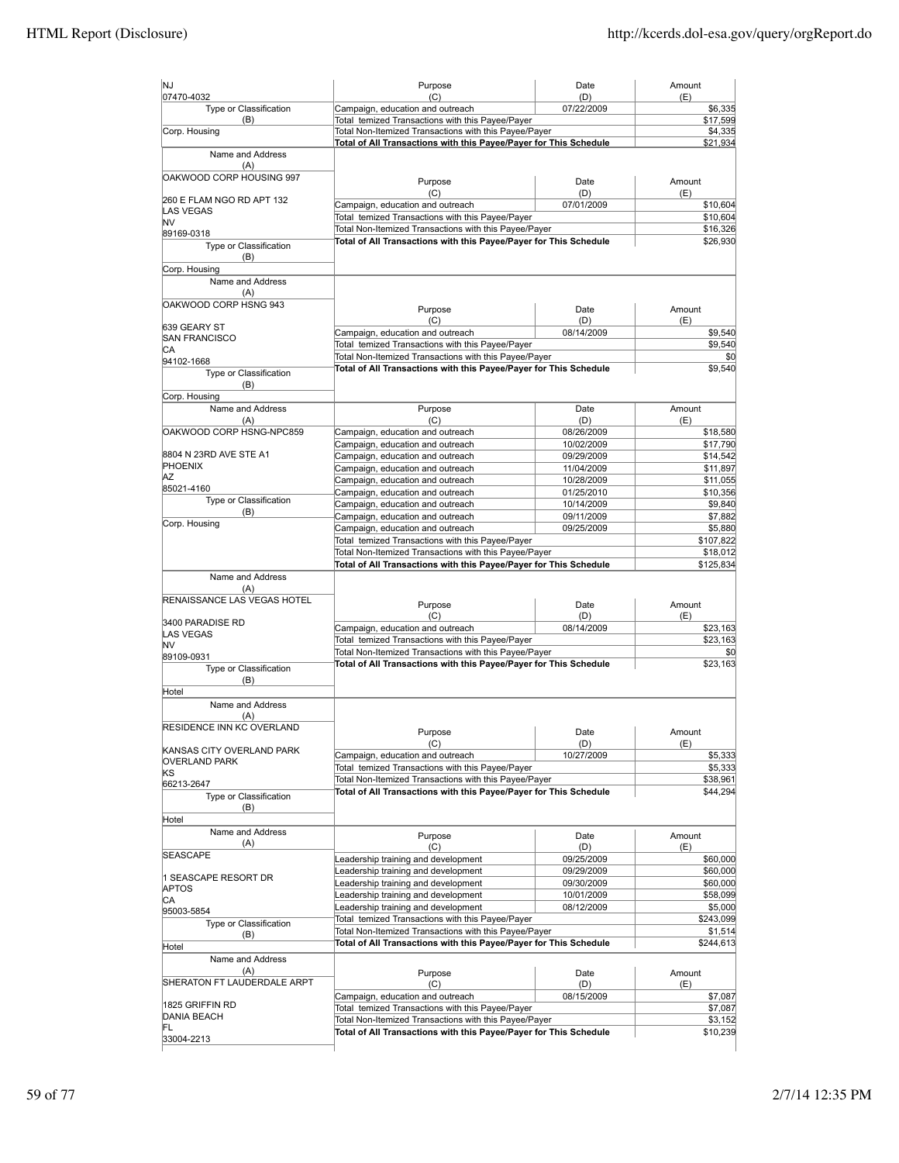| NJ                                   | Purpose                                                                                                                    | Date                     | Amount               |
|--------------------------------------|----------------------------------------------------------------------------------------------------------------------------|--------------------------|----------------------|
| 07470-4032<br>Type or Classification | (C)<br>Campaign, education and outreach                                                                                    | (D)<br>07/22/2009        | (E)<br>\$6,335       |
| (B)                                  | Total temized Transactions with this Payee/Payer                                                                           |                          | \$17,599             |
| Corp. Housing                        | Total Non-Itemized Transactions with this Payee/Payer                                                                      |                          | \$4,335              |
|                                      | Total of All Transactions with this Payee/Payer for This Schedule                                                          |                          | \$21,934             |
| Name and Address<br>(A)              |                                                                                                                            |                          |                      |
| OAKWOOD CORP HOUSING 997             |                                                                                                                            |                          |                      |
|                                      | Purpose                                                                                                                    | Date                     | Amount               |
| 260 E FLAM NGO RD APT 132            | (C)<br>Campaign, education and outreach                                                                                    | (D)<br>07/01/2009        | (E)<br>\$10,604      |
| <b>LAS VEGAS</b>                     | Total temized Transactions with this Payee/Payer                                                                           |                          | \$10,604             |
| lNV<br>89169-0318                    | Total Non-Itemized Transactions with this Payee/Payer                                                                      |                          | \$16,326             |
| Type or Classification               | Total of All Transactions with this Payee/Payer for This Schedule                                                          |                          | \$26,930             |
| (B)                                  |                                                                                                                            |                          |                      |
| Corp. Housing                        |                                                                                                                            |                          |                      |
| Name and Address                     |                                                                                                                            |                          |                      |
| (A)                                  |                                                                                                                            |                          |                      |
| OAKWOOD CORP HSNG 943                | Purpose                                                                                                                    | Date                     | Amount               |
| 639 GEARY ST                         | (C)                                                                                                                        | (D)                      | (E)                  |
| <b>SAN FRANCISCO</b>                 | Campaign, education and outreach                                                                                           | 08/14/2009               | \$9,540              |
| CА                                   | Total temized Transactions with this Payee/Payer                                                                           |                          | \$9,540              |
| 94102-1668                           | Total Non-Itemized Transactions with this Payee/Payer<br>Total of All Transactions with this Payee/Payer for This Schedule |                          | \$0<br>\$9,540       |
| Type or Classification               |                                                                                                                            |                          |                      |
| (B)<br>Corp. Housing                 |                                                                                                                            |                          |                      |
| Name and Address                     | Purpose                                                                                                                    | Date                     | Amount               |
| (A)                                  | (C)                                                                                                                        | (D)                      | (E)                  |
| OAKWOOD CORP HSNG-NPC859             | Campaign, education and outreach                                                                                           | 08/26/2009               | \$18,580             |
|                                      | Campaign, education and outreach                                                                                           | 10/02/2009               | \$17,790             |
| 8804 N 23RD AVE STE A1               | Campaign, education and outreach                                                                                           | 09/29/2009               | \$14,542             |
| <b>PHOENIX</b><br>ΑZ                 | Campaign, education and outreach                                                                                           | 11/04/2009               | \$11,897             |
| 85021-4160                           | Campaign, education and outreach                                                                                           | 10/28/2009               | \$11,055             |
| Type or Classification               | Campaign, education and outreach                                                                                           | 01/25/2010               | \$10,356             |
| (B)                                  | Campaign, education and outreach<br>Campaign, education and outreach                                                       | 10/14/2009<br>09/11/2009 | \$9,840<br>\$7,882   |
| Corp. Housing                        | Campaign, education and outreach                                                                                           | 09/25/2009               | \$5,880              |
|                                      | Total temized Transactions with this Payee/Payer                                                                           |                          | \$107,822            |
|                                      | Total Non-Itemized Transactions with this Payee/Payer                                                                      |                          | \$18,012             |
|                                      | Total of All Transactions with this Payee/Payer for This Schedule                                                          |                          | \$125,834            |
| Name and Address                     |                                                                                                                            |                          |                      |
| (A)                                  |                                                                                                                            |                          |                      |
| RENAISSANCE LAS VEGAS HOTEL          | Purpose                                                                                                                    | Date                     | Amount               |
| 3400 PARADISE RD                     | (C)                                                                                                                        | (D)                      | (E)                  |
| <b>LAS VEGAS</b>                     | Campaign, education and outreach                                                                                           | 08/14/2009               | \$23,163             |
| <b>NV</b>                            | Total temized Transactions with this Payee/Payer                                                                           |                          | \$23,163             |
| 89109-0931                           | Total Non-Itemized Transactions with this Payee/Payer                                                                      |                          | \$0                  |
| Type or Classification               | Total of All Transactions with this Payee/Payer for This Schedule                                                          |                          | \$23,163             |
| (B)                                  |                                                                                                                            |                          |                      |
| Hotel<br>Name and Address            |                                                                                                                            |                          |                      |
| (A)                                  |                                                                                                                            |                          |                      |
| <b>RESIDENCE INN KC OVERLAND</b>     |                                                                                                                            |                          |                      |
|                                      | Purpose<br>(C)                                                                                                             | Date<br>(D)              | Amount<br>(E)        |
| KANSAS CITY OVERLAND PARK            | Campaign, education and outreach                                                                                           | 10/27/2009               | \$5,333              |
| <b>OVERLAND PARK</b>                 | Total temized Transactions with this Payee/Payer                                                                           |                          | \$5,333              |
| ΚS<br>66213-2647                     | Total Non-Itemized Transactions with this Payee/Payer                                                                      |                          | \$38,961             |
| Type or Classification               | Total of All Transactions with this Payee/Payer for This Schedule                                                          |                          | \$44,294             |
| (B)                                  |                                                                                                                            |                          |                      |
| Hotel                                |                                                                                                                            |                          |                      |
| Name and Address                     | Purpose                                                                                                                    | Date                     | Amount               |
| (A)                                  | (C)                                                                                                                        | (D)                      | (E)                  |
| <b>SEASCAPE</b>                      | Leadership training and development                                                                                        | 09/25/2009               | \$60,000             |
|                                      | Leadership training and development                                                                                        | 09/29/2009               | \$60,000             |
| 1 SEASCAPE RESORT DR<br><b>APTOS</b> | Leadership training and development                                                                                        | 09/30/2009               | \$60,000             |
| СA                                   | Leadership training and development                                                                                        | 10/01/2009               | \$58,099             |
| 95003-5854                           | Leadership training and development                                                                                        | 08/12/2009               | \$5,000              |
| Type or Classification               | Total temized Transactions with this Payee/Payer                                                                           |                          | \$243,099<br>\$1,514 |
| (B)                                  | Total Non-Itemized Transactions with this Payee/Payer<br>Total of All Transactions with this Payee/Payer for This Schedule |                          | \$244,613            |
| Hotel                                |                                                                                                                            |                          |                      |
| Name and Address<br>(A)              |                                                                                                                            |                          |                      |
| SHERATON FT LAUDERDALE ARPT          | Purpose                                                                                                                    | Date                     | Amount               |
|                                      | (C)<br>Campaign, education and outreach                                                                                    | (D)<br>08/15/2009        | (E)<br>\$7,087       |
| 1825 GRIFFIN RD                      | Total temized Transactions with this Payee/Payer                                                                           |                          | \$7,087              |
| <b>DANIA BEACH</b>                   | Total Non-Itemized Transactions with this Payee/Payer                                                                      |                          | \$3,152              |
| FL                                   |                                                                                                                            |                          |                      |
| 33004-2213                           | Total of All Transactions with this Payee/Payer for This Schedule                                                          |                          | \$10,239             |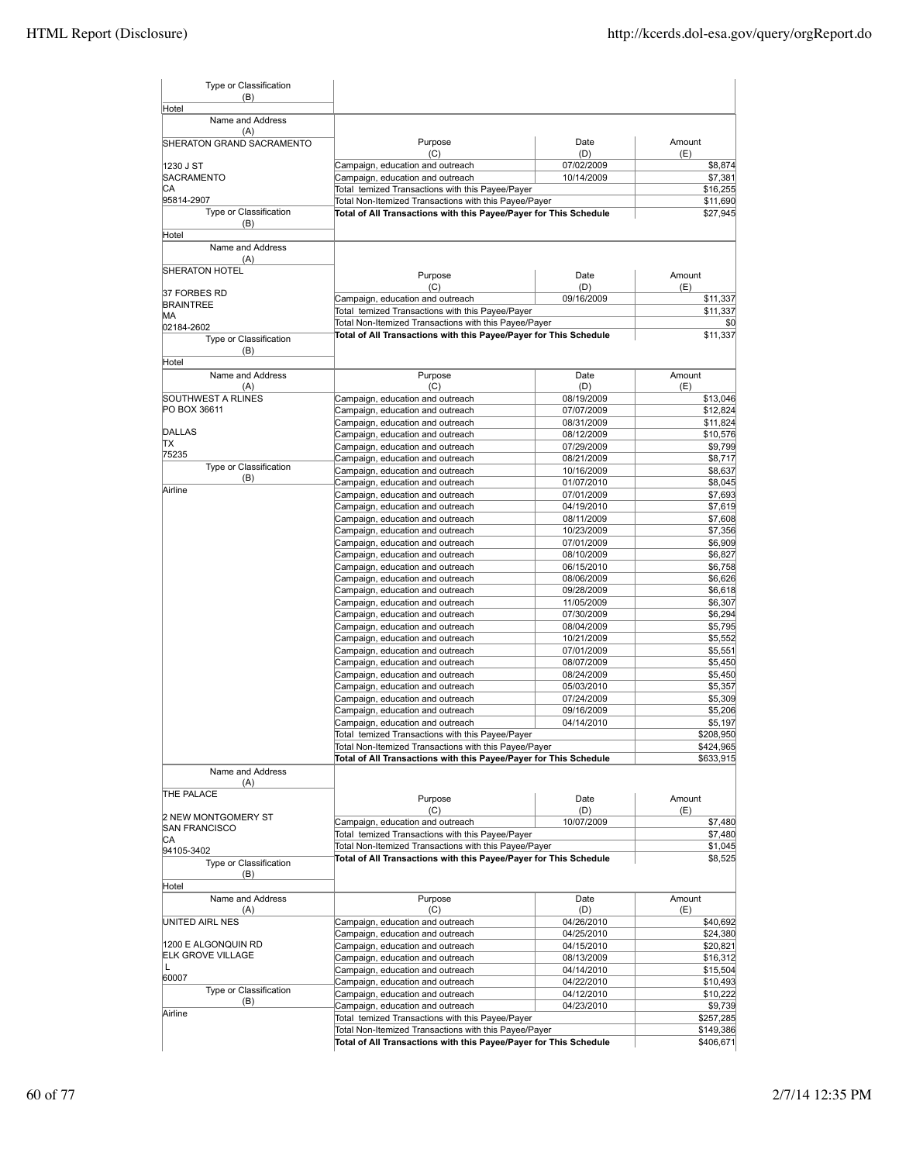| Type or Classification<br>(B)        |                                                                                                                            |                          |                        |
|--------------------------------------|----------------------------------------------------------------------------------------------------------------------------|--------------------------|------------------------|
| Hotel                                |                                                                                                                            |                          |                        |
| Name and Address<br>(A)              |                                                                                                                            |                          |                        |
| SHERATON GRAND SACRAMENTO            | Purpose<br>(C)                                                                                                             | Date<br>(D)              | Amount<br>(E)          |
| 1230 J ST                            | Campaign, education and outreach                                                                                           | 07/02/2009               | \$8,874                |
| <b>SACRAMENTO</b>                    | Campaign, education and outreach                                                                                           | 10/14/2009               | \$7,381                |
| СA<br>95814-2907                     | Total temized Transactions with this Payee/Payer                                                                           |                          | \$16,255               |
| Type or Classification               | Total Non-Itemized Transactions with this Payee/Payer<br>Total of All Transactions with this Payee/Payer for This Schedule |                          | \$11,690<br>\$27,945   |
| (B)<br>Hotel                         |                                                                                                                            |                          |                        |
| Name and Address                     |                                                                                                                            |                          |                        |
| (A)<br><b>SHERATON HOTEL</b>         | Purpose                                                                                                                    | Date                     | Amount                 |
|                                      | (C)                                                                                                                        | (D)                      | (E)                    |
| 37 FORBES RD<br><b>BRAINTREE</b>     | Campaign, education and outreach                                                                                           | 09/16/2009               | \$11,337               |
| MА                                   | Total temized Transactions with this Payee/Payer                                                                           |                          | \$11,337               |
| 02184-2602                           | Total Non-Itemized Transactions with this Payee/Payer                                                                      |                          | \$0                    |
| Type or Classification               | Total of All Transactions with this Payee/Payer for This Schedule                                                          |                          | \$11,337               |
| (B)<br>Hotel                         |                                                                                                                            |                          |                        |
| Name and Address                     | Purpose                                                                                                                    | Date                     | Amount                 |
| (A)<br>SOUTHWEST A RLINES            | (C)<br>Campaign, education and outreach                                                                                    | (D)<br>08/19/2009        | (E)<br>\$13,046        |
| PO BOX 36611                         | Campaign, education and outreach                                                                                           | 07/07/2009               | \$12,824               |
|                                      | Campaign, education and outreach                                                                                           | 08/31/2009               | \$11,824               |
| <b>DALLAS</b>                        | Campaign, education and outreach                                                                                           | 08/12/2009               | \$10,576               |
| TХ<br>75235                          | Campaign, education and outreach                                                                                           | 07/29/2009               | \$9,799                |
| <b>Type or Classification</b>        | Campaign, education and outreach                                                                                           | 08/21/2009               | \$8,717                |
| (B)                                  | Campaign, education and outreach<br>Campaign, education and outreach                                                       | 10/16/2009<br>01/07/2010 | \$8,637<br>\$8,045     |
| Airline                              | Campaign, education and outreach                                                                                           | 07/01/2009               | \$7,693                |
|                                      | Campaign, education and outreach                                                                                           | 04/19/2010               | \$7,619                |
|                                      | Campaign, education and outreach                                                                                           | 08/11/2009               | \$7,608                |
|                                      | Campaign, education and outreach                                                                                           | 10/23/2009               | \$7,356                |
|                                      | Campaign, education and outreach                                                                                           | 07/01/2009               | \$6,909                |
|                                      | Campaign, education and outreach                                                                                           | 08/10/2009               | \$6,827                |
|                                      | Campaign, education and outreach<br>Campaign, education and outreach                                                       | 06/15/2010<br>08/06/2009 | \$6,758<br>\$6,626     |
|                                      | Campaign, education and outreach                                                                                           | 09/28/2009               | \$6,618                |
|                                      | Campaign, education and outreach                                                                                           | 11/05/2009               | \$6,307                |
|                                      | Campaign, education and outreach                                                                                           | 07/30/2009               | \$6,294                |
|                                      | Campaign, education and outreach                                                                                           | 08/04/2009               | \$5,795                |
|                                      | Campaign, education and outreach                                                                                           | 10/21/2009<br>07/01/2009 | \$5,552                |
|                                      | Campaign, education and outreach<br>Campaign, education and outreach                                                       | 08/07/2009               | \$5,551<br>\$5,450     |
|                                      | Campaign, education and outreach                                                                                           | 08/24/2009               | \$5,450                |
|                                      | Campaign, education and outreach                                                                                           | 05/03/2010               | \$5,357                |
|                                      | Campaign, education and outreach                                                                                           | 07/24/2009               | \$5,309                |
|                                      | Campaign, education and outreach                                                                                           | 09/16/2009               | \$5,206                |
|                                      | Campaign, education and outreach                                                                                           | 04/14/2010               | \$5,197                |
|                                      | Total temized Transactions with this Payee/Payer<br>Total Non-Itemized Transactions with this Payee/Payer                  |                          | \$208,950<br>\$424,965 |
|                                      | Total of All Transactions with this Payee/Payer for This Schedule                                                          |                          | \$633,915              |
| Name and Address<br>(A)              |                                                                                                                            |                          |                        |
| THE PALACE                           | Purpose                                                                                                                    | Date                     | Amount                 |
| 2 NEW MONTGOMERY ST                  | (C)<br>Campaign, education and outreach                                                                                    | (D)<br>10/07/2009        | (E)<br>\$7,480         |
| <b>SAN FRANCISCO</b>                 | Total temized Transactions with this Payee/Payer                                                                           |                          | \$7,480                |
| СA                                   | Total Non-Itemized Transactions with this Payee/Payer                                                                      |                          | \$1,045                |
| 94105-3402<br>Type or Classification | Total of All Transactions with this Payee/Payer for This Schedule                                                          |                          | \$8,525                |
| (B)<br>Hotel                         |                                                                                                                            |                          |                        |
| Name and Address                     | Purpose                                                                                                                    | Date                     | Amount                 |
| (A)<br>UNITED AIRL NES               | (C)<br>Campaign, education and outreach                                                                                    | (D)<br>04/26/2010        | (E)<br>\$40,692        |
|                                      | Campaign, education and outreach                                                                                           | 04/25/2010               | \$24,380               |
| 1200 E ALGONQUIN RD                  | Campaign, education and outreach                                                                                           | 04/15/2010               | \$20,821               |
| <b>ELK GROVE VILLAGE</b>             | Campaign, education and outreach                                                                                           | 08/13/2009               | \$16,312               |
| Г<br>60007                           | Campaign, education and outreach                                                                                           | 04/14/2010               | \$15,504               |
| Type or Classification               | Campaign, education and outreach                                                                                           | 04/22/2010               | \$10,493               |
| (B)                                  | Campaign, education and outreach<br>Campaign, education and outreach                                                       | 04/12/2010<br>04/23/2010 | \$10,222<br>\$9,739    |
| Airline                              | Total temized Transactions with this Payee/Payer                                                                           |                          | \$257,285              |
|                                      | Total Non-Itemized Transactions with this Payee/Payer                                                                      |                          | \$149,386              |
|                                      | Total of All Transactions with this Payee/Payer for This Schedule                                                          |                          | \$406,671              |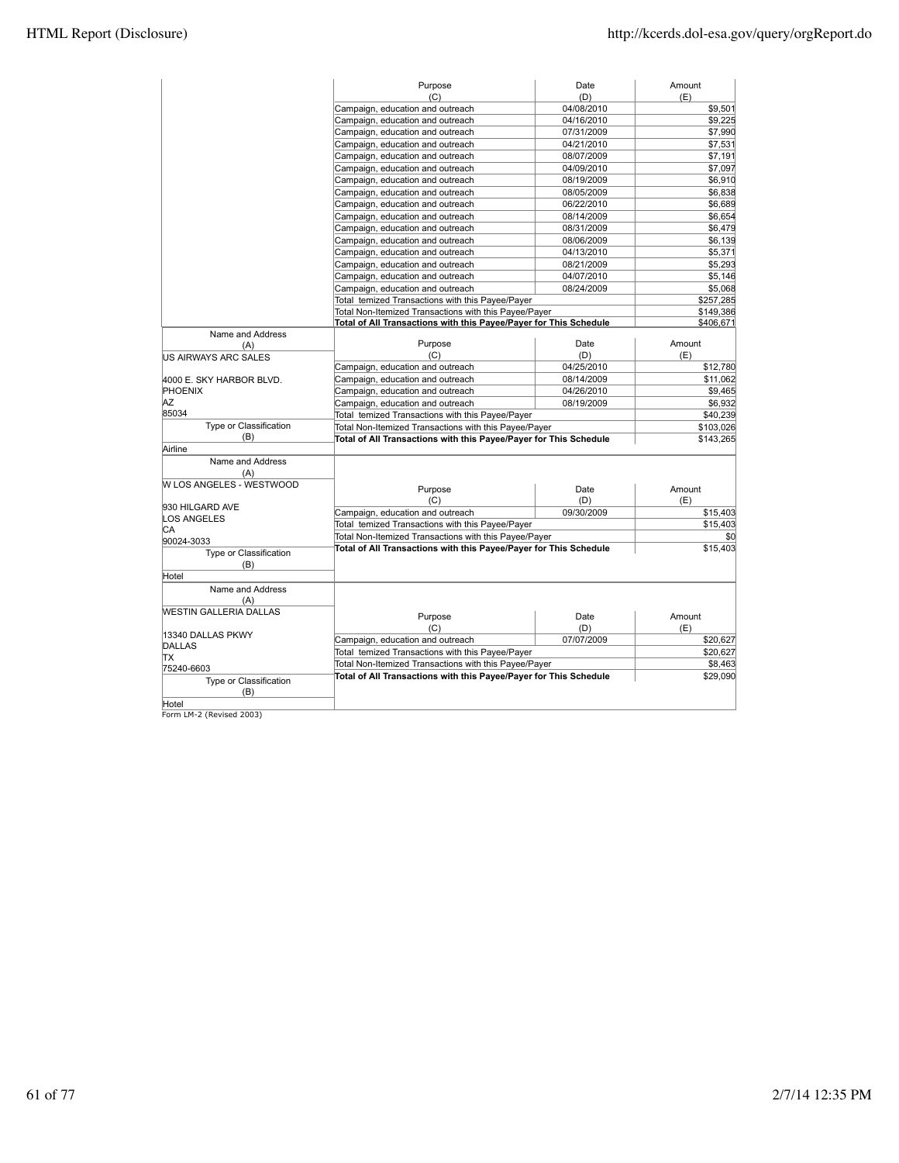|                             | Purpose                                                           | Date       | Amount    |
|-----------------------------|-------------------------------------------------------------------|------------|-----------|
|                             | (C)                                                               | (D)        | (E)       |
|                             | Campaign, education and outreach                                  | 04/08/2010 | \$9,501   |
|                             | Campaign, education and outreach                                  | 04/16/2010 | \$9,225   |
|                             | Campaign, education and outreach                                  | 07/31/2009 | \$7,990   |
|                             | Campaign, education and outreach                                  | 04/21/2010 | \$7,531   |
|                             | Campaign, education and outreach                                  | 08/07/2009 | \$7,191   |
|                             | Campaign, education and outreach                                  | 04/09/2010 | \$7,097   |
|                             | Campaign, education and outreach                                  | 08/19/2009 | \$6,910   |
|                             | Campaign, education and outreach                                  | 08/05/2009 | \$6,838   |
|                             | Campaign, education and outreach                                  | 06/22/2010 | \$6,689   |
|                             | Campaign, education and outreach                                  | 08/14/2009 | \$6,654   |
|                             |                                                                   |            |           |
|                             | Campaign, education and outreach                                  | 08/31/2009 | \$6,479   |
|                             | Campaign, education and outreach                                  | 08/06/2009 | \$6,139   |
|                             | Campaign, education and outreach                                  | 04/13/2010 | \$5,371   |
|                             | Campaign, education and outreach                                  | 08/21/2009 | \$5,293   |
|                             | Campaign, education and outreach                                  | 04/07/2010 | \$5,146   |
|                             | Campaign, education and outreach                                  | 08/24/2009 | \$5,068   |
|                             | Total temized Transactions with this Payee/Payer                  |            | \$257,285 |
|                             | Total Non-Itemized Transactions with this Payee/Payer             |            | \$149,386 |
|                             | Total of All Transactions with this Payee/Payer for This Schedule |            | \$406,671 |
| Name and Address            |                                                                   |            |           |
| (A)                         | Purpose                                                           | Date       | Amount    |
| <b>US AIRWAYS ARC SALES</b> | (C)                                                               | (D)        | (E)       |
|                             | Campaign, education and outreach                                  | 04/25/2010 | \$12,780  |
| 4000 E. SKY HARBOR BLVD.    | Campaign, education and outreach                                  | 08/14/2009 | \$11,062  |
| <b>PHOENIX</b>              | Campaign, education and outreach                                  | 04/26/2010 | \$9,465   |
| AZ                          | Campaign, education and outreach                                  | 08/19/2009 | \$6,932   |
| 85034                       | Total temized Transactions with this Payee/Payer                  |            | \$40,239  |
| Type or Classification      | Total Non-Itemized Transactions with this Payee/Payer             |            | \$103,026 |
| (B)                         | Total of All Transactions with this Payee/Payer for This Schedule |            | \$143,265 |
| Airline                     |                                                                   |            |           |
| Name and Address            |                                                                   |            |           |
| (A)                         |                                                                   |            |           |
| W LOS ANGELES - WESTWOOD    | Purpose                                                           | Date       | Amount    |
|                             | (C)                                                               | (D)        | (E)       |
| 930 HILGARD AVE             | Campaign, education and outreach                                  | 09/30/2009 | \$15,403  |
| <b>LOS ANGELES</b>          | Total temized Transactions with this Payee/Payer                  |            | \$15,403  |
| CA                          | Total Non-Itemized Transactions with this Payee/Payer             |            | \$0       |
| 90024-3033                  | Total of All Transactions with this Payee/Payer for This Schedule |            | \$15,403  |
| Type or Classification      |                                                                   |            |           |
| (B)                         |                                                                   |            |           |
| Hotel                       |                                                                   |            |           |
| Name and Address            |                                                                   |            |           |
| (A)                         |                                                                   |            |           |
| WESTIN GALLERIA DALLAS      | Purpose                                                           | Date       | Amount    |
|                             | (C)                                                               | (D)        | (E)       |
| 13340 DALLAS PKWY           | Campaign, education and outreach                                  | 07/07/2009 | \$20,627  |
| DALLAS                      | Total temized Transactions with this Payee/Payer                  |            | \$20,627  |
| TX                          | Total Non-Itemized Transactions with this Payee/Payer             |            | \$8,463   |
| 75240-6603                  | Total of All Transactions with this Payee/Payer for This Schedule |            | \$29,090  |
| Type or Classification      |                                                                   |            |           |
| (B)                         |                                                                   |            |           |
| Hotel                       |                                                                   |            |           |

Hotel Form LM-2 (Revised 2003)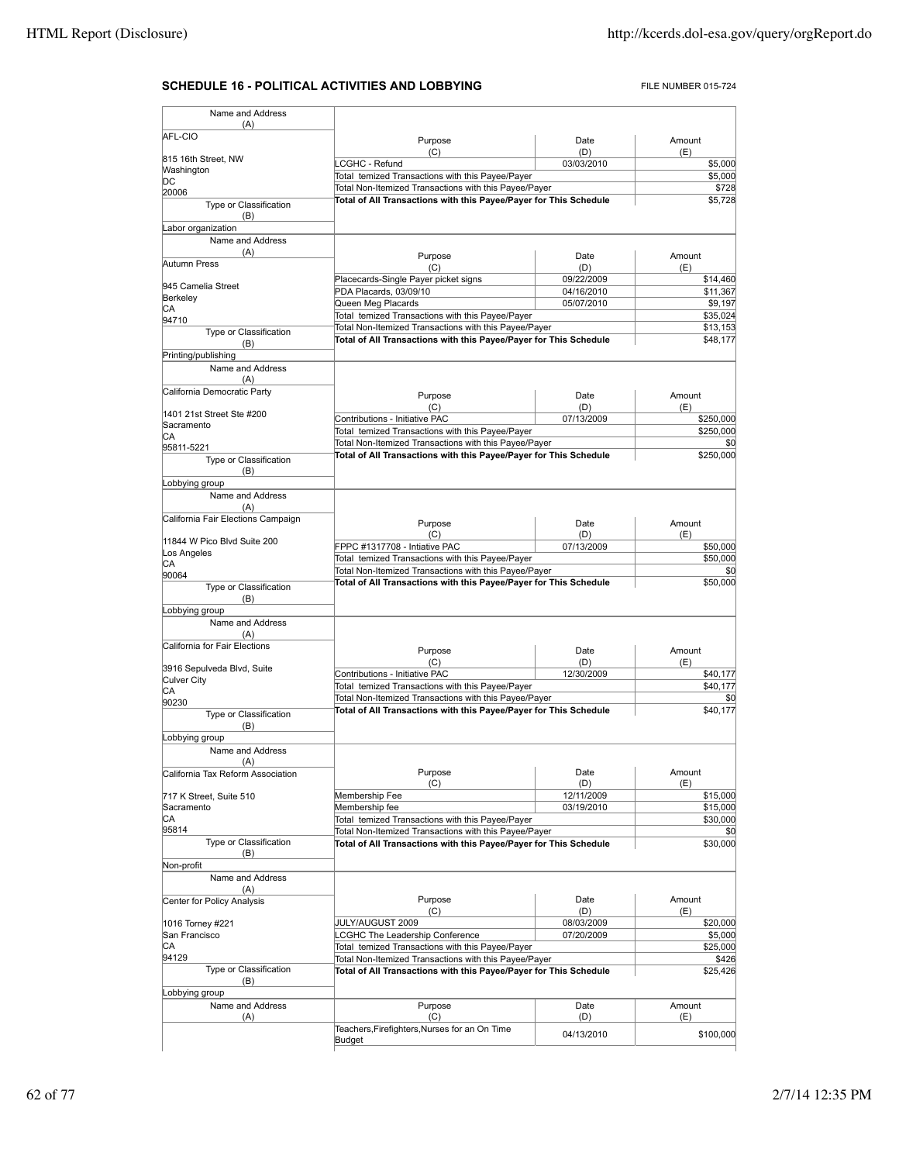# **SCHEDULE 16 - POLITICAL ACTIVITIES AND LOBBYING** FILE NUMBER 015-724

| (A)                                |                                                                                                                            |                   |                                                                                                                                                                            |
|------------------------------------|----------------------------------------------------------------------------------------------------------------------------|-------------------|----------------------------------------------------------------------------------------------------------------------------------------------------------------------------|
| AFL-CIO                            | Purpose                                                                                                                    | Date              | Amount                                                                                                                                                                     |
| 815 16th Street, NW                | (C)                                                                                                                        | (D)               | (E)                                                                                                                                                                        |
| Washington                         | LCGHC - Refund                                                                                                             | 03/03/2010        | \$5,000                                                                                                                                                                    |
| DС                                 | Total temized Transactions with this Payee/Payer                                                                           |                   | \$5,000                                                                                                                                                                    |
| 20006                              | Total Non-Itemized Transactions with this Payee/Payer<br>Total of All Transactions with this Payee/Payer for This Schedule |                   | \$728<br>\$5,728                                                                                                                                                           |
| Type or Classification<br>(B)      |                                                                                                                            |                   |                                                                                                                                                                            |
| Labor organization                 |                                                                                                                            |                   |                                                                                                                                                                            |
| Name and Address<br>(A)            |                                                                                                                            |                   |                                                                                                                                                                            |
| Autumn Press                       | Purpose                                                                                                                    | Date              | Amount                                                                                                                                                                     |
|                                    | (C)<br>Placecards-Single Payer picket signs                                                                                | (D)<br>09/22/2009 | (E)<br>\$14,460                                                                                                                                                            |
| 945 Camelia Street                 | PDA Placards, 03/09/10                                                                                                     | 04/16/2010        | \$11,367                                                                                                                                                                   |
| Berkeley                           | Queen Meg Placards                                                                                                         | 05/07/2010        | \$9,197                                                                                                                                                                    |
| СA<br>94710                        | Total temized Transactions with this Payee/Payer                                                                           |                   | \$35,024                                                                                                                                                                   |
| Type or Classification             | Total Non-Itemized Transactions with this Payee/Payer                                                                      |                   | \$13,153                                                                                                                                                                   |
| (B)                                | Total of All Transactions with this Payee/Payer for This Schedule                                                          |                   | \$48,177                                                                                                                                                                   |
| Printing/publishing                |                                                                                                                            |                   |                                                                                                                                                                            |
| Name and Address<br>(A)            |                                                                                                                            |                   |                                                                                                                                                                            |
| California Democratic Party        | Purpose                                                                                                                    | Date              | Amount                                                                                                                                                                     |
| 1401 21st Street Ste #200          | (C)                                                                                                                        | (D)               | (E)                                                                                                                                                                        |
| Sacramento                         | Contributions - Initiative PAC                                                                                             | 07/13/2009        | \$250,000                                                                                                                                                                  |
| CА                                 | Total temized Transactions with this Payee/Payer                                                                           |                   | \$250,000                                                                                                                                                                  |
| 95811-5221                         | Total Non-Itemized Transactions with this Payee/Payer<br>Total of All Transactions with this Payee/Payer for This Schedule |                   | \$0<br>\$250,000                                                                                                                                                           |
| Type or Classification<br>(B)      |                                                                                                                            |                   |                                                                                                                                                                            |
| Lobbying group                     |                                                                                                                            |                   |                                                                                                                                                                            |
| Name and Address<br>(A)            |                                                                                                                            |                   |                                                                                                                                                                            |
| California Fair Elections Campaign |                                                                                                                            |                   |                                                                                                                                                                            |
|                                    | Purpose                                                                                                                    | Date              | Amount                                                                                                                                                                     |
| 11844 W Pico Blvd Suite 200        | (C)<br>FPPC #1317708 - Intiative PAC                                                                                       | (D)<br>07/13/2009 | (E)<br>\$50,000                                                                                                                                                            |
| Los Angeles                        | Total temized Transactions with this Payee/Payer                                                                           |                   | \$50,000                                                                                                                                                                   |
| СA<br>90064                        | Total Non-Itemized Transactions with this Payee/Payer                                                                      |                   | \$0                                                                                                                                                                        |
| Type or Classification             | Total of All Transactions with this Payee/Payer for This Schedule                                                          |                   | \$50,000                                                                                                                                                                   |
| (B)                                |                                                                                                                            |                   |                                                                                                                                                                            |
| Lobbying group                     |                                                                                                                            |                   |                                                                                                                                                                            |
| Name and Address                   |                                                                                                                            |                   |                                                                                                                                                                            |
|                                    |                                                                                                                            |                   |                                                                                                                                                                            |
| (A)                                |                                                                                                                            |                   |                                                                                                                                                                            |
| California for Fair Elections      | Purpose                                                                                                                    | Date              | Amount                                                                                                                                                                     |
|                                    | (C)                                                                                                                        | (D)               | (E)                                                                                                                                                                        |
| 3916 Sepulveda Blvd, Suite         | Contributions - Initiative PAC                                                                                             | 12/30/2009        |                                                                                                                                                                            |
| Culver City<br>СA                  | Total temized Transactions with this Payee/Payer                                                                           |                   |                                                                                                                                                                            |
| 90230                              | Total Non-Itemized Transactions with this Payee/Payer                                                                      |                   |                                                                                                                                                                            |
| Type or Classification<br>(B)      | Total of All Transactions with this Payee/Payer for This Schedule                                                          |                   |                                                                                                                                                                            |
| Lobbying group                     |                                                                                                                            |                   |                                                                                                                                                                            |
| Name and Address                   |                                                                                                                            |                   |                                                                                                                                                                            |
| (A)                                |                                                                                                                            |                   |                                                                                                                                                                            |
| California Tax Reform Association  | Purpose                                                                                                                    | Date              | Amount                                                                                                                                                                     |
| 717 K Street, Suite 510            | (C)<br>Membership Fee                                                                                                      | (D)<br>12/11/2009 | (E)                                                                                                                                                                        |
| Sacramento                         | Membership fee                                                                                                             | 03/19/2010        |                                                                                                                                                                            |
| СA                                 | Total temized Transactions with this Payee/Payer                                                                           |                   |                                                                                                                                                                            |
| 95814                              | Total Non-Itemized Transactions with this Payee/Payer                                                                      |                   |                                                                                                                                                                            |
| Type or Classification             | Total of All Transactions with this Payee/Payer for This Schedule                                                          |                   |                                                                                                                                                                            |
| (B)                                |                                                                                                                            |                   |                                                                                                                                                                            |
| Non-profit                         |                                                                                                                            |                   |                                                                                                                                                                            |
| Name and Address<br>(A)            |                                                                                                                            |                   |                                                                                                                                                                            |
| Center for Policy Analysis         | Purpose                                                                                                                    | Date              | Amount                                                                                                                                                                     |
|                                    | (C)                                                                                                                        | (D)               | (E)                                                                                                                                                                        |
| 1016 Torney #221                   | JULY/AUGUST 2009                                                                                                           | 08/03/2009        |                                                                                                                                                                            |
| San Francisco                      | LCGHC The Leadership Conference                                                                                            | 07/20/2009        |                                                                                                                                                                            |
| СA<br>94129                        | Total temized Transactions with this Payee/Payer                                                                           |                   |                                                                                                                                                                            |
| Type or Classification             | Total Non-Itemized Transactions with this Payee/Payer<br>Total of All Transactions with this Payee/Payer for This Schedule |                   |                                                                                                                                                                            |
| (B)                                |                                                                                                                            |                   |                                                                                                                                                                            |
| Lobbying group                     |                                                                                                                            |                   |                                                                                                                                                                            |
| Name and Address                   | Purpose                                                                                                                    | Date              | Amount                                                                                                                                                                     |
| (A)                                | (C)<br>Teachers, Firefighters, Nurses for an On Time                                                                       | (D)<br>04/13/2010 | \$40,177<br>\$40,177<br>\$0<br>\$40,177<br>\$15,000<br>\$15,000<br>\$30,000<br>\$0<br>\$30,000<br>\$20,000<br>\$5,000<br>\$25,000<br>\$426<br>\$25,426<br>(E)<br>\$100,000 |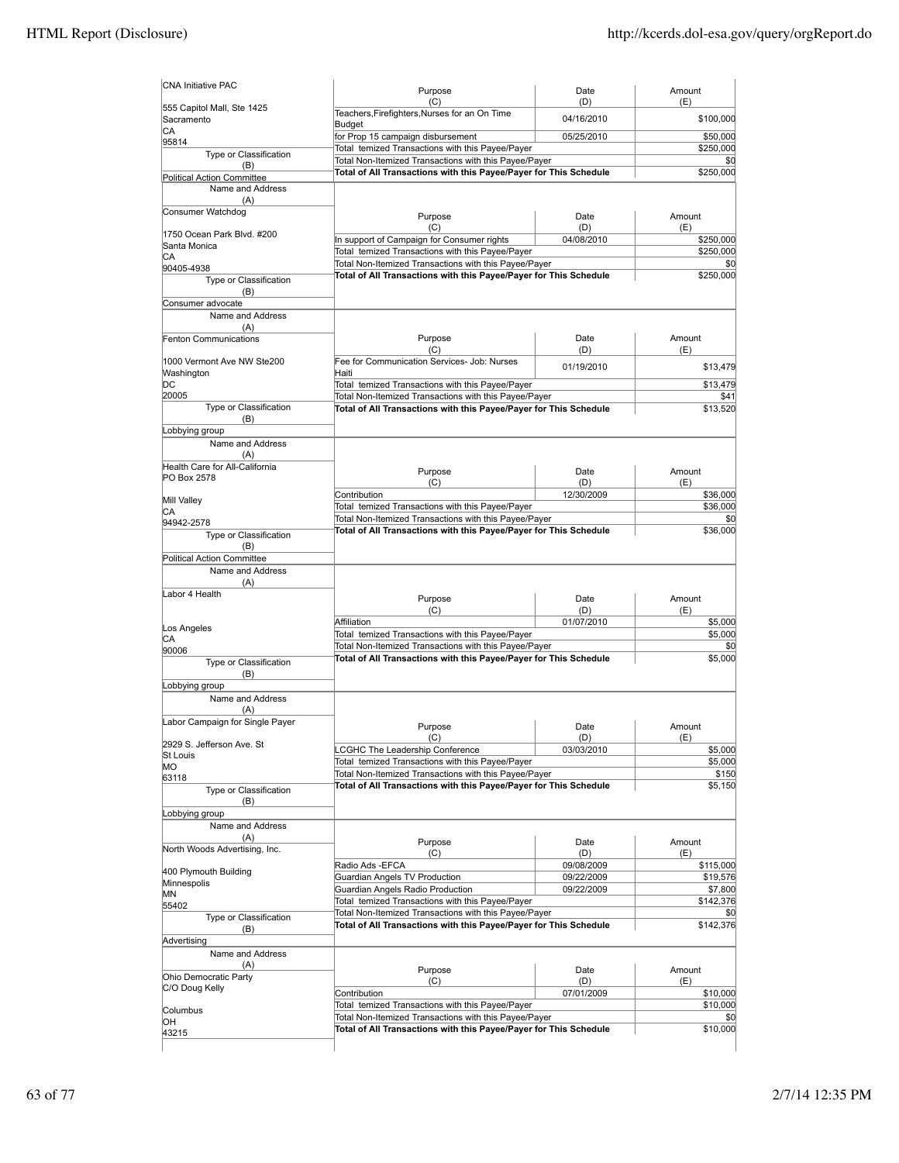| (C)<br>Teachers, Firefighters, Nurses for an On Time<br>Budget<br>for Prop 15 campaign disbursement<br>Total temized Transactions with this Payee/Payer<br>Total Non-Itemized Transactions with this Payee/Payer<br>Total of All Transactions with this Payee/Payer for This Schedule<br>Purpose<br>(C)<br>In support of Campaign for Consumer rights<br>Total temized Transactions with this Payee/Payer<br>Total Non-Itemized Transactions with this Payee/Payer<br>Total of All Transactions with this Payee/Payer for This Schedule<br>Purpose<br>(C)<br>Fee for Communication Services- Job: Nurses<br>Total temized Transactions with this Payee/Payer<br>Total Non-Itemized Transactions with this Payee/Payer<br>Total of All Transactions with this Payee/Payer for This Schedule<br>Purpose<br>(C)<br>Contribution<br>Total temized Transactions with this Payee/Payer<br>Total Non-Itemized Transactions with this Payee/Payer<br>Total of All Transactions with this Payee/Payer for This Schedule<br>Purpose | (D)<br>04/16/2010<br>05/25/2010<br>Date<br>(D)<br>04/08/2010<br>Date<br>(D)<br>01/19/2010<br>Date<br>(D)<br>12/30/2009                           | (E)<br>\$100,000<br>\$50,000<br>\$250,000<br>\$0<br>\$250,000<br>Amount<br>(E)<br>\$250,000<br>\$250,000<br>\$0<br>\$250,000<br>Amount<br>(E)<br>\$13,479<br>\$13,479<br>\$41<br>\$13,520<br>Amount<br>(E)<br>\$36,000<br>\$36,000<br>\$0<br>\$36,000                                                                                                                                                                                                             |
|---------------------------------------------------------------------------------------------------------------------------------------------------------------------------------------------------------------------------------------------------------------------------------------------------------------------------------------------------------------------------------------------------------------------------------------------------------------------------------------------------------------------------------------------------------------------------------------------------------------------------------------------------------------------------------------------------------------------------------------------------------------------------------------------------------------------------------------------------------------------------------------------------------------------------------------------------------------------------------------------------------------------------|--------------------------------------------------------------------------------------------------------------------------------------------------|-------------------------------------------------------------------------------------------------------------------------------------------------------------------------------------------------------------------------------------------------------------------------------------------------------------------------------------------------------------------------------------------------------------------------------------------------------------------|
|                                                                                                                                                                                                                                                                                                                                                                                                                                                                                                                                                                                                                                                                                                                                                                                                                                                                                                                                                                                                                           |                                                                                                                                                  |                                                                                                                                                                                                                                                                                                                                                                                                                                                                   |
|                                                                                                                                                                                                                                                                                                                                                                                                                                                                                                                                                                                                                                                                                                                                                                                                                                                                                                                                                                                                                           |                                                                                                                                                  |                                                                                                                                                                                                                                                                                                                                                                                                                                                                   |
|                                                                                                                                                                                                                                                                                                                                                                                                                                                                                                                                                                                                                                                                                                                                                                                                                                                                                                                                                                                                                           |                                                                                                                                                  |                                                                                                                                                                                                                                                                                                                                                                                                                                                                   |
|                                                                                                                                                                                                                                                                                                                                                                                                                                                                                                                                                                                                                                                                                                                                                                                                                                                                                                                                                                                                                           |                                                                                                                                                  |                                                                                                                                                                                                                                                                                                                                                                                                                                                                   |
|                                                                                                                                                                                                                                                                                                                                                                                                                                                                                                                                                                                                                                                                                                                                                                                                                                                                                                                                                                                                                           |                                                                                                                                                  |                                                                                                                                                                                                                                                                                                                                                                                                                                                                   |
|                                                                                                                                                                                                                                                                                                                                                                                                                                                                                                                                                                                                                                                                                                                                                                                                                                                                                                                                                                                                                           |                                                                                                                                                  |                                                                                                                                                                                                                                                                                                                                                                                                                                                                   |
|                                                                                                                                                                                                                                                                                                                                                                                                                                                                                                                                                                                                                                                                                                                                                                                                                                                                                                                                                                                                                           |                                                                                                                                                  |                                                                                                                                                                                                                                                                                                                                                                                                                                                                   |
|                                                                                                                                                                                                                                                                                                                                                                                                                                                                                                                                                                                                                                                                                                                                                                                                                                                                                                                                                                                                                           |                                                                                                                                                  |                                                                                                                                                                                                                                                                                                                                                                                                                                                                   |
|                                                                                                                                                                                                                                                                                                                                                                                                                                                                                                                                                                                                                                                                                                                                                                                                                                                                                                                                                                                                                           |                                                                                                                                                  |                                                                                                                                                                                                                                                                                                                                                                                                                                                                   |
|                                                                                                                                                                                                                                                                                                                                                                                                                                                                                                                                                                                                                                                                                                                                                                                                                                                                                                                                                                                                                           |                                                                                                                                                  |                                                                                                                                                                                                                                                                                                                                                                                                                                                                   |
|                                                                                                                                                                                                                                                                                                                                                                                                                                                                                                                                                                                                                                                                                                                                                                                                                                                                                                                                                                                                                           |                                                                                                                                                  |                                                                                                                                                                                                                                                                                                                                                                                                                                                                   |
|                                                                                                                                                                                                                                                                                                                                                                                                                                                                                                                                                                                                                                                                                                                                                                                                                                                                                                                                                                                                                           |                                                                                                                                                  |                                                                                                                                                                                                                                                                                                                                                                                                                                                                   |
|                                                                                                                                                                                                                                                                                                                                                                                                                                                                                                                                                                                                                                                                                                                                                                                                                                                                                                                                                                                                                           |                                                                                                                                                  |                                                                                                                                                                                                                                                                                                                                                                                                                                                                   |
|                                                                                                                                                                                                                                                                                                                                                                                                                                                                                                                                                                                                                                                                                                                                                                                                                                                                                                                                                                                                                           |                                                                                                                                                  |                                                                                                                                                                                                                                                                                                                                                                                                                                                                   |
|                                                                                                                                                                                                                                                                                                                                                                                                                                                                                                                                                                                                                                                                                                                                                                                                                                                                                                                                                                                                                           |                                                                                                                                                  |                                                                                                                                                                                                                                                                                                                                                                                                                                                                   |
|                                                                                                                                                                                                                                                                                                                                                                                                                                                                                                                                                                                                                                                                                                                                                                                                                                                                                                                                                                                                                           |                                                                                                                                                  |                                                                                                                                                                                                                                                                                                                                                                                                                                                                   |
|                                                                                                                                                                                                                                                                                                                                                                                                                                                                                                                                                                                                                                                                                                                                                                                                                                                                                                                                                                                                                           |                                                                                                                                                  |                                                                                                                                                                                                                                                                                                                                                                                                                                                                   |
|                                                                                                                                                                                                                                                                                                                                                                                                                                                                                                                                                                                                                                                                                                                                                                                                                                                                                                                                                                                                                           |                                                                                                                                                  |                                                                                                                                                                                                                                                                                                                                                                                                                                                                   |
|                                                                                                                                                                                                                                                                                                                                                                                                                                                                                                                                                                                                                                                                                                                                                                                                                                                                                                                                                                                                                           |                                                                                                                                                  |                                                                                                                                                                                                                                                                                                                                                                                                                                                                   |
|                                                                                                                                                                                                                                                                                                                                                                                                                                                                                                                                                                                                                                                                                                                                                                                                                                                                                                                                                                                                                           |                                                                                                                                                  |                                                                                                                                                                                                                                                                                                                                                                                                                                                                   |
|                                                                                                                                                                                                                                                                                                                                                                                                                                                                                                                                                                                                                                                                                                                                                                                                                                                                                                                                                                                                                           |                                                                                                                                                  |                                                                                                                                                                                                                                                                                                                                                                                                                                                                   |
|                                                                                                                                                                                                                                                                                                                                                                                                                                                                                                                                                                                                                                                                                                                                                                                                                                                                                                                                                                                                                           |                                                                                                                                                  |                                                                                                                                                                                                                                                                                                                                                                                                                                                                   |
|                                                                                                                                                                                                                                                                                                                                                                                                                                                                                                                                                                                                                                                                                                                                                                                                                                                                                                                                                                                                                           |                                                                                                                                                  |                                                                                                                                                                                                                                                                                                                                                                                                                                                                   |
|                                                                                                                                                                                                                                                                                                                                                                                                                                                                                                                                                                                                                                                                                                                                                                                                                                                                                                                                                                                                                           |                                                                                                                                                  |                                                                                                                                                                                                                                                                                                                                                                                                                                                                   |
|                                                                                                                                                                                                                                                                                                                                                                                                                                                                                                                                                                                                                                                                                                                                                                                                                                                                                                                                                                                                                           |                                                                                                                                                  |                                                                                                                                                                                                                                                                                                                                                                                                                                                                   |
|                                                                                                                                                                                                                                                                                                                                                                                                                                                                                                                                                                                                                                                                                                                                                                                                                                                                                                                                                                                                                           |                                                                                                                                                  |                                                                                                                                                                                                                                                                                                                                                                                                                                                                   |
|                                                                                                                                                                                                                                                                                                                                                                                                                                                                                                                                                                                                                                                                                                                                                                                                                                                                                                                                                                                                                           |                                                                                                                                                  |                                                                                                                                                                                                                                                                                                                                                                                                                                                                   |
|                                                                                                                                                                                                                                                                                                                                                                                                                                                                                                                                                                                                                                                                                                                                                                                                                                                                                                                                                                                                                           |                                                                                                                                                  |                                                                                                                                                                                                                                                                                                                                                                                                                                                                   |
|                                                                                                                                                                                                                                                                                                                                                                                                                                                                                                                                                                                                                                                                                                                                                                                                                                                                                                                                                                                                                           |                                                                                                                                                  |                                                                                                                                                                                                                                                                                                                                                                                                                                                                   |
|                                                                                                                                                                                                                                                                                                                                                                                                                                                                                                                                                                                                                                                                                                                                                                                                                                                                                                                                                                                                                           |                                                                                                                                                  |                                                                                                                                                                                                                                                                                                                                                                                                                                                                   |
|                                                                                                                                                                                                                                                                                                                                                                                                                                                                                                                                                                                                                                                                                                                                                                                                                                                                                                                                                                                                                           |                                                                                                                                                  |                                                                                                                                                                                                                                                                                                                                                                                                                                                                   |
|                                                                                                                                                                                                                                                                                                                                                                                                                                                                                                                                                                                                                                                                                                                                                                                                                                                                                                                                                                                                                           |                                                                                                                                                  |                                                                                                                                                                                                                                                                                                                                                                                                                                                                   |
|                                                                                                                                                                                                                                                                                                                                                                                                                                                                                                                                                                                                                                                                                                                                                                                                                                                                                                                                                                                                                           |                                                                                                                                                  |                                                                                                                                                                                                                                                                                                                                                                                                                                                                   |
|                                                                                                                                                                                                                                                                                                                                                                                                                                                                                                                                                                                                                                                                                                                                                                                                                                                                                                                                                                                                                           |                                                                                                                                                  |                                                                                                                                                                                                                                                                                                                                                                                                                                                                   |
|                                                                                                                                                                                                                                                                                                                                                                                                                                                                                                                                                                                                                                                                                                                                                                                                                                                                                                                                                                                                                           |                                                                                                                                                  |                                                                                                                                                                                                                                                                                                                                                                                                                                                                   |
|                                                                                                                                                                                                                                                                                                                                                                                                                                                                                                                                                                                                                                                                                                                                                                                                                                                                                                                                                                                                                           |                                                                                                                                                  |                                                                                                                                                                                                                                                                                                                                                                                                                                                                   |
|                                                                                                                                                                                                                                                                                                                                                                                                                                                                                                                                                                                                                                                                                                                                                                                                                                                                                                                                                                                                                           |                                                                                                                                                  |                                                                                                                                                                                                                                                                                                                                                                                                                                                                   |
|                                                                                                                                                                                                                                                                                                                                                                                                                                                                                                                                                                                                                                                                                                                                                                                                                                                                                                                                                                                                                           |                                                                                                                                                  |                                                                                                                                                                                                                                                                                                                                                                                                                                                                   |
|                                                                                                                                                                                                                                                                                                                                                                                                                                                                                                                                                                                                                                                                                                                                                                                                                                                                                                                                                                                                                           | Date                                                                                                                                             | Amount                                                                                                                                                                                                                                                                                                                                                                                                                                                            |
| (C)                                                                                                                                                                                                                                                                                                                                                                                                                                                                                                                                                                                                                                                                                                                                                                                                                                                                                                                                                                                                                       | (D)                                                                                                                                              | (E)                                                                                                                                                                                                                                                                                                                                                                                                                                                               |
| Affiliation                                                                                                                                                                                                                                                                                                                                                                                                                                                                                                                                                                                                                                                                                                                                                                                                                                                                                                                                                                                                               | 01/07/2010                                                                                                                                       | \$5,000                                                                                                                                                                                                                                                                                                                                                                                                                                                           |
| Total temized Transactions with this Payee/Payer<br>Total Non-Itemized Transactions with this Payee/Payer                                                                                                                                                                                                                                                                                                                                                                                                                                                                                                                                                                                                                                                                                                                                                                                                                                                                                                                 |                                                                                                                                                  | \$5,000<br>\$0                                                                                                                                                                                                                                                                                                                                                                                                                                                    |
| Total of All Transactions with this Payee/Payer for This Schedule                                                                                                                                                                                                                                                                                                                                                                                                                                                                                                                                                                                                                                                                                                                                                                                                                                                                                                                                                         |                                                                                                                                                  | \$5,000                                                                                                                                                                                                                                                                                                                                                                                                                                                           |
|                                                                                                                                                                                                                                                                                                                                                                                                                                                                                                                                                                                                                                                                                                                                                                                                                                                                                                                                                                                                                           |                                                                                                                                                  |                                                                                                                                                                                                                                                                                                                                                                                                                                                                   |
|                                                                                                                                                                                                                                                                                                                                                                                                                                                                                                                                                                                                                                                                                                                                                                                                                                                                                                                                                                                                                           |                                                                                                                                                  |                                                                                                                                                                                                                                                                                                                                                                                                                                                                   |
|                                                                                                                                                                                                                                                                                                                                                                                                                                                                                                                                                                                                                                                                                                                                                                                                                                                                                                                                                                                                                           |                                                                                                                                                  |                                                                                                                                                                                                                                                                                                                                                                                                                                                                   |
|                                                                                                                                                                                                                                                                                                                                                                                                                                                                                                                                                                                                                                                                                                                                                                                                                                                                                                                                                                                                                           |                                                                                                                                                  |                                                                                                                                                                                                                                                                                                                                                                                                                                                                   |
|                                                                                                                                                                                                                                                                                                                                                                                                                                                                                                                                                                                                                                                                                                                                                                                                                                                                                                                                                                                                                           |                                                                                                                                                  |                                                                                                                                                                                                                                                                                                                                                                                                                                                                   |
| Purpose                                                                                                                                                                                                                                                                                                                                                                                                                                                                                                                                                                                                                                                                                                                                                                                                                                                                                                                                                                                                                   | Date                                                                                                                                             | Amount                                                                                                                                                                                                                                                                                                                                                                                                                                                            |
|                                                                                                                                                                                                                                                                                                                                                                                                                                                                                                                                                                                                                                                                                                                                                                                                                                                                                                                                                                                                                           |                                                                                                                                                  | (E)                                                                                                                                                                                                                                                                                                                                                                                                                                                               |
|                                                                                                                                                                                                                                                                                                                                                                                                                                                                                                                                                                                                                                                                                                                                                                                                                                                                                                                                                                                                                           |                                                                                                                                                  | \$5,000<br>\$5,000                                                                                                                                                                                                                                                                                                                                                                                                                                                |
|                                                                                                                                                                                                                                                                                                                                                                                                                                                                                                                                                                                                                                                                                                                                                                                                                                                                                                                                                                                                                           |                                                                                                                                                  | \$150                                                                                                                                                                                                                                                                                                                                                                                                                                                             |
|                                                                                                                                                                                                                                                                                                                                                                                                                                                                                                                                                                                                                                                                                                                                                                                                                                                                                                                                                                                                                           |                                                                                                                                                  | \$5,150                                                                                                                                                                                                                                                                                                                                                                                                                                                           |
|                                                                                                                                                                                                                                                                                                                                                                                                                                                                                                                                                                                                                                                                                                                                                                                                                                                                                                                                                                                                                           |                                                                                                                                                  |                                                                                                                                                                                                                                                                                                                                                                                                                                                                   |
|                                                                                                                                                                                                                                                                                                                                                                                                                                                                                                                                                                                                                                                                                                                                                                                                                                                                                                                                                                                                                           |                                                                                                                                                  |                                                                                                                                                                                                                                                                                                                                                                                                                                                                   |
|                                                                                                                                                                                                                                                                                                                                                                                                                                                                                                                                                                                                                                                                                                                                                                                                                                                                                                                                                                                                                           |                                                                                                                                                  |                                                                                                                                                                                                                                                                                                                                                                                                                                                                   |
|                                                                                                                                                                                                                                                                                                                                                                                                                                                                                                                                                                                                                                                                                                                                                                                                                                                                                                                                                                                                                           |                                                                                                                                                  |                                                                                                                                                                                                                                                                                                                                                                                                                                                                   |
|                                                                                                                                                                                                                                                                                                                                                                                                                                                                                                                                                                                                                                                                                                                                                                                                                                                                                                                                                                                                                           |                                                                                                                                                  | Amount                                                                                                                                                                                                                                                                                                                                                                                                                                                            |
|                                                                                                                                                                                                                                                                                                                                                                                                                                                                                                                                                                                                                                                                                                                                                                                                                                                                                                                                                                                                                           |                                                                                                                                                  | (E)                                                                                                                                                                                                                                                                                                                                                                                                                                                               |
|                                                                                                                                                                                                                                                                                                                                                                                                                                                                                                                                                                                                                                                                                                                                                                                                                                                                                                                                                                                                                           |                                                                                                                                                  | \$115,000                                                                                                                                                                                                                                                                                                                                                                                                                                                         |
|                                                                                                                                                                                                                                                                                                                                                                                                                                                                                                                                                                                                                                                                                                                                                                                                                                                                                                                                                                                                                           |                                                                                                                                                  | \$19,576                                                                                                                                                                                                                                                                                                                                                                                                                                                          |
|                                                                                                                                                                                                                                                                                                                                                                                                                                                                                                                                                                                                                                                                                                                                                                                                                                                                                                                                                                                                                           |                                                                                                                                                  | \$7,800<br>\$142,376                                                                                                                                                                                                                                                                                                                                                                                                                                              |
|                                                                                                                                                                                                                                                                                                                                                                                                                                                                                                                                                                                                                                                                                                                                                                                                                                                                                                                                                                                                                           |                                                                                                                                                  | \$0                                                                                                                                                                                                                                                                                                                                                                                                                                                               |
|                                                                                                                                                                                                                                                                                                                                                                                                                                                                                                                                                                                                                                                                                                                                                                                                                                                                                                                                                                                                                           |                                                                                                                                                  | \$142,376                                                                                                                                                                                                                                                                                                                                                                                                                                                         |
|                                                                                                                                                                                                                                                                                                                                                                                                                                                                                                                                                                                                                                                                                                                                                                                                                                                                                                                                                                                                                           |                                                                                                                                                  |                                                                                                                                                                                                                                                                                                                                                                                                                                                                   |
|                                                                                                                                                                                                                                                                                                                                                                                                                                                                                                                                                                                                                                                                                                                                                                                                                                                                                                                                                                                                                           |                                                                                                                                                  |                                                                                                                                                                                                                                                                                                                                                                                                                                                                   |
|                                                                                                                                                                                                                                                                                                                                                                                                                                                                                                                                                                                                                                                                                                                                                                                                                                                                                                                                                                                                                           |                                                                                                                                                  |                                                                                                                                                                                                                                                                                                                                                                                                                                                                   |
|                                                                                                                                                                                                                                                                                                                                                                                                                                                                                                                                                                                                                                                                                                                                                                                                                                                                                                                                                                                                                           |                                                                                                                                                  | Amount                                                                                                                                                                                                                                                                                                                                                                                                                                                            |
|                                                                                                                                                                                                                                                                                                                                                                                                                                                                                                                                                                                                                                                                                                                                                                                                                                                                                                                                                                                                                           |                                                                                                                                                  | (E)                                                                                                                                                                                                                                                                                                                                                                                                                                                               |
| (C)                                                                                                                                                                                                                                                                                                                                                                                                                                                                                                                                                                                                                                                                                                                                                                                                                                                                                                                                                                                                                       | (D)                                                                                                                                              |                                                                                                                                                                                                                                                                                                                                                                                                                                                                   |
| Contribution                                                                                                                                                                                                                                                                                                                                                                                                                                                                                                                                                                                                                                                                                                                                                                                                                                                                                                                                                                                                              | 07/01/2009                                                                                                                                       | \$10,000                                                                                                                                                                                                                                                                                                                                                                                                                                                          |
| Total temized Transactions with this Payee/Payer                                                                                                                                                                                                                                                                                                                                                                                                                                                                                                                                                                                                                                                                                                                                                                                                                                                                                                                                                                          |                                                                                                                                                  | \$10,000                                                                                                                                                                                                                                                                                                                                                                                                                                                          |
| Total Non-Itemized Transactions with this Payee/Payer<br>Total of All Transactions with this Payee/Payer for This Schedule                                                                                                                                                                                                                                                                                                                                                                                                                                                                                                                                                                                                                                                                                                                                                                                                                                                                                                |                                                                                                                                                  | \$Ο<br>\$10,000                                                                                                                                                                                                                                                                                                                                                                                                                                                   |
|                                                                                                                                                                                                                                                                                                                                                                                                                                                                                                                                                                                                                                                                                                                                                                                                                                                                                                                                                                                                                           | (C)<br>LCGHC The Leadership Conference<br>Purpose<br>(C)<br>Radio Ads -EFCA<br>Guardian Angels TV Production<br>Guardian Angels Radio Production | (D)<br>03/03/2010<br>Total temized Transactions with this Payee/Payer<br>Total Non-Itemized Transactions with this Payee/Payer<br>Total of All Transactions with this Payee/Payer for This Schedule<br>Date<br>(D)<br>09/08/2009<br>09/22/2009<br>09/22/2009<br>Total temized Transactions with this Payee/Payer<br>Total Non-Itemized Transactions with this Payee/Payer<br>Total of All Transactions with this Payee/Payer for This Schedule<br>Purpose<br>Date |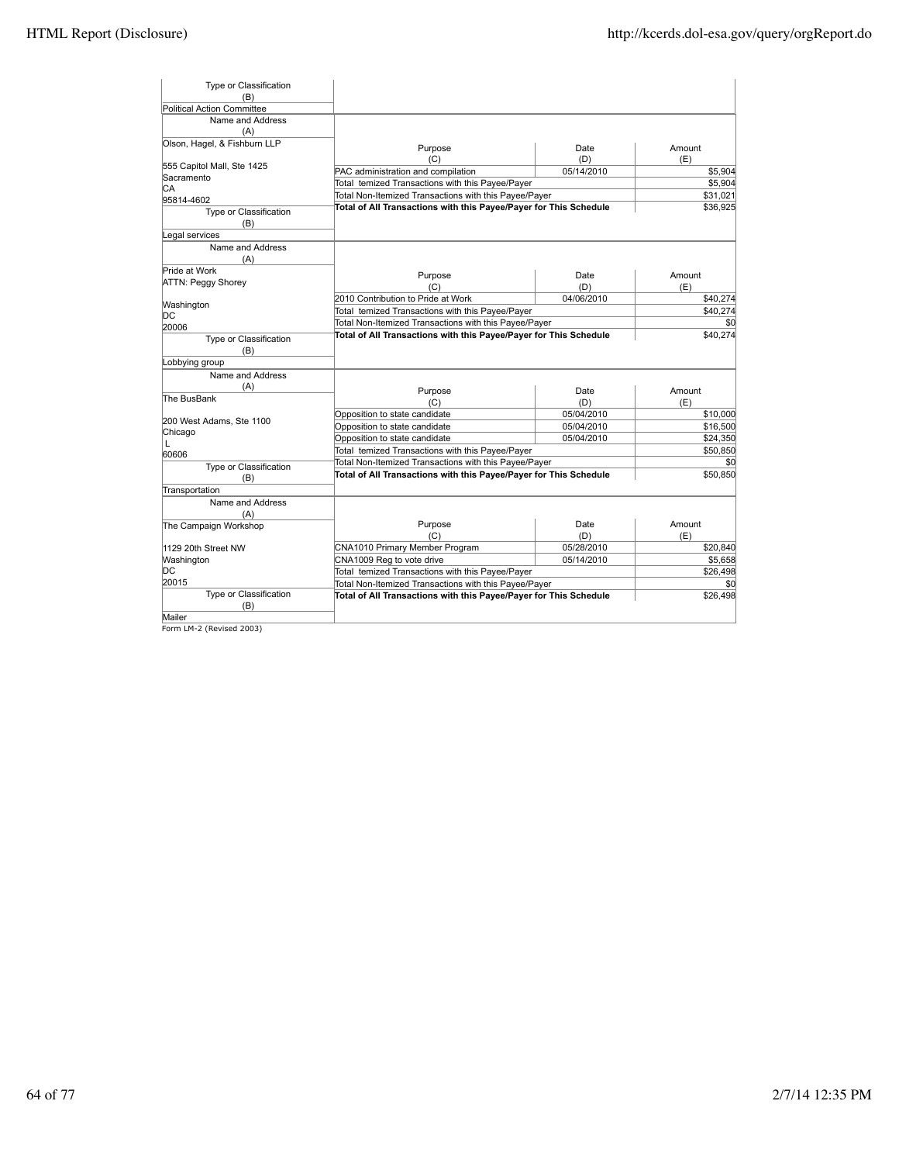| Form LM-2 (Revised 2003)                         |                                                                   |                   |                 |
|--------------------------------------------------|-------------------------------------------------------------------|-------------------|-----------------|
| (B)<br>Mailer                                    |                                                                   |                   | \$26,498        |
| Type or Classification                           | Total of All Transactions with this Payee/Payer for This Schedule |                   |                 |
| 20015                                            | Total Non-Itemized Transactions with this Payee/Payer             |                   | \$0             |
| DС                                               | Total temized Transactions with this Payee/Payer                  |                   | \$26,498        |
| Washington                                       | CNA1009 Reg to vote drive                                         | 05/14/2010        | \$5,658         |
| 1129 20th Street NW                              | (C)<br>CNA1010 Primary Member Program                             | (D)<br>05/28/2010 | (E)<br>\$20,840 |
| Name and Address<br>(A)<br>The Campaign Workshop | Purpose                                                           | Date              | Amount          |
| Transportation                                   |                                                                   |                   |                 |
| (B)                                              | Total of All Transactions with this Payee/Payer for This Schedule |                   | \$50,850        |
| Type or Classification                           | Total Non-Itemized Transactions with this Payee/Payer             |                   | \$0             |
| 60606                                            | Total temized Transactions with this Payee/Payer                  |                   | \$50,850        |
| L                                                | Opposition to state candidate                                     | 05/04/2010        | \$24,350        |
| Chicago                                          | Opposition to state candidate                                     | 05/04/2010        | \$16,500        |
| 200 West Adams, Ste 1100                         | Opposition to state candidate                                     | 05/04/2010        | \$10,000        |
|                                                  | (C)                                                               | (D)               | (E)             |
| (A)<br>The BusBank                               | Purpose                                                           | Date              | Amount          |
| Name and Address                                 |                                                                   |                   |                 |
| Type or Classification<br>(B)<br>Lobbying group  |                                                                   |                   |                 |
| 20006                                            | Total of All Transactions with this Payee/Payer for This Schedule |                   | \$40,274        |
| DС                                               | Total Non-Itemized Transactions with this Payee/Payer             |                   | \$0             |
| Washington                                       | Total temized Transactions with this Payee/Payer                  |                   | \$40,274        |
| <b>ATTN: Peggy Shorey</b>                        | (C)<br>2010 Contribution to Pride at Work                         | (D)<br>04/06/2010 | (E)<br>\$40,274 |
| Name and Address<br>(A)<br>Pride at Work         | Purpose                                                           | Date              | Amount          |
| Legal services                                   |                                                                   |                   |                 |
| Type or Classification<br>(B)                    |                                                                   |                   |                 |
| 95814-4602                                       | Total of All Transactions with this Payee/Payer for This Schedule |                   | \$36,925        |
| IСA                                              | Total Non-Itemized Transactions with this Payee/Payer             |                   | \$31,021        |
| Sacramento                                       | Total temized Transactions with this Payee/Payer                  |                   | \$5,904         |
| 555 Capitol Mall, Ste 1425                       | (C)<br>PAC administration and compilation                         | (D)<br>05/14/2010 | (E)<br>\$5,904  |
| Olson, Hagel, & Fishburn LLP                     | Purpose                                                           | Date              | Amount          |
| Name and Address<br>(A)                          |                                                                   |                   |                 |
| <b>Political Action Committee</b>                |                                                                   |                   |                 |
| (B)                                              |                                                                   |                   |                 |
| Type or Classification                           |                                                                   |                   |                 |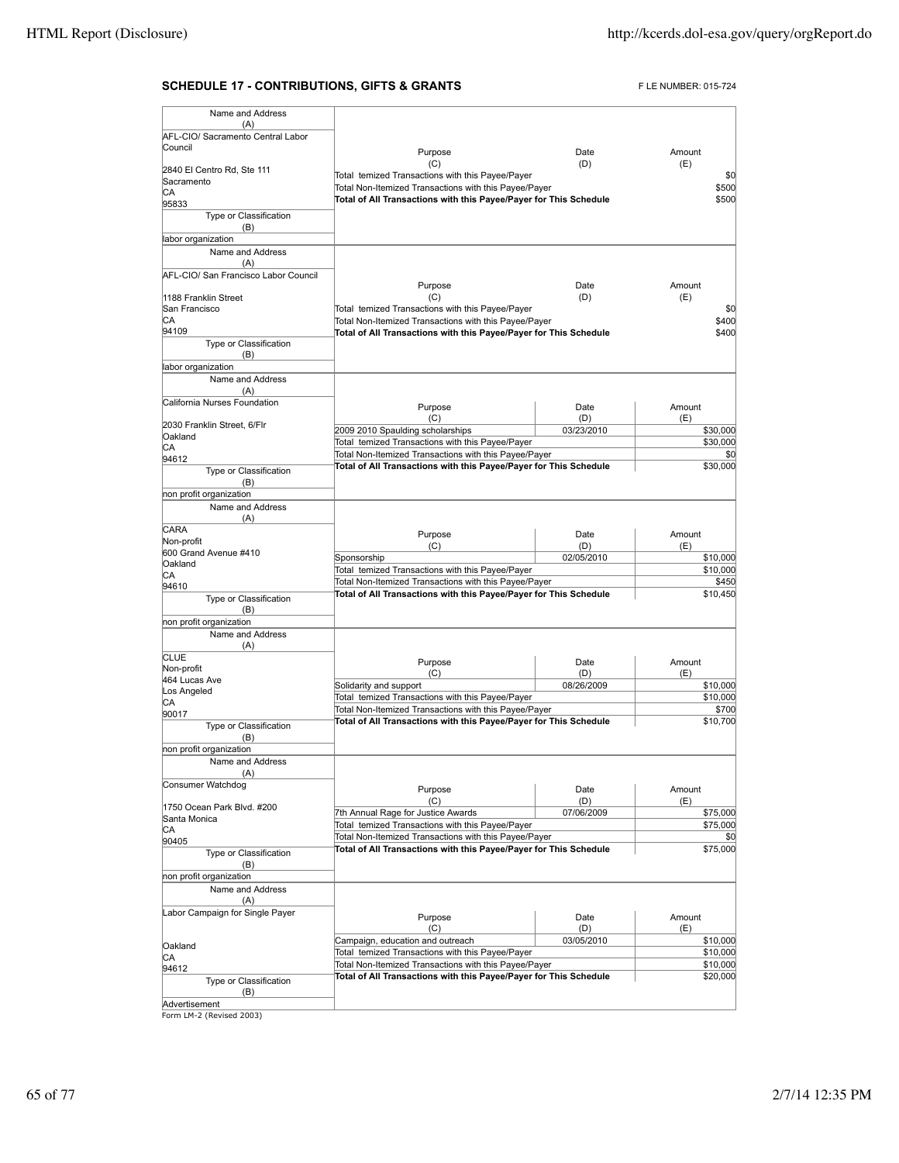### **SCHEDULE 17 - CONTRIBUTIONS, GIFTS & GRANTS** FLE NUMBER: 015-724

| Name and Address                     |                                                                   |            |          |
|--------------------------------------|-------------------------------------------------------------------|------------|----------|
| (A)                                  |                                                                   |            |          |
| AFL-CIO/ Sacramento Central Labor    |                                                                   |            |          |
| Council                              | Purpose                                                           | Date       | Amount   |
| 2840 El Centro Rd, Ste 111           | (C)                                                               | (D)        | (E)      |
| Sacramento                           | Total temized Transactions with this Payee/Payer                  |            | \$0      |
| IСA                                  | Total Non-Itemized Transactions with this Payee/Payer             |            | \$500    |
| 95833                                | Total of All Transactions with this Payee/Payer for This Schedule |            | \$500    |
| Type or Classification               |                                                                   |            |          |
| (B)                                  |                                                                   |            |          |
| labor organization                   |                                                                   |            |          |
| Name and Address                     |                                                                   |            |          |
| (A)                                  |                                                                   |            |          |
| AFL-CIO/ San Francisco Labor Council |                                                                   |            |          |
|                                      | Purpose                                                           | Date       | Amount   |
| 1188 Franklin Street                 | (C)                                                               | (D)        | (E)      |
| San Francisco                        | Total temized Transactions with this Payee/Payer                  |            | \$0      |
| CА                                   | Total Non-Itemized Transactions with this Payee/Payer             |            | \$400    |
| 94109                                | Total of All Transactions with this Payee/Payer for This Schedule |            | \$400    |
| Type or Classification               |                                                                   |            |          |
| (B)                                  |                                                                   |            |          |
| labor organization                   |                                                                   |            |          |
| Name and Address                     |                                                                   |            |          |
| (A)                                  |                                                                   |            |          |
| California Nurses Foundation         | Purpose                                                           | Date       | Amount   |
|                                      | (C)                                                               | (D)        | (E)      |
| 2030 Franklin Street, 6/Flr          | 2009 2010 Spaulding scholarships                                  | 03/23/2010 | \$30,000 |
| Oakland                              | Total temized Transactions with this Payee/Payer                  |            | \$30,000 |
| СA                                   | Total Non-Itemized Transactions with this Payee/Payer             |            | \$0      |
| 94612                                | Total of All Transactions with this Payee/Payer for This Schedule |            | \$30,000 |
| Type or Classification               |                                                                   |            |          |
| (B)                                  |                                                                   |            |          |
| non profit organization              |                                                                   |            |          |
| Name and Address                     |                                                                   |            |          |
| (A)                                  |                                                                   |            |          |
| CARA                                 | Purpose                                                           | Date       | Amount   |
| Non-profit                           | (C)                                                               | (D)        | (E)      |
| 600 Grand Avenue #410                | Sponsorship                                                       | 02/05/2010 | \$10,000 |
| Oakland                              | Total temized Transactions with this Payee/Payer                  |            | \$10,000 |
| СA                                   | Total Non-Itemized Transactions with this Payee/Payer             |            | \$450    |
| 94610                                | Total of All Transactions with this Payee/Payer for This Schedule |            | \$10,450 |
| Type or Classification               |                                                                   |            |          |
| (B)                                  |                                                                   |            |          |
| non profit organization              |                                                                   |            |          |
| Name and Address                     |                                                                   |            |          |
| (A)                                  |                                                                   |            |          |
| <b>CLUE</b>                          | Purpose                                                           | Date       | Amount   |
| Non-profit                           | (C)                                                               | (D)        | (E)      |
| 464 Lucas Ave                        | Solidarity and support                                            | 08/26/2009 | \$10,000 |
| Los Angeled<br>СA                    | Total temized Transactions with this Payee/Payer                  |            | \$10,000 |
| 90017                                | Total Non-Itemized Transactions with this Payee/Payer             |            | \$700    |
| Type or Classification               | Total of All Transactions with this Payee/Payer for This Schedule |            | \$10,700 |
| (B)                                  |                                                                   |            |          |
| non profit organization              |                                                                   |            |          |
| Name and Address                     |                                                                   |            |          |
| (A)                                  |                                                                   |            |          |
| Consumer Watchdog                    |                                                                   |            |          |
|                                      | Purpose                                                           | Date       | Amount   |
| 1750 Ocean Park Blvd. #200           | (C)                                                               | (D)        | (E)      |
| Santa Monica                         | 7th Annual Rage for Justice Awards                                | 07/06/2009 | \$75,000 |
| СA                                   | Total temized Transactions with this Payee/Payer                  |            | \$75,000 |
| 90405                                | Total Non-Itemized Transactions with this Payee/Payer             |            | SU       |
| Type or Classification               | Total of All Transactions with this Payee/Payer for This Schedule |            | \$75,000 |
| (B)                                  |                                                                   |            |          |
| non profit organization              |                                                                   |            |          |
| Name and Address                     |                                                                   |            |          |
| (A)                                  |                                                                   |            |          |
| Labor Campaign for Single Payer      |                                                                   |            |          |
|                                      | Purpose                                                           | Date       | Amount   |
|                                      | (C)                                                               | (D)        | (E)      |
| Oakland                              | Campaign, education and outreach                                  | 03/05/2010 | \$10,000 |
| СA                                   | Total temized Transactions with this Payee/Payer                  |            | \$10,000 |
| 94612                                | Total Non-Itemized Transactions with this Payee/Payer             |            | \$10,000 |
| Type or Classification               | Total of All Transactions with this Payee/Payer for This Schedule |            | \$20,000 |
| (B)                                  |                                                                   |            |          |
| Advertisement                        |                                                                   |            |          |
| Form LM-2 (Revised 2003)             |                                                                   |            |          |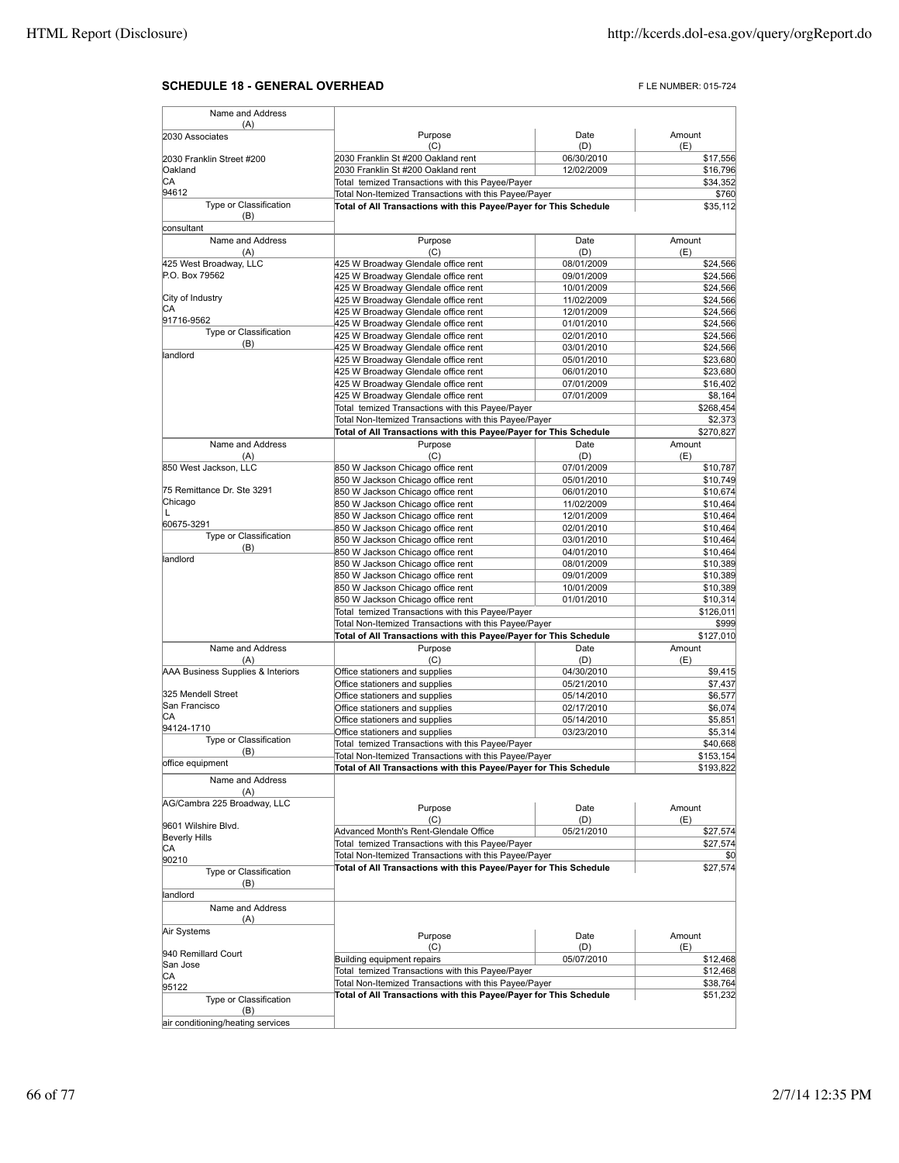## **SCHEDULE 18 - GENERAL OVERHEAD** FLE NUMBER: 015-724

| Name and Address                            |                                                                                                                            |                          |                      |
|---------------------------------------------|----------------------------------------------------------------------------------------------------------------------------|--------------------------|----------------------|
| (A)<br>2030 Associates                      | Purpose                                                                                                                    | Date                     | Amount               |
|                                             | (C)                                                                                                                        | (D)                      | (E)                  |
| 2030 Franklin Street #200                   | 2030 Franklin St #200 Oakland rent                                                                                         | 06/30/2010               | \$17,556             |
| Oakland                                     | 2030 Franklin St #200 Oakland rent                                                                                         | 12/02/2009               | \$16,796             |
| CА<br>94612                                 | Total temized Transactions with this Payee/Payer                                                                           |                          | \$34,352             |
| Type or Classification                      | Total Non-Itemized Transactions with this Payee/Payer<br>Total of All Transactions with this Payee/Payer for This Schedule |                          | \$760<br>\$35,112    |
| (B)<br>consultant                           |                                                                                                                            |                          |                      |
| Name and Address                            | Purpose                                                                                                                    | Date                     | Amount               |
| (A)                                         | (C)                                                                                                                        | (D)                      | (E)                  |
| 425 West Broadway, LLC                      | 425 W Broadway Glendale office rent                                                                                        | 08/01/2009               | \$24,566             |
| P.O. Box 79562                              | 425 W Broadway Glendale office rent                                                                                        | 09/01/2009               | \$24,566             |
| City of Industry                            | 425 W Broadway Glendale office rent                                                                                        | 10/01/2009               | \$24,566             |
| CА                                          | 425 W Broadway Glendale office rent<br>425 W Broadway Glendale office rent                                                 | 11/02/2009<br>12/01/2009 | \$24,566<br>\$24,566 |
| 91716-9562                                  | 425 W Broadway Glendale office rent                                                                                        | 01/01/2010               | \$24,566             |
| Type or Classification                      | 425 W Broadway Glendale office rent                                                                                        | 02/01/2010               | \$24,566             |
| (B)                                         | 425 W Broadway Glendale office rent                                                                                        | 03/01/2010               | \$24,566             |
| landlord                                    | 425 W Broadway Glendale office rent                                                                                        | 05/01/2010               | \$23,680             |
|                                             | 425 W Broadway Glendale office rent                                                                                        | 06/01/2010               | \$23,680             |
|                                             | 425 W Broadway Glendale office rent                                                                                        | 07/01/2009               | \$16,402             |
|                                             | 425 W Broadway Glendale office rent                                                                                        | 07/01/2009               | \$8,164              |
|                                             | Total temized Transactions with this Payee/Payer<br>Total Non-Itemized Transactions with this Payee/Payer                  |                          | \$268,454<br>\$2,373 |
|                                             | Total of All Transactions with this Payee/Payer for This Schedule                                                          |                          | \$270,827            |
| Name and Address                            | Purpose                                                                                                                    | Date                     | Amount               |
| (A)                                         | (C)                                                                                                                        | (D)                      | (E)                  |
| 850 West Jackson, LLC                       | 850 W Jackson Chicago office rent                                                                                          | 07/01/2009               | \$10,787             |
|                                             | 850 W Jackson Chicago office rent                                                                                          | 05/01/2010               | \$10,749             |
| 75 Remittance Dr. Ste 3291<br>Chicago       | 850 W Jackson Chicago office rent                                                                                          | 06/01/2010               | \$10,674             |
| L                                           | 850 W Jackson Chicago office rent<br>850 W Jackson Chicago office rent                                                     | 11/02/2009<br>12/01/2009 | \$10,464<br>\$10,464 |
| 60675-3291                                  | 850 W Jackson Chicago office rent                                                                                          | 02/01/2010               | \$10,464             |
| Type or Classification                      | 850 W Jackson Chicago office rent                                                                                          | 03/01/2010               | \$10,464             |
| (B)                                         | 850 W Jackson Chicago office rent                                                                                          | 04/01/2010               | \$10,464             |
| landlord                                    | 850 W Jackson Chicago office rent                                                                                          | 08/01/2009               | \$10,389             |
|                                             | 850 W Jackson Chicago office rent                                                                                          | 09/01/2009               | \$10,389             |
|                                             | 850 W Jackson Chicago office rent                                                                                          | 10/01/2009               | \$10,389             |
|                                             | 850 W Jackson Chicago office rent                                                                                          | 01/01/2010               | \$10,314             |
|                                             | Total temized Transactions with this Payee/Payer<br>Total Non-Itemized Transactions with this Payee/Payer                  |                          | \$126,011<br>\$999   |
|                                             | Total of All Transactions with this Payee/Payer for This Schedule                                                          |                          | \$127,010            |
| Name and Address                            | Purpose                                                                                                                    | Date                     | Amount               |
| (A)                                         | (C)                                                                                                                        | (D)                      | (E)                  |
| AAA Business Supplies & Interiors           | Office stationers and supplies                                                                                             | 04/30/2010               | \$9,415              |
|                                             | Office stationers and supplies                                                                                             | 05/21/2010               | \$7,437              |
| 325 Mendell Street<br>San Francisco         | Office stationers and supplies                                                                                             | 05/14/2010               | \$6,577              |
| СA                                          | Office stationers and supplies<br>Office stationers and supplies                                                           | 02/17/2010<br>05/14/2010 | \$6,074<br>\$5,851   |
| 94124-1710                                  | Office stationers and supplies                                                                                             | 03/23/2010               | \$5,314              |
| Type or Classification                      | Total temized Transactions with this Payee/Payer                                                                           |                          | \$40,668             |
| (B)                                         | Total Non-Itemized Transactions with this Payee/Payer                                                                      |                          | \$153,154            |
| office equipment                            | Total of All Transactions with this Payee/Payer for This Schedule                                                          |                          | \$193.822            |
| Name and Address<br>(A)                     |                                                                                                                            |                          |                      |
| AG/Cambra 225 Broadway, LLC                 | Purpose                                                                                                                    | Date                     | Amount               |
|                                             | (C)                                                                                                                        | (D)                      | (E)                  |
| 9601 Wilshire Blvd.<br><b>Beverly Hills</b> | Advanced Month's Rent-Glendale Office                                                                                      | 05/21/2010               | \$27,574             |
| CА                                          | Total temized Transactions with this Payee/Payer                                                                           |                          | \$27,574             |
| 90210                                       | Total Non-Itemized Transactions with this Payee/Payer                                                                      |                          | \$0<br>\$27,574      |
| Type or Classification<br>(B)               | Total of All Transactions with this Payee/Payer for This Schedule                                                          |                          |                      |
| landlord                                    |                                                                                                                            |                          |                      |
| Name and Address<br>(A)                     |                                                                                                                            |                          |                      |
| Air Systems                                 | Purpose                                                                                                                    | Date                     | Amount               |
|                                             | (C)                                                                                                                        | (D)                      | (E)                  |
| 940 Remillard Court<br>San Jose             | Building equipment repairs                                                                                                 | 05/07/2010               | \$12,468             |
| CА                                          | Total temized Transactions with this Payee/Payer                                                                           |                          | \$12,468             |
| 95122                                       | Total Non-Itemized Transactions with this Payee/Payer                                                                      |                          | \$38,764             |
| Type or Classification<br>(B)               | Total of All Transactions with this Payee/Payer for This Schedule                                                          |                          | \$51,232             |
| air conditioning/heating services           |                                                                                                                            |                          |                      |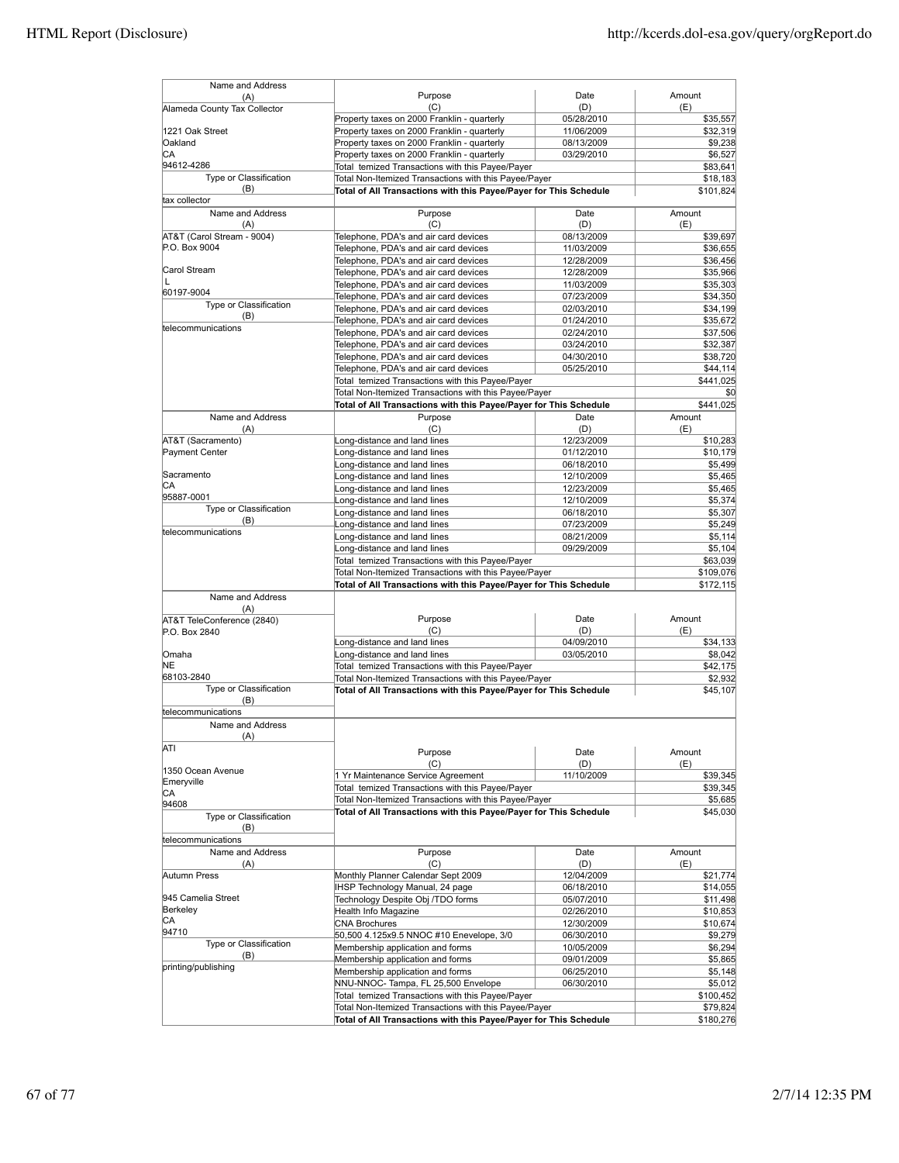| Name and Address                     |                                                                                                                            |                          |                       |
|--------------------------------------|----------------------------------------------------------------------------------------------------------------------------|--------------------------|-----------------------|
| (A)<br>Alameda County Tax Collector  | Purpose<br>(C)                                                                                                             | Date<br>(D)              | Amount<br>(E)         |
|                                      | Property taxes on 2000 Franklin - quarterly                                                                                | 05/28/2010               | \$35,557              |
| 1221 Oak Street                      | Property taxes on 2000 Franklin - quarterly                                                                                | 11/06/2009               | \$32,319              |
| Oakland                              | Property taxes on 2000 Franklin - quarterly                                                                                | 08/13/2009               | \$9,238               |
| СA                                   | Property taxes on 2000 Franklin - quarterly                                                                                | 03/29/2010               | \$6.527               |
| 94612-4286<br>Type or Classification | Total temized Transactions with this Payee/Payer                                                                           |                          | \$83,641              |
| (B)                                  | Total Non-Itemized Transactions with this Payee/Payer<br>Total of All Transactions with this Payee/Payer for This Schedule |                          | \$18,183<br>\$101,824 |
| tax collector                        |                                                                                                                            |                          |                       |
| Name and Address                     | Purpose                                                                                                                    | Date                     | Amount                |
| (A)                                  | (C)                                                                                                                        | (D)                      | (E)                   |
| AT&T (Carol Stream - 9004)           | Telephone, PDA's and air card devices                                                                                      | 08/13/2009               | \$39,697              |
| P.O. Box 9004                        | Telephone, PDA's and air card devices                                                                                      | 11/03/2009               | \$36,655              |
|                                      | Telephone, PDA's and air card devices                                                                                      | 12/28/2009               | \$36,456              |
| Carol Stream                         | Telephone, PDA's and air card devices                                                                                      | 12/28/2009               | \$35,966              |
| L<br>60197-9004                      | Telephone, PDA's and air card devices                                                                                      | 11/03/2009               | \$35,303              |
| Type or Classification               | Telephone, PDA's and air card devices                                                                                      | 07/23/2009               | \$34,350              |
| (B)                                  | Telephone, PDA's and air card devices                                                                                      | 02/03/2010               | \$34,199              |
| telecommunications                   | Telephone, PDA's and air card devices                                                                                      | 01/24/2010               | \$35,672              |
|                                      | Telephone, PDA's and air card devices                                                                                      | 02/24/2010               | \$37,506              |
|                                      | Telephone, PDA's and air card devices<br>Telephone, PDA's and air card devices                                             | 03/24/2010               | \$32,387<br>\$38,720  |
|                                      | Telephone, PDA's and air card devices                                                                                      | 04/30/2010<br>05/25/2010 | \$44,114              |
|                                      | Total temized Transactions with this Payee/Payer                                                                           |                          | \$441,025             |
|                                      | Total Non-Itemized Transactions with this Payee/Payer                                                                      |                          | \$0                   |
|                                      | Total of All Transactions with this Payee/Payer for This Schedule                                                          |                          | \$441,025             |
| Name and Address                     | Purpose                                                                                                                    | Date                     | Amount                |
| (A)                                  | (C)                                                                                                                        | (D)                      | (E)                   |
| AT&T (Sacramento)                    | Long-distance and land lines                                                                                               | 12/23/2009               | \$10,283              |
| Payment Center                       | Long-distance and land lines                                                                                               | 01/12/2010               | \$10,179              |
| Sacramento                           | Long-distance and land lines                                                                                               | 06/18/2010               | \$5,499               |
| СA                                   | Long-distance and land lines                                                                                               | 12/10/2009               | \$5,465               |
| 95887-0001                           | Long-distance and land lines                                                                                               | 12/23/2009               | \$5,465               |
| Type or Classification               | Long-distance and land lines                                                                                               | 12/10/2009               | \$5,374               |
| (B)                                  | Long-distance and land lines                                                                                               | 06/18/2010<br>07/23/2009 | \$5,307               |
| telecommunications                   | Long-distance and land lines<br>Long-distance and land lines                                                               | 08/21/2009               | \$5,249<br>\$5,114    |
|                                      | Long-distance and land lines                                                                                               | 09/29/2009               | \$5,104               |
|                                      | Total temized Transactions with this Payee/Payer                                                                           |                          | \$63,039              |
|                                      | Total Non-Itemized Transactions with this Payee/Payer                                                                      |                          | \$109,076             |
|                                      | Total of All Transactions with this Payee/Payer for This Schedule                                                          |                          | \$172,115             |
| Name and Address                     |                                                                                                                            |                          |                       |
| (A)                                  |                                                                                                                            |                          |                       |
| AT&T TeleConference (2840)           | Purpose                                                                                                                    | Date                     | Amount                |
| P.O. Box 2840                        | (C)<br>Long-distance and land lines                                                                                        | (D)<br>04/09/2010        | (E)<br>\$34,133       |
| Omaha                                | Long-distance and land lines                                                                                               | 03/05/2010               | \$8,042               |
| NE                                   | Total temized Transactions with this Payee/Payer                                                                           |                          | \$42,175              |
| 68103-2840                           | Total Non-Itemized Transactions with this Payee/Payer                                                                      |                          | \$2,932               |
| Type or Classification               | Total of All Transactions with this Payee/Payer for This Schedule                                                          |                          | \$45.107              |
| (B)                                  |                                                                                                                            |                          |                       |
| telecommunications                   |                                                                                                                            |                          |                       |
| Name and Address                     |                                                                                                                            |                          |                       |
| (A)                                  |                                                                                                                            |                          |                       |
| ATI                                  | Purpose                                                                                                                    | Date                     | Amount                |
| 1350 Ocean Avenue                    | (C)                                                                                                                        | (D)                      | (E)                   |
| Emeryville                           | 1 Yr Maintenance Service Agreement                                                                                         | 11/10/2009               | \$39,345              |
| CA                                   | Total temized Transactions with this Payee/Payer                                                                           |                          | \$39,345              |
| 94608                                | Total Non-Itemized Transactions with this Payee/Payer                                                                      |                          | \$5,685               |
| Type or Classification               | Total of All Transactions with this Payee/Payer for This Schedule                                                          |                          | \$45,030              |
| (B)                                  |                                                                                                                            |                          |                       |
| telecommunications                   |                                                                                                                            |                          |                       |
| Name and Address                     | Purpose                                                                                                                    | Date                     | Amount                |
| (A)                                  | (C)                                                                                                                        | (D)                      | (E)                   |
| Autumn Press                         | Monthly Planner Calendar Sept 2009                                                                                         | 12/04/2009               | \$21,774              |
| 945 Camelia Street                   | IHSP Technology Manual, 24 page<br>Technology Despite Obj /TDO forms                                                       | 06/18/2010<br>05/07/2010 | \$14,055<br>\$11,498  |
| Berkeley                             | Health Info Magazine                                                                                                       | 02/26/2010               | \$10,853              |
| СA                                   | <b>CNA Brochures</b>                                                                                                       | 12/30/2009               | \$10,674              |
| 94710                                | 50,500 4.125x9.5 NNOC #10 Enevelope, 3/0                                                                                   | 06/30/2010               | \$9,279               |
| Type or Classification               | Membership application and forms                                                                                           | 10/05/2009               | \$6,294               |
| (B)                                  | Membership application and forms                                                                                           | 09/01/2009               | \$5,865               |
| printing/publishing                  | Membership application and forms                                                                                           | 06/25/2010               | \$5,148               |
|                                      | NNU-NNOC- Tampa, FL 25,500 Envelope                                                                                        | 06/30/2010               | \$5,012               |
|                                      | Total temized Transactions with this Payee/Payer                                                                           |                          | \$100,452             |
|                                      | Total Non-Itemized Transactions with this Payee/Payer                                                                      |                          | \$79,824              |
|                                      | Total of All Transactions with this Payee/Payer for This Schedule                                                          |                          | \$180,276             |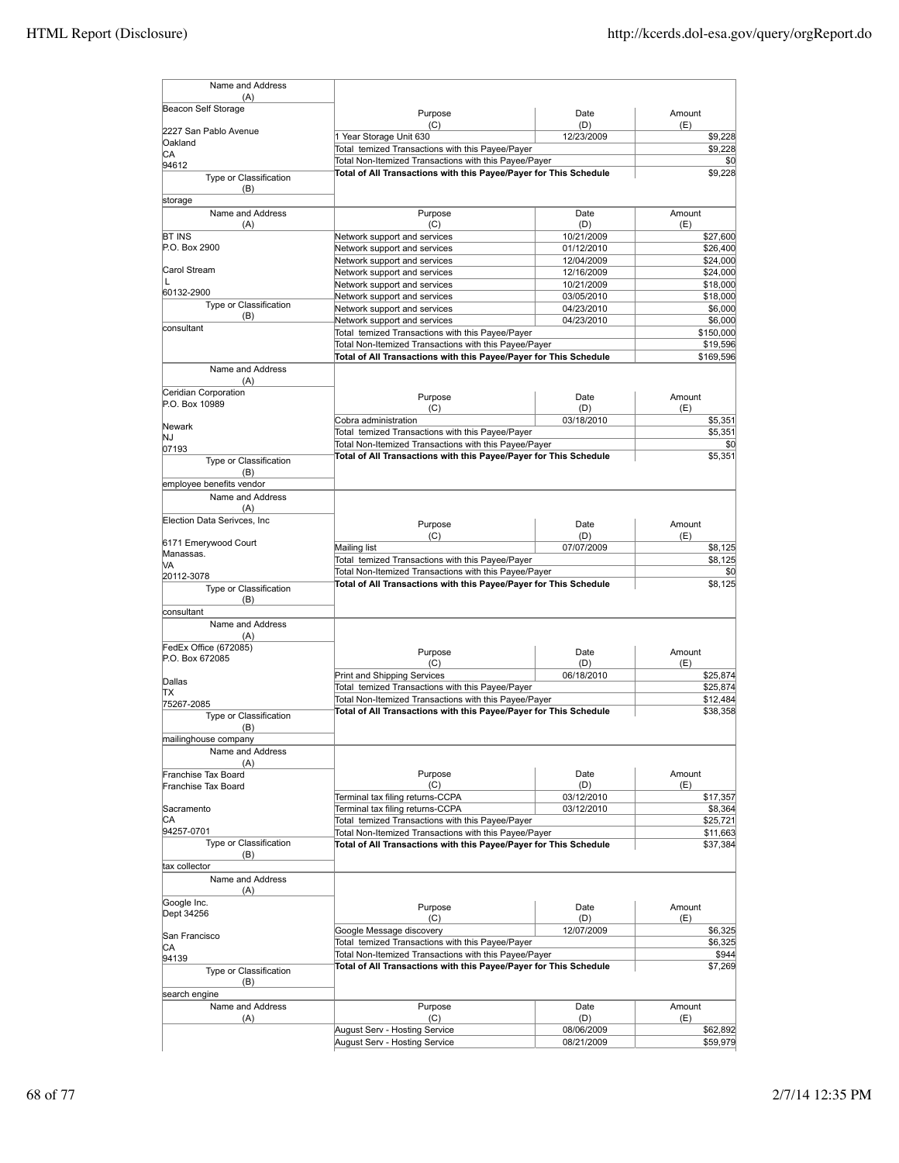| Name and Address                         |                                                                                                                            |                          |                       |
|------------------------------------------|----------------------------------------------------------------------------------------------------------------------------|--------------------------|-----------------------|
| (A)<br>Beacon Self Storage               |                                                                                                                            |                          |                       |
|                                          | Purpose                                                                                                                    | Date                     | Amount                |
| 2227 San Pablo Avenue                    | (C)<br>1 Year Storage Unit 630                                                                                             | (D)<br>12/23/2009        | (E)<br>\$9,228        |
| Oakland                                  | Total temized Transactions with this Payee/Payer                                                                           |                          | \$9.228               |
| СA<br>94612                              | Total Non-Itemized Transactions with this Payee/Payer                                                                      |                          | \$0                   |
| Type or Classification                   | Total of All Transactions with this Payee/Payer for This Schedule                                                          |                          | \$9,228               |
| (B)                                      |                                                                                                                            |                          |                       |
| storage<br>Name and Address              | Purpose                                                                                                                    | Date                     | Amount                |
| (A)                                      | (C)                                                                                                                        | (D)                      | (E)                   |
| <b>BT INS</b>                            | Network support and services                                                                                               | 10/21/2009               | \$27,600              |
| P.O. Box 2900                            | Network support and services                                                                                               | 01/12/2010               | \$26,400              |
| Carol Stream                             | Network support and services                                                                                               | 12/04/2009               | \$24,000<br>\$24,000  |
| L                                        | Network support and services<br>Network support and services                                                               | 12/16/2009<br>10/21/2009 | \$18,000              |
| 60132-2900                               | Network support and services                                                                                               | 03/05/2010               | \$18,000              |
| Type or Classification                   | Network support and services                                                                                               | 04/23/2010               | \$6,000               |
| (B)<br>consultant                        | Network support and services                                                                                               | 04/23/2010               | \$6,000               |
|                                          | Total temized Transactions with this Payee/Payer                                                                           |                          | \$150,000             |
|                                          | Total Non-Itemized Transactions with this Payee/Payer<br>Total of All Transactions with this Payee/Payer for This Schedule |                          | \$19,596<br>\$169,596 |
| Name and Address                         |                                                                                                                            |                          |                       |
| (A)                                      |                                                                                                                            |                          |                       |
| Ceridian Corporation<br>P.O. Box 10989   | Purpose                                                                                                                    | Date                     | Amount                |
|                                          | (C)                                                                                                                        | (D)                      | (E)                   |
| Newark                                   | Cobra administration<br>Total temized Transactions with this Payee/Payer                                                   | 03/18/2010               | \$5,351<br>\$5,351    |
| NJ                                       | Total Non-Itemized Transactions with this Payee/Payer                                                                      |                          | \$0                   |
| 07193<br>Type or Classification          | Total of All Transactions with this Payee/Payer for This Schedule                                                          |                          | \$5,351               |
| (B)                                      |                                                                                                                            |                          |                       |
| employee benefits vendor                 |                                                                                                                            |                          |                       |
| Name and Address                         |                                                                                                                            |                          |                       |
| (A)                                      |                                                                                                                            |                          |                       |
| Election Data Serivces, Inc              | Purpose                                                                                                                    | Date                     | Amount                |
| 6171 Emerywood Court                     | (C)<br>Mailing list                                                                                                        | (D)<br>07/07/2009        | (E)<br>\$8,125        |
| Manassas.                                | Total temized Transactions with this Payee/Payer                                                                           |                          | \$8,125               |
| VA<br>20112-3078                         | Total Non-Itemized Transactions with this Payee/Payer                                                                      |                          | \$0                   |
| Type or Classification                   | Total of All Transactions with this Payee/Payer for This Schedule                                                          |                          | \$8,125               |
| (B)                                      |                                                                                                                            |                          |                       |
| consultant                               |                                                                                                                            |                          |                       |
| Name and Address<br>(A)                  |                                                                                                                            |                          |                       |
| FedEx Office (672085)                    | Purpose                                                                                                                    | Date                     | Amount                |
| P.O. Box 672085                          | (C)                                                                                                                        | (D)                      | (E)                   |
| Dallas                                   | Print and Shipping Services                                                                                                | 06/18/2010               | \$25.874              |
| ТX                                       | Total temized Transactions with this Payee/Payer                                                                           |                          | \$25,874              |
| 75267-2085                               | Total Non-Itemized Transactions with this Payee/Payer                                                                      |                          | \$12,484              |
| Type or Classification                   | Total of All Transactions with this Payee/Payer for This Schedule                                                          |                          | \$38,358              |
| (B)                                      |                                                                                                                            |                          |                       |
| mailinghouse company<br>Name and Address |                                                                                                                            |                          |                       |
| (A)                                      |                                                                                                                            |                          |                       |
| Franchise Tax Board                      | Purpose                                                                                                                    | Date                     | Amount                |
| Franchise Tax Board                      | (C)                                                                                                                        | (D)                      | (E)                   |
| Sacramento                               | Terminal tax filing returns-CCPA<br>Terminal tax filing returns-CCPA                                                       | 03/12/2010<br>03/12/2010 | \$17,357<br>\$8,364   |
| СA                                       | Total temized Transactions with this Payee/Payer                                                                           |                          | \$25,721              |
| 94257-0701                               | Total Non-Itemized Transactions with this Payee/Payer                                                                      |                          | \$11,663              |
| Type or Classification                   | Total of All Transactions with this Payee/Payer for This Schedule                                                          |                          | \$37,384              |
| (B)<br>tax collector                     |                                                                                                                            |                          |                       |
| Name and Address                         |                                                                                                                            |                          |                       |
| (A)                                      |                                                                                                                            |                          |                       |
| Google Inc.                              | Purpose                                                                                                                    | Date                     | Amount                |
| Dept 34256                               | (C)                                                                                                                        | (D)                      | (E)                   |
| San Francisco                            | Google Message discovery                                                                                                   | 12/07/2009               | \$6,325               |
| CA                                       | Total temized Transactions with this Payee/Payer<br>Total Non-Itemized Transactions with this Payee/Payer                  |                          | \$6,325<br>\$944      |
| 94139                                    | Total of All Transactions with this Payee/Payer for This Schedule                                                          |                          | \$7,269               |
| Type or Classification<br>(B)            |                                                                                                                            |                          |                       |
| search engine                            |                                                                                                                            |                          |                       |
| Name and Address                         | Purpose                                                                                                                    | Date                     | Amount                |
| (A)                                      | (C)                                                                                                                        | (D)                      | (E)                   |
|                                          | August Serv - Hosting Service                                                                                              | 08/06/2009               | \$62,892              |
|                                          | August Serv - Hosting Service                                                                                              | 08/21/2009               | \$59,979              |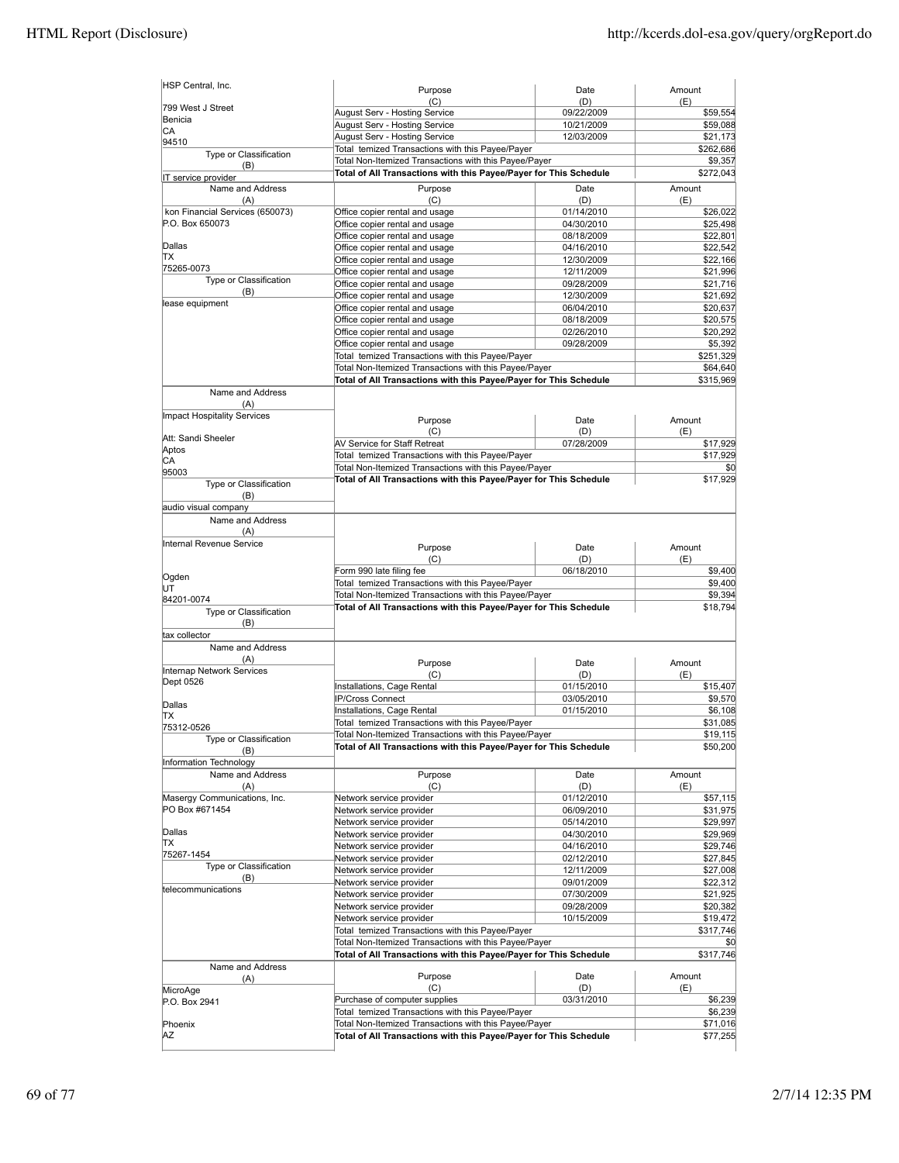| HSP Central, Inc.                      | Purpose                                                                                                                    | Date                     | Amount                                                                                                    |
|----------------------------------------|----------------------------------------------------------------------------------------------------------------------------|--------------------------|-----------------------------------------------------------------------------------------------------------|
| 799 West J Street                      | (C)                                                                                                                        | (D)                      | (E)                                                                                                       |
| Benicia                                | August Serv - Hosting Service                                                                                              | 09/22/2009               | \$59,554                                                                                                  |
| CA                                     | August Serv - Hosting Service                                                                                              | 10/21/2009               | \$59,088                                                                                                  |
| 94510                                  | August Serv - Hosting Service                                                                                              | 12/03/2009               | \$21,173                                                                                                  |
| Type or Classification                 | Total temized Transactions with this Payee/Payer                                                                           |                          | \$262,686                                                                                                 |
| (B)                                    | Total Non-Itemized Transactions with this Payee/Payer<br>Total of All Transactions with this Payee/Payer for This Schedule |                          | \$9,357<br>\$272,043                                                                                      |
| IT service provider                    |                                                                                                                            |                          |                                                                                                           |
| Name and Address                       | Purpose                                                                                                                    | Date                     | Amount                                                                                                    |
| (A)<br>kon Financial Services (650073) | (C)<br>Office copier rental and usage                                                                                      | (D)<br>01/14/2010        | (E)<br>\$26,022                                                                                           |
| P.O. Box 650073                        | Office copier rental and usage                                                                                             | 04/30/2010               | \$25,498                                                                                                  |
|                                        | Office copier rental and usage                                                                                             | 08/18/2009               | \$22,801                                                                                                  |
| Dallas                                 | Office copier rental and usage                                                                                             | 04/16/2010               | \$22,542                                                                                                  |
| ΠX                                     | Office copier rental and usage                                                                                             | 12/30/2009               | \$22,166                                                                                                  |
| 75265-0073                             | Office copier rental and usage                                                                                             | 12/11/2009               | \$21,996                                                                                                  |
| Type or Classification                 | Office copier rental and usage                                                                                             | 09/28/2009               | \$21,716                                                                                                  |
| (B)                                    | Office copier rental and usage                                                                                             | 12/30/2009               | \$21,692                                                                                                  |
| lease equipment                        | Office copier rental and usage                                                                                             | 06/04/2010               | \$20,637                                                                                                  |
|                                        | Office copier rental and usage                                                                                             | 08/18/2009               | \$20,575                                                                                                  |
|                                        | Office copier rental and usage                                                                                             | 02/26/2010               | \$20,292                                                                                                  |
|                                        | Office copier rental and usage                                                                                             | 09/28/2009               | \$5,392                                                                                                   |
|                                        | Total temized Transactions with this Payee/Payer                                                                           |                          | \$251,329                                                                                                 |
|                                        | Total Non-Itemized Transactions with this Payee/Payer                                                                      |                          | \$64,640                                                                                                  |
|                                        | Total of All Transactions with this Payee/Payer for This Schedule                                                          |                          | \$315,969                                                                                                 |
| Name and Address                       |                                                                                                                            |                          |                                                                                                           |
| (A)                                    |                                                                                                                            |                          |                                                                                                           |
| Impact Hospitality Services            | Purpose                                                                                                                    | Date                     | Amount                                                                                                    |
| Att: Sandi Sheeler                     | (C)                                                                                                                        | (D)                      | (E)                                                                                                       |
| Aptos                                  | AV Service for Staff Retreat                                                                                               | 07/28/2009               | \$17,929                                                                                                  |
| СA                                     | Total temized Transactions with this Payee/Payer                                                                           |                          | \$17,929                                                                                                  |
| 95003                                  | Total Non-Itemized Transactions with this Payee/Payer                                                                      |                          | \$0                                                                                                       |
| Type or Classification                 | Total of All Transactions with this Payee/Payer for This Schedule                                                          |                          | \$17,929                                                                                                  |
| (B)                                    |                                                                                                                            |                          |                                                                                                           |
| audio visual company                   |                                                                                                                            |                          |                                                                                                           |
| Name and Address                       |                                                                                                                            |                          |                                                                                                           |
| (A)                                    |                                                                                                                            |                          |                                                                                                           |
| Internal Revenue Service               | Purpose                                                                                                                    | Date                     | Amount                                                                                                    |
|                                        | (C)                                                                                                                        | (D)                      | (E)                                                                                                       |
|                                        |                                                                                                                            |                          |                                                                                                           |
|                                        | Form 990 late filing fee                                                                                                   | 06/18/2010               |                                                                                                           |
| Ogden                                  | Total temized Transactions with this Payee/Payer                                                                           |                          |                                                                                                           |
| UT<br>84201-0074                       | Total Non-Itemized Transactions with this Payee/Payer                                                                      |                          |                                                                                                           |
| Type or Classification                 | Total of All Transactions with this Payee/Payer for This Schedule                                                          |                          | \$18,794                                                                                                  |
| (B)                                    |                                                                                                                            |                          |                                                                                                           |
| tax collector                          |                                                                                                                            |                          |                                                                                                           |
| Name and Address                       |                                                                                                                            |                          | \$9,400<br>\$9,400<br>\$9,394                                                                             |
| (A)                                    | Purpose                                                                                                                    | Date                     | Amount                                                                                                    |
| Internap Network Services              | (C)                                                                                                                        | (D)                      | (E)                                                                                                       |
| Dept 0526                              | Installations, Cage Rental                                                                                                 | 01/15/2010               |                                                                                                           |
|                                        | IP/Cross Connect                                                                                                           | 03/05/2010               |                                                                                                           |
| Dallas<br>IΤX                          | Installations, Cage Rental                                                                                                 | 01/15/2010               | \$15,407<br>\$9,570<br>\$6,108                                                                            |
| 75312-0526                             | Total temized Transactions with this Payee/Payer                                                                           |                          | \$31,085                                                                                                  |
| Type or Classification                 | Total Non-Itemized Transactions with this Payee/Payer                                                                      |                          |                                                                                                           |
| (B)                                    | Total of All Transactions with this Payee/Payer for This Schedule                                                          |                          | \$19,115<br>\$50,200                                                                                      |
| Information Technology                 |                                                                                                                            |                          |                                                                                                           |
| Name and Address                       | Purpose                                                                                                                    | Date                     | Amount                                                                                                    |
| (A)                                    | (C)                                                                                                                        | (D)                      | (E)                                                                                                       |
| Masergy Communications, Inc.           | Network service provider                                                                                                   | 01/12/2010               | \$57,115                                                                                                  |
| PO Box #671454                         | Network service provider                                                                                                   | 06/09/2010               |                                                                                                           |
|                                        | Network service provider                                                                                                   | 05/14/2010               | \$31,975<br>\$29,997                                                                                      |
| Dallas                                 | Network service provider                                                                                                   | 04/30/2010               | \$29,969                                                                                                  |
| ΠX<br>75267-1454                       | Network service provider                                                                                                   | 04/16/2010               | \$29,746                                                                                                  |
| Type or Classification                 | Network service provider                                                                                                   | 02/12/2010               |                                                                                                           |
| (B)                                    | Network service provider                                                                                                   | 12/11/2009               |                                                                                                           |
| telecommunications                     | Network service provider                                                                                                   | 09/01/2009               |                                                                                                           |
|                                        | Network service provider                                                                                                   | 07/30/2009               |                                                                                                           |
|                                        | Network service provider<br>Network service provider                                                                       | 09/28/2009<br>10/15/2009 |                                                                                                           |
|                                        | Total temized Transactions with this Payee/Payer                                                                           |                          |                                                                                                           |
|                                        | Total Non-Itemized Transactions with this Payee/Payer                                                                      |                          | \$0                                                                                                       |
|                                        | Total of All Transactions with this Payee/Payer for This Schedule                                                          |                          |                                                                                                           |
| Name and Address                       |                                                                                                                            |                          |                                                                                                           |
| (A)                                    | Purpose                                                                                                                    | Date                     | Amount                                                                                                    |
| MicroAge                               | (C)                                                                                                                        | (D)                      | (E)                                                                                                       |
| P.O. Box 2941                          | Purchase of computer supplies                                                                                              | 03/31/2010               | \$27,845<br>\$27,008<br>\$22,312<br>\$21,925<br>\$20,382<br>\$19,472<br>\$317,746<br>\$317,746<br>\$6,239 |
|                                        | Total temized Transactions with this Payee/Payer                                                                           |                          | \$6,239                                                                                                   |
| Phoenix<br>AZ                          | Total Non-Itemized Transactions with this Payee/Payer<br>Total of All Transactions with this Payee/Payer for This Schedule |                          | \$71,016<br>\$77,255                                                                                      |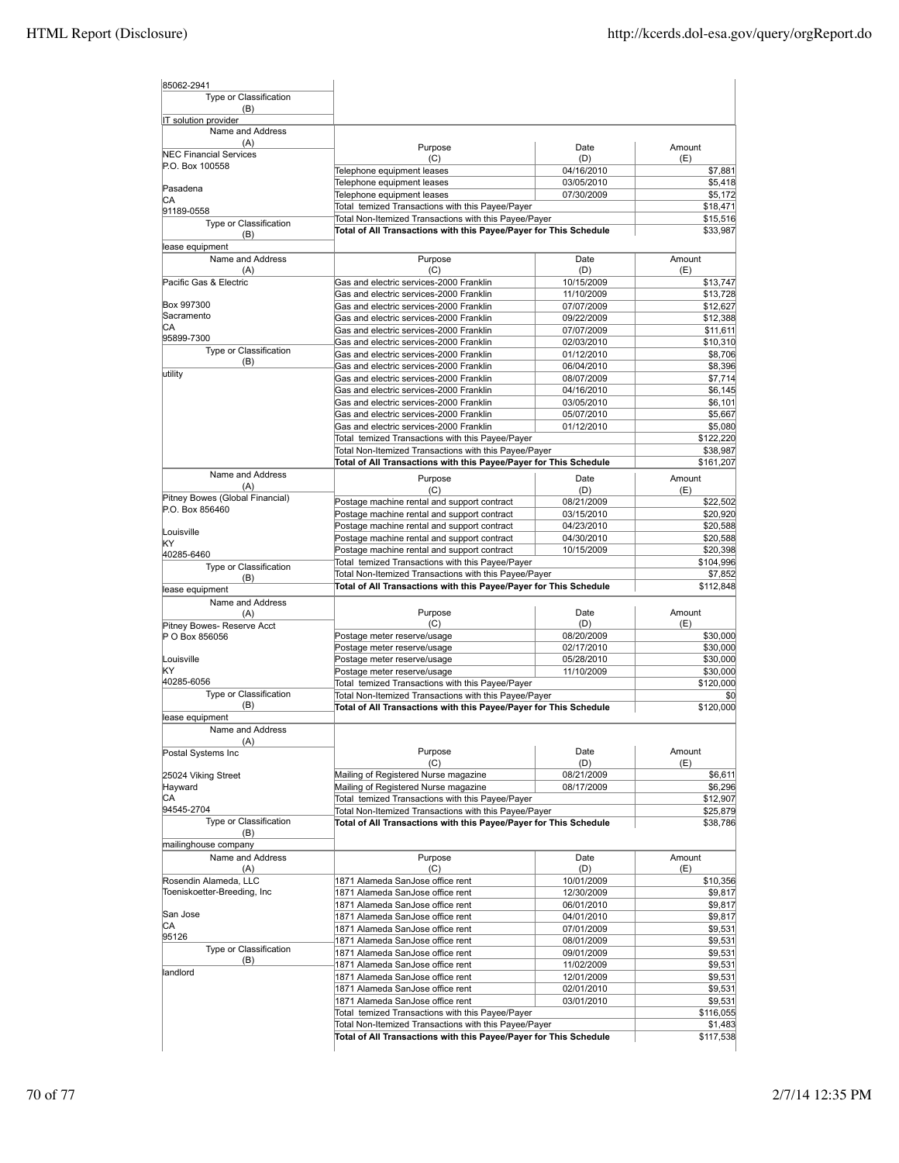| 85062-2941                               |                                                                                                                            |                   |                      |
|------------------------------------------|----------------------------------------------------------------------------------------------------------------------------|-------------------|----------------------|
| Type or Classification                   |                                                                                                                            |                   |                      |
| (B)                                      |                                                                                                                            |                   |                      |
| IT solution provider<br>Name and Address |                                                                                                                            |                   |                      |
| (A)                                      |                                                                                                                            |                   |                      |
| <b>NEC Financial Services</b>            | Purpose                                                                                                                    | Date              | Amount               |
| P.O. Box 100558                          | (C)<br>Telephone equipment leases                                                                                          | (D)<br>04/16/2010 | (E)                  |
|                                          | Telephone equipment leases                                                                                                 | 03/05/2010        | \$7,881<br>\$5,418   |
| Pasadena                                 | Telephone equipment leases                                                                                                 | 07/30/2009        | \$5,172              |
| СA                                       | Total temized Transactions with this Payee/Payer                                                                           |                   | \$18,471             |
| 91189-0558                               | Total Non-Itemized Transactions with this Payee/Payer                                                                      |                   | \$15,516             |
| Type or Classification                   | Total of All Transactions with this Payee/Payer for This Schedule                                                          |                   | \$33,987             |
| (B)                                      |                                                                                                                            |                   |                      |
| lease equipment                          |                                                                                                                            |                   |                      |
| Name and Address<br>(A)                  | Purpose<br>(C)                                                                                                             | Date<br>(D)       | Amount<br>(E)        |
| Pacific Gas & Electric                   | Gas and electric services-2000 Franklin                                                                                    | 10/15/2009        | \$13,747             |
|                                          | Gas and electric services-2000 Franklin                                                                                    | 11/10/2009        | \$13,728             |
| Box 997300                               | Gas and electric services-2000 Franklin                                                                                    | 07/07/2009        | \$12,627             |
| Sacramento                               | Gas and electric services-2000 Franklin                                                                                    | 09/22/2009        | \$12,388             |
| СA                                       | Gas and electric services-2000 Franklin                                                                                    | 07/07/2009        | \$11,611             |
| 95899-7300                               | Gas and electric services-2000 Franklin                                                                                    | 02/03/2010        | \$10,310             |
| Type or Classification                   | Gas and electric services-2000 Franklin                                                                                    | 01/12/2010        | \$8,706              |
| (B)                                      | Gas and electric services-2000 Franklin                                                                                    | 06/04/2010        | \$8,396              |
| utility                                  | Gas and electric services-2000 Franklin                                                                                    | 08/07/2009        | \$7,714              |
|                                          | Gas and electric services-2000 Franklin                                                                                    | 04/16/2010        | \$6,145              |
|                                          | Gas and electric services-2000 Franklin                                                                                    | 03/05/2010        | \$6,101              |
|                                          | Gas and electric services-2000 Franklin                                                                                    | 05/07/2010        | \$5,667              |
|                                          | Gas and electric services-2000 Franklin                                                                                    | 01/12/2010        | \$5,080              |
|                                          | Total temized Transactions with this Payee/Payer                                                                           |                   | \$122,220            |
|                                          | Total Non-Itemized Transactions with this Payee/Payer                                                                      |                   | \$38,987             |
|                                          | Total of All Transactions with this Payee/Payer for This Schedule                                                          |                   | \$161,207            |
| Name and Address                         |                                                                                                                            |                   |                      |
| (A)                                      | Purpose                                                                                                                    | Date              | Amount               |
| Pitney Bowes (Global Financial)          | (C)                                                                                                                        | (D)               | (E)                  |
| P.O. Box 856460                          | Postage machine rental and support contract                                                                                | 08/21/2009        | \$22,502             |
|                                          | Postage machine rental and support contract                                                                                | 03/15/2010        | \$20,920             |
| Louisville                               | Postage machine rental and support contract                                                                                | 04/23/2010        | \$20,588             |
| KY                                       | Postage machine rental and support contract                                                                                | 04/30/2010        | \$20,588             |
| 40285-6460                               | Postage machine rental and support contract                                                                                | 10/15/2009        | \$20,398             |
| Type or Classification                   | Total temized Transactions with this Payee/Payer                                                                           |                   | \$104,996            |
| (B)                                      | Total Non-Itemized Transactions with this Payee/Payer                                                                      |                   | \$7,852              |
| lease equipment                          | Total of All Transactions with this Payee/Payer for This Schedule                                                          |                   | \$112,848            |
| Name and Address                         |                                                                                                                            |                   |                      |
| (A)                                      | Purpose                                                                                                                    | Date              | Amount               |
| Pitney Bowes- Reserve Acct               | (C)                                                                                                                        | (D)               | (E)                  |
| P O Box 856056                           | Postage meter reserve/usage                                                                                                | 08/20/2009        | \$30,000             |
|                                          | Postage meter reserve/usage                                                                                                | 02/17/2010        | \$30,000             |
| Louisville                               | Postage meter reserve/usage                                                                                                | 05/28/2010        | \$30,000             |
| KΥ                                       | Postage meter reserve/usage                                                                                                | 11/10/2009        | \$30,000             |
| 40285-6056                               | Total temized Transactions with this Payee/Payer                                                                           |                   | \$120,000            |
| Type or Classification                   | Total Non-Itemized Transactions with this Payee/Payer                                                                      |                   | \$0                  |
| (B)                                      | Total of All Transactions with this Payee/Payer for This Schedule                                                          |                   | \$120,000            |
| lease equipment                          |                                                                                                                            |                   |                      |
| Name and Address                         |                                                                                                                            |                   |                      |
| (A)                                      | Purpose                                                                                                                    | Date              | Amount               |
| Postal Systems Inc                       | (C)                                                                                                                        | (D)               | (E)                  |
| 25024 Viking Street                      | Mailing of Registered Nurse magazine                                                                                       | 08/21/2009        | \$6,611              |
| Hayward                                  | Mailing of Registered Nurse magazine                                                                                       | 08/17/2009        | \$6,296              |
| СA                                       | Total temized Transactions with this Payee/Payer                                                                           |                   | \$12,907             |
| 94545-2704                               | Total Non-Itemized Transactions with this Payee/Payer                                                                      |                   | \$25,879             |
| Type or Classification                   | Total of All Transactions with this Payee/Payer for This Schedule                                                          |                   | \$38,786             |
| (B)                                      |                                                                                                                            |                   |                      |
| mailinghouse company                     |                                                                                                                            |                   |                      |
| Name and Address                         | Purpose                                                                                                                    | Date              | Amount               |
| (A)                                      | (C)                                                                                                                        | (D)               | (E)                  |
| Rosendin Alameda, LLC                    | 1871 Alameda SanJose office rent                                                                                           | 10/01/2009        | \$10,356             |
| Toeniskoetter-Breeding, Inc              | 1871 Alameda SanJose office rent                                                                                           | 12/30/2009        | \$9,817              |
|                                          | 1871 Alameda SanJose office rent                                                                                           | 06/01/2010        | \$9,817              |
| San Jose                                 | 1871 Alameda SanJose office rent                                                                                           | 04/01/2010        | \$9,817              |
| СA                                       | 1871 Alameda SanJose office rent                                                                                           | 07/01/2009        | \$9,531              |
| 95126                                    | 1871 Alameda SanJose office rent                                                                                           | 08/01/2009        | \$9,531              |
| Type or Classification                   | 1871 Alameda SanJose office rent                                                                                           | 09/01/2009        | \$9,531              |
| (B)                                      | 1871 Alameda SanJose office rent                                                                                           | 11/02/2009        | \$9,531              |
| landlord                                 | 1871 Alameda SanJose office rent                                                                                           | 12/01/2009        | \$9,531              |
|                                          | 1871 Alameda SanJose office rent                                                                                           | 02/01/2010        | \$9,531              |
|                                          | 1871 Alameda SanJose office rent                                                                                           | 03/01/2010        | \$9,531              |
|                                          | Total temized Transactions with this Payee/Payer                                                                           |                   | \$116,055            |
|                                          |                                                                                                                            |                   |                      |
|                                          | Total Non-Itemized Transactions with this Payee/Payer<br>Total of All Transactions with this Payee/Payer for This Schedule |                   |                      |
|                                          |                                                                                                                            |                   | \$1,483<br>\$117,538 |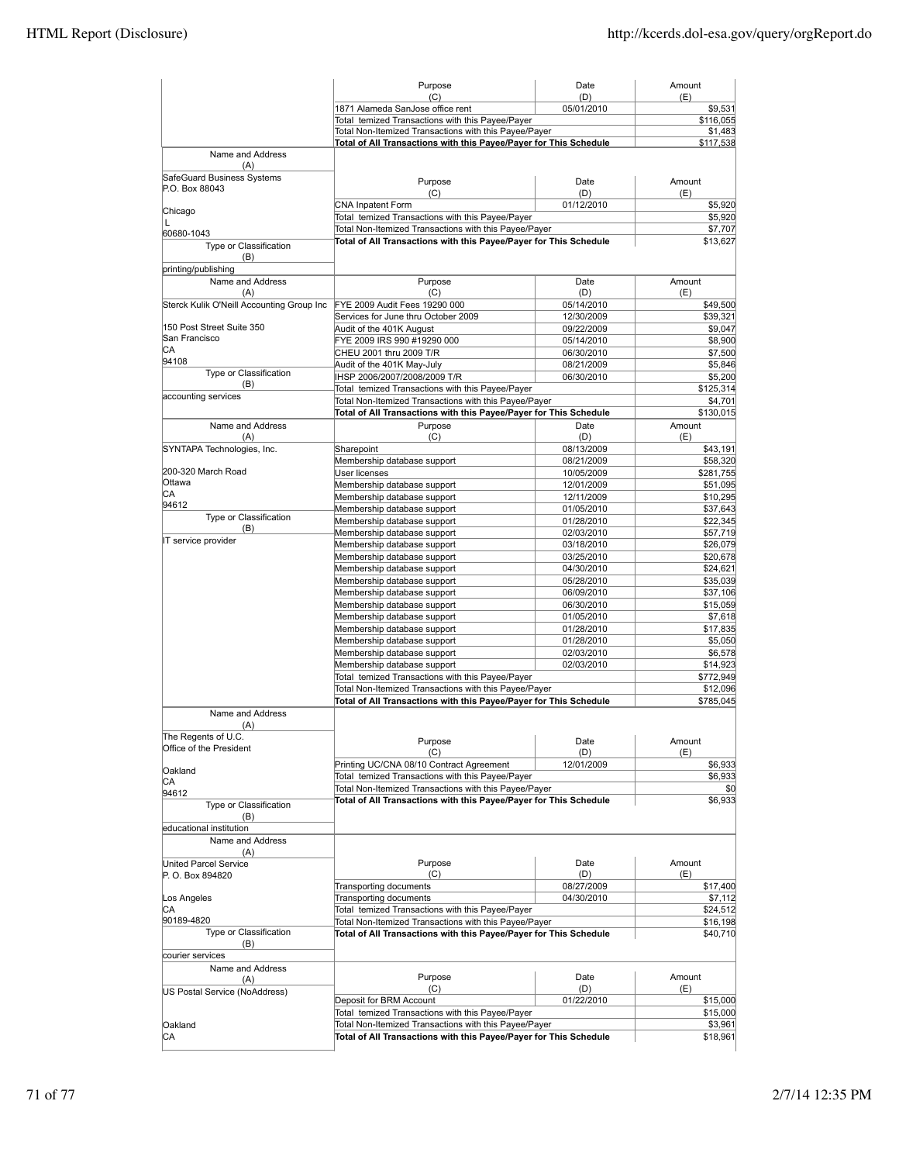|                                                  | Purpose                                                                                                                    | Date                     | Amount                |
|--------------------------------------------------|----------------------------------------------------------------------------------------------------------------------------|--------------------------|-----------------------|
|                                                  | (C)<br>1871 Alameda SanJose office rent                                                                                    | (D)<br>05/01/2010        | (E)<br>\$9,531        |
|                                                  | Total temized Transactions with this Payee/Payer                                                                           |                          | \$116,055             |
|                                                  | Total Non-Itemized Transactions with this Payee/Payer                                                                      |                          | \$1,483               |
|                                                  | Total of All Transactions with this Payee/Payer for This Schedule                                                          |                          | \$117,538             |
| Name and Address<br>(A)                          |                                                                                                                            |                          |                       |
| SafeGuard Business Systems<br>P.O. Box 88043     | Purpose                                                                                                                    | Date                     | Amount                |
| Chicago                                          | (C)<br>CNA Inpatent Form                                                                                                   | (D)<br>01/12/2010        | (E)<br>\$5,920        |
| L                                                | Total temized Transactions with this Payee/Payer                                                                           |                          | \$5,920               |
| 60680-1043                                       | Total Non-Itemized Transactions with this Payee/Payer<br>Total of All Transactions with this Payee/Payer for This Schedule |                          | \$7,707<br>\$13,627   |
| Type or Classification<br>(B)                    |                                                                                                                            |                          |                       |
| printing/publishing                              |                                                                                                                            |                          |                       |
| Name and Address                                 | Purpose                                                                                                                    | Date                     | Amount                |
| (A)<br>Sterck Kulik O'Neill Accounting Group Inc | (C)<br>FYE 2009 Audit Fees 19290 000                                                                                       | (D)<br>05/14/2010        | (E)                   |
|                                                  | Services for June thru October 2009                                                                                        | 12/30/2009               | \$49,500<br>\$39,321  |
| 150 Post Street Suite 350                        | Audit of the 401K August                                                                                                   | 09/22/2009               | \$9,047               |
| San Francisco                                    | FYE 2009 IRS 990 #19290 000                                                                                                | 05/14/2010               | \$8,900               |
| СA<br>94108                                      | CHEU 2001 thru 2009 T/R                                                                                                    | 06/30/2010               | \$7,500               |
| Type or Classification                           | Audit of the 401K May-July                                                                                                 | 08/21/2009               | \$5,846               |
| (B)                                              | IHSP 2006/2007/2008/2009 T/R<br>Total temized Transactions with this Payee/Payer                                           | 06/30/2010               | \$5,200<br>\$125,314  |
| accounting services                              | Total Non-Itemized Transactions with this Payee/Payer                                                                      |                          | \$4,701               |
|                                                  | Total of All Transactions with this Payee/Payer for This Schedule                                                          |                          | \$130,015             |
| Name and Address                                 | Purpose                                                                                                                    | Date                     | Amount                |
| (A)                                              | (C)                                                                                                                        | (D)                      | (E)                   |
| SYNTAPA Technologies, Inc.                       | Sharepoint                                                                                                                 | 08/13/2009               | \$43,191              |
| 200-320 March Road                               | Membership database support                                                                                                | 08/21/2009               | \$58,320              |
| Ottawa                                           | User licenses<br>Membership database support                                                                               | 10/05/2009<br>12/01/2009 | \$281,755<br>\$51,095 |
| СA                                               | Membership database support                                                                                                | 12/11/2009               | \$10,295              |
| 94612                                            | Membership database support                                                                                                | 01/05/2010               | \$37,643              |
| Type or Classification                           | Membership database support                                                                                                | 01/28/2010               | \$22,345              |
| (B)<br>IT service provider                       | Membership database support                                                                                                | 02/03/2010               | \$57,719              |
|                                                  | Membership database support                                                                                                | 03/18/2010               | \$26,079              |
|                                                  | Membership database support                                                                                                | 03/25/2010               | \$20,678              |
|                                                  | Membership database support<br>Membership database support                                                                 | 04/30/2010<br>05/28/2010 | \$24,621<br>\$35,039  |
|                                                  | Membership database support                                                                                                | 06/09/2010               | \$37,106              |
|                                                  | Membership database support                                                                                                | 06/30/2010               | \$15,059              |
|                                                  | Membership database support                                                                                                | 01/05/2010               | \$7,618               |
|                                                  | Membership database support                                                                                                | 01/28/2010               | \$17,835              |
|                                                  | Membership database support                                                                                                | 01/28/2010               | \$5,050               |
|                                                  | Membership database support                                                                                                | 02/03/2010               | \$6,578<br>\$14,923   |
|                                                  | Membership database support<br>Total temized Transactions with this Payee/Payer                                            | 02/03/2010               | \$772,949             |
|                                                  | Total Non-Itemized Transactions with this Payee/Payer                                                                      |                          |                       |
|                                                  | Total of All Transactions with this Payee/Payer for This Schedule                                                          |                          | \$12,096<br>\$785,045 |
| Name and Address<br>(A)                          |                                                                                                                            |                          |                       |
| The Regents of U.C.                              |                                                                                                                            |                          | Amount                |
| Office of the President                          | Purpose<br>(C)                                                                                                             | Date<br>(D)              | (E)                   |
|                                                  | Printing UC/CNA 08/10 Contract Agreement                                                                                   | 12/01/2009               | \$6,933               |
| Oakland<br>СA                                    | Total temized Transactions with this Payee/Payer                                                                           |                          | \$6,933               |
| 94612                                            | Total Non-Itemized Transactions with this Payee/Payer                                                                      |                          | \$0                   |
| Type or Classification<br>(B)                    | Total of All Transactions with this Payee/Payer for This Schedule                                                          |                          | \$6,933               |
| educational institution                          |                                                                                                                            |                          |                       |
| Name and Address                                 |                                                                                                                            |                          |                       |
| (A)                                              |                                                                                                                            |                          |                       |
| United Parcel Service<br>P. O. Box 894820        | Purpose<br>(C)                                                                                                             | Date<br>(D)              | Amount<br>(E)         |
|                                                  | Transporting documents                                                                                                     | 08/27/2009               | \$17,400              |
| Los Angeles                                      | Transporting documents                                                                                                     | 04/30/2010               | \$7,112               |
| СA                                               | Total temized Transactions with this Payee/Payer                                                                           |                          | \$24,512              |
| 90189-4820                                       | Total Non-Itemized Transactions with this Payee/Payer                                                                      | \$16,198                 |                       |
| Type or Classification<br>(B)                    | Total of All Transactions with this Payee/Payer for This Schedule                                                          |                          | \$40,710              |
| courier services                                 |                                                                                                                            |                          |                       |
| Name and Address                                 |                                                                                                                            |                          |                       |
| (A)                                              | Purpose                                                                                                                    | Date                     | Amount                |
| US Postal Service (NoAddress)                    | (C)                                                                                                                        | (D)<br>01/22/2010        | (E)<br>\$15,000       |
|                                                  | Deposit for BRM Account<br>Total temized Transactions with this Payee/Payer                                                |                          | \$15,000              |
| Oakland                                          | Total Non-Itemized Transactions with this Payee/Payer                                                                      |                          | \$3,961               |
| СA                                               | Total of All Transactions with this Payee/Payer for This Schedule                                                          |                          | \$18,961              |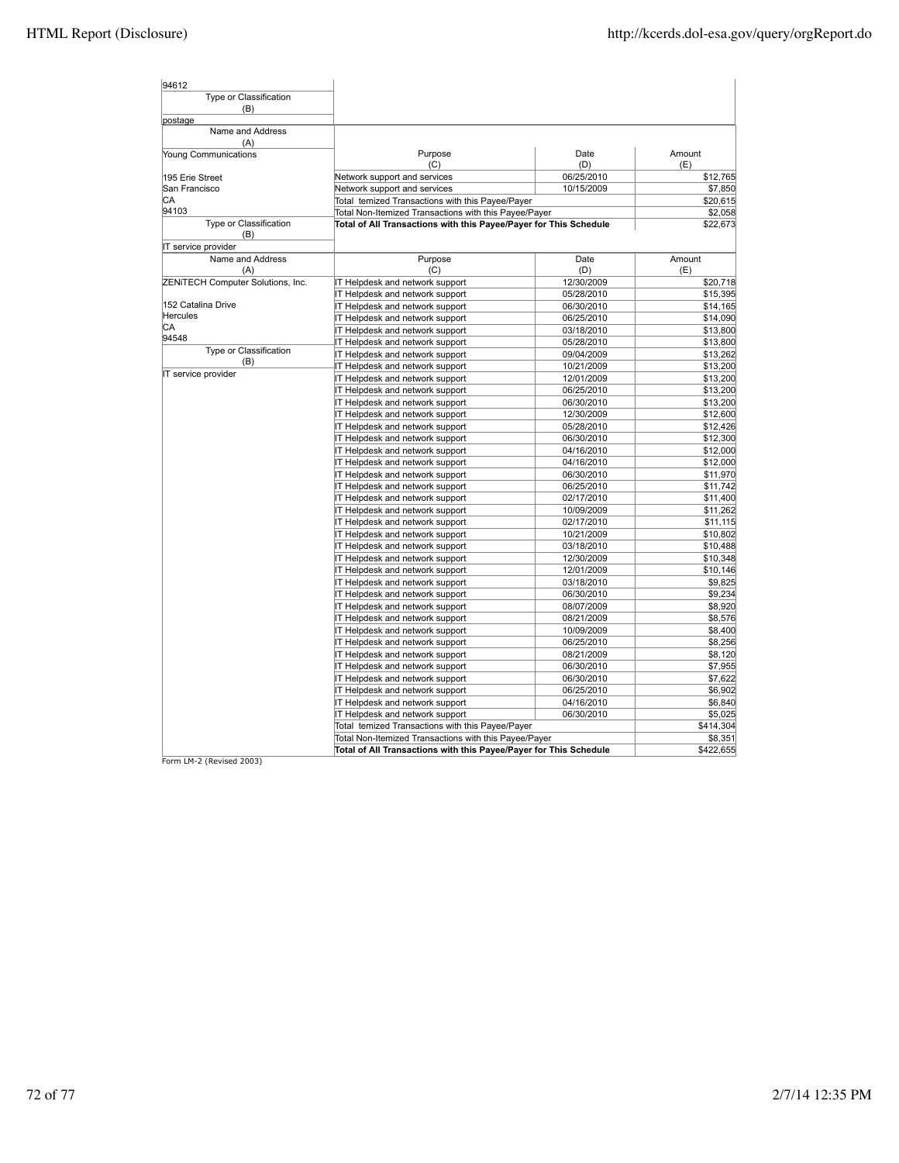| Type or Classification<br>(B)<br>Name and Address<br>(A)<br>Amount<br>Purpose<br>Date<br>(C)<br>(D)<br>(E)<br>06/25/2010<br>Network support and services<br>\$12,765<br>Network support and services<br>10/15/2009<br>\$7,850<br>Total temized Transactions with this Payee/Payer<br>\$20,615<br>94103<br>Total Non-Itemized Transactions with this Payee/Payer<br>\$2,058<br>Type or Classification<br>Total of All Transactions with this Payee/Payer for This Schedule<br>\$22,673<br>(B)<br>IT service provider<br>Name and Address<br>Purpose<br>Amount<br>Date<br>(A)<br>(C)<br>(D)<br>(E)<br>IT Helpdesk and network support<br>12/30/2009<br>\$20,718<br>\$15,395<br>IT Helpdesk and network support<br>05/28/2010<br>152 Catalina Drive<br>06/30/2010<br>\$14,165<br>IT Helpdesk and network support<br><b>Hercules</b><br>IT Helpdesk and network support<br>06/25/2010<br>\$14,090<br>СA<br>\$13,800<br>IT Helpdesk and network support<br>03/18/2010<br>94548<br>IT Helpdesk and network support<br>\$13,800<br>05/28/2010<br>Type or Classification<br>IT Helpdesk and network support<br>09/04/2009<br>\$13,262<br>(B)<br>\$13,200<br>IT Helpdesk and network support<br>10/21/2009<br>IT service provider<br>IT Helpdesk and network support<br>\$13,200<br>12/01/2009<br>IT Helpdesk and network support<br>06/25/2010<br>\$13,200<br>\$13,200<br>IT Helpdesk and network support<br>06/30/2010<br>IT Helpdesk and network support<br>\$12,600<br>12/30/2009<br>\$12,426<br>IT Helpdesk and network support<br>05/28/2010<br>IT Helpdesk and network support<br>06/30/2010<br>\$12,300<br>IT Helpdesk and network support<br>\$12,000<br>04/16/2010<br>\$12,000<br>IT Helpdesk and network support<br>04/16/2010<br>\$11,970<br>IT Helpdesk and network support<br>06/30/2010<br>\$11,742<br>IT Helpdesk and network support<br>06/25/2010<br>\$11,400<br>IT Helpdesk and network support<br>02/17/2010<br>\$11,262<br>IT Helpdesk and network support<br>10/09/2009<br>IT Helpdesk and network support<br>02/17/2010<br>\$11,115<br>IT Helpdesk and network support<br>10/21/2009<br>\$10,802<br>IT Helpdesk and network support<br>\$10,488<br>03/18/2010<br>IT Helpdesk and network support<br>12/30/2009<br>\$10,348<br>IT Helpdesk and network support<br>12/01/2009<br>\$10,146<br>\$9,825<br>IT Helpdesk and network support<br>03/18/2010<br>IT Helpdesk and network support<br>06/30/2010<br>\$9,234<br>IT Helpdesk and network support<br>08/07/2009<br>\$8,920<br>IT Helpdesk and network support<br>08/21/2009<br>\$8,576<br>IT Helpdesk and network support<br>10/09/2009<br>\$8,400<br>\$8,256<br>IT Helpdesk and network support<br>06/25/2010<br>IT Helpdesk and network support<br>08/21/2009<br>\$8,120<br>IT Helpdesk and network support<br>06/30/2010<br>\$7,955<br>IT Helpdesk and network support<br>06/30/2010<br>\$7,622<br>IT Helpdesk and network support<br>06/25/2010<br>\$6,902<br>IT Helpdesk and network support<br>04/16/2010<br>\$6,840<br>IT Helpdesk and network support<br>\$5,025<br>06/30/2010<br>Total temized Transactions with this Payee/Payer<br>\$414,304<br>Total Non-Itemized Transactions with this Payee/Payer<br>\$8,351 | 94612                             |                                                                   |  |           |
|--------------------------------------------------------------------------------------------------------------------------------------------------------------------------------------------------------------------------------------------------------------------------------------------------------------------------------------------------------------------------------------------------------------------------------------------------------------------------------------------------------------------------------------------------------------------------------------------------------------------------------------------------------------------------------------------------------------------------------------------------------------------------------------------------------------------------------------------------------------------------------------------------------------------------------------------------------------------------------------------------------------------------------------------------------------------------------------------------------------------------------------------------------------------------------------------------------------------------------------------------------------------------------------------------------------------------------------------------------------------------------------------------------------------------------------------------------------------------------------------------------------------------------------------------------------------------------------------------------------------------------------------------------------------------------------------------------------------------------------------------------------------------------------------------------------------------------------------------------------------------------------------------------------------------------------------------------------------------------------------------------------------------------------------------------------------------------------------------------------------------------------------------------------------------------------------------------------------------------------------------------------------------------------------------------------------------------------------------------------------------------------------------------------------------------------------------------------------------------------------------------------------------------------------------------------------------------------------------------------------------------------------------------------------------------------------------------------------------------------------------------------------------------------------------------------------------------------------------------------------------------------------------------------------------------------------------------------------------------------------------------------------------------------------------------------------------------------------------------------------------------------------------------------------------------------------|-----------------------------------|-------------------------------------------------------------------|--|-----------|
|                                                                                                                                                                                                                                                                                                                                                                                                                                                                                                                                                                                                                                                                                                                                                                                                                                                                                                                                                                                                                                                                                                                                                                                                                                                                                                                                                                                                                                                                                                                                                                                                                                                                                                                                                                                                                                                                                                                                                                                                                                                                                                                                                                                                                                                                                                                                                                                                                                                                                                                                                                                                                                                                                                                                                                                                                                                                                                                                                                                                                                                                                                                                                                                            |                                   |                                                                   |  |           |
|                                                                                                                                                                                                                                                                                                                                                                                                                                                                                                                                                                                                                                                                                                                                                                                                                                                                                                                                                                                                                                                                                                                                                                                                                                                                                                                                                                                                                                                                                                                                                                                                                                                                                                                                                                                                                                                                                                                                                                                                                                                                                                                                                                                                                                                                                                                                                                                                                                                                                                                                                                                                                                                                                                                                                                                                                                                                                                                                                                                                                                                                                                                                                                                            |                                   |                                                                   |  |           |
|                                                                                                                                                                                                                                                                                                                                                                                                                                                                                                                                                                                                                                                                                                                                                                                                                                                                                                                                                                                                                                                                                                                                                                                                                                                                                                                                                                                                                                                                                                                                                                                                                                                                                                                                                                                                                                                                                                                                                                                                                                                                                                                                                                                                                                                                                                                                                                                                                                                                                                                                                                                                                                                                                                                                                                                                                                                                                                                                                                                                                                                                                                                                                                                            | postage                           |                                                                   |  |           |
|                                                                                                                                                                                                                                                                                                                                                                                                                                                                                                                                                                                                                                                                                                                                                                                                                                                                                                                                                                                                                                                                                                                                                                                                                                                                                                                                                                                                                                                                                                                                                                                                                                                                                                                                                                                                                                                                                                                                                                                                                                                                                                                                                                                                                                                                                                                                                                                                                                                                                                                                                                                                                                                                                                                                                                                                                                                                                                                                                                                                                                                                                                                                                                                            |                                   |                                                                   |  |           |
|                                                                                                                                                                                                                                                                                                                                                                                                                                                                                                                                                                                                                                                                                                                                                                                                                                                                                                                                                                                                                                                                                                                                                                                                                                                                                                                                                                                                                                                                                                                                                                                                                                                                                                                                                                                                                                                                                                                                                                                                                                                                                                                                                                                                                                                                                                                                                                                                                                                                                                                                                                                                                                                                                                                                                                                                                                                                                                                                                                                                                                                                                                                                                                                            | Young Communications              |                                                                   |  |           |
|                                                                                                                                                                                                                                                                                                                                                                                                                                                                                                                                                                                                                                                                                                                                                                                                                                                                                                                                                                                                                                                                                                                                                                                                                                                                                                                                                                                                                                                                                                                                                                                                                                                                                                                                                                                                                                                                                                                                                                                                                                                                                                                                                                                                                                                                                                                                                                                                                                                                                                                                                                                                                                                                                                                                                                                                                                                                                                                                                                                                                                                                                                                                                                                            | 195 Erie Street                   |                                                                   |  |           |
|                                                                                                                                                                                                                                                                                                                                                                                                                                                                                                                                                                                                                                                                                                                                                                                                                                                                                                                                                                                                                                                                                                                                                                                                                                                                                                                                                                                                                                                                                                                                                                                                                                                                                                                                                                                                                                                                                                                                                                                                                                                                                                                                                                                                                                                                                                                                                                                                                                                                                                                                                                                                                                                                                                                                                                                                                                                                                                                                                                                                                                                                                                                                                                                            | San Francisco                     |                                                                   |  |           |
|                                                                                                                                                                                                                                                                                                                                                                                                                                                                                                                                                                                                                                                                                                                                                                                                                                                                                                                                                                                                                                                                                                                                                                                                                                                                                                                                                                                                                                                                                                                                                                                                                                                                                                                                                                                                                                                                                                                                                                                                                                                                                                                                                                                                                                                                                                                                                                                                                                                                                                                                                                                                                                                                                                                                                                                                                                                                                                                                                                                                                                                                                                                                                                                            | СA                                |                                                                   |  |           |
|                                                                                                                                                                                                                                                                                                                                                                                                                                                                                                                                                                                                                                                                                                                                                                                                                                                                                                                                                                                                                                                                                                                                                                                                                                                                                                                                                                                                                                                                                                                                                                                                                                                                                                                                                                                                                                                                                                                                                                                                                                                                                                                                                                                                                                                                                                                                                                                                                                                                                                                                                                                                                                                                                                                                                                                                                                                                                                                                                                                                                                                                                                                                                                                            |                                   |                                                                   |  |           |
|                                                                                                                                                                                                                                                                                                                                                                                                                                                                                                                                                                                                                                                                                                                                                                                                                                                                                                                                                                                                                                                                                                                                                                                                                                                                                                                                                                                                                                                                                                                                                                                                                                                                                                                                                                                                                                                                                                                                                                                                                                                                                                                                                                                                                                                                                                                                                                                                                                                                                                                                                                                                                                                                                                                                                                                                                                                                                                                                                                                                                                                                                                                                                                                            |                                   |                                                                   |  |           |
|                                                                                                                                                                                                                                                                                                                                                                                                                                                                                                                                                                                                                                                                                                                                                                                                                                                                                                                                                                                                                                                                                                                                                                                                                                                                                                                                                                                                                                                                                                                                                                                                                                                                                                                                                                                                                                                                                                                                                                                                                                                                                                                                                                                                                                                                                                                                                                                                                                                                                                                                                                                                                                                                                                                                                                                                                                                                                                                                                                                                                                                                                                                                                                                            |                                   |                                                                   |  |           |
|                                                                                                                                                                                                                                                                                                                                                                                                                                                                                                                                                                                                                                                                                                                                                                                                                                                                                                                                                                                                                                                                                                                                                                                                                                                                                                                                                                                                                                                                                                                                                                                                                                                                                                                                                                                                                                                                                                                                                                                                                                                                                                                                                                                                                                                                                                                                                                                                                                                                                                                                                                                                                                                                                                                                                                                                                                                                                                                                                                                                                                                                                                                                                                                            |                                   |                                                                   |  |           |
|                                                                                                                                                                                                                                                                                                                                                                                                                                                                                                                                                                                                                                                                                                                                                                                                                                                                                                                                                                                                                                                                                                                                                                                                                                                                                                                                                                                                                                                                                                                                                                                                                                                                                                                                                                                                                                                                                                                                                                                                                                                                                                                                                                                                                                                                                                                                                                                                                                                                                                                                                                                                                                                                                                                                                                                                                                                                                                                                                                                                                                                                                                                                                                                            | ZENITECH Computer Solutions, Inc. |                                                                   |  |           |
|                                                                                                                                                                                                                                                                                                                                                                                                                                                                                                                                                                                                                                                                                                                                                                                                                                                                                                                                                                                                                                                                                                                                                                                                                                                                                                                                                                                                                                                                                                                                                                                                                                                                                                                                                                                                                                                                                                                                                                                                                                                                                                                                                                                                                                                                                                                                                                                                                                                                                                                                                                                                                                                                                                                                                                                                                                                                                                                                                                                                                                                                                                                                                                                            |                                   |                                                                   |  |           |
|                                                                                                                                                                                                                                                                                                                                                                                                                                                                                                                                                                                                                                                                                                                                                                                                                                                                                                                                                                                                                                                                                                                                                                                                                                                                                                                                                                                                                                                                                                                                                                                                                                                                                                                                                                                                                                                                                                                                                                                                                                                                                                                                                                                                                                                                                                                                                                                                                                                                                                                                                                                                                                                                                                                                                                                                                                                                                                                                                                                                                                                                                                                                                                                            |                                   |                                                                   |  |           |
|                                                                                                                                                                                                                                                                                                                                                                                                                                                                                                                                                                                                                                                                                                                                                                                                                                                                                                                                                                                                                                                                                                                                                                                                                                                                                                                                                                                                                                                                                                                                                                                                                                                                                                                                                                                                                                                                                                                                                                                                                                                                                                                                                                                                                                                                                                                                                                                                                                                                                                                                                                                                                                                                                                                                                                                                                                                                                                                                                                                                                                                                                                                                                                                            |                                   |                                                                   |  |           |
|                                                                                                                                                                                                                                                                                                                                                                                                                                                                                                                                                                                                                                                                                                                                                                                                                                                                                                                                                                                                                                                                                                                                                                                                                                                                                                                                                                                                                                                                                                                                                                                                                                                                                                                                                                                                                                                                                                                                                                                                                                                                                                                                                                                                                                                                                                                                                                                                                                                                                                                                                                                                                                                                                                                                                                                                                                                                                                                                                                                                                                                                                                                                                                                            |                                   |                                                                   |  |           |
|                                                                                                                                                                                                                                                                                                                                                                                                                                                                                                                                                                                                                                                                                                                                                                                                                                                                                                                                                                                                                                                                                                                                                                                                                                                                                                                                                                                                                                                                                                                                                                                                                                                                                                                                                                                                                                                                                                                                                                                                                                                                                                                                                                                                                                                                                                                                                                                                                                                                                                                                                                                                                                                                                                                                                                                                                                                                                                                                                                                                                                                                                                                                                                                            |                                   |                                                                   |  |           |
|                                                                                                                                                                                                                                                                                                                                                                                                                                                                                                                                                                                                                                                                                                                                                                                                                                                                                                                                                                                                                                                                                                                                                                                                                                                                                                                                                                                                                                                                                                                                                                                                                                                                                                                                                                                                                                                                                                                                                                                                                                                                                                                                                                                                                                                                                                                                                                                                                                                                                                                                                                                                                                                                                                                                                                                                                                                                                                                                                                                                                                                                                                                                                                                            |                                   |                                                                   |  |           |
|                                                                                                                                                                                                                                                                                                                                                                                                                                                                                                                                                                                                                                                                                                                                                                                                                                                                                                                                                                                                                                                                                                                                                                                                                                                                                                                                                                                                                                                                                                                                                                                                                                                                                                                                                                                                                                                                                                                                                                                                                                                                                                                                                                                                                                                                                                                                                                                                                                                                                                                                                                                                                                                                                                                                                                                                                                                                                                                                                                                                                                                                                                                                                                                            |                                   |                                                                   |  |           |
|                                                                                                                                                                                                                                                                                                                                                                                                                                                                                                                                                                                                                                                                                                                                                                                                                                                                                                                                                                                                                                                                                                                                                                                                                                                                                                                                                                                                                                                                                                                                                                                                                                                                                                                                                                                                                                                                                                                                                                                                                                                                                                                                                                                                                                                                                                                                                                                                                                                                                                                                                                                                                                                                                                                                                                                                                                                                                                                                                                                                                                                                                                                                                                                            |                                   |                                                                   |  |           |
|                                                                                                                                                                                                                                                                                                                                                                                                                                                                                                                                                                                                                                                                                                                                                                                                                                                                                                                                                                                                                                                                                                                                                                                                                                                                                                                                                                                                                                                                                                                                                                                                                                                                                                                                                                                                                                                                                                                                                                                                                                                                                                                                                                                                                                                                                                                                                                                                                                                                                                                                                                                                                                                                                                                                                                                                                                                                                                                                                                                                                                                                                                                                                                                            |                                   |                                                                   |  |           |
|                                                                                                                                                                                                                                                                                                                                                                                                                                                                                                                                                                                                                                                                                                                                                                                                                                                                                                                                                                                                                                                                                                                                                                                                                                                                                                                                                                                                                                                                                                                                                                                                                                                                                                                                                                                                                                                                                                                                                                                                                                                                                                                                                                                                                                                                                                                                                                                                                                                                                                                                                                                                                                                                                                                                                                                                                                                                                                                                                                                                                                                                                                                                                                                            |                                   |                                                                   |  |           |
|                                                                                                                                                                                                                                                                                                                                                                                                                                                                                                                                                                                                                                                                                                                                                                                                                                                                                                                                                                                                                                                                                                                                                                                                                                                                                                                                                                                                                                                                                                                                                                                                                                                                                                                                                                                                                                                                                                                                                                                                                                                                                                                                                                                                                                                                                                                                                                                                                                                                                                                                                                                                                                                                                                                                                                                                                                                                                                                                                                                                                                                                                                                                                                                            |                                   |                                                                   |  |           |
|                                                                                                                                                                                                                                                                                                                                                                                                                                                                                                                                                                                                                                                                                                                                                                                                                                                                                                                                                                                                                                                                                                                                                                                                                                                                                                                                                                                                                                                                                                                                                                                                                                                                                                                                                                                                                                                                                                                                                                                                                                                                                                                                                                                                                                                                                                                                                                                                                                                                                                                                                                                                                                                                                                                                                                                                                                                                                                                                                                                                                                                                                                                                                                                            |                                   |                                                                   |  |           |
|                                                                                                                                                                                                                                                                                                                                                                                                                                                                                                                                                                                                                                                                                                                                                                                                                                                                                                                                                                                                                                                                                                                                                                                                                                                                                                                                                                                                                                                                                                                                                                                                                                                                                                                                                                                                                                                                                                                                                                                                                                                                                                                                                                                                                                                                                                                                                                                                                                                                                                                                                                                                                                                                                                                                                                                                                                                                                                                                                                                                                                                                                                                                                                                            |                                   |                                                                   |  |           |
|                                                                                                                                                                                                                                                                                                                                                                                                                                                                                                                                                                                                                                                                                                                                                                                                                                                                                                                                                                                                                                                                                                                                                                                                                                                                                                                                                                                                                                                                                                                                                                                                                                                                                                                                                                                                                                                                                                                                                                                                                                                                                                                                                                                                                                                                                                                                                                                                                                                                                                                                                                                                                                                                                                                                                                                                                                                                                                                                                                                                                                                                                                                                                                                            |                                   |                                                                   |  |           |
|                                                                                                                                                                                                                                                                                                                                                                                                                                                                                                                                                                                                                                                                                                                                                                                                                                                                                                                                                                                                                                                                                                                                                                                                                                                                                                                                                                                                                                                                                                                                                                                                                                                                                                                                                                                                                                                                                                                                                                                                                                                                                                                                                                                                                                                                                                                                                                                                                                                                                                                                                                                                                                                                                                                                                                                                                                                                                                                                                                                                                                                                                                                                                                                            |                                   |                                                                   |  |           |
|                                                                                                                                                                                                                                                                                                                                                                                                                                                                                                                                                                                                                                                                                                                                                                                                                                                                                                                                                                                                                                                                                                                                                                                                                                                                                                                                                                                                                                                                                                                                                                                                                                                                                                                                                                                                                                                                                                                                                                                                                                                                                                                                                                                                                                                                                                                                                                                                                                                                                                                                                                                                                                                                                                                                                                                                                                                                                                                                                                                                                                                                                                                                                                                            |                                   |                                                                   |  |           |
|                                                                                                                                                                                                                                                                                                                                                                                                                                                                                                                                                                                                                                                                                                                                                                                                                                                                                                                                                                                                                                                                                                                                                                                                                                                                                                                                                                                                                                                                                                                                                                                                                                                                                                                                                                                                                                                                                                                                                                                                                                                                                                                                                                                                                                                                                                                                                                                                                                                                                                                                                                                                                                                                                                                                                                                                                                                                                                                                                                                                                                                                                                                                                                                            |                                   |                                                                   |  |           |
|                                                                                                                                                                                                                                                                                                                                                                                                                                                                                                                                                                                                                                                                                                                                                                                                                                                                                                                                                                                                                                                                                                                                                                                                                                                                                                                                                                                                                                                                                                                                                                                                                                                                                                                                                                                                                                                                                                                                                                                                                                                                                                                                                                                                                                                                                                                                                                                                                                                                                                                                                                                                                                                                                                                                                                                                                                                                                                                                                                                                                                                                                                                                                                                            |                                   |                                                                   |  |           |
|                                                                                                                                                                                                                                                                                                                                                                                                                                                                                                                                                                                                                                                                                                                                                                                                                                                                                                                                                                                                                                                                                                                                                                                                                                                                                                                                                                                                                                                                                                                                                                                                                                                                                                                                                                                                                                                                                                                                                                                                                                                                                                                                                                                                                                                                                                                                                                                                                                                                                                                                                                                                                                                                                                                                                                                                                                                                                                                                                                                                                                                                                                                                                                                            |                                   |                                                                   |  |           |
|                                                                                                                                                                                                                                                                                                                                                                                                                                                                                                                                                                                                                                                                                                                                                                                                                                                                                                                                                                                                                                                                                                                                                                                                                                                                                                                                                                                                                                                                                                                                                                                                                                                                                                                                                                                                                                                                                                                                                                                                                                                                                                                                                                                                                                                                                                                                                                                                                                                                                                                                                                                                                                                                                                                                                                                                                                                                                                                                                                                                                                                                                                                                                                                            |                                   |                                                                   |  |           |
|                                                                                                                                                                                                                                                                                                                                                                                                                                                                                                                                                                                                                                                                                                                                                                                                                                                                                                                                                                                                                                                                                                                                                                                                                                                                                                                                                                                                                                                                                                                                                                                                                                                                                                                                                                                                                                                                                                                                                                                                                                                                                                                                                                                                                                                                                                                                                                                                                                                                                                                                                                                                                                                                                                                                                                                                                                                                                                                                                                                                                                                                                                                                                                                            |                                   |                                                                   |  |           |
|                                                                                                                                                                                                                                                                                                                                                                                                                                                                                                                                                                                                                                                                                                                                                                                                                                                                                                                                                                                                                                                                                                                                                                                                                                                                                                                                                                                                                                                                                                                                                                                                                                                                                                                                                                                                                                                                                                                                                                                                                                                                                                                                                                                                                                                                                                                                                                                                                                                                                                                                                                                                                                                                                                                                                                                                                                                                                                                                                                                                                                                                                                                                                                                            |                                   |                                                                   |  |           |
|                                                                                                                                                                                                                                                                                                                                                                                                                                                                                                                                                                                                                                                                                                                                                                                                                                                                                                                                                                                                                                                                                                                                                                                                                                                                                                                                                                                                                                                                                                                                                                                                                                                                                                                                                                                                                                                                                                                                                                                                                                                                                                                                                                                                                                                                                                                                                                                                                                                                                                                                                                                                                                                                                                                                                                                                                                                                                                                                                                                                                                                                                                                                                                                            |                                   |                                                                   |  |           |
|                                                                                                                                                                                                                                                                                                                                                                                                                                                                                                                                                                                                                                                                                                                                                                                                                                                                                                                                                                                                                                                                                                                                                                                                                                                                                                                                                                                                                                                                                                                                                                                                                                                                                                                                                                                                                                                                                                                                                                                                                                                                                                                                                                                                                                                                                                                                                                                                                                                                                                                                                                                                                                                                                                                                                                                                                                                                                                                                                                                                                                                                                                                                                                                            |                                   |                                                                   |  |           |
|                                                                                                                                                                                                                                                                                                                                                                                                                                                                                                                                                                                                                                                                                                                                                                                                                                                                                                                                                                                                                                                                                                                                                                                                                                                                                                                                                                                                                                                                                                                                                                                                                                                                                                                                                                                                                                                                                                                                                                                                                                                                                                                                                                                                                                                                                                                                                                                                                                                                                                                                                                                                                                                                                                                                                                                                                                                                                                                                                                                                                                                                                                                                                                                            |                                   |                                                                   |  |           |
|                                                                                                                                                                                                                                                                                                                                                                                                                                                                                                                                                                                                                                                                                                                                                                                                                                                                                                                                                                                                                                                                                                                                                                                                                                                                                                                                                                                                                                                                                                                                                                                                                                                                                                                                                                                                                                                                                                                                                                                                                                                                                                                                                                                                                                                                                                                                                                                                                                                                                                                                                                                                                                                                                                                                                                                                                                                                                                                                                                                                                                                                                                                                                                                            |                                   |                                                                   |  |           |
|                                                                                                                                                                                                                                                                                                                                                                                                                                                                                                                                                                                                                                                                                                                                                                                                                                                                                                                                                                                                                                                                                                                                                                                                                                                                                                                                                                                                                                                                                                                                                                                                                                                                                                                                                                                                                                                                                                                                                                                                                                                                                                                                                                                                                                                                                                                                                                                                                                                                                                                                                                                                                                                                                                                                                                                                                                                                                                                                                                                                                                                                                                                                                                                            |                                   |                                                                   |  |           |
|                                                                                                                                                                                                                                                                                                                                                                                                                                                                                                                                                                                                                                                                                                                                                                                                                                                                                                                                                                                                                                                                                                                                                                                                                                                                                                                                                                                                                                                                                                                                                                                                                                                                                                                                                                                                                                                                                                                                                                                                                                                                                                                                                                                                                                                                                                                                                                                                                                                                                                                                                                                                                                                                                                                                                                                                                                                                                                                                                                                                                                                                                                                                                                                            |                                   |                                                                   |  |           |
|                                                                                                                                                                                                                                                                                                                                                                                                                                                                                                                                                                                                                                                                                                                                                                                                                                                                                                                                                                                                                                                                                                                                                                                                                                                                                                                                                                                                                                                                                                                                                                                                                                                                                                                                                                                                                                                                                                                                                                                                                                                                                                                                                                                                                                                                                                                                                                                                                                                                                                                                                                                                                                                                                                                                                                                                                                                                                                                                                                                                                                                                                                                                                                                            |                                   |                                                                   |  |           |
|                                                                                                                                                                                                                                                                                                                                                                                                                                                                                                                                                                                                                                                                                                                                                                                                                                                                                                                                                                                                                                                                                                                                                                                                                                                                                                                                                                                                                                                                                                                                                                                                                                                                                                                                                                                                                                                                                                                                                                                                                                                                                                                                                                                                                                                                                                                                                                                                                                                                                                                                                                                                                                                                                                                                                                                                                                                                                                                                                                                                                                                                                                                                                                                            |                                   |                                                                   |  |           |
|                                                                                                                                                                                                                                                                                                                                                                                                                                                                                                                                                                                                                                                                                                                                                                                                                                                                                                                                                                                                                                                                                                                                                                                                                                                                                                                                                                                                                                                                                                                                                                                                                                                                                                                                                                                                                                                                                                                                                                                                                                                                                                                                                                                                                                                                                                                                                                                                                                                                                                                                                                                                                                                                                                                                                                                                                                                                                                                                                                                                                                                                                                                                                                                            |                                   |                                                                   |  |           |
|                                                                                                                                                                                                                                                                                                                                                                                                                                                                                                                                                                                                                                                                                                                                                                                                                                                                                                                                                                                                                                                                                                                                                                                                                                                                                                                                                                                                                                                                                                                                                                                                                                                                                                                                                                                                                                                                                                                                                                                                                                                                                                                                                                                                                                                                                                                                                                                                                                                                                                                                                                                                                                                                                                                                                                                                                                                                                                                                                                                                                                                                                                                                                                                            |                                   |                                                                   |  |           |
|                                                                                                                                                                                                                                                                                                                                                                                                                                                                                                                                                                                                                                                                                                                                                                                                                                                                                                                                                                                                                                                                                                                                                                                                                                                                                                                                                                                                                                                                                                                                                                                                                                                                                                                                                                                                                                                                                                                                                                                                                                                                                                                                                                                                                                                                                                                                                                                                                                                                                                                                                                                                                                                                                                                                                                                                                                                                                                                                                                                                                                                                                                                                                                                            |                                   |                                                                   |  |           |
|                                                                                                                                                                                                                                                                                                                                                                                                                                                                                                                                                                                                                                                                                                                                                                                                                                                                                                                                                                                                                                                                                                                                                                                                                                                                                                                                                                                                                                                                                                                                                                                                                                                                                                                                                                                                                                                                                                                                                                                                                                                                                                                                                                                                                                                                                                                                                                                                                                                                                                                                                                                                                                                                                                                                                                                                                                                                                                                                                                                                                                                                                                                                                                                            |                                   |                                                                   |  |           |
|                                                                                                                                                                                                                                                                                                                                                                                                                                                                                                                                                                                                                                                                                                                                                                                                                                                                                                                                                                                                                                                                                                                                                                                                                                                                                                                                                                                                                                                                                                                                                                                                                                                                                                                                                                                                                                                                                                                                                                                                                                                                                                                                                                                                                                                                                                                                                                                                                                                                                                                                                                                                                                                                                                                                                                                                                                                                                                                                                                                                                                                                                                                                                                                            |                                   |                                                                   |  |           |
|                                                                                                                                                                                                                                                                                                                                                                                                                                                                                                                                                                                                                                                                                                                                                                                                                                                                                                                                                                                                                                                                                                                                                                                                                                                                                                                                                                                                                                                                                                                                                                                                                                                                                                                                                                                                                                                                                                                                                                                                                                                                                                                                                                                                                                                                                                                                                                                                                                                                                                                                                                                                                                                                                                                                                                                                                                                                                                                                                                                                                                                                                                                                                                                            |                                   |                                                                   |  |           |
|                                                                                                                                                                                                                                                                                                                                                                                                                                                                                                                                                                                                                                                                                                                                                                                                                                                                                                                                                                                                                                                                                                                                                                                                                                                                                                                                                                                                                                                                                                                                                                                                                                                                                                                                                                                                                                                                                                                                                                                                                                                                                                                                                                                                                                                                                                                                                                                                                                                                                                                                                                                                                                                                                                                                                                                                                                                                                                                                                                                                                                                                                                                                                                                            |                                   |                                                                   |  |           |
|                                                                                                                                                                                                                                                                                                                                                                                                                                                                                                                                                                                                                                                                                                                                                                                                                                                                                                                                                                                                                                                                                                                                                                                                                                                                                                                                                                                                                                                                                                                                                                                                                                                                                                                                                                                                                                                                                                                                                                                                                                                                                                                                                                                                                                                                                                                                                                                                                                                                                                                                                                                                                                                                                                                                                                                                                                                                                                                                                                                                                                                                                                                                                                                            |                                   | Total of All Transactions with this Payee/Payer for This Schedule |  | \$422,655 |

Form LM-2 (Revised 2003)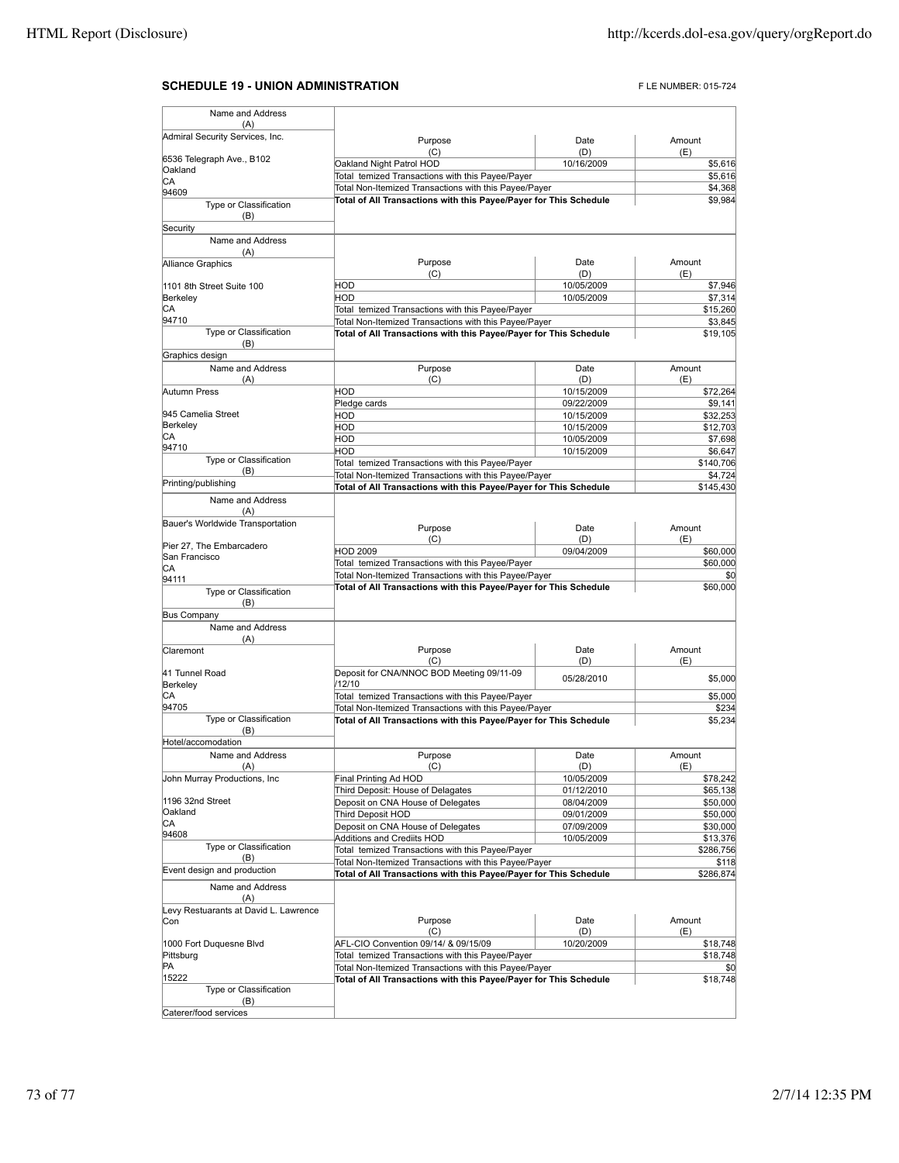## **SCHEDULE 19 - UNION ADMINISTRATION EXECUTES PLE NUMBER: 015-724**

| Name and Address                        |                                                                   |                          |                                                                                                                                                                            |
|-----------------------------------------|-------------------------------------------------------------------|--------------------------|----------------------------------------------------------------------------------------------------------------------------------------------------------------------------|
| (A)                                     |                                                                   |                          |                                                                                                                                                                            |
| Admiral Security Services, Inc.         | Purpose<br>(C)                                                    | Date<br>(D)              | Amount<br>(E)                                                                                                                                                              |
| 6536 Telegraph Ave., B102               | Oakland Night Patrol HOD                                          | \$5,616                  |                                                                                                                                                                            |
| Oakland                                 | 10/16/2009<br>Total temized Transactions with this Payee/Payer    |                          | \$5,616                                                                                                                                                                    |
| СA<br>94609                             | Total Non-Itemized Transactions with this Payee/Payer             | \$4,368                  |                                                                                                                                                                            |
| Type or Classification                  | Total of All Transactions with this Payee/Payer for This Schedule | \$9,984                  |                                                                                                                                                                            |
| (B)                                     |                                                                   |                          |                                                                                                                                                                            |
| Security                                |                                                                   |                          |                                                                                                                                                                            |
| Name and Address                        |                                                                   |                          |                                                                                                                                                                            |
| (A)                                     |                                                                   |                          |                                                                                                                                                                            |
| <b>Alliance Graphics</b>                | Purpose<br>(C)                                                    | Date<br>(D)              | Amount<br>(E)                                                                                                                                                              |
| 1101 8th Street Suite 100               | <b>HOD</b>                                                        | 10/05/2009               | \$7,946                                                                                                                                                                    |
| Berkeley                                | <b>HOD</b>                                                        | 10/05/2009               | \$7,314                                                                                                                                                                    |
| СA                                      | Total temized Transactions with this Payee/Payer                  |                          | \$15,260                                                                                                                                                                   |
| 94710                                   | Total Non-Itemized Transactions with this Payee/Payer             |                          | \$3,845                                                                                                                                                                    |
| Type or Classification                  | Total of All Transactions with this Payee/Payer for This Schedule | \$19,105                 |                                                                                                                                                                            |
| (B)                                     |                                                                   |                          |                                                                                                                                                                            |
| Graphics design                         |                                                                   |                          |                                                                                                                                                                            |
| Name and Address<br>(A)                 | Purpose<br>(C)                                                    | Date<br>(D)              | Amount<br>(E)                                                                                                                                                              |
| Autumn Press                            | <b>HOD</b>                                                        | 10/15/2009               | \$72,264                                                                                                                                                                   |
|                                         | Pledge cards                                                      | 09/22/2009               | \$9,141                                                                                                                                                                    |
| 945 Camelia Street                      | <b>HOD</b>                                                        | 10/15/2009               | \$32,253                                                                                                                                                                   |
| Berkeley                                | <b>HOD</b>                                                        | 10/15/2009               | \$12,703                                                                                                                                                                   |
| СA                                      | <b>HOD</b>                                                        | 10/05/2009               | \$7,698                                                                                                                                                                    |
| 94710                                   | HOD                                                               | 10/15/2009               | \$6,647                                                                                                                                                                    |
| Type or Classification                  | Total temized Transactions with this Payee/Payer                  |                          | \$140,706                                                                                                                                                                  |
| (B)<br>Printing/publishing              | Total Non-Itemized Transactions with this Payee/Payer             |                          | \$4,724                                                                                                                                                                    |
|                                         | Total of All Transactions with this Payee/Payer for This Schedule |                          | \$145,430                                                                                                                                                                  |
| Name and Address                        |                                                                   |                          |                                                                                                                                                                            |
| (A)<br>Bauer's Worldwide Transportation |                                                                   |                          |                                                                                                                                                                            |
|                                         | Purpose                                                           | Date                     | Amount                                                                                                                                                                     |
| Pier 27, The Embarcadero                | (C)                                                               | (D)                      | (E)                                                                                                                                                                        |
| San Francisco                           | <b>HOD 2009</b>                                                   | 09/04/2009               | \$60,000                                                                                                                                                                   |
| СA                                      | Total temized Transactions with this Payee/Payer                  |                          | \$60,000                                                                                                                                                                   |
|                                         | Total Non-Itemized Transactions with this Payee/Payer             |                          |                                                                                                                                                                            |
| 94111                                   |                                                                   |                          | \$0                                                                                                                                                                        |
| Type or Classification                  | Total of All Transactions with this Payee/Payer for This Schedule |                          |                                                                                                                                                                            |
| (B)                                     |                                                                   |                          |                                                                                                                                                                            |
| <b>Bus Company</b>                      |                                                                   |                          |                                                                                                                                                                            |
| Name and Address<br>(A)                 |                                                                   |                          |                                                                                                                                                                            |
| Claremont                               | Purpose                                                           | Date                     | Amount                                                                                                                                                                     |
|                                         | (C)                                                               | (D)                      | (E)                                                                                                                                                                        |
| 41 Tunnel Road                          | Deposit for CNA/NNOC BOD Meeting 09/11-09                         | 05/28/2010               |                                                                                                                                                                            |
| Berkeley                                | /12/10                                                            |                          |                                                                                                                                                                            |
| СA                                      | Total temized Transactions with this Payee/Payer                  |                          |                                                                                                                                                                            |
| 94705                                   | Total Non-Itemized Transactions with this Payee/Payer             |                          |                                                                                                                                                                            |
| Type or Classification<br>(B)           | Total of All Transactions with this Payee/Payer for This Schedule |                          |                                                                                                                                                                            |
| Hotel/accomodation                      |                                                                   |                          |                                                                                                                                                                            |
| Name and Address                        | Purpose                                                           | Date                     | \$60,000<br>\$5,000<br>Amount                                                                                                                                              |
| (A)                                     | (C)                                                               | (D)                      | (F)                                                                                                                                                                        |
| John Murray Productions, Inc            | Final Printing Ad HOD                                             | 10/05/2009               |                                                                                                                                                                            |
|                                         | Third Deposit: House of Delagates                                 | 01/12/2010               |                                                                                                                                                                            |
| 1196 32nd Street<br>Oakland             | Deposit on CNA House of Delegates                                 | 08/04/2009               |                                                                                                                                                                            |
| CА                                      | Third Deposit HOD                                                 | 09/01/2009               |                                                                                                                                                                            |
| 94608                                   | Deposit on CNA House of Delegates<br>Additions and Crediits HOD   | 07/09/2009<br>10/05/2009 |                                                                                                                                                                            |
| Type or Classification                  | Total temized Transactions with this Payee/Payer                  |                          |                                                                                                                                                                            |
| (B)                                     | Total Non-Itemized Transactions with this Payee/Payer             |                          |                                                                                                                                                                            |
| Event design and production             | Total of All Transactions with this Payee/Payer for This Schedule |                          |                                                                                                                                                                            |
| Name and Address                        |                                                                   |                          |                                                                                                                                                                            |
| (A)                                     |                                                                   |                          |                                                                                                                                                                            |
| Levy Restuarants at David L. Lawrence   |                                                                   |                          |                                                                                                                                                                            |
| Con                                     | Purpose<br>(C)                                                    | Date<br>(D)              | Amount<br>(E)                                                                                                                                                              |
| 1000 Fort Duquesne Blvd                 | AFL-CIO Convention 09/14/ & 09/15/09                              | 10/20/2009               |                                                                                                                                                                            |
| Pittsburg                               | Total temized Transactions with this Payee/Payer                  |                          |                                                                                                                                                                            |
| PA                                      | Total Non-Itemized Transactions with this Payee/Payer             |                          | \$0                                                                                                                                                                        |
| 15222                                   | Total of All Transactions with this Payee/Payer for This Schedule |                          |                                                                                                                                                                            |
| Type or Classification                  |                                                                   |                          |                                                                                                                                                                            |
| (B)<br>Caterer/food services            |                                                                   |                          | \$5,000<br>\$234<br>\$5,234<br>\$78,242<br>\$65,138<br>\$50,000<br>\$50,000<br>\$30,000<br>\$13,376<br>\$286,756<br>\$118<br>\$286,874<br>\$18,748<br>\$18,748<br>\$18,748 |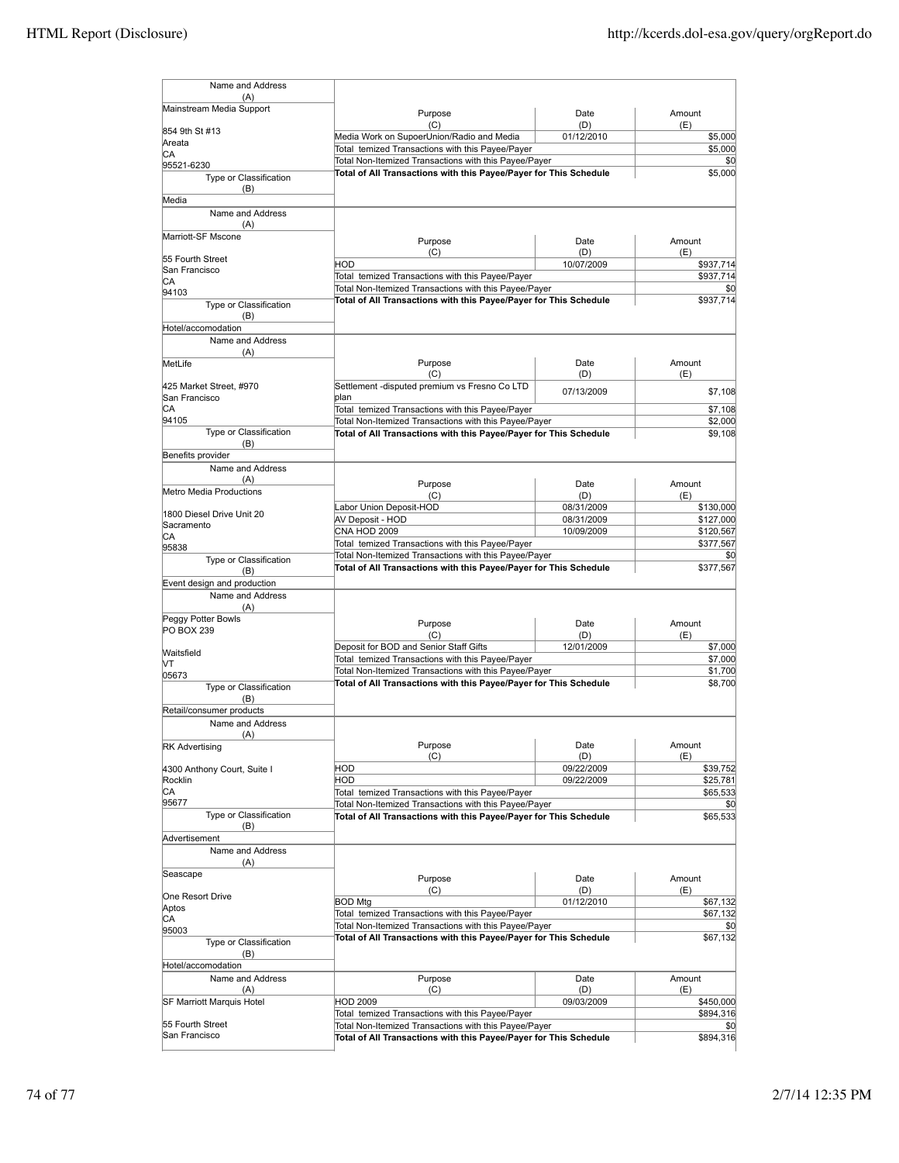| Name and Address                                                                   |                                                                                                                            |                   |                  |
|------------------------------------------------------------------------------------|----------------------------------------------------------------------------------------------------------------------------|-------------------|------------------|
| (A)                                                                                |                                                                                                                            |                   |                  |
| Mainstream Media Support                                                           | Purpose                                                                                                                    | Date              | Amount           |
| 854 9th St #13                                                                     | (C)<br>Media Work on SupoerUnion/Radio and Media                                                                           | (D)<br>01/12/2010 | (E)<br>\$5,000   |
| Areata                                                                             | Total temized Transactions with this Payee/Payer                                                                           |                   | \$5,000          |
| СA<br>95521-6230                                                                   | Total Non-Itemized Transactions with this Payee/Payer                                                                      |                   | \$0              |
| Type or Classification                                                             | Total of All Transactions with this Payee/Payer for This Schedule                                                          | \$5,000           |                  |
| (B)                                                                                |                                                                                                                            |                   |                  |
| Media                                                                              |                                                                                                                            |                   |                  |
| Name and Address                                                                   |                                                                                                                            |                   |                  |
| (A)<br>Marriott-SF Mscone                                                          |                                                                                                                            |                   |                  |
|                                                                                    | Purpose                                                                                                                    | Date              | Amount           |
| 55 Fourth Street                                                                   | (C)<br>HOD                                                                                                                 | (D)<br>10/07/2009 | (E)<br>\$937,714 |
| San Francisco                                                                      | Total temized Transactions with this Payee/Payer                                                                           |                   | \$937,714        |
| СA                                                                                 | Total Non-Itemized Transactions with this Payee/Payer                                                                      | \$0               |                  |
| 94103<br>Type or Classification                                                    | Total of All Transactions with this Payee/Payer for This Schedule                                                          | \$937,714         |                  |
| (B)                                                                                |                                                                                                                            |                   |                  |
| Hotel/accomodation                                                                 |                                                                                                                            |                   |                  |
| Name and Address                                                                   |                                                                                                                            |                   |                  |
| (A)                                                                                |                                                                                                                            |                   |                  |
| MetLife                                                                            | Purpose<br>(C)                                                                                                             | Date<br>(D)       | Amount<br>(E)    |
| 425 Market Street, #970                                                            | Settlement -disputed premium vs Fresno Co LTD                                                                              |                   |                  |
| San Francisco                                                                      | plan                                                                                                                       | 07/13/2009        | \$7,108          |
| СA                                                                                 | Total temized Transactions with this Payee/Payer                                                                           |                   | \$7,108          |
| 94105                                                                              | Total Non-Itemized Transactions with this Payee/Payer                                                                      |                   | \$2,000          |
| Type or Classification<br>(B)                                                      | Total of All Transactions with this Payee/Payer for This Schedule                                                          |                   | \$9.108          |
| Benefits provider                                                                  |                                                                                                                            |                   |                  |
| Name and Address                                                                   |                                                                                                                            |                   |                  |
| (A)                                                                                | Purpose                                                                                                                    | Date              | Amount           |
| Metro Media Productions                                                            | (C)                                                                                                                        | (D)               | (E)              |
|                                                                                    | Labor Union Deposit-HOD                                                                                                    | 08/31/2009        | \$130,000        |
| 1800 Diesel Drive Unit 20<br>Sacramento                                            | AV Deposit - HOD                                                                                                           | 08/31/2009        | \$127,000        |
| СA                                                                                 | CNA HOD 2009                                                                                                               | 10/09/2009        | \$120,567        |
| 95838                                                                              | Total temized Transactions with this Payee/Payer                                                                           |                   | \$377,567        |
| Type or Classification                                                             | Total Non-Itemized Transactions with this Payee/Payer<br>Total of All Transactions with this Payee/Payer for This Schedule |                   | \$0<br>\$377,567 |
| (B)                                                                                |                                                                                                                            |                   |                  |
| Event design and production<br>Name and Address                                    |                                                                                                                            |                   |                  |
| (A)                                                                                |                                                                                                                            |                   |                  |
| Peggy Potter Bowls                                                                 | Purpose                                                                                                                    | Date              | Amount           |
| <b>PO BOX 239</b>                                                                  | (C)                                                                                                                        | (D)               | (E)              |
| Waitsfield                                                                         | Deposit for BOD and Senior Staff Gifts                                                                                     | 12/01/2009        | \$7,000          |
| lУ                                                                                 | Total temized Transactions with this Payee/Payer                                                                           |                   | \$7,000          |
| 05673                                                                              | Total Non-Itemized Transactions with this Payee/Payer                                                                      |                   | \$1,700          |
| Type or Classification                                                             | Total of All Transactions with this Payee/Payer for This Schedule                                                          |                   | \$8,700          |
| (B)                                                                                |                                                                                                                            |                   |                  |
| Retail/consumer products                                                           |                                                                                                                            |                   |                  |
| Name and Address<br>(A)                                                            |                                                                                                                            |                   |                  |
| <b>RK Advertising</b>                                                              | Purpose                                                                                                                    | Date              | Amount           |
|                                                                                    | (C)                                                                                                                        | (D)               | (E)              |
| 4300 Anthony Court, Suite I                                                        | HOD                                                                                                                        | 09/22/2009        | \$39,752         |
| Rocklin<br>СA                                                                      | HOD<br>Total temized Transactions with this Payee/Payer                                                                    | 09/22/2009        | \$25,781         |
| 95677                                                                              | Total Non-Itemized Transactions with this Payee/Payer                                                                      |                   | \$65,533<br>\$0  |
| Type or Classification                                                             | Total of All Transactions with this Payee/Payer for This Schedule                                                          |                   | \$65,533         |
| (B)                                                                                |                                                                                                                            |                   |                  |
| Advertisement                                                                      |                                                                                                                            |                   |                  |
| Name and Address                                                                   |                                                                                                                            |                   |                  |
| (A)<br>Seascape                                                                    |                                                                                                                            |                   |                  |
|                                                                                    | Purpose                                                                                                                    | Date              | Amount           |
| One Resort Drive                                                                   | (C)<br><b>BOD Mtg</b>                                                                                                      | (D)<br>01/12/2010 | (E)<br>\$67,132  |
| Aptos                                                                              | Total temized Transactions with this Payee/Payer                                                                           |                   | \$67,132         |
| СA<br>95003                                                                        | Total Non-Itemized Transactions with this Payee/Payer                                                                      |                   | \$0              |
| Type or Classification                                                             | Total of All Transactions with this Payee/Payer for This Schedule                                                          |                   | \$67,132         |
| (B)                                                                                |                                                                                                                            |                   |                  |
| Hotel/accomodation                                                                 |                                                                                                                            |                   |                  |
| Name and Address                                                                   | Purpose                                                                                                                    | Date              | Amount           |
| (A)                                                                                | (C)                                                                                                                        | (D)               | (E)              |
| SF Marriott Marquis Hotel                                                          | HOD 2009                                                                                                                   | 09/03/2009        | \$450,000        |
| 55 Fourth Street                                                                   | Total temized Transactions with this Payee/Payer<br>Total Non-Itemized Transactions with this Payee/Payer                  |                   | \$894,316<br>\$0 |
| San Francisco<br>Total of All Transactions with this Payee/Payer for This Schedule |                                                                                                                            |                   | \$894,316        |
|                                                                                    |                                                                                                                            |                   |                  |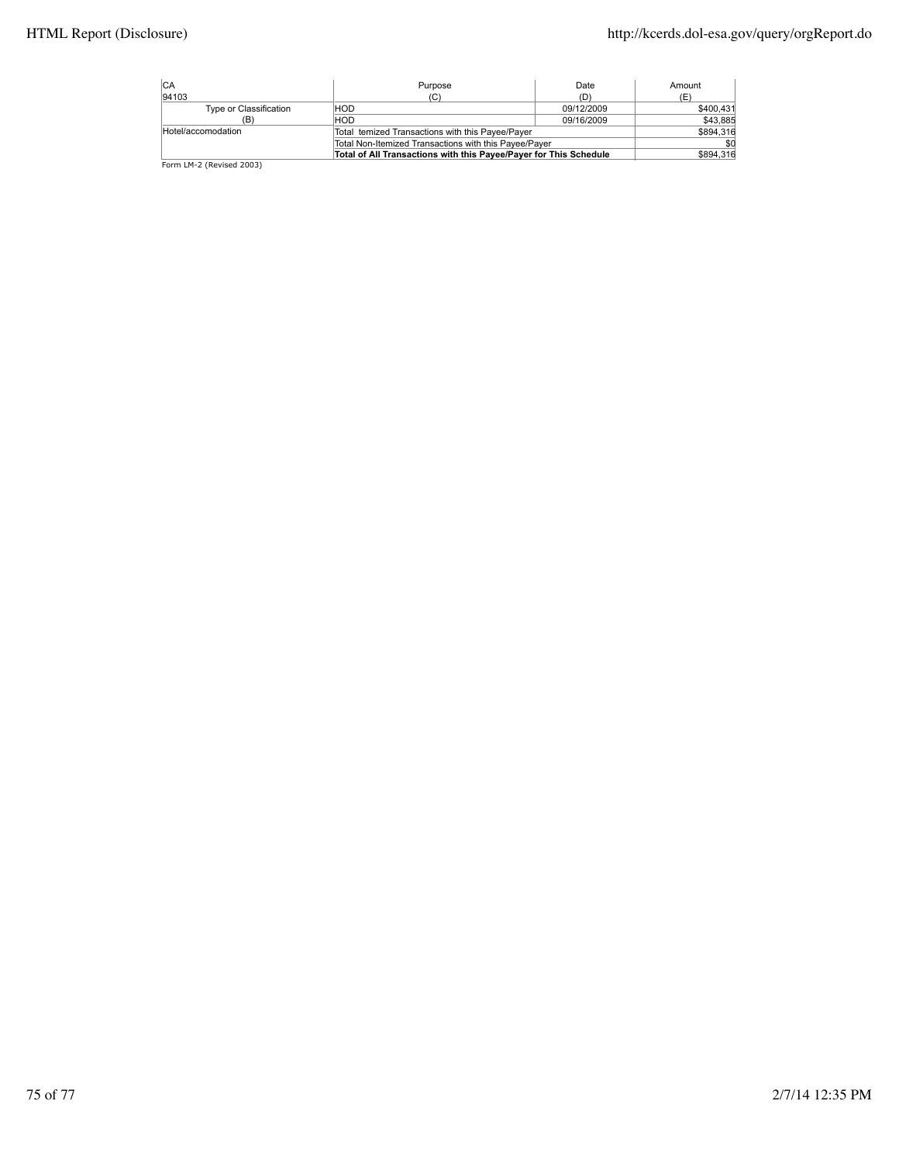| ICA                                                               | Purpose                                               | Date       | Amount    |
|-------------------------------------------------------------------|-------------------------------------------------------|------------|-----------|
| 94103                                                             | (C)                                                   | (D)        | (E)       |
| Type or Classification                                            | HOD                                                   | 09/12/2009 | \$400,431 |
| (B)                                                               | HOD                                                   | 09/16/2009 | \$43,885  |
| Hotel/accomodation                                                | Total temized Transactions with this Payee/Payer      |            | \$894.316 |
|                                                                   | Total Non-Itemized Transactions with this Payee/Payer |            |           |
| Total of All Transactions with this Payee/Payer for This Schedule |                                                       | \$894,316  |           |
| Form LM-2 (Revised 2003)                                          |                                                       |            |           |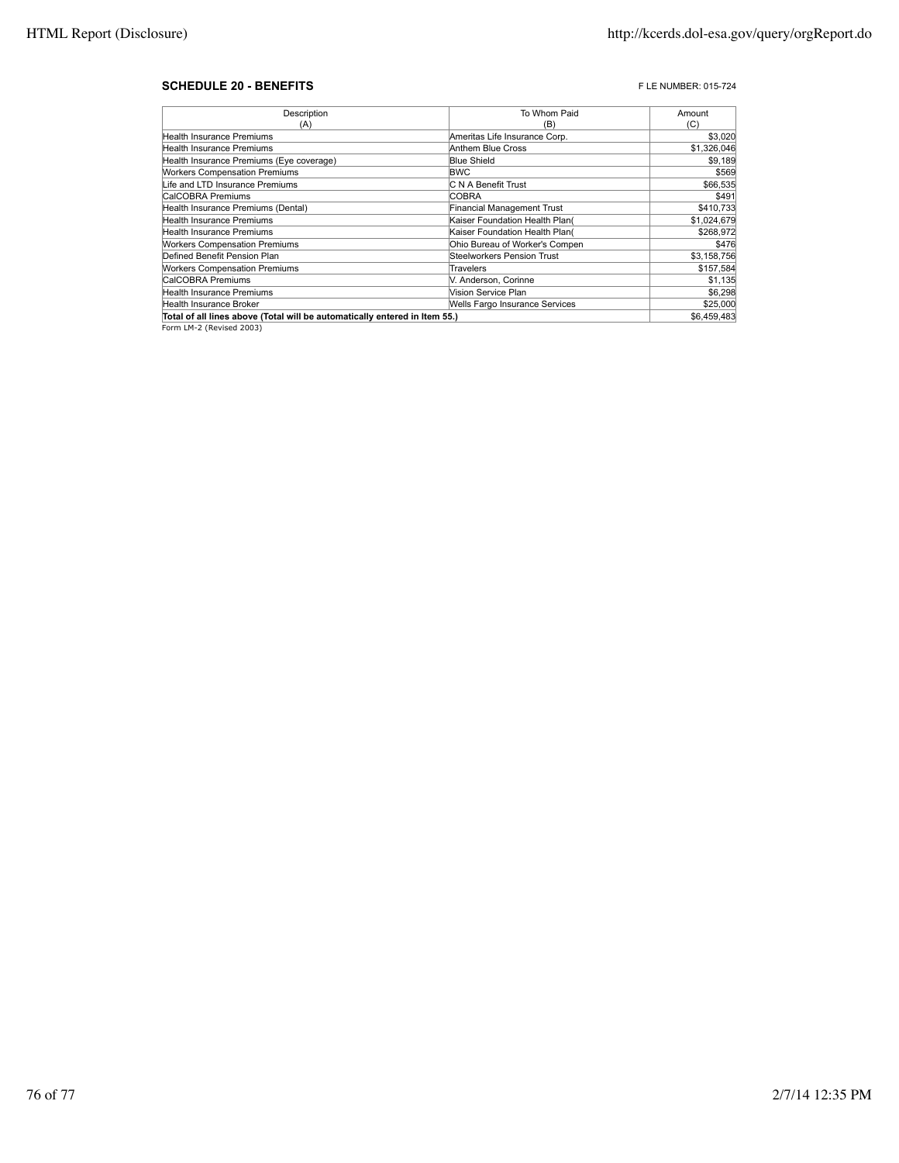## **SCHEDULE 20 - BENEFITS F** LE NUMBER: 015-724

| Description                                                                | To Whom Paid                   | Amount      |
|----------------------------------------------------------------------------|--------------------------------|-------------|
| (A)                                                                        | (B)                            | (C)         |
| Health Insurance Premiums                                                  | Ameritas Life Insurance Corp.  | \$3,020     |
| Health Insurance Premiums                                                  | Anthem Blue Cross              | \$1,326,046 |
| Health Insurance Premiums (Eye coverage)                                   | <b>Blue Shield</b>             | \$9,189     |
| <b>Workers Compensation Premiums</b>                                       | <b>BWC</b>                     | \$569       |
| Life and LTD Insurance Premiums                                            | C N A Benefit Trust            | \$66,535    |
| CalCOBRA Premiums                                                          | <b>COBRA</b>                   | \$491       |
| Health Insurance Premiums (Dental)                                         | Financial Management Trust     | \$410,733   |
| Health Insurance Premiums                                                  | Kaiser Foundation Health Plan( | \$1,024,679 |
| <b>Health Insurance Premiums</b>                                           | Kaiser Foundation Health Plan( | \$268,972   |
| <b>Workers Compensation Premiums</b>                                       | Ohio Bureau of Worker's Compen | \$476       |
| Defined Benefit Pension Plan                                               | Steelworkers Pension Trust     | \$3,158,756 |
| <b>Workers Compensation Premiums</b>                                       | Travelers                      | \$157,584   |
| CalCOBRA Premiums                                                          | V. Anderson, Corinne           | \$1,135     |
| Health Insurance Premiums                                                  | Vision Service Plan            | \$6,298     |
| Health Insurance Broker                                                    | Wells Fargo Insurance Services | \$25,000    |
| Total of all lines above (Total will be automatically entered in Item 55.) |                                | \$6,459,483 |

Form LM-2 (Revised 2003)